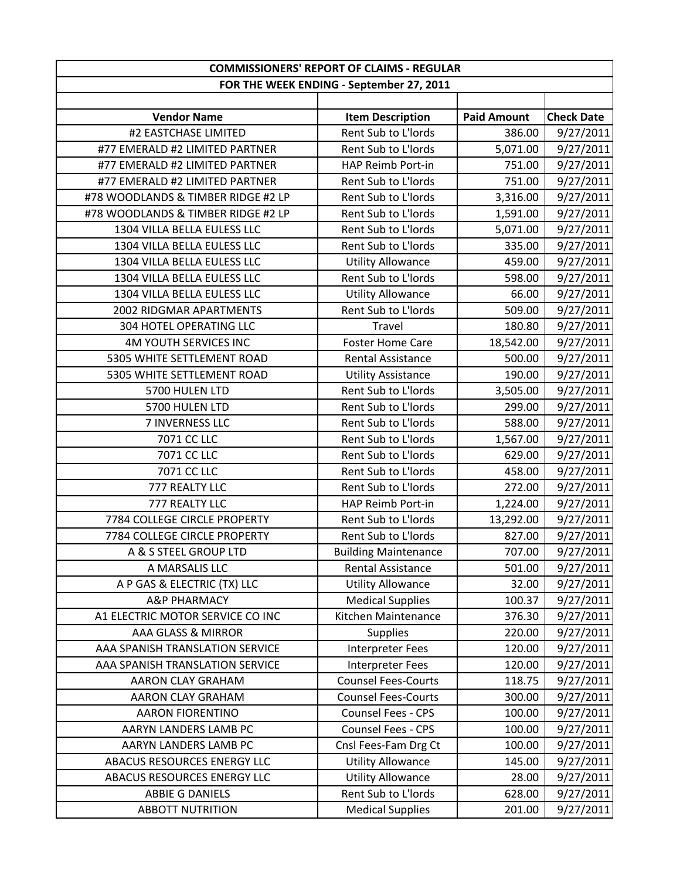|                                    | <b>COMMISSIONERS' REPORT OF CLAIMS - REGULAR</b> |                    |                   |  |
|------------------------------------|--------------------------------------------------|--------------------|-------------------|--|
|                                    | FOR THE WEEK ENDING - September 27, 2011         |                    |                   |  |
|                                    |                                                  |                    |                   |  |
| <b>Vendor Name</b>                 | <b>Item Description</b>                          | <b>Paid Amount</b> | <b>Check Date</b> |  |
| #2 EASTCHASE LIMITED               | Rent Sub to L'Iords                              | 386.00             | 9/27/2011         |  |
| #77 EMERALD #2 LIMITED PARTNER     | Rent Sub to L'Iords                              | 5,071.00           | 9/27/2011         |  |
| #77 EMERALD #2 LIMITED PARTNER     | HAP Reimb Port-in                                | 751.00             | 9/27/2011         |  |
| #77 EMERALD #2 LIMITED PARTNER     | Rent Sub to L'Iords                              | 751.00             | 9/27/2011         |  |
| #78 WOODLANDS & TIMBER RIDGE #2 LP | Rent Sub to L'Iords                              | 3,316.00           | 9/27/2011         |  |
| #78 WOODLANDS & TIMBER RIDGE #2 LP | Rent Sub to L'Iords                              | 1,591.00           | 9/27/2011         |  |
| 1304 VILLA BELLA EULESS LLC        | Rent Sub to L'Iords                              | 5,071.00           | 9/27/2011         |  |
| 1304 VILLA BELLA EULESS LLC        | Rent Sub to L'Iords                              | 335.00             | 9/27/2011         |  |
| 1304 VILLA BELLA EULESS LLC        | <b>Utility Allowance</b>                         | 459.00             | 9/27/2011         |  |
| 1304 VILLA BELLA EULESS LLC        | Rent Sub to L'Iords                              | 598.00             | 9/27/2011         |  |
| 1304 VILLA BELLA EULESS LLC        | <b>Utility Allowance</b>                         | 66.00              | 9/27/2011         |  |
| 2002 RIDGMAR APARTMENTS            | Rent Sub to L'Iords                              | 509.00             | 9/27/2011         |  |
| 304 HOTEL OPERATING LLC            | Travel                                           | 180.80             | 9/27/2011         |  |
| <b>4M YOUTH SERVICES INC</b>       | <b>Foster Home Care</b>                          | 18,542.00          | 9/27/2011         |  |
| 5305 WHITE SETTLEMENT ROAD         | <b>Rental Assistance</b>                         | 500.00             | 9/27/2011         |  |
| 5305 WHITE SETTLEMENT ROAD         | <b>Utility Assistance</b>                        | 190.00             | 9/27/2011         |  |
| 5700 HULEN LTD                     | Rent Sub to L'Iords                              | 3,505.00           | 9/27/2011         |  |
| 5700 HULEN LTD                     | Rent Sub to L'Iords                              | 299.00             | 9/27/2011         |  |
| 7 INVERNESS LLC                    | Rent Sub to L'Iords                              | 588.00             | 9/27/2011         |  |
| 7071 CC LLC                        | Rent Sub to L'Iords                              | 1,567.00           | 9/27/2011         |  |
| 7071 CC LLC                        | Rent Sub to L'Iords                              | 629.00             | 9/27/2011         |  |
| 7071 CC LLC                        | Rent Sub to L'Iords                              | 458.00             | 9/27/2011         |  |
| 777 REALTY LLC                     | Rent Sub to L'Iords                              | 272.00             | 9/27/2011         |  |
| 777 REALTY LLC                     | HAP Reimb Port-in                                | 1,224.00           | 9/27/2011         |  |
| 7784 COLLEGE CIRCLE PROPERTY       | Rent Sub to L'Iords                              | 13,292.00          | 9/27/2011         |  |
| 7784 COLLEGE CIRCLE PROPERTY       | Rent Sub to L'Iords                              | 827.00             | 9/27/2011         |  |
| A & S STEEL GROUP LTD              | <b>Building Maintenance</b>                      | 707.00             | 9/27/2011         |  |
| A MARSALIS LLC                     | Rental Assistance                                | 501.00             | 9/27/2011         |  |
| A P GAS & ELECTRIC (TX) LLC        | <b>Utility Allowance</b>                         | 32.00              | 9/27/2011         |  |
| <b>A&amp;P PHARMACY</b>            | <b>Medical Supplies</b>                          | 100.37             | 9/27/2011         |  |
| A1 ELECTRIC MOTOR SERVICE CO INC   | Kitchen Maintenance                              | 376.30             | 9/27/2011         |  |
| AAA GLASS & MIRROR                 | <b>Supplies</b>                                  | 220.00             | 9/27/2011         |  |
| AAA SPANISH TRANSLATION SERVICE    | <b>Interpreter Fees</b>                          | 120.00             | 9/27/2011         |  |
| AAA SPANISH TRANSLATION SERVICE    | <b>Interpreter Fees</b>                          | 120.00             | 9/27/2011         |  |
| AARON CLAY GRAHAM                  | <b>Counsel Fees-Courts</b>                       | 118.75             | 9/27/2011         |  |
| AARON CLAY GRAHAM                  | <b>Counsel Fees-Courts</b>                       | 300.00             | 9/27/2011         |  |
| <b>AARON FIORENTINO</b>            | Counsel Fees - CPS                               | 100.00             | 9/27/2011         |  |
| AARYN LANDERS LAMB PC              | <b>Counsel Fees - CPS</b>                        | 100.00             | 9/27/2011         |  |
| AARYN LANDERS LAMB PC              | Cnsl Fees-Fam Drg Ct                             | 100.00             | 9/27/2011         |  |
| ABACUS RESOURCES ENERGY LLC        | <b>Utility Allowance</b>                         | 145.00             | 9/27/2011         |  |
| ABACUS RESOURCES ENERGY LLC        | <b>Utility Allowance</b>                         | 28.00              | 9/27/2011         |  |
| <b>ABBIE G DANIELS</b>             | Rent Sub to L'Iords                              | 628.00             | 9/27/2011         |  |
| <b>ABBOTT NUTRITION</b>            | <b>Medical Supplies</b>                          | 201.00             | 9/27/2011         |  |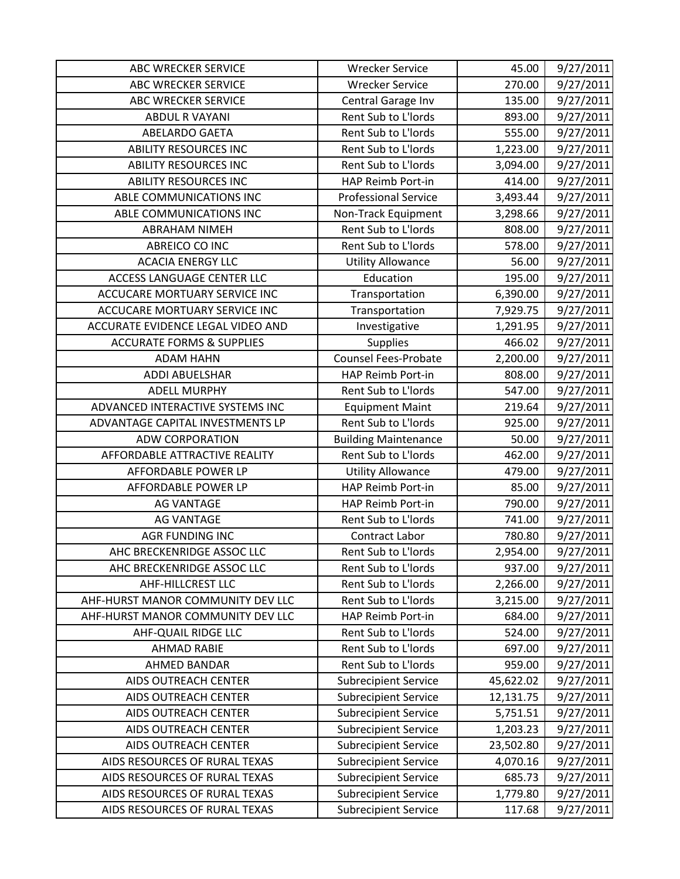| <b>ABC WRECKER SERVICE</b>           | <b>Wrecker Service</b>      | 45.00     | 9/27/2011 |
|--------------------------------------|-----------------------------|-----------|-----------|
| <b>ABC WRECKER SERVICE</b>           | <b>Wrecker Service</b>      | 270.00    | 9/27/2011 |
| ABC WRECKER SERVICE                  | Central Garage Inv          | 135.00    | 9/27/2011 |
| <b>ABDUL R VAYANI</b>                | Rent Sub to L'Iords         | 893.00    | 9/27/2011 |
| <b>ABELARDO GAETA</b>                | Rent Sub to L'Iords         | 555.00    | 9/27/2011 |
| <b>ABILITY RESOURCES INC</b>         | Rent Sub to L'Iords         | 1,223.00  | 9/27/2011 |
| <b>ABILITY RESOURCES INC</b>         | Rent Sub to L'Iords         | 3,094.00  | 9/27/2011 |
| <b>ABILITY RESOURCES INC</b>         | HAP Reimb Port-in           | 414.00    | 9/27/2011 |
| ABLE COMMUNICATIONS INC              | <b>Professional Service</b> | 3,493.44  | 9/27/2011 |
| ABLE COMMUNICATIONS INC              | Non-Track Equipment         | 3,298.66  | 9/27/2011 |
| <b>ABRAHAM NIMEH</b>                 | Rent Sub to L'Iords         | 808.00    | 9/27/2011 |
| ABREICO CO INC                       | Rent Sub to L'Iords         | 578.00    | 9/27/2011 |
| <b>ACACIA ENERGY LLC</b>             | <b>Utility Allowance</b>    | 56.00     | 9/27/2011 |
| <b>ACCESS LANGUAGE CENTER LLC</b>    | Education                   | 195.00    | 9/27/2011 |
| ACCUCARE MORTUARY SERVICE INC        | Transportation              | 6,390.00  | 9/27/2011 |
| ACCUCARE MORTUARY SERVICE INC        | Transportation              | 7,929.75  | 9/27/2011 |
| ACCURATE EVIDENCE LEGAL VIDEO AND    | Investigative               | 1,291.95  | 9/27/2011 |
| <b>ACCURATE FORMS &amp; SUPPLIES</b> | Supplies                    | 466.02    | 9/27/2011 |
| <b>ADAM HAHN</b>                     | <b>Counsel Fees-Probate</b> | 2,200.00  | 9/27/2011 |
| <b>ADDI ABUELSHAR</b>                | HAP Reimb Port-in           | 808.00    | 9/27/2011 |
| <b>ADELL MURPHY</b>                  | Rent Sub to L'Iords         | 547.00    | 9/27/2011 |
| ADVANCED INTERACTIVE SYSTEMS INC     | <b>Equipment Maint</b>      | 219.64    | 9/27/2011 |
| ADVANTAGE CAPITAL INVESTMENTS LP     | Rent Sub to L'Iords         | 925.00    | 9/27/2011 |
| <b>ADW CORPORATION</b>               | <b>Building Maintenance</b> | 50.00     | 9/27/2011 |
| AFFORDABLE ATTRACTIVE REALITY        | Rent Sub to L'Iords         | 462.00    | 9/27/2011 |
| AFFORDABLE POWER LP                  | <b>Utility Allowance</b>    | 479.00    | 9/27/2011 |
| AFFORDABLE POWER LP                  | HAP Reimb Port-in           | 85.00     | 9/27/2011 |
| <b>AG VANTAGE</b>                    | HAP Reimb Port-in           | 790.00    | 9/27/2011 |
| <b>AG VANTAGE</b>                    | Rent Sub to L'Iords         | 741.00    | 9/27/2011 |
| <b>AGR FUNDING INC</b>               | <b>Contract Labor</b>       | 780.80    | 9/27/2011 |
| AHC BRECKENRIDGE ASSOC LLC           | Rent Sub to L'Iords         | 2,954.00  | 9/27/2011 |
| AHC BRECKENRIDGE ASSOC LLC           | Rent Sub to L'Iords         | 937.00    | 9/27/2011 |
| AHF-HILLCREST LLC                    | Rent Sub to L'Iords         | 2,266.00  | 9/27/2011 |
| AHF-HURST MANOR COMMUNITY DEV LLC    | Rent Sub to L'Iords         | 3,215.00  | 9/27/2011 |
| AHF-HURST MANOR COMMUNITY DEV LLC    | HAP Reimb Port-in           | 684.00    | 9/27/2011 |
| AHF-QUAIL RIDGE LLC                  | Rent Sub to L'Iords         | 524.00    | 9/27/2011 |
| <b>AHMAD RABIE</b>                   | Rent Sub to L'Iords         | 697.00    | 9/27/2011 |
| AHMED BANDAR                         | Rent Sub to L'Iords         | 959.00    | 9/27/2011 |
| <b>AIDS OUTREACH CENTER</b>          | <b>Subrecipient Service</b> | 45,622.02 | 9/27/2011 |
| <b>AIDS OUTREACH CENTER</b>          | <b>Subrecipient Service</b> | 12,131.75 | 9/27/2011 |
| AIDS OUTREACH CENTER                 | <b>Subrecipient Service</b> | 5,751.51  | 9/27/2011 |
| <b>AIDS OUTREACH CENTER</b>          | <b>Subrecipient Service</b> | 1,203.23  | 9/27/2011 |
| AIDS OUTREACH CENTER                 | <b>Subrecipient Service</b> | 23,502.80 | 9/27/2011 |
| AIDS RESOURCES OF RURAL TEXAS        | <b>Subrecipient Service</b> | 4,070.16  | 9/27/2011 |
| AIDS RESOURCES OF RURAL TEXAS        | <b>Subrecipient Service</b> | 685.73    | 9/27/2011 |
| AIDS RESOURCES OF RURAL TEXAS        | <b>Subrecipient Service</b> | 1,779.80  | 9/27/2011 |
| AIDS RESOURCES OF RURAL TEXAS        | <b>Subrecipient Service</b> | 117.68    | 9/27/2011 |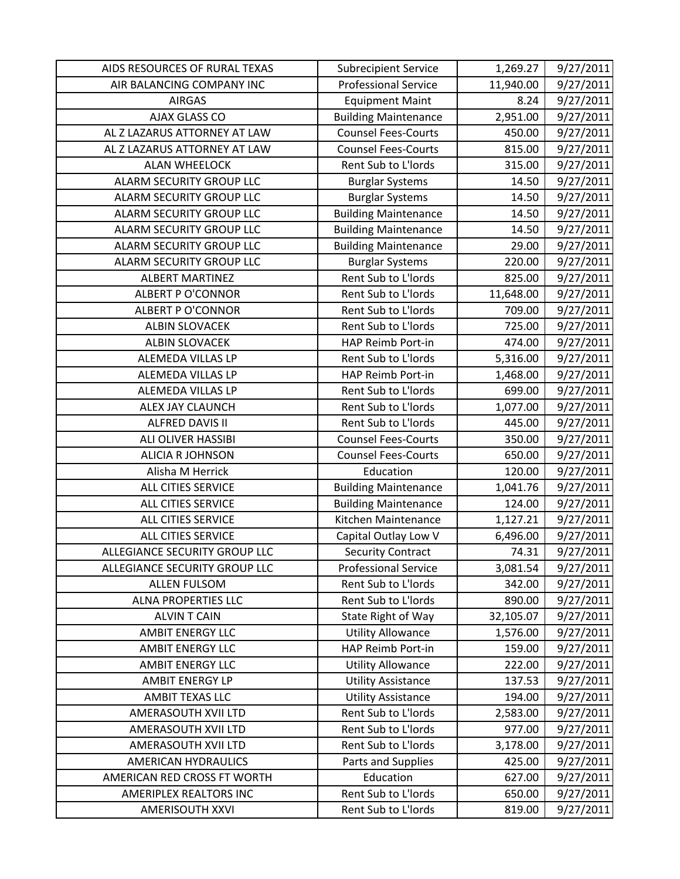| AIDS RESOURCES OF RURAL TEXAS | <b>Subrecipient Service</b> | 1,269.27  | 9/27/2011 |
|-------------------------------|-----------------------------|-----------|-----------|
| AIR BALANCING COMPANY INC     | <b>Professional Service</b> | 11,940.00 | 9/27/2011 |
| <b>AIRGAS</b>                 | <b>Equipment Maint</b>      | 8.24      | 9/27/2011 |
| AJAX GLASS CO                 | <b>Building Maintenance</b> | 2,951.00  | 9/27/2011 |
| AL Z LAZARUS ATTORNEY AT LAW  | <b>Counsel Fees-Courts</b>  | 450.00    | 9/27/2011 |
| AL Z LAZARUS ATTORNEY AT LAW  | <b>Counsel Fees-Courts</b>  | 815.00    | 9/27/2011 |
| <b>ALAN WHEELOCK</b>          | Rent Sub to L'Iords         | 315.00    | 9/27/2011 |
| ALARM SECURITY GROUP LLC      | <b>Burglar Systems</b>      | 14.50     | 9/27/2011 |
| ALARM SECURITY GROUP LLC      | <b>Burglar Systems</b>      | 14.50     | 9/27/2011 |
| ALARM SECURITY GROUP LLC      | <b>Building Maintenance</b> | 14.50     | 9/27/2011 |
| ALARM SECURITY GROUP LLC      | <b>Building Maintenance</b> | 14.50     | 9/27/2011 |
| ALARM SECURITY GROUP LLC      | <b>Building Maintenance</b> | 29.00     | 9/27/2011 |
| ALARM SECURITY GROUP LLC      | <b>Burglar Systems</b>      | 220.00    | 9/27/2011 |
| <b>ALBERT MARTINEZ</b>        | Rent Sub to L'Iords         | 825.00    | 9/27/2011 |
| <b>ALBERT P O'CONNOR</b>      | Rent Sub to L'Iords         | 11,648.00 | 9/27/2011 |
| <b>ALBERT P O'CONNOR</b>      | Rent Sub to L'Iords         | 709.00    | 9/27/2011 |
| <b>ALBIN SLOVACEK</b>         | Rent Sub to L'Iords         | 725.00    | 9/27/2011 |
| <b>ALBIN SLOVACEK</b>         | HAP Reimb Port-in           | 474.00    | 9/27/2011 |
| ALEMEDA VILLAS LP             | Rent Sub to L'Iords         | 5,316.00  | 9/27/2011 |
| ALEMEDA VILLAS LP             | HAP Reimb Port-in           | 1,468.00  | 9/27/2011 |
| ALEMEDA VILLAS LP             | Rent Sub to L'Iords         | 699.00    | 9/27/2011 |
| ALEX JAY CLAUNCH              | Rent Sub to L'Iords         | 1,077.00  | 9/27/2011 |
| <b>ALFRED DAVIS II</b>        | Rent Sub to L'Iords         | 445.00    | 9/27/2011 |
| <b>ALI OLIVER HASSIBI</b>     | <b>Counsel Fees-Courts</b>  | 350.00    | 9/27/2011 |
| <b>ALICIA R JOHNSON</b>       | <b>Counsel Fees-Courts</b>  | 650.00    | 9/27/2011 |
| Alisha M Herrick              | Education                   | 120.00    | 9/27/2011 |
| ALL CITIES SERVICE            | <b>Building Maintenance</b> | 1,041.76  | 9/27/2011 |
| ALL CITIES SERVICE            | <b>Building Maintenance</b> | 124.00    | 9/27/2011 |
| <b>ALL CITIES SERVICE</b>     | Kitchen Maintenance         | 1,127.21  | 9/27/2011 |
| ALL CITIES SERVICE            | Capital Outlay Low V        | 6,496.00  | 9/27/2011 |
| ALLEGIANCE SECURITY GROUP LLC | <b>Security Contract</b>    | 74.31     | 9/27/2011 |
| ALLEGIANCE SECURITY GROUP LLC | <b>Professional Service</b> | 3,081.54  | 9/27/2011 |
| <b>ALLEN FULSOM</b>           | Rent Sub to L'Iords         | 342.00    | 9/27/2011 |
| ALNA PROPERTIES LLC           | Rent Sub to L'Iords         | 890.00    | 9/27/2011 |
| <b>ALVIN T CAIN</b>           | State Right of Way          | 32,105.07 | 9/27/2011 |
| <b>AMBIT ENERGY LLC</b>       | <b>Utility Allowance</b>    | 1,576.00  | 9/27/2011 |
| <b>AMBIT ENERGY LLC</b>       | HAP Reimb Port-in           | 159.00    | 9/27/2011 |
| <b>AMBIT ENERGY LLC</b>       | <b>Utility Allowance</b>    | 222.00    | 9/27/2011 |
| <b>AMBIT ENERGY LP</b>        | <b>Utility Assistance</b>   | 137.53    | 9/27/2011 |
| AMBIT TEXAS LLC               | <b>Utility Assistance</b>   | 194.00    | 9/27/2011 |
| AMERASOUTH XVII LTD           | Rent Sub to L'Iords         | 2,583.00  | 9/27/2011 |
| AMERASOUTH XVII LTD           | Rent Sub to L'Iords         | 977.00    | 9/27/2011 |
| AMERASOUTH XVII LTD           | Rent Sub to L'Iords         | 3,178.00  | 9/27/2011 |
| AMERICAN HYDRAULICS           | Parts and Supplies          | 425.00    | 9/27/2011 |
| AMERICAN RED CROSS FT WORTH   | Education                   | 627.00    | 9/27/2011 |
| AMERIPLEX REALTORS INC        | Rent Sub to L'Iords         | 650.00    | 9/27/2011 |
| <b>AMERISOUTH XXVI</b>        | Rent Sub to L'Iords         | 819.00    | 9/27/2011 |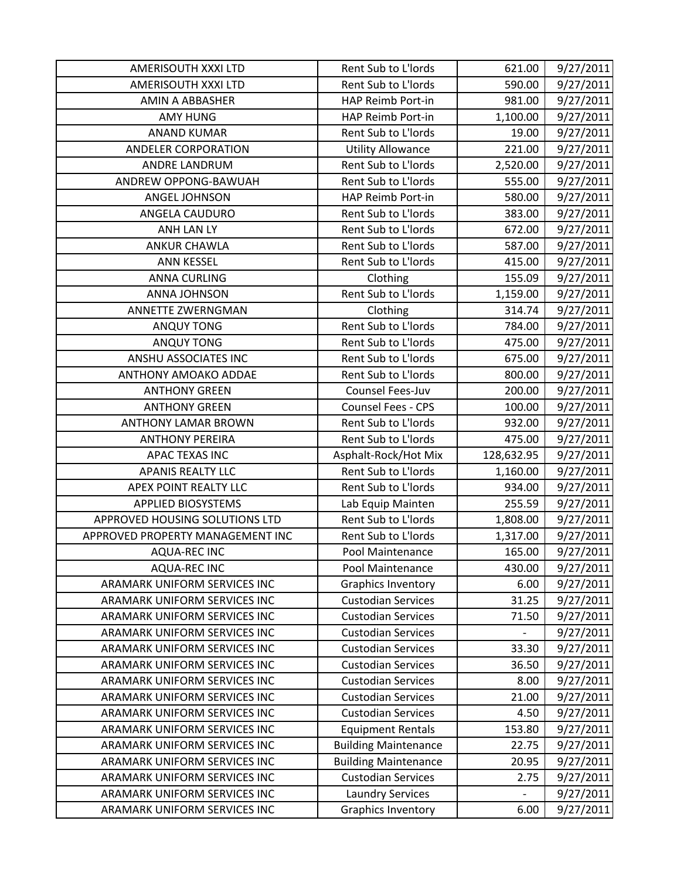| AMERISOUTH XXXI LTD              | Rent Sub to L'Iords         | 621.00     | 9/27/2011 |
|----------------------------------|-----------------------------|------------|-----------|
| AMERISOUTH XXXI LTD              | Rent Sub to L'Iords         | 590.00     | 9/27/2011 |
| <b>AMIN A ABBASHER</b>           | HAP Reimb Port-in           | 981.00     | 9/27/2011 |
| <b>AMY HUNG</b>                  | HAP Reimb Port-in           | 1,100.00   | 9/27/2011 |
| <b>ANAND KUMAR</b>               | Rent Sub to L'Iords         | 19.00      | 9/27/2011 |
| <b>ANDELER CORPORATION</b>       | <b>Utility Allowance</b>    | 221.00     | 9/27/2011 |
| ANDRE LANDRUM                    | Rent Sub to L'Iords         | 2,520.00   | 9/27/2011 |
| ANDREW OPPONG-BAWUAH             | Rent Sub to L'Iords         | 555.00     | 9/27/2011 |
| ANGEL JOHNSON                    | HAP Reimb Port-in           | 580.00     | 9/27/2011 |
| ANGELA CAUDURO                   | Rent Sub to L'Iords         | 383.00     | 9/27/2011 |
| ANH LAN LY                       | Rent Sub to L'Iords         | 672.00     | 9/27/2011 |
| <b>ANKUR CHAWLA</b>              | Rent Sub to L'Iords         | 587.00     | 9/27/2011 |
| <b>ANN KESSEL</b>                | Rent Sub to L'Iords         | 415.00     | 9/27/2011 |
| <b>ANNA CURLING</b>              | Clothing                    | 155.09     | 9/27/2011 |
| <b>ANNA JOHNSON</b>              | Rent Sub to L'Iords         | 1,159.00   | 9/27/2011 |
| ANNETTE ZWERNGMAN                | Clothing                    | 314.74     | 9/27/2011 |
| <b>ANQUY TONG</b>                | Rent Sub to L'Iords         | 784.00     | 9/27/2011 |
| <b>ANQUY TONG</b>                | Rent Sub to L'Iords         | 475.00     | 9/27/2011 |
| ANSHU ASSOCIATES INC             | Rent Sub to L'Iords         | 675.00     | 9/27/2011 |
| <b>ANTHONY AMOAKO ADDAE</b>      | Rent Sub to L'Iords         | 800.00     | 9/27/2011 |
| <b>ANTHONY GREEN</b>             | Counsel Fees-Juv            | 200.00     | 9/27/2011 |
| <b>ANTHONY GREEN</b>             | Counsel Fees - CPS          | 100.00     | 9/27/2011 |
| <b>ANTHONY LAMAR BROWN</b>       | Rent Sub to L'Iords         | 932.00     | 9/27/2011 |
| <b>ANTHONY PEREIRA</b>           | Rent Sub to L'Iords         | 475.00     | 9/27/2011 |
| <b>APAC TEXAS INC</b>            | Asphalt-Rock/Hot Mix        | 128,632.95 | 9/27/2011 |
| <b>APANIS REALTY LLC</b>         | Rent Sub to L'Iords         | 1,160.00   | 9/27/2011 |
| APEX POINT REALTY LLC            | Rent Sub to L'Iords         | 934.00     | 9/27/2011 |
| <b>APPLIED BIOSYSTEMS</b>        | Lab Equip Mainten           | 255.59     | 9/27/2011 |
| APPROVED HOUSING SOLUTIONS LTD   | Rent Sub to L'Iords         | 1,808.00   | 9/27/2011 |
| APPROVED PROPERTY MANAGEMENT INC | Rent Sub to L'Iords         | 1,317.00   | 9/27/2011 |
| <b>AQUA-REC INC</b>              | Pool Maintenance            | 165.00     | 9/27/2011 |
| <b>AQUA-REC INC</b>              | Pool Maintenance            | 430.00     | 9/27/2011 |
| ARAMARK UNIFORM SERVICES INC     | <b>Graphics Inventory</b>   | 6.00       | 9/27/2011 |
| ARAMARK UNIFORM SERVICES INC     | <b>Custodian Services</b>   | 31.25      | 9/27/2011 |
| ARAMARK UNIFORM SERVICES INC     | <b>Custodian Services</b>   | 71.50      | 9/27/2011 |
| ARAMARK UNIFORM SERVICES INC     | <b>Custodian Services</b>   |            | 9/27/2011 |
| ARAMARK UNIFORM SERVICES INC     | <b>Custodian Services</b>   | 33.30      | 9/27/2011 |
| ARAMARK UNIFORM SERVICES INC     | <b>Custodian Services</b>   | 36.50      | 9/27/2011 |
| ARAMARK UNIFORM SERVICES INC     | <b>Custodian Services</b>   | 8.00       | 9/27/2011 |
| ARAMARK UNIFORM SERVICES INC     | <b>Custodian Services</b>   | 21.00      | 9/27/2011 |
| ARAMARK UNIFORM SERVICES INC     | <b>Custodian Services</b>   | 4.50       | 9/27/2011 |
| ARAMARK UNIFORM SERVICES INC     | <b>Equipment Rentals</b>    | 153.80     | 9/27/2011 |
| ARAMARK UNIFORM SERVICES INC     | <b>Building Maintenance</b> | 22.75      | 9/27/2011 |
| ARAMARK UNIFORM SERVICES INC     | <b>Building Maintenance</b> | 20.95      | 9/27/2011 |
| ARAMARK UNIFORM SERVICES INC     | <b>Custodian Services</b>   | 2.75       | 9/27/2011 |
| ARAMARK UNIFORM SERVICES INC     | <b>Laundry Services</b>     |            | 9/27/2011 |
| ARAMARK UNIFORM SERVICES INC     | <b>Graphics Inventory</b>   | 6.00       | 9/27/2011 |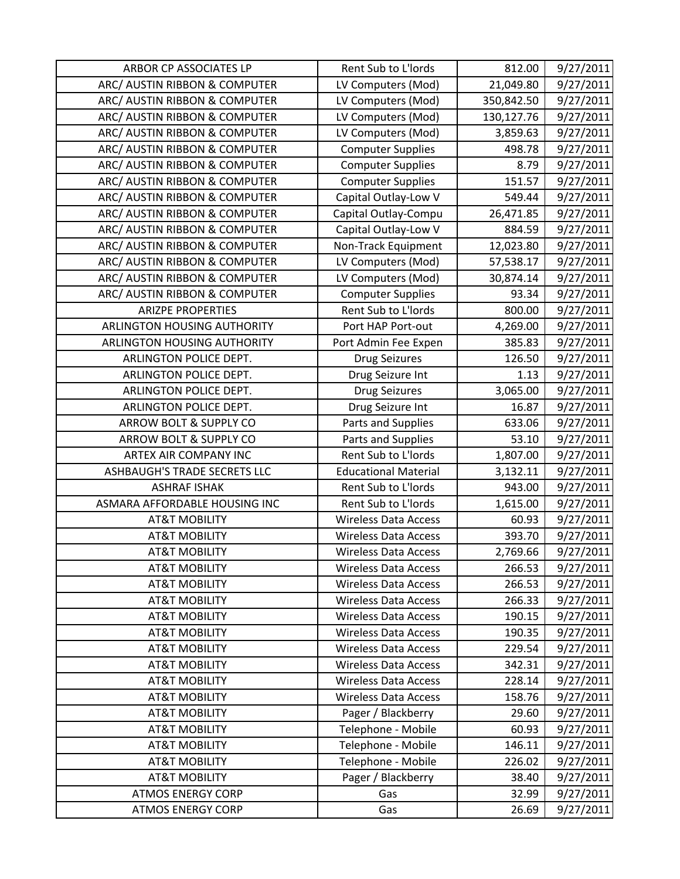| ARBOR CP ASSOCIATES LP             | Rent Sub to L'Iords         | 812.00     | 9/27/2011 |
|------------------------------------|-----------------------------|------------|-----------|
| ARC/ AUSTIN RIBBON & COMPUTER      | LV Computers (Mod)          | 21,049.80  | 9/27/2011 |
| ARC/ AUSTIN RIBBON & COMPUTER      | LV Computers (Mod)          | 350,842.50 | 9/27/2011 |
| ARC/ AUSTIN RIBBON & COMPUTER      | LV Computers (Mod)          | 130,127.76 | 9/27/2011 |
| ARC/ AUSTIN RIBBON & COMPUTER      | LV Computers (Mod)          | 3,859.63   | 9/27/2011 |
| ARC/ AUSTIN RIBBON & COMPUTER      | <b>Computer Supplies</b>    | 498.78     | 9/27/2011 |
| ARC/ AUSTIN RIBBON & COMPUTER      | <b>Computer Supplies</b>    | 8.79       | 9/27/2011 |
| ARC/ AUSTIN RIBBON & COMPUTER      | <b>Computer Supplies</b>    | 151.57     | 9/27/2011 |
| ARC/ AUSTIN RIBBON & COMPUTER      | Capital Outlay-Low V        | 549.44     | 9/27/2011 |
| ARC/ AUSTIN RIBBON & COMPUTER      | Capital Outlay-Compu        | 26,471.85  | 9/27/2011 |
| ARC/ AUSTIN RIBBON & COMPUTER      | Capital Outlay-Low V        | 884.59     | 9/27/2011 |
| ARC/ AUSTIN RIBBON & COMPUTER      | Non-Track Equipment         | 12,023.80  | 9/27/2011 |
| ARC/ AUSTIN RIBBON & COMPUTER      | LV Computers (Mod)          | 57,538.17  | 9/27/2011 |
| ARC/ AUSTIN RIBBON & COMPUTER      | LV Computers (Mod)          | 30,874.14  | 9/27/2011 |
| ARC/ AUSTIN RIBBON & COMPUTER      | <b>Computer Supplies</b>    | 93.34      | 9/27/2011 |
| <b>ARIZPE PROPERTIES</b>           | Rent Sub to L'Iords         | 800.00     | 9/27/2011 |
| ARLINGTON HOUSING AUTHORITY        | Port HAP Port-out           | 4,269.00   | 9/27/2011 |
| <b>ARLINGTON HOUSING AUTHORITY</b> | Port Admin Fee Expen        | 385.83     | 9/27/2011 |
| ARLINGTON POLICE DEPT.             | <b>Drug Seizures</b>        | 126.50     | 9/27/2011 |
| ARLINGTON POLICE DEPT.             | Drug Seizure Int            | 1.13       | 9/27/2011 |
| ARLINGTON POLICE DEPT.             | <b>Drug Seizures</b>        | 3,065.00   | 9/27/2011 |
| ARLINGTON POLICE DEPT.             | Drug Seizure Int            | 16.87      | 9/27/2011 |
| ARROW BOLT & SUPPLY CO             | Parts and Supplies          | 633.06     | 9/27/2011 |
| ARROW BOLT & SUPPLY CO             | Parts and Supplies          | 53.10      | 9/27/2011 |
| ARTEX AIR COMPANY INC              | Rent Sub to L'Iords         | 1,807.00   | 9/27/2011 |
| ASHBAUGH'S TRADE SECRETS LLC       | <b>Educational Material</b> | 3,132.11   | 9/27/2011 |
| <b>ASHRAF ISHAK</b>                | Rent Sub to L'Iords         | 943.00     | 9/27/2011 |
| ASMARA AFFORDABLE HOUSING INC      | Rent Sub to L'Iords         | 1,615.00   | 9/27/2011 |
| <b>AT&amp;T MOBILITY</b>           | <b>Wireless Data Access</b> | 60.93      | 9/27/2011 |
| <b>AT&amp;T MOBILITY</b>           | <b>Wireless Data Access</b> | 393.70     | 9/27/2011 |
| <b>AT&amp;T MOBILITY</b>           | <b>Wireless Data Access</b> | 2,769.66   | 9/27/2011 |
| <b>AT&amp;T MOBILITY</b>           | <b>Wireless Data Access</b> | 266.53     | 9/27/2011 |
| <b>AT&amp;T MOBILITY</b>           | <b>Wireless Data Access</b> | 266.53     | 9/27/2011 |
| <b>AT&amp;T MOBILITY</b>           | <b>Wireless Data Access</b> | 266.33     | 9/27/2011 |
| <b>AT&amp;T MOBILITY</b>           | Wireless Data Access        | 190.15     | 9/27/2011 |
| <b>AT&amp;T MOBILITY</b>           | <b>Wireless Data Access</b> | 190.35     | 9/27/2011 |
| <b>AT&amp;T MOBILITY</b>           | <b>Wireless Data Access</b> | 229.54     | 9/27/2011 |
| <b>AT&amp;T MOBILITY</b>           | <b>Wireless Data Access</b> | 342.31     | 9/27/2011 |
| <b>AT&amp;T MOBILITY</b>           | <b>Wireless Data Access</b> | 228.14     | 9/27/2011 |
| <b>AT&amp;T MOBILITY</b>           | <b>Wireless Data Access</b> | 158.76     | 9/27/2011 |
| <b>AT&amp;T MOBILITY</b>           | Pager / Blackberry          | 29.60      | 9/27/2011 |
| <b>AT&amp;T MOBILITY</b>           | Telephone - Mobile          | 60.93      | 9/27/2011 |
| <b>AT&amp;T MOBILITY</b>           | Telephone - Mobile          | 146.11     | 9/27/2011 |
| <b>AT&amp;T MOBILITY</b>           | Telephone - Mobile          | 226.02     | 9/27/2011 |
| <b>AT&amp;T MOBILITY</b>           | Pager / Blackberry          | 38.40      | 9/27/2011 |
| <b>ATMOS ENERGY CORP</b>           | Gas                         | 32.99      | 9/27/2011 |
| <b>ATMOS ENERGY CORP</b>           | Gas                         | 26.69      | 9/27/2011 |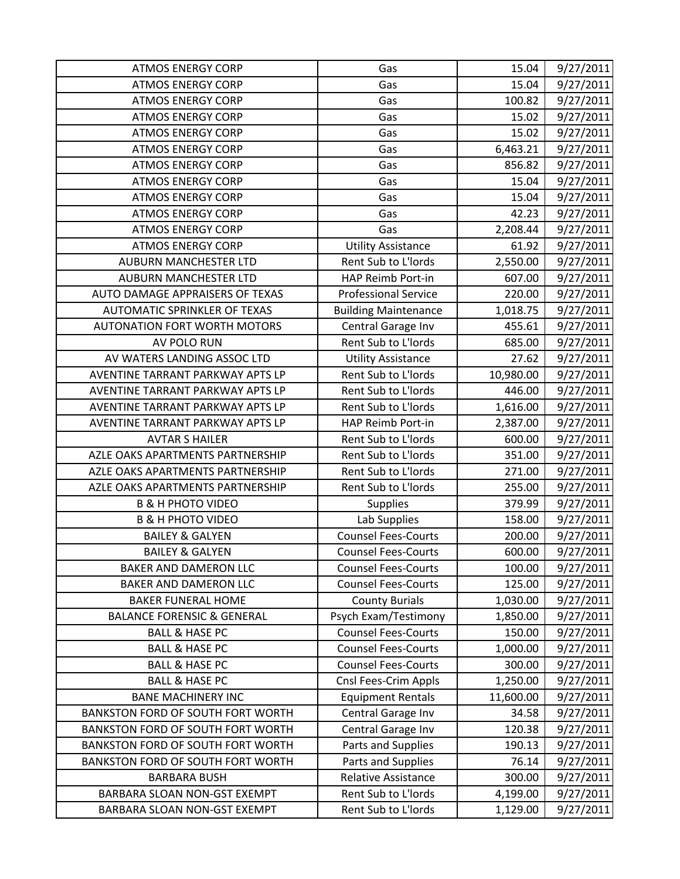| <b>ATMOS ENERGY CORP</b>                 | Gas                         | 15.04     | 9/27/2011 |
|------------------------------------------|-----------------------------|-----------|-----------|
| <b>ATMOS ENERGY CORP</b>                 | Gas                         | 15.04     | 9/27/2011 |
| <b>ATMOS ENERGY CORP</b>                 | Gas                         | 100.82    | 9/27/2011 |
| <b>ATMOS ENERGY CORP</b>                 | Gas                         | 15.02     | 9/27/2011 |
| <b>ATMOS ENERGY CORP</b>                 | Gas                         | 15.02     | 9/27/2011 |
| <b>ATMOS ENERGY CORP</b>                 | Gas                         | 6,463.21  | 9/27/2011 |
| <b>ATMOS ENERGY CORP</b>                 | Gas                         | 856.82    | 9/27/2011 |
| <b>ATMOS ENERGY CORP</b>                 | Gas                         | 15.04     | 9/27/2011 |
| <b>ATMOS ENERGY CORP</b>                 | Gas                         | 15.04     | 9/27/2011 |
| <b>ATMOS ENERGY CORP</b>                 | Gas                         | 42.23     | 9/27/2011 |
| <b>ATMOS ENERGY CORP</b>                 | Gas                         | 2,208.44  | 9/27/2011 |
| <b>ATMOS ENERGY CORP</b>                 | <b>Utility Assistance</b>   | 61.92     | 9/27/2011 |
| <b>AUBURN MANCHESTER LTD</b>             | Rent Sub to L'Iords         | 2,550.00  | 9/27/2011 |
| <b>AUBURN MANCHESTER LTD</b>             | HAP Reimb Port-in           | 607.00    | 9/27/2011 |
| AUTO DAMAGE APPRAISERS OF TEXAS          | <b>Professional Service</b> | 220.00    | 9/27/2011 |
| <b>AUTOMATIC SPRINKLER OF TEXAS</b>      | <b>Building Maintenance</b> | 1,018.75  | 9/27/2011 |
| <b>AUTONATION FORT WORTH MOTORS</b>      | Central Garage Inv          | 455.61    | 9/27/2011 |
| AV POLO RUN                              | Rent Sub to L'Iords         | 685.00    | 9/27/2011 |
| AV WATERS LANDING ASSOC LTD              | <b>Utility Assistance</b>   | 27.62     | 9/27/2011 |
| AVENTINE TARRANT PARKWAY APTS LP         | Rent Sub to L'Iords         | 10,980.00 | 9/27/2011 |
| AVENTINE TARRANT PARKWAY APTS LP         | Rent Sub to L'Iords         | 446.00    | 9/27/2011 |
| AVENTINE TARRANT PARKWAY APTS LP         | Rent Sub to L'Iords         | 1,616.00  | 9/27/2011 |
| AVENTINE TARRANT PARKWAY APTS LP         | HAP Reimb Port-in           | 2,387.00  | 9/27/2011 |
| <b>AVTAR S HAILER</b>                    | Rent Sub to L'Iords         | 600.00    | 9/27/2011 |
| AZLE OAKS APARTMENTS PARTNERSHIP         | Rent Sub to L'Iords         | 351.00    | 9/27/2011 |
| AZLE OAKS APARTMENTS PARTNERSHIP         | Rent Sub to L'Iords         | 271.00    | 9/27/2011 |
| AZLE OAKS APARTMENTS PARTNERSHIP         | Rent Sub to L'Iords         | 255.00    | 9/27/2011 |
| <b>B &amp; H PHOTO VIDEO</b>             | <b>Supplies</b>             | 379.99    | 9/27/2011 |
| <b>B &amp; H PHOTO VIDEO</b>             | Lab Supplies                | 158.00    | 9/27/2011 |
| <b>BAILEY &amp; GALYEN</b>               | <b>Counsel Fees-Courts</b>  | 200.00    | 9/27/2011 |
| <b>BAILEY &amp; GALYEN</b>               | <b>Counsel Fees-Courts</b>  | 600.00    | 9/27/2011 |
| BAKER AND DAMERON LLC                    | <b>Counsel Fees-Courts</b>  | 100.00    | 9/27/2011 |
| BAKER AND DAMERON LLC                    | <b>Counsel Fees-Courts</b>  | 125.00    | 9/27/2011 |
| <b>BAKER FUNERAL HOME</b>                | <b>County Burials</b>       | 1,030.00  | 9/27/2011 |
| <b>BALANCE FORENSIC &amp; GENERAL</b>    | Psych Exam/Testimony        | 1,850.00  | 9/27/2011 |
| <b>BALL &amp; HASE PC</b>                | <b>Counsel Fees-Courts</b>  | 150.00    | 9/27/2011 |
| <b>BALL &amp; HASE PC</b>                | <b>Counsel Fees-Courts</b>  | 1,000.00  | 9/27/2011 |
| <b>BALL &amp; HASE PC</b>                | <b>Counsel Fees-Courts</b>  | 300.00    | 9/27/2011 |
| <b>BALL &amp; HASE PC</b>                | Cnsl Fees-Crim Appls        | 1,250.00  | 9/27/2011 |
| <b>BANE MACHINERY INC</b>                | <b>Equipment Rentals</b>    | 11,600.00 | 9/27/2011 |
| <b>BANKSTON FORD OF SOUTH FORT WORTH</b> | Central Garage Inv          | 34.58     | 9/27/2011 |
| <b>BANKSTON FORD OF SOUTH FORT WORTH</b> | Central Garage Inv          | 120.38    | 9/27/2011 |
| <b>BANKSTON FORD OF SOUTH FORT WORTH</b> | Parts and Supplies          | 190.13    | 9/27/2011 |
| <b>BANKSTON FORD OF SOUTH FORT WORTH</b> | Parts and Supplies          | 76.14     | 9/27/2011 |
| <b>BARBARA BUSH</b>                      | Relative Assistance         | 300.00    | 9/27/2011 |
| BARBARA SLOAN NON-GST EXEMPT             | Rent Sub to L'Iords         | 4,199.00  | 9/27/2011 |
| BARBARA SLOAN NON-GST EXEMPT             | Rent Sub to L'Iords         | 1,129.00  | 9/27/2011 |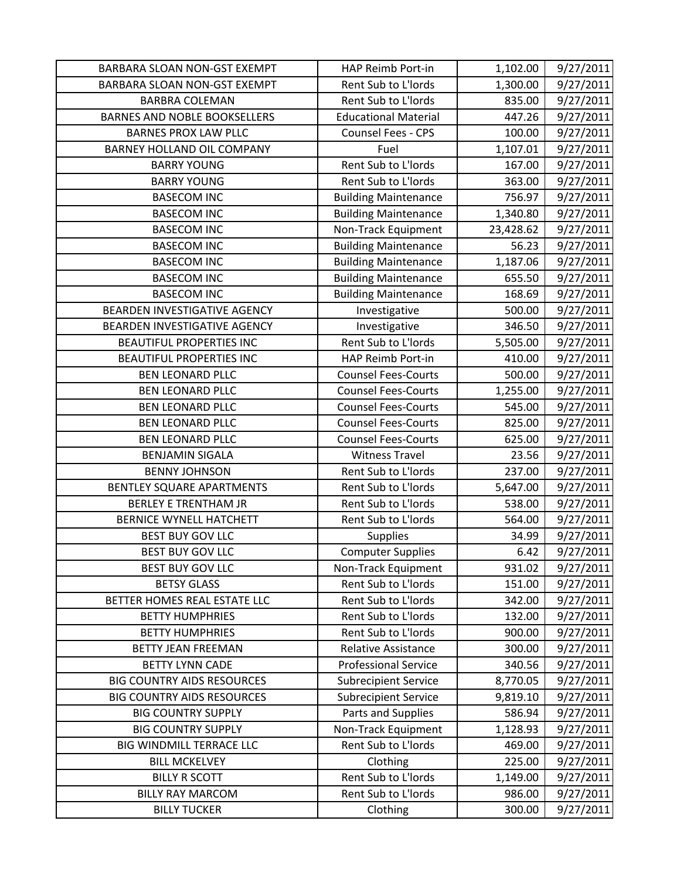| BARBARA SLOAN NON-GST EXEMPT        | HAP Reimb Port-in           | 1,102.00  | 9/27/2011 |
|-------------------------------------|-----------------------------|-----------|-----------|
| BARBARA SLOAN NON-GST EXEMPT        | Rent Sub to L'Iords         | 1,300.00  | 9/27/2011 |
| <b>BARBRA COLEMAN</b>               | Rent Sub to L'Iords         | 835.00    | 9/27/2011 |
| <b>BARNES AND NOBLE BOOKSELLERS</b> | <b>Educational Material</b> | 447.26    | 9/27/2011 |
| <b>BARNES PROX LAW PLLC</b>         | Counsel Fees - CPS          | 100.00    | 9/27/2011 |
| BARNEY HOLLAND OIL COMPANY          | Fuel                        | 1,107.01  | 9/27/2011 |
| <b>BARRY YOUNG</b>                  | Rent Sub to L'Iords         | 167.00    | 9/27/2011 |
| <b>BARRY YOUNG</b>                  | Rent Sub to L'Iords         | 363.00    | 9/27/2011 |
| <b>BASECOM INC</b>                  | <b>Building Maintenance</b> | 756.97    | 9/27/2011 |
| <b>BASECOM INC</b>                  | <b>Building Maintenance</b> | 1,340.80  | 9/27/2011 |
| <b>BASECOM INC</b>                  | Non-Track Equipment         | 23,428.62 | 9/27/2011 |
| <b>BASECOM INC</b>                  | <b>Building Maintenance</b> | 56.23     | 9/27/2011 |
| <b>BASECOM INC</b>                  | <b>Building Maintenance</b> | 1,187.06  | 9/27/2011 |
| <b>BASECOM INC</b>                  | <b>Building Maintenance</b> | 655.50    | 9/27/2011 |
| <b>BASECOM INC</b>                  | <b>Building Maintenance</b> | 168.69    | 9/27/2011 |
| BEARDEN INVESTIGATIVE AGENCY        | Investigative               | 500.00    | 9/27/2011 |
| BEARDEN INVESTIGATIVE AGENCY        | Investigative               | 346.50    | 9/27/2011 |
| <b>BEAUTIFUL PROPERTIES INC</b>     | Rent Sub to L'Iords         | 5,505.00  | 9/27/2011 |
| <b>BEAUTIFUL PROPERTIES INC</b>     | HAP Reimb Port-in           | 410.00    | 9/27/2011 |
| <b>BEN LEONARD PLLC</b>             | <b>Counsel Fees-Courts</b>  | 500.00    | 9/27/2011 |
| <b>BEN LEONARD PLLC</b>             | <b>Counsel Fees-Courts</b>  | 1,255.00  | 9/27/2011 |
| <b>BEN LEONARD PLLC</b>             | <b>Counsel Fees-Courts</b>  | 545.00    | 9/27/2011 |
| <b>BEN LEONARD PLLC</b>             | <b>Counsel Fees-Courts</b>  | 825.00    | 9/27/2011 |
| <b>BEN LEONARD PLLC</b>             | <b>Counsel Fees-Courts</b>  | 625.00    | 9/27/2011 |
| <b>BENJAMIN SIGALA</b>              | <b>Witness Travel</b>       | 23.56     | 9/27/2011 |
| <b>BENNY JOHNSON</b>                | Rent Sub to L'Iords         | 237.00    | 9/27/2011 |
| BENTLEY SQUARE APARTMENTS           | Rent Sub to L'Iords         | 5,647.00  | 9/27/2011 |
| <b>BERLEY E TRENTHAM JR</b>         | Rent Sub to L'Iords         | 538.00    | 9/27/2011 |
| <b>BERNICE WYNELL HATCHETT</b>      | Rent Sub to L'Iords         | 564.00    | 9/27/2011 |
| <b>BEST BUY GOV LLC</b>             | <b>Supplies</b>             | 34.99     | 9/27/2011 |
| <b>BEST BUY GOV LLC</b>             | <b>Computer Supplies</b>    | 6.42      | 9/27/2011 |
| <b>BEST BUY GOV LLC</b>             | Non-Track Equipment         | 931.02    | 9/27/2011 |
| <b>BETSY GLASS</b>                  | Rent Sub to L'Iords         | 151.00    | 9/27/2011 |
| BETTER HOMES REAL ESTATE LLC        | Rent Sub to L'Iords         | 342.00    | 9/27/2011 |
| <b>BETTY HUMPHRIES</b>              | Rent Sub to L'Iords         | 132.00    | 9/27/2011 |
| <b>BETTY HUMPHRIES</b>              | Rent Sub to L'Iords         | 900.00    | 9/27/2011 |
| <b>BETTY JEAN FREEMAN</b>           | <b>Relative Assistance</b>  | 300.00    | 9/27/2011 |
| <b>BETTY LYNN CADE</b>              | <b>Professional Service</b> | 340.56    | 9/27/2011 |
| <b>BIG COUNTRY AIDS RESOURCES</b>   | <b>Subrecipient Service</b> | 8,770.05  | 9/27/2011 |
| <b>BIG COUNTRY AIDS RESOURCES</b>   | <b>Subrecipient Service</b> | 9,819.10  | 9/27/2011 |
| <b>BIG COUNTRY SUPPLY</b>           | Parts and Supplies          | 586.94    | 9/27/2011 |
| <b>BIG COUNTRY SUPPLY</b>           | Non-Track Equipment         | 1,128.93  | 9/27/2011 |
| <b>BIG WINDMILL TERRACE LLC</b>     | Rent Sub to L'Iords         | 469.00    | 9/27/2011 |
| <b>BILL MCKELVEY</b>                | Clothing                    | 225.00    | 9/27/2011 |
| <b>BILLY R SCOTT</b>                | Rent Sub to L'Iords         | 1,149.00  | 9/27/2011 |
| <b>BILLY RAY MARCOM</b>             | Rent Sub to L'Iords         | 986.00    | 9/27/2011 |
| <b>BILLY TUCKER</b>                 | Clothing                    | 300.00    | 9/27/2011 |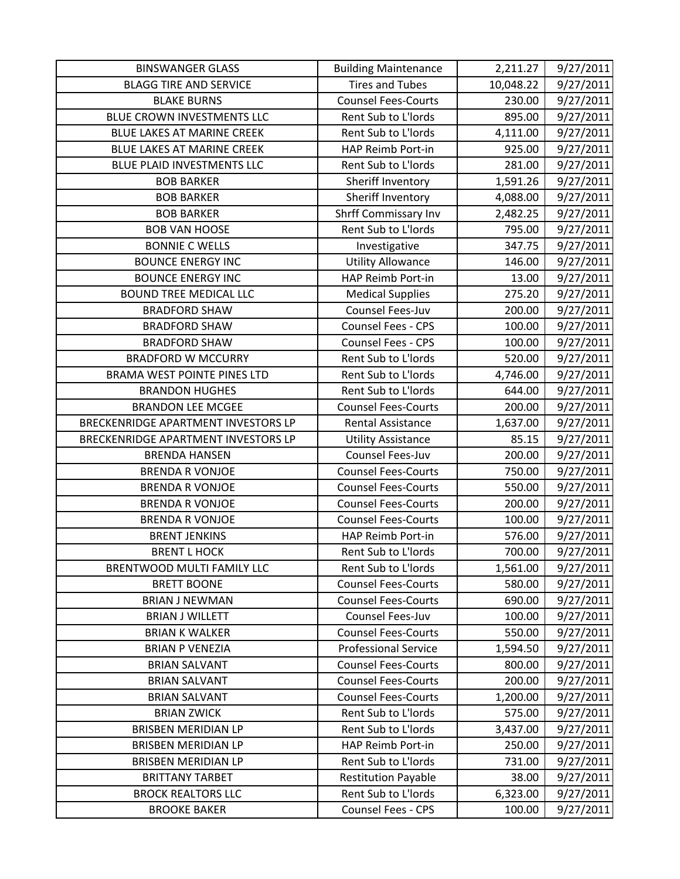| <b>BINSWANGER GLASS</b>             | <b>Building Maintenance</b> | 2,211.27  | 9/27/2011 |
|-------------------------------------|-----------------------------|-----------|-----------|
| <b>BLAGG TIRE AND SERVICE</b>       | <b>Tires and Tubes</b>      | 10,048.22 | 9/27/2011 |
| <b>BLAKE BURNS</b>                  | <b>Counsel Fees-Courts</b>  | 230.00    | 9/27/2011 |
| BLUE CROWN INVESTMENTS LLC          | Rent Sub to L'Iords         | 895.00    | 9/27/2011 |
| <b>BLUE LAKES AT MARINE CREEK</b>   | Rent Sub to L'Iords         | 4,111.00  | 9/27/2011 |
| BLUE LAKES AT MARINE CREEK          | HAP Reimb Port-in           | 925.00    | 9/27/2011 |
| <b>BLUE PLAID INVESTMENTS LLC</b>   | Rent Sub to L'Iords         | 281.00    | 9/27/2011 |
| <b>BOB BARKER</b>                   | Sheriff Inventory           | 1,591.26  | 9/27/2011 |
| <b>BOB BARKER</b>                   | Sheriff Inventory           | 4,088.00  | 9/27/2011 |
| <b>BOB BARKER</b>                   | <b>Shrff Commissary Inv</b> | 2,482.25  | 9/27/2011 |
| <b>BOB VAN HOOSE</b>                | Rent Sub to L'Iords         | 795.00    | 9/27/2011 |
| <b>BONNIE C WELLS</b>               | Investigative               | 347.75    | 9/27/2011 |
| <b>BOUNCE ENERGY INC</b>            | <b>Utility Allowance</b>    | 146.00    | 9/27/2011 |
| <b>BOUNCE ENERGY INC</b>            | HAP Reimb Port-in           | 13.00     | 9/27/2011 |
| <b>BOUND TREE MEDICAL LLC</b>       | <b>Medical Supplies</b>     | 275.20    | 9/27/2011 |
| <b>BRADFORD SHAW</b>                | Counsel Fees-Juv            | 200.00    | 9/27/2011 |
| <b>BRADFORD SHAW</b>                | Counsel Fees - CPS          | 100.00    | 9/27/2011 |
| <b>BRADFORD SHAW</b>                | Counsel Fees - CPS          | 100.00    | 9/27/2011 |
| <b>BRADFORD W MCCURRY</b>           | Rent Sub to L'Iords         | 520.00    | 9/27/2011 |
| BRAMA WEST POINTE PINES LTD         | Rent Sub to L'Iords         | 4,746.00  | 9/27/2011 |
| <b>BRANDON HUGHES</b>               | Rent Sub to L'Iords         | 644.00    | 9/27/2011 |
| <b>BRANDON LEE MCGEE</b>            | <b>Counsel Fees-Courts</b>  | 200.00    | 9/27/2011 |
| BRECKENRIDGE APARTMENT INVESTORS LP | Rental Assistance           | 1,637.00  | 9/27/2011 |
| BRECKENRIDGE APARTMENT INVESTORS LP | <b>Utility Assistance</b>   | 85.15     | 9/27/2011 |
| <b>BRENDA HANSEN</b>                | Counsel Fees-Juv            | 200.00    | 9/27/2011 |
| <b>BRENDA R VONJOE</b>              | <b>Counsel Fees-Courts</b>  | 750.00    | 9/27/2011 |
| <b>BRENDA R VONJOE</b>              | <b>Counsel Fees-Courts</b>  | 550.00    | 9/27/2011 |
| <b>BRENDA R VONJOE</b>              | <b>Counsel Fees-Courts</b>  | 200.00    | 9/27/2011 |
| <b>BRENDA R VONJOE</b>              | <b>Counsel Fees-Courts</b>  | 100.00    | 9/27/2011 |
| <b>BRENT JENKINS</b>                | HAP Reimb Port-in           | 576.00    | 9/27/2011 |
| <b>BRENT L HOCK</b>                 | Rent Sub to L'Iords         | 700.00    | 9/27/2011 |
| BRENTWOOD MULTI FAMILY LLC          | Rent Sub to L'Iords         | 1,561.00  | 9/27/2011 |
| <b>BRETT BOONE</b>                  | <b>Counsel Fees-Courts</b>  | 580.00    | 9/27/2011 |
| <b>BRIAN J NEWMAN</b>               | <b>Counsel Fees-Courts</b>  | 690.00    | 9/27/2011 |
| <b>BRIAN J WILLETT</b>              | Counsel Fees-Juv            | 100.00    | 9/27/2011 |
| <b>BRIAN K WALKER</b>               | <b>Counsel Fees-Courts</b>  | 550.00    | 9/27/2011 |
| <b>BRIAN P VENEZIA</b>              | <b>Professional Service</b> | 1,594.50  | 9/27/2011 |
| <b>BRIAN SALVANT</b>                | <b>Counsel Fees-Courts</b>  | 800.00    | 9/27/2011 |
| <b>BRIAN SALVANT</b>                | <b>Counsel Fees-Courts</b>  | 200.00    | 9/27/2011 |
| <b>BRIAN SALVANT</b>                | <b>Counsel Fees-Courts</b>  | 1,200.00  | 9/27/2011 |
| <b>BRIAN ZWICK</b>                  | Rent Sub to L'Iords         | 575.00    | 9/27/2011 |
| <b>BRISBEN MERIDIAN LP</b>          | Rent Sub to L'Iords         | 3,437.00  | 9/27/2011 |
| <b>BRISBEN MERIDIAN LP</b>          | HAP Reimb Port-in           | 250.00    | 9/27/2011 |
| <b>BRISBEN MERIDIAN LP</b>          | Rent Sub to L'Iords         | 731.00    | 9/27/2011 |
| <b>BRITTANY TARBET</b>              | <b>Restitution Payable</b>  | 38.00     | 9/27/2011 |
| <b>BROCK REALTORS LLC</b>           | Rent Sub to L'Iords         | 6,323.00  | 9/27/2011 |
| <b>BROOKE BAKER</b>                 | Counsel Fees - CPS          | 100.00    | 9/27/2011 |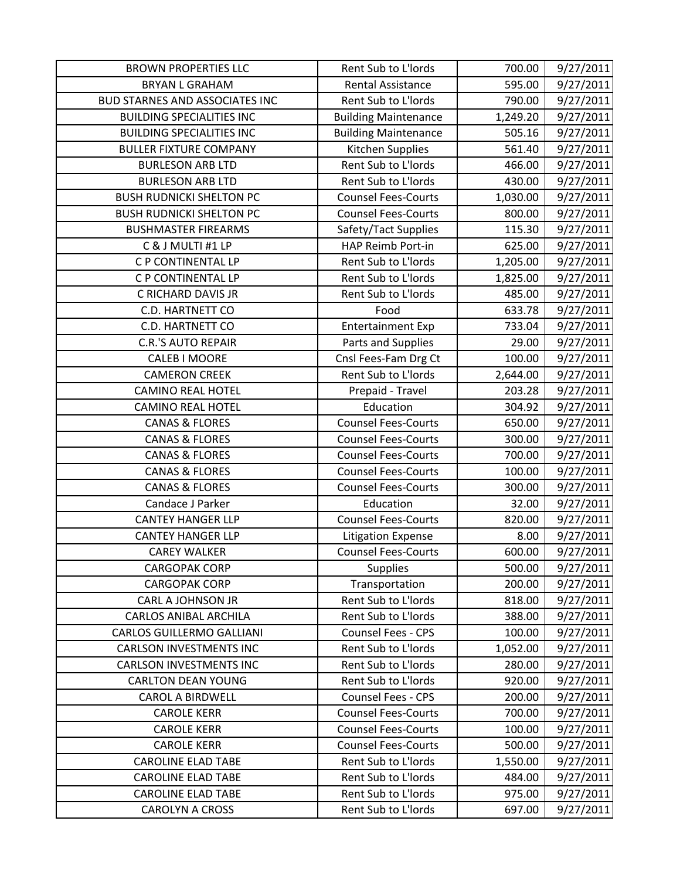| <b>BROWN PROPERTIES LLC</b>           | Rent Sub to L'Iords         | 700.00   | 9/27/2011 |
|---------------------------------------|-----------------------------|----------|-----------|
| <b>BRYAN L GRAHAM</b>                 | <b>Rental Assistance</b>    | 595.00   | 9/27/2011 |
| <b>BUD STARNES AND ASSOCIATES INC</b> | Rent Sub to L'Iords         | 790.00   | 9/27/2011 |
| <b>BUILDING SPECIALITIES INC</b>      | <b>Building Maintenance</b> | 1,249.20 | 9/27/2011 |
| <b>BUILDING SPECIALITIES INC</b>      | <b>Building Maintenance</b> | 505.16   | 9/27/2011 |
| <b>BULLER FIXTURE COMPANY</b>         | Kitchen Supplies            | 561.40   | 9/27/2011 |
| <b>BURLESON ARB LTD</b>               | Rent Sub to L'Iords         | 466.00   | 9/27/2011 |
| <b>BURLESON ARB LTD</b>               | Rent Sub to L'Iords         | 430.00   | 9/27/2011 |
| <b>BUSH RUDNICKI SHELTON PC</b>       | <b>Counsel Fees-Courts</b>  | 1,030.00 | 9/27/2011 |
| <b>BUSH RUDNICKI SHELTON PC</b>       | <b>Counsel Fees-Courts</b>  | 800.00   | 9/27/2011 |
| <b>BUSHMASTER FIREARMS</b>            | Safety/Tact Supplies        | 115.30   | 9/27/2011 |
| C & J MULTI #1 LP                     | HAP Reimb Port-in           | 625.00   | 9/27/2011 |
| C P CONTINENTAL LP                    | Rent Sub to L'Iords         | 1,205.00 | 9/27/2011 |
| C P CONTINENTAL LP                    | Rent Sub to L'Iords         | 1,825.00 | 9/27/2011 |
| C RICHARD DAVIS JR                    | Rent Sub to L'Iords         | 485.00   | 9/27/2011 |
| C.D. HARTNETT CO                      | Food                        | 633.78   | 9/27/2011 |
| C.D. HARTNETT CO                      | <b>Entertainment Exp</b>    | 733.04   | 9/27/2011 |
| <b>C.R.'S AUTO REPAIR</b>             | Parts and Supplies          | 29.00    | 9/27/2011 |
| <b>CALEB I MOORE</b>                  | Cnsl Fees-Fam Drg Ct        | 100.00   | 9/27/2011 |
| <b>CAMERON CREEK</b>                  | Rent Sub to L'Iords         | 2,644.00 | 9/27/2011 |
| <b>CAMINO REAL HOTEL</b>              | Prepaid - Travel            | 203.28   | 9/27/2011 |
| <b>CAMINO REAL HOTEL</b>              | Education                   | 304.92   | 9/27/2011 |
| <b>CANAS &amp; FLORES</b>             | <b>Counsel Fees-Courts</b>  | 650.00   | 9/27/2011 |
| <b>CANAS &amp; FLORES</b>             | <b>Counsel Fees-Courts</b>  | 300.00   | 9/27/2011 |
| <b>CANAS &amp; FLORES</b>             | <b>Counsel Fees-Courts</b>  | 700.00   | 9/27/2011 |
| <b>CANAS &amp; FLORES</b>             | <b>Counsel Fees-Courts</b>  | 100.00   | 9/27/2011 |
| <b>CANAS &amp; FLORES</b>             | <b>Counsel Fees-Courts</b>  | 300.00   | 9/27/2011 |
| Candace J Parker                      | Education                   | 32.00    | 9/27/2011 |
| <b>CANTEY HANGER LLP</b>              | <b>Counsel Fees-Courts</b>  | 820.00   | 9/27/2011 |
| <b>CANTEY HANGER LLP</b>              | <b>Litigation Expense</b>   | 8.00     | 9/27/2011 |
| <b>CAREY WALKER</b>                   | <b>Counsel Fees-Courts</b>  | 600.00   | 9/27/2011 |
| <b>CARGOPAK CORP</b>                  | <b>Supplies</b>             | 500.00   | 9/27/2011 |
| <b>CARGOPAK CORP</b>                  | Transportation              | 200.00   | 9/27/2011 |
| CARL A JOHNSON JR                     | Rent Sub to L'Iords         | 818.00   | 9/27/2011 |
| <b>CARLOS ANIBAL ARCHILA</b>          | Rent Sub to L'Iords         | 388.00   | 9/27/2011 |
| <b>CARLOS GUILLERMO GALLIANI</b>      | Counsel Fees - CPS          | 100.00   | 9/27/2011 |
| <b>CARLSON INVESTMENTS INC</b>        | Rent Sub to L'Iords         | 1,052.00 | 9/27/2011 |
| <b>CARLSON INVESTMENTS INC</b>        | Rent Sub to L'Iords         | 280.00   | 9/27/2011 |
| <b>CARLTON DEAN YOUNG</b>             | Rent Sub to L'Iords         | 920.00   | 9/27/2011 |
| <b>CAROL A BIRDWELL</b>               | Counsel Fees - CPS          | 200.00   | 9/27/2011 |
| <b>CAROLE KERR</b>                    | <b>Counsel Fees-Courts</b>  | 700.00   | 9/27/2011 |
| <b>CAROLE KERR</b>                    | <b>Counsel Fees-Courts</b>  | 100.00   | 9/27/2011 |
| <b>CAROLE KERR</b>                    | <b>Counsel Fees-Courts</b>  | 500.00   | 9/27/2011 |
| <b>CAROLINE ELAD TABE</b>             | Rent Sub to L'Iords         | 1,550.00 | 9/27/2011 |
| <b>CAROLINE ELAD TABE</b>             | Rent Sub to L'Iords         | 484.00   | 9/27/2011 |
| <b>CAROLINE ELAD TABE</b>             | Rent Sub to L'Iords         | 975.00   | 9/27/2011 |
| <b>CAROLYN A CROSS</b>                | Rent Sub to L'Iords         | 697.00   | 9/27/2011 |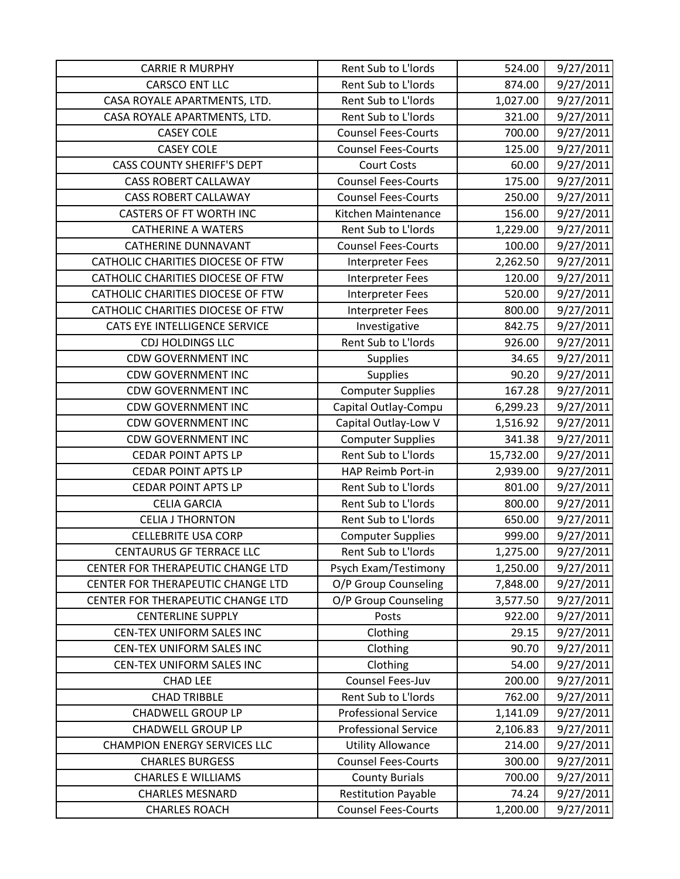| <b>CARRIE R MURPHY</b>              | Rent Sub to L'Iords         | 524.00    | 9/27/2011 |
|-------------------------------------|-----------------------------|-----------|-----------|
| <b>CARSCO ENT LLC</b>               | Rent Sub to L'Iords         | 874.00    | 9/27/2011 |
| CASA ROYALE APARTMENTS, LTD.        | Rent Sub to L'Iords         | 1,027.00  | 9/27/2011 |
| CASA ROYALE APARTMENTS, LTD.        | Rent Sub to L'Iords         | 321.00    | 9/27/2011 |
| <b>CASEY COLE</b>                   | <b>Counsel Fees-Courts</b>  | 700.00    | 9/27/2011 |
| <b>CASEY COLE</b>                   | <b>Counsel Fees-Courts</b>  | 125.00    | 9/27/2011 |
| <b>CASS COUNTY SHERIFF'S DEPT</b>   | <b>Court Costs</b>          | 60.00     | 9/27/2011 |
| <b>CASS ROBERT CALLAWAY</b>         | <b>Counsel Fees-Courts</b>  | 175.00    | 9/27/2011 |
| <b>CASS ROBERT CALLAWAY</b>         | <b>Counsel Fees-Courts</b>  | 250.00    | 9/27/2011 |
| <b>CASTERS OF FT WORTH INC</b>      | Kitchen Maintenance         | 156.00    | 9/27/2011 |
| <b>CATHERINE A WATERS</b>           | Rent Sub to L'Iords         | 1,229.00  | 9/27/2011 |
| <b>CATHERINE DUNNAVANT</b>          | <b>Counsel Fees-Courts</b>  | 100.00    | 9/27/2011 |
| CATHOLIC CHARITIES DIOCESE OF FTW   | <b>Interpreter Fees</b>     | 2,262.50  | 9/27/2011 |
| CATHOLIC CHARITIES DIOCESE OF FTW   | <b>Interpreter Fees</b>     | 120.00    | 9/27/2011 |
| CATHOLIC CHARITIES DIOCESE OF FTW   | Interpreter Fees            | 520.00    | 9/27/2011 |
| CATHOLIC CHARITIES DIOCESE OF FTW   | <b>Interpreter Fees</b>     | 800.00    | 9/27/2011 |
| CATS EYE INTELLIGENCE SERVICE       | Investigative               | 842.75    | 9/27/2011 |
| <b>CDJ HOLDINGS LLC</b>             | Rent Sub to L'Iords         | 926.00    | 9/27/2011 |
| <b>CDW GOVERNMENT INC</b>           | <b>Supplies</b>             | 34.65     | 9/27/2011 |
| <b>CDW GOVERNMENT INC</b>           | <b>Supplies</b>             | 90.20     | 9/27/2011 |
| <b>CDW GOVERNMENT INC</b>           | <b>Computer Supplies</b>    | 167.28    | 9/27/2011 |
| <b>CDW GOVERNMENT INC</b>           | Capital Outlay-Compu        | 6,299.23  | 9/27/2011 |
| <b>CDW GOVERNMENT INC</b>           | Capital Outlay-Low V        | 1,516.92  | 9/27/2011 |
| <b>CDW GOVERNMENT INC</b>           | <b>Computer Supplies</b>    | 341.38    | 9/27/2011 |
| <b>CEDAR POINT APTS LP</b>          | Rent Sub to L'Iords         | 15,732.00 | 9/27/2011 |
| <b>CEDAR POINT APTS LP</b>          | HAP Reimb Port-in           | 2,939.00  | 9/27/2011 |
| <b>CEDAR POINT APTS LP</b>          | Rent Sub to L'Iords         | 801.00    | 9/27/2011 |
| <b>CELIA GARCIA</b>                 | Rent Sub to L'Iords         | 800.00    | 9/27/2011 |
| <b>CELIA J THORNTON</b>             | Rent Sub to L'Iords         | 650.00    | 9/27/2011 |
| <b>CELLEBRITE USA CORP</b>          | <b>Computer Supplies</b>    | 999.00    | 9/27/2011 |
| <b>CENTAURUS GF TERRACE LLC</b>     | Rent Sub to L'Iords         | 1,275.00  | 9/27/2011 |
| CENTER FOR THERAPEUTIC CHANGE LTD   | Psych Exam/Testimony        | 1,250.00  | 9/27/2011 |
| CENTER FOR THERAPEUTIC CHANGE LTD   | O/P Group Counseling        | 7,848.00  | 9/27/2011 |
| CENTER FOR THERAPEUTIC CHANGE LTD   | O/P Group Counseling        | 3,577.50  | 9/27/2011 |
| <b>CENTERLINE SUPPLY</b>            | Posts                       | 922.00    | 9/27/2011 |
| CEN-TEX UNIFORM SALES INC           | Clothing                    | 29.15     | 9/27/2011 |
| CEN-TEX UNIFORM SALES INC           | Clothing                    | 90.70     | 9/27/2011 |
| CEN-TEX UNIFORM SALES INC           | Clothing                    | 54.00     | 9/27/2011 |
| <b>CHAD LEE</b>                     | Counsel Fees-Juv            | 200.00    | 9/27/2011 |
| <b>CHAD TRIBBLE</b>                 | Rent Sub to L'Iords         | 762.00    | 9/27/2011 |
| <b>CHADWELL GROUP LP</b>            | <b>Professional Service</b> | 1,141.09  | 9/27/2011 |
| <b>CHADWELL GROUP LP</b>            | <b>Professional Service</b> | 2,106.83  | 9/27/2011 |
| <b>CHAMPION ENERGY SERVICES LLC</b> | <b>Utility Allowance</b>    | 214.00    | 9/27/2011 |
| <b>CHARLES BURGESS</b>              | <b>Counsel Fees-Courts</b>  | 300.00    | 9/27/2011 |
| <b>CHARLES E WILLIAMS</b>           | <b>County Burials</b>       | 700.00    | 9/27/2011 |
| <b>CHARLES MESNARD</b>              | <b>Restitution Payable</b>  | 74.24     | 9/27/2011 |
| <b>CHARLES ROACH</b>                | <b>Counsel Fees-Courts</b>  | 1,200.00  | 9/27/2011 |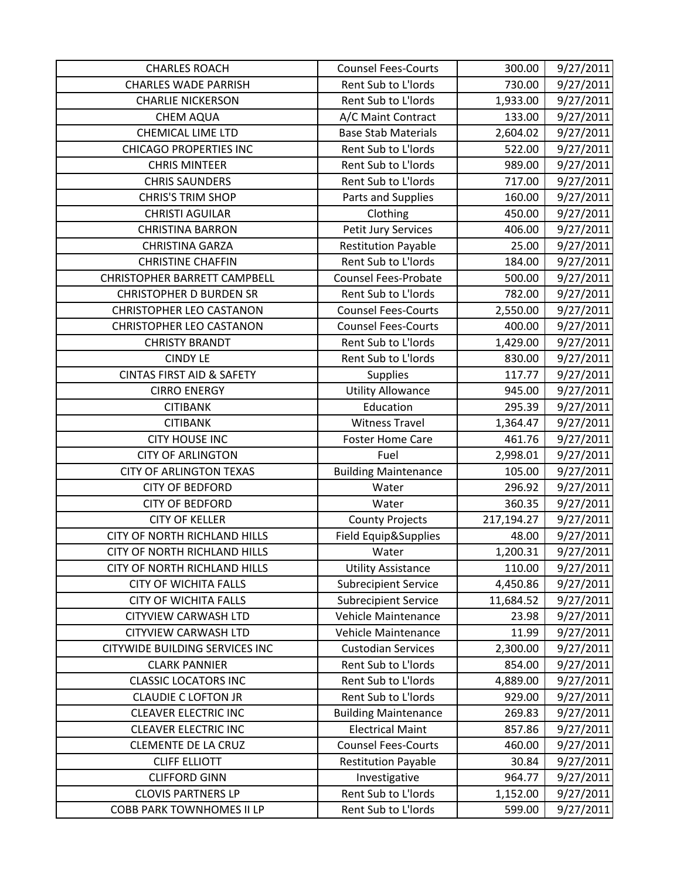| <b>CHARLES ROACH</b>                  | <b>Counsel Fees-Courts</b>  | 300.00     | 9/27/2011 |
|---------------------------------------|-----------------------------|------------|-----------|
| <b>CHARLES WADE PARRISH</b>           | Rent Sub to L'Iords         | 730.00     | 9/27/2011 |
| <b>CHARLIE NICKERSON</b>              | <b>Rent Sub to L'Iords</b>  | 1,933.00   | 9/27/2011 |
| <b>CHEM AQUA</b>                      | A/C Maint Contract          | 133.00     | 9/27/2011 |
| <b>CHEMICAL LIME LTD</b>              | <b>Base Stab Materials</b>  | 2,604.02   | 9/27/2011 |
| <b>CHICAGO PROPERTIES INC</b>         | Rent Sub to L'Iords         | 522.00     | 9/27/2011 |
| <b>CHRIS MINTEER</b>                  | Rent Sub to L'Iords         | 989.00     | 9/27/2011 |
| <b>CHRIS SAUNDERS</b>                 | Rent Sub to L'Iords         | 717.00     | 9/27/2011 |
| <b>CHRIS'S TRIM SHOP</b>              | Parts and Supplies          | 160.00     | 9/27/2011 |
| <b>CHRISTI AGUILAR</b>                | Clothing                    | 450.00     | 9/27/2011 |
| <b>CHRISTINA BARRON</b>               | Petit Jury Services         | 406.00     | 9/27/2011 |
| <b>CHRISTINA GARZA</b>                | <b>Restitution Payable</b>  | 25.00      | 9/27/2011 |
| <b>CHRISTINE CHAFFIN</b>              | Rent Sub to L'Iords         | 184.00     | 9/27/2011 |
| <b>CHRISTOPHER BARRETT CAMPBELL</b>   | <b>Counsel Fees-Probate</b> | 500.00     | 9/27/2011 |
| <b>CHRISTOPHER D BURDEN SR</b>        | Rent Sub to L'Iords         | 782.00     | 9/27/2011 |
| <b>CHRISTOPHER LEO CASTANON</b>       | <b>Counsel Fees-Courts</b>  | 2,550.00   | 9/27/2011 |
| <b>CHRISTOPHER LEO CASTANON</b>       | <b>Counsel Fees-Courts</b>  | 400.00     | 9/27/2011 |
| <b>CHRISTY BRANDT</b>                 | Rent Sub to L'Iords         | 1,429.00   | 9/27/2011 |
| <b>CINDY LE</b>                       | Rent Sub to L'Iords         | 830.00     | 9/27/2011 |
| <b>CINTAS FIRST AID &amp; SAFETY</b>  | <b>Supplies</b>             | 117.77     | 9/27/2011 |
| <b>CIRRO ENERGY</b>                   | <b>Utility Allowance</b>    | 945.00     | 9/27/2011 |
| <b>CITIBANK</b>                       | Education                   | 295.39     | 9/27/2011 |
| <b>CITIBANK</b>                       | <b>Witness Travel</b>       | 1,364.47   | 9/27/2011 |
| <b>CITY HOUSE INC</b>                 | <b>Foster Home Care</b>     | 461.76     | 9/27/2011 |
| <b>CITY OF ARLINGTON</b>              | Fuel                        | 2,998.01   | 9/27/2011 |
| <b>CITY OF ARLINGTON TEXAS</b>        | <b>Building Maintenance</b> | 105.00     | 9/27/2011 |
| <b>CITY OF BEDFORD</b>                | Water                       | 296.92     | 9/27/2011 |
| <b>CITY OF BEDFORD</b>                | Water                       | 360.35     | 9/27/2011 |
| <b>CITY OF KELLER</b>                 | <b>County Projects</b>      | 217,194.27 | 9/27/2011 |
| CITY OF NORTH RICHLAND HILLS          | Field Equip&Supplies        | 48.00      | 9/27/2011 |
| CITY OF NORTH RICHLAND HILLS          | Water                       | 1,200.31   | 9/27/2011 |
| <b>CITY OF NORTH RICHLAND HILLS</b>   | <b>Utility Assistance</b>   | 110.00     | 9/27/2011 |
| <b>CITY OF WICHITA FALLS</b>          | <b>Subrecipient Service</b> | 4,450.86   | 9/27/2011 |
| <b>CITY OF WICHITA FALLS</b>          | <b>Subrecipient Service</b> | 11,684.52  | 9/27/2011 |
| <b>CITYVIEW CARWASH LTD</b>           | Vehicle Maintenance         | 23.98      | 9/27/2011 |
| <b>CITYVIEW CARWASH LTD</b>           | Vehicle Maintenance         | 11.99      | 9/27/2011 |
| <b>CITYWIDE BUILDING SERVICES INC</b> | <b>Custodian Services</b>   | 2,300.00   | 9/27/2011 |
| <b>CLARK PANNIER</b>                  | Rent Sub to L'Iords         | 854.00     | 9/27/2011 |
| <b>CLASSIC LOCATORS INC</b>           | Rent Sub to L'Iords         | 4,889.00   | 9/27/2011 |
| <b>CLAUDIE C LOFTON JR</b>            | Rent Sub to L'Iords         | 929.00     | 9/27/2011 |
| <b>CLEAVER ELECTRIC INC</b>           | <b>Building Maintenance</b> | 269.83     | 9/27/2011 |
| <b>CLEAVER ELECTRIC INC</b>           | <b>Electrical Maint</b>     | 857.86     | 9/27/2011 |
| <b>CLEMENTE DE LA CRUZ</b>            | <b>Counsel Fees-Courts</b>  | 460.00     | 9/27/2011 |
| <b>CLIFF ELLIOTT</b>                  | <b>Restitution Payable</b>  | 30.84      | 9/27/2011 |
| <b>CLIFFORD GINN</b>                  | Investigative               | 964.77     | 9/27/2011 |
| <b>CLOVIS PARTNERS LP</b>             | Rent Sub to L'Iords         | 1,152.00   | 9/27/2011 |
| <b>COBB PARK TOWNHOMES II LP</b>      | Rent Sub to L'Iords         | 599.00     | 9/27/2011 |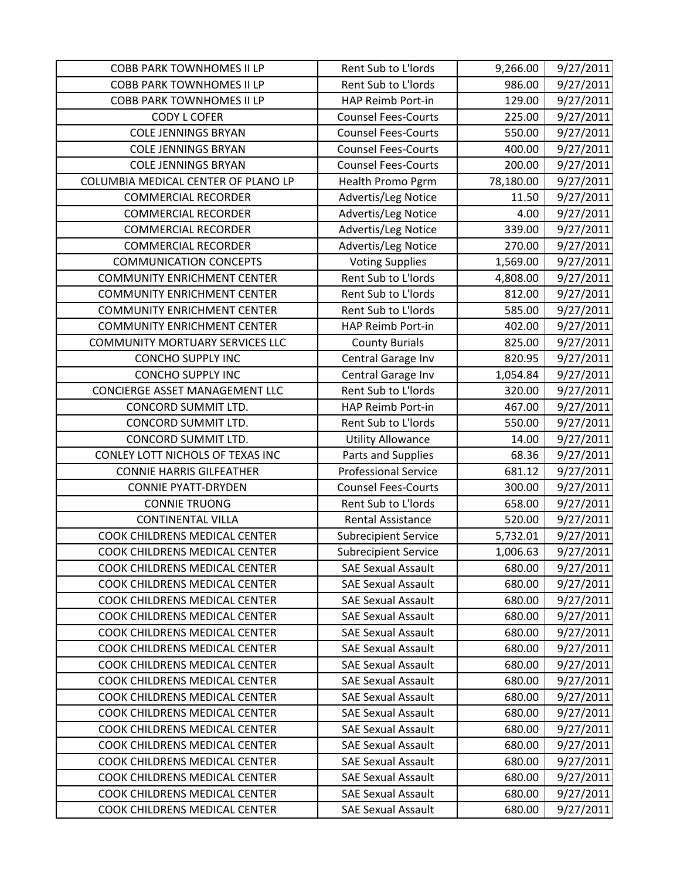| <b>COBB PARK TOWNHOMES II LP</b>    | Rent Sub to L'Iords         | 9,266.00  | 9/27/2011 |
|-------------------------------------|-----------------------------|-----------|-----------|
| <b>COBB PARK TOWNHOMES II LP</b>    | Rent Sub to L'Iords         | 986.00    | 9/27/2011 |
| <b>COBB PARK TOWNHOMES II LP</b>    | HAP Reimb Port-in           | 129.00    | 9/27/2011 |
| <b>CODY L COFER</b>                 | <b>Counsel Fees-Courts</b>  | 225.00    | 9/27/2011 |
| <b>COLE JENNINGS BRYAN</b>          | <b>Counsel Fees-Courts</b>  | 550.00    | 9/27/2011 |
| <b>COLE JENNINGS BRYAN</b>          | <b>Counsel Fees-Courts</b>  | 400.00    | 9/27/2011 |
| <b>COLE JENNINGS BRYAN</b>          | <b>Counsel Fees-Courts</b>  | 200.00    | 9/27/2011 |
| COLUMBIA MEDICAL CENTER OF PLANO LP | Health Promo Pgrm           | 78,180.00 | 9/27/2011 |
| <b>COMMERCIAL RECORDER</b>          | Advertis/Leg Notice         | 11.50     | 9/27/2011 |
| <b>COMMERCIAL RECORDER</b>          | Advertis/Leg Notice         | 4.00      | 9/27/2011 |
| <b>COMMERCIAL RECORDER</b>          | Advertis/Leg Notice         | 339.00    | 9/27/2011 |
| <b>COMMERCIAL RECORDER</b>          | Advertis/Leg Notice         | 270.00    | 9/27/2011 |
| <b>COMMUNICATION CONCEPTS</b>       | <b>Voting Supplies</b>      | 1,569.00  | 9/27/2011 |
| <b>COMMUNITY ENRICHMENT CENTER</b>  | Rent Sub to L'Iords         | 4,808.00  | 9/27/2011 |
| <b>COMMUNITY ENRICHMENT CENTER</b>  | Rent Sub to L'Iords         | 812.00    | 9/27/2011 |
| <b>COMMUNITY ENRICHMENT CENTER</b>  | Rent Sub to L'Iords         | 585.00    | 9/27/2011 |
| <b>COMMUNITY ENRICHMENT CENTER</b>  | HAP Reimb Port-in           | 402.00    | 9/27/2011 |
| COMMUNITY MORTUARY SERVICES LLC     | <b>County Burials</b>       | 825.00    | 9/27/2011 |
| <b>CONCHO SUPPLY INC</b>            | Central Garage Inv          | 820.95    | 9/27/2011 |
| <b>CONCHO SUPPLY INC</b>            | Central Garage Inv          | 1,054.84  | 9/27/2011 |
| CONCIERGE ASSET MANAGEMENT LLC      | Rent Sub to L'Iords         | 320.00    | 9/27/2011 |
| CONCORD SUMMIT LTD.                 | HAP Reimb Port-in           | 467.00    | 9/27/2011 |
| CONCORD SUMMIT LTD.                 | Rent Sub to L'Iords         | 550.00    | 9/27/2011 |
| CONCORD SUMMIT LTD.                 | <b>Utility Allowance</b>    | 14.00     | 9/27/2011 |
| CONLEY LOTT NICHOLS OF TEXAS INC    | Parts and Supplies          | 68.36     | 9/27/2011 |
| <b>CONNIE HARRIS GILFEATHER</b>     | <b>Professional Service</b> | 681.12    | 9/27/2011 |
| <b>CONNIE PYATT-DRYDEN</b>          | <b>Counsel Fees-Courts</b>  | 300.00    | 9/27/2011 |
| <b>CONNIE TRUONG</b>                | Rent Sub to L'Iords         | 658.00    | 9/27/2011 |
| <b>CONTINENTAL VILLA</b>            | <b>Rental Assistance</b>    | 520.00    | 9/27/2011 |
| COOK CHILDRENS MEDICAL CENTER       | <b>Subrecipient Service</b> | 5,732.01  | 9/27/2011 |
| COOK CHILDRENS MEDICAL CENTER       | <b>Subrecipient Service</b> | 1,006.63  | 9/27/2011 |
| COOK CHILDRENS MEDICAL CENTER       | <b>SAE Sexual Assault</b>   | 680.00    | 9/27/2011 |
| COOK CHILDRENS MEDICAL CENTER       | <b>SAE Sexual Assault</b>   | 680.00    | 9/27/2011 |
| COOK CHILDRENS MEDICAL CENTER       | <b>SAE Sexual Assault</b>   | 680.00    | 9/27/2011 |
| COOK CHILDRENS MEDICAL CENTER       | <b>SAE Sexual Assault</b>   | 680.00    | 9/27/2011 |
| COOK CHILDRENS MEDICAL CENTER       | <b>SAE Sexual Assault</b>   | 680.00    | 9/27/2011 |
| COOK CHILDRENS MEDICAL CENTER       | <b>SAE Sexual Assault</b>   | 680.00    | 9/27/2011 |
| COOK CHILDRENS MEDICAL CENTER       | <b>SAE Sexual Assault</b>   | 680.00    | 9/27/2011 |
| COOK CHILDRENS MEDICAL CENTER       | <b>SAE Sexual Assault</b>   | 680.00    | 9/27/2011 |
| COOK CHILDRENS MEDICAL CENTER       | <b>SAE Sexual Assault</b>   | 680.00    | 9/27/2011 |
| COOK CHILDRENS MEDICAL CENTER       | <b>SAE Sexual Assault</b>   | 680.00    | 9/27/2011 |
| COOK CHILDRENS MEDICAL CENTER       | <b>SAE Sexual Assault</b>   | 680.00    | 9/27/2011 |
| COOK CHILDRENS MEDICAL CENTER       | <b>SAE Sexual Assault</b>   | 680.00    | 9/27/2011 |
| COOK CHILDRENS MEDICAL CENTER       | <b>SAE Sexual Assault</b>   | 680.00    | 9/27/2011 |
| COOK CHILDRENS MEDICAL CENTER       | <b>SAE Sexual Assault</b>   | 680.00    | 9/27/2011 |
| COOK CHILDRENS MEDICAL CENTER       | <b>SAE Sexual Assault</b>   | 680.00    | 9/27/2011 |
| COOK CHILDRENS MEDICAL CENTER       | <b>SAE Sexual Assault</b>   | 680.00    | 9/27/2011 |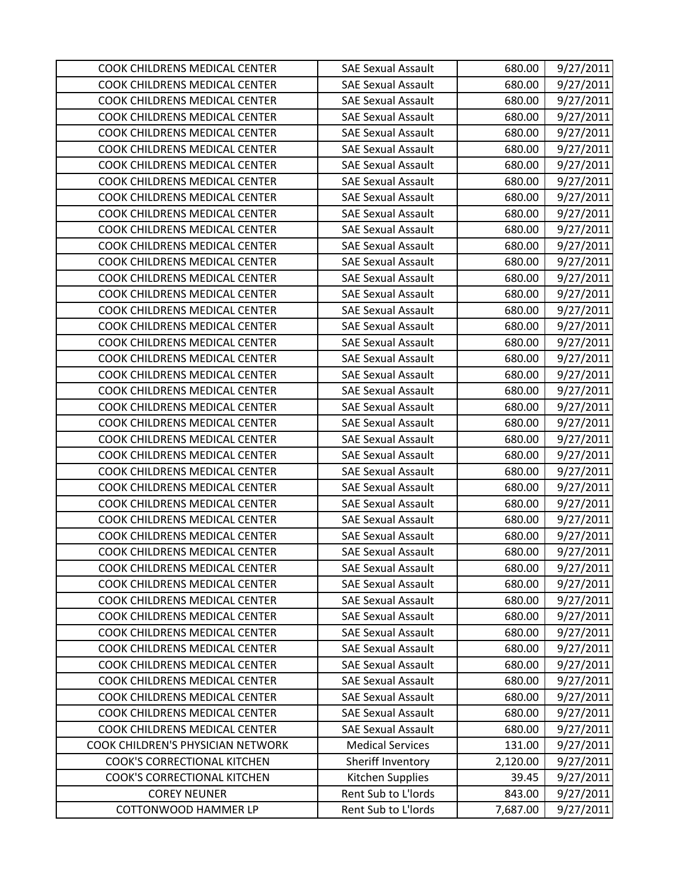| COOK CHILDRENS MEDICAL CENTER      | <b>SAE Sexual Assault</b> | 680.00   | 9/27/2011 |
|------------------------------------|---------------------------|----------|-----------|
| COOK CHILDRENS MEDICAL CENTER      | <b>SAE Sexual Assault</b> | 680.00   | 9/27/2011 |
| COOK CHILDRENS MEDICAL CENTER      | <b>SAE Sexual Assault</b> | 680.00   | 9/27/2011 |
| COOK CHILDRENS MEDICAL CENTER      | <b>SAE Sexual Assault</b> | 680.00   | 9/27/2011 |
| COOK CHILDRENS MEDICAL CENTER      | <b>SAE Sexual Assault</b> | 680.00   | 9/27/2011 |
| COOK CHILDRENS MEDICAL CENTER      | <b>SAE Sexual Assault</b> | 680.00   | 9/27/2011 |
| COOK CHILDRENS MEDICAL CENTER      | <b>SAE Sexual Assault</b> | 680.00   | 9/27/2011 |
| COOK CHILDRENS MEDICAL CENTER      | <b>SAE Sexual Assault</b> | 680.00   | 9/27/2011 |
| COOK CHILDRENS MEDICAL CENTER      | <b>SAE Sexual Assault</b> | 680.00   | 9/27/2011 |
| COOK CHILDRENS MEDICAL CENTER      | <b>SAE Sexual Assault</b> | 680.00   | 9/27/2011 |
| COOK CHILDRENS MEDICAL CENTER      | <b>SAE Sexual Assault</b> | 680.00   | 9/27/2011 |
| COOK CHILDRENS MEDICAL CENTER      | <b>SAE Sexual Assault</b> | 680.00   | 9/27/2011 |
| COOK CHILDRENS MEDICAL CENTER      | <b>SAE Sexual Assault</b> | 680.00   | 9/27/2011 |
| COOK CHILDRENS MEDICAL CENTER      | <b>SAE Sexual Assault</b> | 680.00   | 9/27/2011 |
| COOK CHILDRENS MEDICAL CENTER      | <b>SAE Sexual Assault</b> | 680.00   | 9/27/2011 |
| COOK CHILDRENS MEDICAL CENTER      | <b>SAE Sexual Assault</b> | 680.00   | 9/27/2011 |
| COOK CHILDRENS MEDICAL CENTER      | <b>SAE Sexual Assault</b> | 680.00   | 9/27/2011 |
| COOK CHILDRENS MEDICAL CENTER      | <b>SAE Sexual Assault</b> | 680.00   | 9/27/2011 |
| COOK CHILDRENS MEDICAL CENTER      | <b>SAE Sexual Assault</b> | 680.00   | 9/27/2011 |
| COOK CHILDRENS MEDICAL CENTER      | <b>SAE Sexual Assault</b> | 680.00   | 9/27/2011 |
| COOK CHILDRENS MEDICAL CENTER      | <b>SAE Sexual Assault</b> | 680.00   | 9/27/2011 |
| COOK CHILDRENS MEDICAL CENTER      | <b>SAE Sexual Assault</b> | 680.00   | 9/27/2011 |
| COOK CHILDRENS MEDICAL CENTER      | <b>SAE Sexual Assault</b> | 680.00   | 9/27/2011 |
| COOK CHILDRENS MEDICAL CENTER      | <b>SAE Sexual Assault</b> | 680.00   | 9/27/2011 |
| COOK CHILDRENS MEDICAL CENTER      | <b>SAE Sexual Assault</b> | 680.00   | 9/27/2011 |
| COOK CHILDRENS MEDICAL CENTER      | <b>SAE Sexual Assault</b> | 680.00   | 9/27/2011 |
| COOK CHILDRENS MEDICAL CENTER      | <b>SAE Sexual Assault</b> | 680.00   | 9/27/2011 |
| COOK CHILDRENS MEDICAL CENTER      | <b>SAE Sexual Assault</b> | 680.00   | 9/27/2011 |
| COOK CHILDRENS MEDICAL CENTER      | <b>SAE Sexual Assault</b> | 680.00   | 9/27/2011 |
| COOK CHILDRENS MEDICAL CENTER      | <b>SAE Sexual Assault</b> | 680.00   | 9/27/2011 |
| COOK CHILDRENS MEDICAL CENTER      | <b>SAE Sexual Assault</b> | 680.00   | 9/27/2011 |
| COOK CHILDRENS MEDICAL CENTER      | <b>SAE Sexual Assault</b> | 680.00   | 9/27/2011 |
| COOK CHILDRENS MEDICAL CENTER      | <b>SAE Sexual Assault</b> | 680.00   | 9/27/2011 |
| COOK CHILDRENS MEDICAL CENTER      | <b>SAE Sexual Assault</b> | 680.00   | 9/27/2011 |
| COOK CHILDRENS MEDICAL CENTER      | <b>SAE Sexual Assault</b> | 680.00   | 9/27/2011 |
| COOK CHILDRENS MEDICAL CENTER      | <b>SAE Sexual Assault</b> | 680.00   | 9/27/2011 |
| COOK CHILDRENS MEDICAL CENTER      | <b>SAE Sexual Assault</b> | 680.00   | 9/27/2011 |
| COOK CHILDRENS MEDICAL CENTER      | <b>SAE Sexual Assault</b> | 680.00   | 9/27/2011 |
| COOK CHILDRENS MEDICAL CENTER      | <b>SAE Sexual Assault</b> | 680.00   | 9/27/2011 |
| COOK CHILDRENS MEDICAL CENTER      | <b>SAE Sexual Assault</b> | 680.00   | 9/27/2011 |
| COOK CHILDRENS MEDICAL CENTER      | <b>SAE Sexual Assault</b> | 680.00   | 9/27/2011 |
| COOK CHILDRENS MEDICAL CENTER      | <b>SAE Sexual Assault</b> | 680.00   | 9/27/2011 |
| COOK CHILDREN'S PHYSICIAN NETWORK  | <b>Medical Services</b>   | 131.00   | 9/27/2011 |
| <b>COOK'S CORRECTIONAL KITCHEN</b> | Sheriff Inventory         | 2,120.00 | 9/27/2011 |
| <b>COOK'S CORRECTIONAL KITCHEN</b> | Kitchen Supplies          | 39.45    | 9/27/2011 |
| <b>COREY NEUNER</b>                | Rent Sub to L'Iords       | 843.00   | 9/27/2011 |
| <b>COTTONWOOD HAMMER LP</b>        | Rent Sub to L'Iords       | 7,687.00 | 9/27/2011 |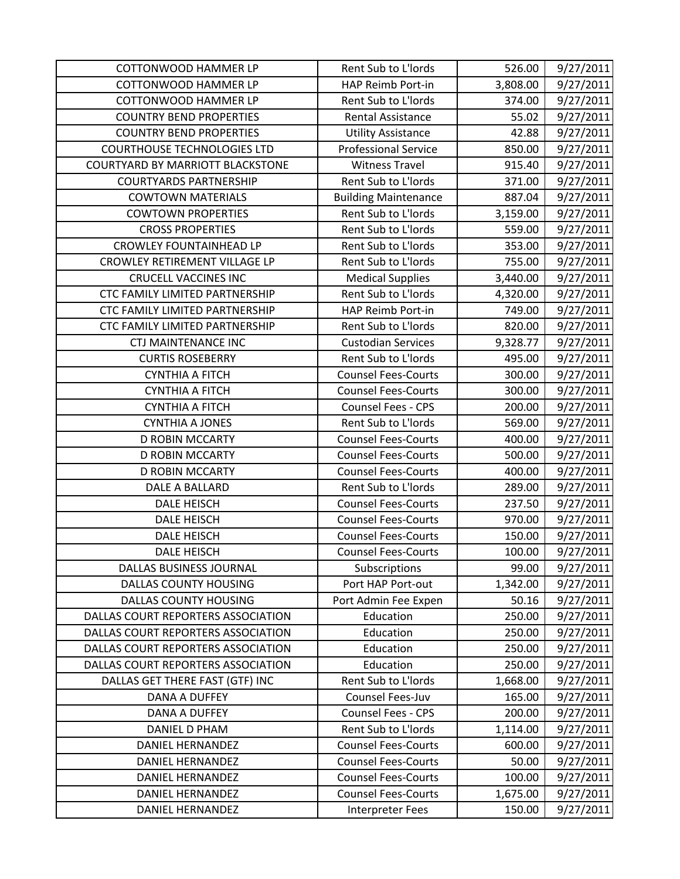| <b>COTTONWOOD HAMMER LP</b>             | Rent Sub to L'Iords         | 526.00   | 9/27/2011 |
|-----------------------------------------|-----------------------------|----------|-----------|
| <b>COTTONWOOD HAMMER LP</b>             | HAP Reimb Port-in           | 3,808.00 | 9/27/2011 |
| <b>COTTONWOOD HAMMER LP</b>             | Rent Sub to L'Iords         | 374.00   | 9/27/2011 |
| <b>COUNTRY BEND PROPERTIES</b>          | <b>Rental Assistance</b>    | 55.02    | 9/27/2011 |
| <b>COUNTRY BEND PROPERTIES</b>          | <b>Utility Assistance</b>   | 42.88    | 9/27/2011 |
| <b>COURTHOUSE TECHNOLOGIES LTD</b>      | <b>Professional Service</b> | 850.00   | 9/27/2011 |
| <b>COURTYARD BY MARRIOTT BLACKSTONE</b> | <b>Witness Travel</b>       | 915.40   | 9/27/2011 |
| <b>COURTYARDS PARTNERSHIP</b>           | Rent Sub to L'Iords         | 371.00   | 9/27/2011 |
| <b>COWTOWN MATERIALS</b>                | <b>Building Maintenance</b> | 887.04   | 9/27/2011 |
| <b>COWTOWN PROPERTIES</b>               | Rent Sub to L'Iords         | 3,159.00 | 9/27/2011 |
| <b>CROSS PROPERTIES</b>                 | Rent Sub to L'Iords         | 559.00   | 9/27/2011 |
| <b>CROWLEY FOUNTAINHEAD LP</b>          | Rent Sub to L'Iords         | 353.00   | 9/27/2011 |
| CROWLEY RETIREMENT VILLAGE LP           | Rent Sub to L'Iords         | 755.00   | 9/27/2011 |
| <b>CRUCELL VACCINES INC</b>             | <b>Medical Supplies</b>     | 3,440.00 | 9/27/2011 |
| <b>CTC FAMILY LIMITED PARTNERSHIP</b>   | Rent Sub to L'Iords         | 4,320.00 | 9/27/2011 |
| CTC FAMILY LIMITED PARTNERSHIP          | HAP Reimb Port-in           | 749.00   | 9/27/2011 |
| CTC FAMILY LIMITED PARTNERSHIP          | Rent Sub to L'Iords         | 820.00   | 9/27/2011 |
| <b>CTJ MAINTENANCE INC</b>              | <b>Custodian Services</b>   | 9,328.77 | 9/27/2011 |
| <b>CURTIS ROSEBERRY</b>                 | Rent Sub to L'Iords         | 495.00   | 9/27/2011 |
| <b>CYNTHIA A FITCH</b>                  | <b>Counsel Fees-Courts</b>  | 300.00   | 9/27/2011 |
| <b>CYNTHIA A FITCH</b>                  | <b>Counsel Fees-Courts</b>  | 300.00   | 9/27/2011 |
| <b>CYNTHIA A FITCH</b>                  | Counsel Fees - CPS          | 200.00   | 9/27/2011 |
| <b>CYNTHIA A JONES</b>                  | Rent Sub to L'Iords         | 569.00   | 9/27/2011 |
| <b>D ROBIN MCCARTY</b>                  | <b>Counsel Fees-Courts</b>  | 400.00   | 9/27/2011 |
| <b>D ROBIN MCCARTY</b>                  | <b>Counsel Fees-Courts</b>  | 500.00   | 9/27/2011 |
| <b>D ROBIN MCCARTY</b>                  | <b>Counsel Fees-Courts</b>  | 400.00   | 9/27/2011 |
| DALE A BALLARD                          | Rent Sub to L'Iords         | 289.00   | 9/27/2011 |
| <b>DALE HEISCH</b>                      | <b>Counsel Fees-Courts</b>  | 237.50   | 9/27/2011 |
| <b>DALE HEISCH</b>                      | <b>Counsel Fees-Courts</b>  | 970.00   | 9/27/2011 |
| <b>DALE HEISCH</b>                      | <b>Counsel Fees-Courts</b>  | 150.00   | 9/27/2011 |
| <b>DALE HEISCH</b>                      | <b>Counsel Fees-Courts</b>  | 100.00   | 9/27/2011 |
| DALLAS BUSINESS JOURNAL                 | Subscriptions               | 99.00    | 9/27/2011 |
| <b>DALLAS COUNTY HOUSING</b>            | Port HAP Port-out           | 1,342.00 | 9/27/2011 |
| <b>DALLAS COUNTY HOUSING</b>            | Port Admin Fee Expen        | 50.16    | 9/27/2011 |
| DALLAS COURT REPORTERS ASSOCIATION      | Education                   | 250.00   | 9/27/2011 |
| DALLAS COURT REPORTERS ASSOCIATION      | Education                   | 250.00   | 9/27/2011 |
| DALLAS COURT REPORTERS ASSOCIATION      | Education                   | 250.00   | 9/27/2011 |
| DALLAS COURT REPORTERS ASSOCIATION      | Education                   | 250.00   | 9/27/2011 |
| DALLAS GET THERE FAST (GTF) INC         | Rent Sub to L'Iords         | 1,668.00 | 9/27/2011 |
| <b>DANA A DUFFEY</b>                    | Counsel Fees-Juv            | 165.00   | 9/27/2011 |
| DANA A DUFFEY                           | <b>Counsel Fees - CPS</b>   | 200.00   | 9/27/2011 |
| DANIEL D PHAM                           | Rent Sub to L'Iords         | 1,114.00 | 9/27/2011 |
| <b>DANIEL HERNANDEZ</b>                 | <b>Counsel Fees-Courts</b>  | 600.00   | 9/27/2011 |
| DANIEL HERNANDEZ                        | <b>Counsel Fees-Courts</b>  | 50.00    | 9/27/2011 |
| <b>DANIEL HERNANDEZ</b>                 | <b>Counsel Fees-Courts</b>  | 100.00   | 9/27/2011 |
| <b>DANIEL HERNANDEZ</b>                 | <b>Counsel Fees-Courts</b>  | 1,675.00 | 9/27/2011 |
| DANIEL HERNANDEZ                        | Interpreter Fees            | 150.00   | 9/27/2011 |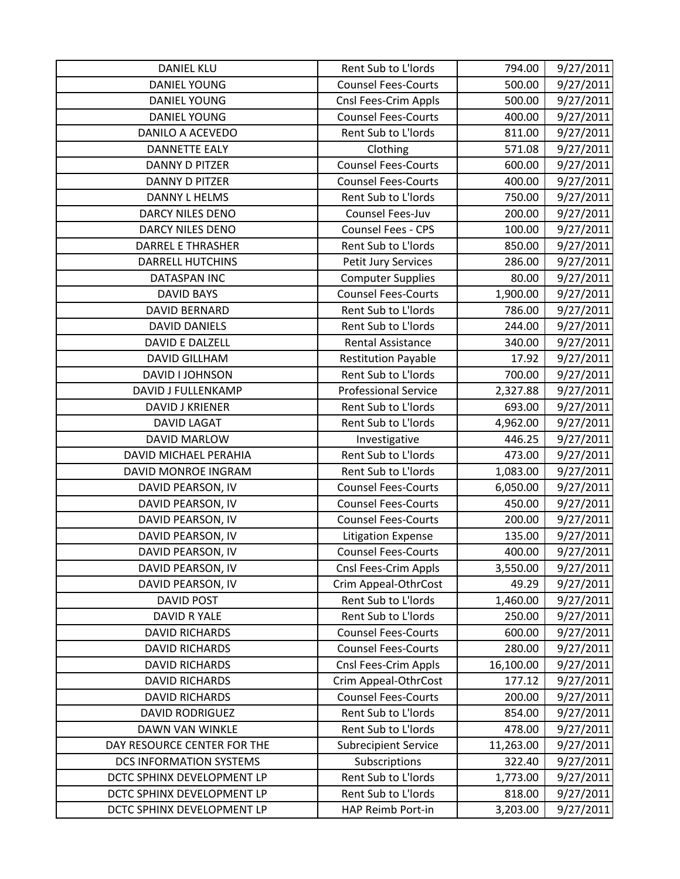| <b>DANIEL KLU</b>              | Rent Sub to L'Iords         | 794.00    | 9/27/2011 |
|--------------------------------|-----------------------------|-----------|-----------|
| <b>DANIEL YOUNG</b>            | <b>Counsel Fees-Courts</b>  | 500.00    | 9/27/2011 |
| <b>DANIEL YOUNG</b>            | Cnsl Fees-Crim Appls        | 500.00    | 9/27/2011 |
| <b>DANIEL YOUNG</b>            | <b>Counsel Fees-Courts</b>  | 400.00    | 9/27/2011 |
| <b>DANILO A ACEVEDO</b>        | Rent Sub to L'Iords         | 811.00    | 9/27/2011 |
| <b>DANNETTE EALY</b>           | Clothing                    | 571.08    | 9/27/2011 |
| <b>DANNY D PITZER</b>          | <b>Counsel Fees-Courts</b>  | 600.00    | 9/27/2011 |
| <b>DANNY D PITZER</b>          | <b>Counsel Fees-Courts</b>  | 400.00    | 9/27/2011 |
| <b>DANNY L HELMS</b>           | Rent Sub to L'Iords         | 750.00    | 9/27/2011 |
| <b>DARCY NILES DENO</b>        | Counsel Fees-Juv            | 200.00    | 9/27/2011 |
| DARCY NILES DENO               | Counsel Fees - CPS          | 100.00    | 9/27/2011 |
| <b>DARREL E THRASHER</b>       | Rent Sub to L'Iords         | 850.00    | 9/27/2011 |
| <b>DARRELL HUTCHINS</b>        | Petit Jury Services         | 286.00    | 9/27/2011 |
| <b>DATASPAN INC</b>            | <b>Computer Supplies</b>    | 80.00     | 9/27/2011 |
| <b>DAVID BAYS</b>              | <b>Counsel Fees-Courts</b>  | 1,900.00  | 9/27/2011 |
| <b>DAVID BERNARD</b>           | Rent Sub to L'Iords         | 786.00    | 9/27/2011 |
| <b>DAVID DANIELS</b>           | Rent Sub to L'Iords         | 244.00    | 9/27/2011 |
| DAVID E DALZELL                | <b>Rental Assistance</b>    | 340.00    | 9/27/2011 |
| <b>DAVID GILLHAM</b>           | <b>Restitution Payable</b>  | 17.92     | 9/27/2011 |
| DAVID I JOHNSON                | Rent Sub to L'Iords         | 700.00    | 9/27/2011 |
| <b>DAVID J FULLENKAMP</b>      | <b>Professional Service</b> | 2,327.88  | 9/27/2011 |
| <b>DAVID J KRIENER</b>         | Rent Sub to L'Iords         | 693.00    | 9/27/2011 |
| <b>DAVID LAGAT</b>             | Rent Sub to L'Iords         | 4,962.00  | 9/27/2011 |
| <b>DAVID MARLOW</b>            | Investigative               | 446.25    | 9/27/2011 |
| DAVID MICHAEL PERAHIA          | Rent Sub to L'Iords         | 473.00    | 9/27/2011 |
| DAVID MONROE INGRAM            | Rent Sub to L'Iords         | 1,083.00  | 9/27/2011 |
| DAVID PEARSON, IV              | <b>Counsel Fees-Courts</b>  | 6,050.00  | 9/27/2011 |
| DAVID PEARSON, IV              | <b>Counsel Fees-Courts</b>  | 450.00    | 9/27/2011 |
| DAVID PEARSON, IV              | <b>Counsel Fees-Courts</b>  | 200.00    | 9/27/2011 |
| DAVID PEARSON, IV              | <b>Litigation Expense</b>   | 135.00    | 9/27/2011 |
| DAVID PEARSON, IV              | <b>Counsel Fees-Courts</b>  | 400.00    | 9/27/2011 |
| DAVID PEARSON, IV              | <b>Cnsl Fees-Crim Appls</b> | 3,550.00  | 9/27/2011 |
| DAVID PEARSON, IV              | Crim Appeal-OthrCost        | 49.29     | 9/27/2011 |
| <b>DAVID POST</b>              | Rent Sub to L'Iords         | 1,460.00  | 9/27/2011 |
| DAVID R YALE                   | Rent Sub to L'Iords         | 250.00    | 9/27/2011 |
| <b>DAVID RICHARDS</b>          | <b>Counsel Fees-Courts</b>  | 600.00    | 9/27/2011 |
| <b>DAVID RICHARDS</b>          | <b>Counsel Fees-Courts</b>  | 280.00    | 9/27/2011 |
| <b>DAVID RICHARDS</b>          | Cnsl Fees-Crim Appls        | 16,100.00 | 9/27/2011 |
| <b>DAVID RICHARDS</b>          | Crim Appeal-OthrCost        | 177.12    | 9/27/2011 |
| <b>DAVID RICHARDS</b>          | <b>Counsel Fees-Courts</b>  | 200.00    | 9/27/2011 |
| <b>DAVID RODRIGUEZ</b>         | Rent Sub to L'Iords         | 854.00    | 9/27/2011 |
| DAWN VAN WINKLE                | Rent Sub to L'Iords         | 478.00    | 9/27/2011 |
| DAY RESOURCE CENTER FOR THE    | <b>Subrecipient Service</b> | 11,263.00 | 9/27/2011 |
| <b>DCS INFORMATION SYSTEMS</b> | Subscriptions               | 322.40    | 9/27/2011 |
| DCTC SPHINX DEVELOPMENT LP     | Rent Sub to L'Iords         | 1,773.00  | 9/27/2011 |
| DCTC SPHINX DEVELOPMENT LP     | Rent Sub to L'Iords         | 818.00    | 9/27/2011 |
| DCTC SPHINX DEVELOPMENT LP     | HAP Reimb Port-in           | 3,203.00  | 9/27/2011 |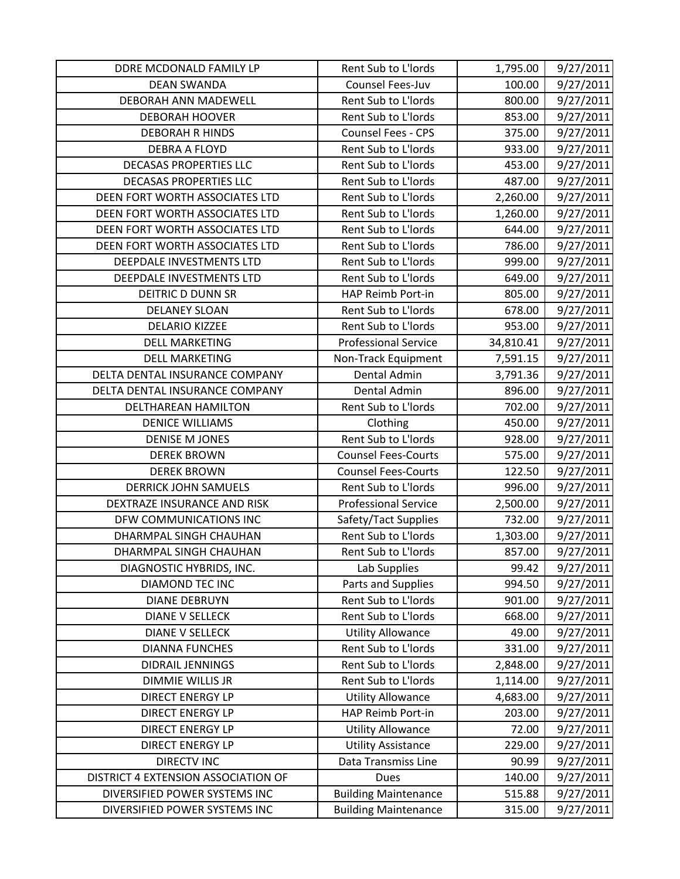| DDRE MCDONALD FAMILY LP             | Rent Sub to L'Iords         | 1,795.00  | 9/27/2011 |
|-------------------------------------|-----------------------------|-----------|-----------|
| <b>DEAN SWANDA</b>                  | Counsel Fees-Juv            | 100.00    | 9/27/2011 |
| DEBORAH ANN MADEWELL                | Rent Sub to L'Iords         | 800.00    | 9/27/2011 |
| <b>DEBORAH HOOVER</b>               | Rent Sub to L'Iords         | 853.00    | 9/27/2011 |
| <b>DEBORAH R HINDS</b>              | Counsel Fees - CPS          | 375.00    | 9/27/2011 |
| <b>DEBRA A FLOYD</b>                | Rent Sub to L'Iords         | 933.00    | 9/27/2011 |
| <b>DECASAS PROPERTIES LLC</b>       | Rent Sub to L'Iords         | 453.00    | 9/27/2011 |
| <b>DECASAS PROPERTIES LLC</b>       | Rent Sub to L'Iords         | 487.00    | 9/27/2011 |
| DEEN FORT WORTH ASSOCIATES LTD      | Rent Sub to L'Iords         | 2,260.00  | 9/27/2011 |
| DEEN FORT WORTH ASSOCIATES LTD      | Rent Sub to L'Iords         | 1,260.00  | 9/27/2011 |
| DEEN FORT WORTH ASSOCIATES LTD      | Rent Sub to L'Iords         | 644.00    | 9/27/2011 |
| DEEN FORT WORTH ASSOCIATES LTD      | Rent Sub to L'Iords         | 786.00    | 9/27/2011 |
| DEEPDALE INVESTMENTS LTD            | Rent Sub to L'Iords         | 999.00    | 9/27/2011 |
| DEEPDALE INVESTMENTS LTD            | Rent Sub to L'Iords         | 649.00    | 9/27/2011 |
| <b>DEITRIC D DUNN SR</b>            | HAP Reimb Port-in           | 805.00    | 9/27/2011 |
| <b>DELANEY SLOAN</b>                | Rent Sub to L'Iords         | 678.00    | 9/27/2011 |
| <b>DELARIO KIZZEE</b>               | Rent Sub to L'Iords         | 953.00    | 9/27/2011 |
| <b>DELL MARKETING</b>               | <b>Professional Service</b> | 34,810.41 | 9/27/2011 |
| <b>DELL MARKETING</b>               | Non-Track Equipment         | 7,591.15  | 9/27/2011 |
| DELTA DENTAL INSURANCE COMPANY      | Dental Admin                | 3,791.36  | 9/27/2011 |
| DELTA DENTAL INSURANCE COMPANY      | Dental Admin                | 896.00    | 9/27/2011 |
| DELTHAREAN HAMILTON                 | Rent Sub to L'Iords         | 702.00    | 9/27/2011 |
| <b>DENICE WILLIAMS</b>              | Clothing                    | 450.00    | 9/27/2011 |
| <b>DENISE M JONES</b>               | Rent Sub to L'Iords         | 928.00    | 9/27/2011 |
| <b>DEREK BROWN</b>                  | <b>Counsel Fees-Courts</b>  | 575.00    | 9/27/2011 |
| <b>DEREK BROWN</b>                  | <b>Counsel Fees-Courts</b>  | 122.50    | 9/27/2011 |
| <b>DERRICK JOHN SAMUELS</b>         | Rent Sub to L'Iords         | 996.00    | 9/27/2011 |
| DEXTRAZE INSURANCE AND RISK         | <b>Professional Service</b> | 2,500.00  | 9/27/2011 |
| DFW COMMUNICATIONS INC              | Safety/Tact Supplies        | 732.00    | 9/27/2011 |
| DHARMPAL SINGH CHAUHAN              | Rent Sub to L'Iords         | 1,303.00  | 9/27/2011 |
| DHARMPAL SINGH CHAUHAN              | Rent Sub to L'Iords         | 857.00    | 9/27/2011 |
| DIAGNOSTIC HYBRIDS, INC.            | Lab Supplies                | 99.42     | 9/27/2011 |
| <b>DIAMOND TEC INC</b>              | Parts and Supplies          | 994.50    | 9/27/2011 |
| <b>DIANE DEBRUYN</b>                | Rent Sub to L'Iords         | 901.00    | 9/27/2011 |
| <b>DIANE V SELLECK</b>              | Rent Sub to L'Iords         | 668.00    | 9/27/2011 |
| <b>DIANE V SELLECK</b>              | <b>Utility Allowance</b>    | 49.00     | 9/27/2011 |
| <b>DIANNA FUNCHES</b>               | Rent Sub to L'Iords         | 331.00    | 9/27/2011 |
| <b>DIDRAIL JENNINGS</b>             | Rent Sub to L'Iords         | 2,848.00  | 9/27/2011 |
| <b>DIMMIE WILLIS JR</b>             | Rent Sub to L'Iords         | 1,114.00  | 9/27/2011 |
| <b>DIRECT ENERGY LP</b>             | <b>Utility Allowance</b>    | 4,683.00  | 9/27/2011 |
| <b>DIRECT ENERGY LP</b>             | HAP Reimb Port-in           | 203.00    | 9/27/2011 |
| <b>DIRECT ENERGY LP</b>             | <b>Utility Allowance</b>    | 72.00     | 9/27/2011 |
| <b>DIRECT ENERGY LP</b>             | <b>Utility Assistance</b>   | 229.00    | 9/27/2011 |
| <b>DIRECTV INC</b>                  | Data Transmiss Line         | 90.99     | 9/27/2011 |
| DISTRICT 4 EXTENSION ASSOCIATION OF | <b>Dues</b>                 | 140.00    | 9/27/2011 |
| DIVERSIFIED POWER SYSTEMS INC       | <b>Building Maintenance</b> | 515.88    | 9/27/2011 |
| DIVERSIFIED POWER SYSTEMS INC       | <b>Building Maintenance</b> | 315.00    | 9/27/2011 |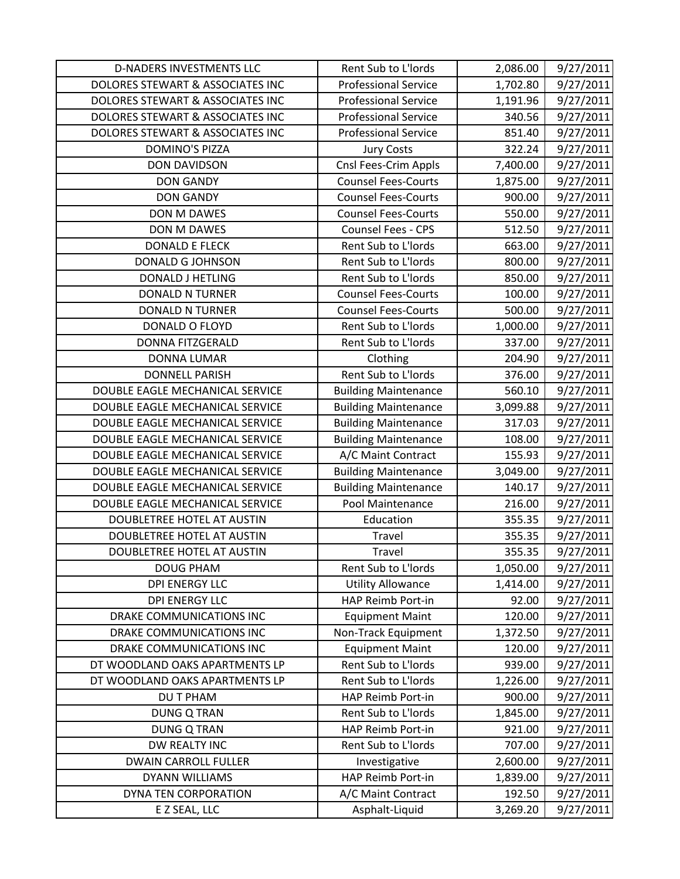| <b>D-NADERS INVESTMENTS LLC</b>  | Rent Sub to L'Iords         | 2,086.00 | 9/27/2011 |
|----------------------------------|-----------------------------|----------|-----------|
| DOLORES STEWART & ASSOCIATES INC | <b>Professional Service</b> | 1,702.80 | 9/27/2011 |
| DOLORES STEWART & ASSOCIATES INC | <b>Professional Service</b> | 1,191.96 | 9/27/2011 |
| DOLORES STEWART & ASSOCIATES INC | <b>Professional Service</b> | 340.56   | 9/27/2011 |
| DOLORES STEWART & ASSOCIATES INC | <b>Professional Service</b> | 851.40   | 9/27/2011 |
| <b>DOMINO'S PIZZA</b>            | <b>Jury Costs</b>           | 322.24   | 9/27/2011 |
| <b>DON DAVIDSON</b>              | Cnsl Fees-Crim Appls        | 7,400.00 | 9/27/2011 |
| <b>DON GANDY</b>                 | <b>Counsel Fees-Courts</b>  | 1,875.00 | 9/27/2011 |
| <b>DON GANDY</b>                 | <b>Counsel Fees-Courts</b>  | 900.00   | 9/27/2011 |
| DON M DAWES                      | <b>Counsel Fees-Courts</b>  | 550.00   | 9/27/2011 |
| <b>DON M DAWES</b>               | Counsel Fees - CPS          | 512.50   | 9/27/2011 |
| <b>DONALD E FLECK</b>            | Rent Sub to L'Iords         | 663.00   | 9/27/2011 |
| DONALD G JOHNSON                 | Rent Sub to L'Iords         | 800.00   | 9/27/2011 |
| <b>DONALD J HETLING</b>          | Rent Sub to L'Iords         | 850.00   | 9/27/2011 |
| <b>DONALD N TURNER</b>           | <b>Counsel Fees-Courts</b>  | 100.00   | 9/27/2011 |
| <b>DONALD N TURNER</b>           | <b>Counsel Fees-Courts</b>  | 500.00   | 9/27/2011 |
| DONALD O FLOYD                   | Rent Sub to L'Iords         | 1,000.00 | 9/27/2011 |
| <b>DONNA FITZGERALD</b>          | Rent Sub to L'Iords         | 337.00   | 9/27/2011 |
| <b>DONNA LUMAR</b>               | Clothing                    | 204.90   | 9/27/2011 |
| <b>DONNELL PARISH</b>            | Rent Sub to L'Iords         | 376.00   | 9/27/2011 |
| DOUBLE EAGLE MECHANICAL SERVICE  | <b>Building Maintenance</b> | 560.10   | 9/27/2011 |
| DOUBLE EAGLE MECHANICAL SERVICE  | <b>Building Maintenance</b> | 3,099.88 | 9/27/2011 |
| DOUBLE EAGLE MECHANICAL SERVICE  | <b>Building Maintenance</b> | 317.03   | 9/27/2011 |
| DOUBLE EAGLE MECHANICAL SERVICE  | <b>Building Maintenance</b> | 108.00   | 9/27/2011 |
| DOUBLE EAGLE MECHANICAL SERVICE  | A/C Maint Contract          | 155.93   | 9/27/2011 |
| DOUBLE EAGLE MECHANICAL SERVICE  | <b>Building Maintenance</b> | 3,049.00 | 9/27/2011 |
| DOUBLE EAGLE MECHANICAL SERVICE  | <b>Building Maintenance</b> | 140.17   | 9/27/2011 |
| DOUBLE EAGLE MECHANICAL SERVICE  | Pool Maintenance            | 216.00   | 9/27/2011 |
| DOUBLETREE HOTEL AT AUSTIN       | Education                   | 355.35   | 9/27/2011 |
| DOUBLETREE HOTEL AT AUSTIN       | Travel                      | 355.35   | 9/27/2011 |
| DOUBLETREE HOTEL AT AUSTIN       | Travel                      | 355.35   | 9/27/2011 |
| <b>DOUG PHAM</b>                 | Rent Sub to L'Iords         | 1,050.00 | 9/27/2011 |
| <b>DPI ENERGY LLC</b>            | <b>Utility Allowance</b>    | 1,414.00 | 9/27/2011 |
| <b>DPI ENERGY LLC</b>            | <b>HAP Reimb Port-in</b>    | 92.00    | 9/27/2011 |
| DRAKE COMMUNICATIONS INC         | <b>Equipment Maint</b>      | 120.00   | 9/27/2011 |
| DRAKE COMMUNICATIONS INC         | Non-Track Equipment         | 1,372.50 | 9/27/2011 |
| DRAKE COMMUNICATIONS INC         | <b>Equipment Maint</b>      | 120.00   | 9/27/2011 |
| DT WOODLAND OAKS APARTMENTS LP   | Rent Sub to L'Iords         | 939.00   | 9/27/2011 |
| DT WOODLAND OAKS APARTMENTS LP   | Rent Sub to L'Iords         | 1,226.00 | 9/27/2011 |
| <b>DU T PHAM</b>                 | HAP Reimb Port-in           | 900.00   | 9/27/2011 |
| <b>DUNG Q TRAN</b>               | Rent Sub to L'Iords         | 1,845.00 | 9/27/2011 |
| <b>DUNG Q TRAN</b>               | HAP Reimb Port-in           | 921.00   | 9/27/2011 |
| DW REALTY INC                    | Rent Sub to L'Iords         | 707.00   | 9/27/2011 |
| <b>DWAIN CARROLL FULLER</b>      | Investigative               | 2,600.00 | 9/27/2011 |
| DYANN WILLIAMS                   | HAP Reimb Port-in           | 1,839.00 | 9/27/2011 |
| DYNA TEN CORPORATION             | A/C Maint Contract          | 192.50   | 9/27/2011 |
| E Z SEAL, LLC                    | Asphalt-Liquid              | 3,269.20 | 9/27/2011 |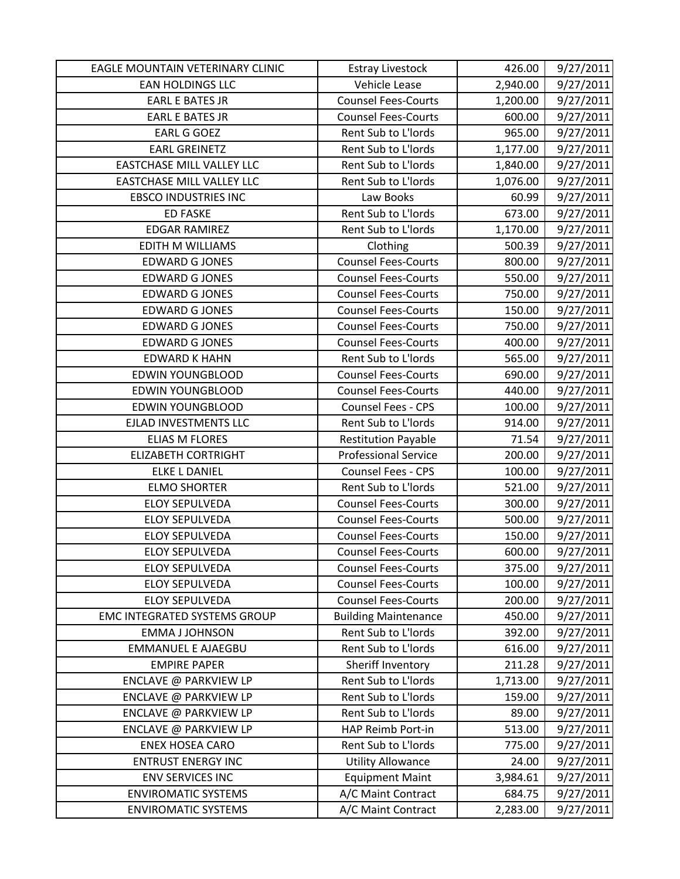| EAGLE MOUNTAIN VETERINARY CLINIC    | <b>Estray Livestock</b>     | 426.00   | 9/27/2011 |
|-------------------------------------|-----------------------------|----------|-----------|
| <b>EAN HOLDINGS LLC</b>             | Vehicle Lease               | 2,940.00 | 9/27/2011 |
| <b>EARL E BATES JR</b>              | <b>Counsel Fees-Courts</b>  | 1,200.00 | 9/27/2011 |
| <b>EARL E BATES JR</b>              | <b>Counsel Fees-Courts</b>  | 600.00   | 9/27/2011 |
| <b>EARL G GOEZ</b>                  | Rent Sub to L'Iords         | 965.00   | 9/27/2011 |
| <b>EARL GREINETZ</b>                | Rent Sub to L'Iords         | 1,177.00 | 9/27/2011 |
| <b>EASTCHASE MILL VALLEY LLC</b>    | Rent Sub to L'Iords         | 1,840.00 | 9/27/2011 |
| <b>EASTCHASE MILL VALLEY LLC</b>    | Rent Sub to L'Iords         | 1,076.00 | 9/27/2011 |
| <b>EBSCO INDUSTRIES INC</b>         | Law Books                   | 60.99    | 9/27/2011 |
| <b>ED FASKE</b>                     | Rent Sub to L'Iords         | 673.00   | 9/27/2011 |
| <b>EDGAR RAMIREZ</b>                | Rent Sub to L'Iords         | 1,170.00 | 9/27/2011 |
| <b>EDITH M WILLIAMS</b>             | Clothing                    | 500.39   | 9/27/2011 |
| <b>EDWARD G JONES</b>               | <b>Counsel Fees-Courts</b>  | 800.00   | 9/27/2011 |
| <b>EDWARD G JONES</b>               | <b>Counsel Fees-Courts</b>  | 550.00   | 9/27/2011 |
| <b>EDWARD G JONES</b>               | <b>Counsel Fees-Courts</b>  | 750.00   | 9/27/2011 |
| <b>EDWARD G JONES</b>               | <b>Counsel Fees-Courts</b>  | 150.00   | 9/27/2011 |
| <b>EDWARD G JONES</b>               | <b>Counsel Fees-Courts</b>  | 750.00   | 9/27/2011 |
| <b>EDWARD G JONES</b>               | <b>Counsel Fees-Courts</b>  | 400.00   | 9/27/2011 |
| <b>EDWARD K HAHN</b>                | Rent Sub to L'Iords         | 565.00   | 9/27/2011 |
| <b>EDWIN YOUNGBLOOD</b>             | <b>Counsel Fees-Courts</b>  | 690.00   | 9/27/2011 |
| <b>EDWIN YOUNGBLOOD</b>             | <b>Counsel Fees-Courts</b>  | 440.00   | 9/27/2011 |
| <b>EDWIN YOUNGBLOOD</b>             | Counsel Fees - CPS          | 100.00   | 9/27/2011 |
| EJLAD INVESTMENTS LLC               | Rent Sub to L'Iords         | 914.00   | 9/27/2011 |
| <b>ELIAS M FLORES</b>               | <b>Restitution Payable</b>  | 71.54    | 9/27/2011 |
| <b>ELIZABETH CORTRIGHT</b>          | <b>Professional Service</b> | 200.00   | 9/27/2011 |
| <b>ELKE L DANIEL</b>                | Counsel Fees - CPS          | 100.00   | 9/27/2011 |
| <b>ELMO SHORTER</b>                 | Rent Sub to L'Iords         | 521.00   | 9/27/2011 |
| <b>ELOY SEPULVEDA</b>               | <b>Counsel Fees-Courts</b>  | 300.00   | 9/27/2011 |
| <b>ELOY SEPULVEDA</b>               | <b>Counsel Fees-Courts</b>  | 500.00   | 9/27/2011 |
| <b>ELOY SEPULVEDA</b>               | <b>Counsel Fees-Courts</b>  | 150.00   | 9/27/2011 |
| <b>ELOY SEPULVEDA</b>               | <b>Counsel Fees-Courts</b>  | 600.00   | 9/27/2011 |
| <b>ELOY SEPULVEDA</b>               | <b>Counsel Fees-Courts</b>  | 375.00   | 9/27/2011 |
| <b>ELOY SEPULVEDA</b>               | <b>Counsel Fees-Courts</b>  | 100.00   | 9/27/2011 |
| <b>ELOY SEPULVEDA</b>               | <b>Counsel Fees-Courts</b>  | 200.00   | 9/27/2011 |
| <b>EMC INTEGRATED SYSTEMS GROUP</b> | <b>Building Maintenance</b> | 450.00   | 9/27/2011 |
| <b>EMMA J JOHNSON</b>               | Rent Sub to L'Iords         | 392.00   | 9/27/2011 |
| <b>EMMANUEL E AJAEGBU</b>           | Rent Sub to L'Iords         | 616.00   | 9/27/2011 |
| <b>EMPIRE PAPER</b>                 | Sheriff Inventory           | 211.28   | 9/27/2011 |
| ENCLAVE @ PARKVIEW LP               | Rent Sub to L'Iords         | 1,713.00 | 9/27/2011 |
| ENCLAVE @ PARKVIEW LP               | Rent Sub to L'Iords         | 159.00   | 9/27/2011 |
| ENCLAVE @ PARKVIEW LP               | Rent Sub to L'Iords         | 89.00    | 9/27/2011 |
| ENCLAVE @ PARKVIEW LP               | HAP Reimb Port-in           | 513.00   | 9/27/2011 |
| <b>ENEX HOSEA CARO</b>              | Rent Sub to L'Iords         | 775.00   | 9/27/2011 |
| <b>ENTRUST ENERGY INC</b>           | <b>Utility Allowance</b>    | 24.00    | 9/27/2011 |
| <b>ENV SERVICES INC</b>             | <b>Equipment Maint</b>      | 3,984.61 | 9/27/2011 |
| <b>ENVIROMATIC SYSTEMS</b>          | A/C Maint Contract          | 684.75   | 9/27/2011 |
| <b>ENVIROMATIC SYSTEMS</b>          | A/C Maint Contract          | 2,283.00 | 9/27/2011 |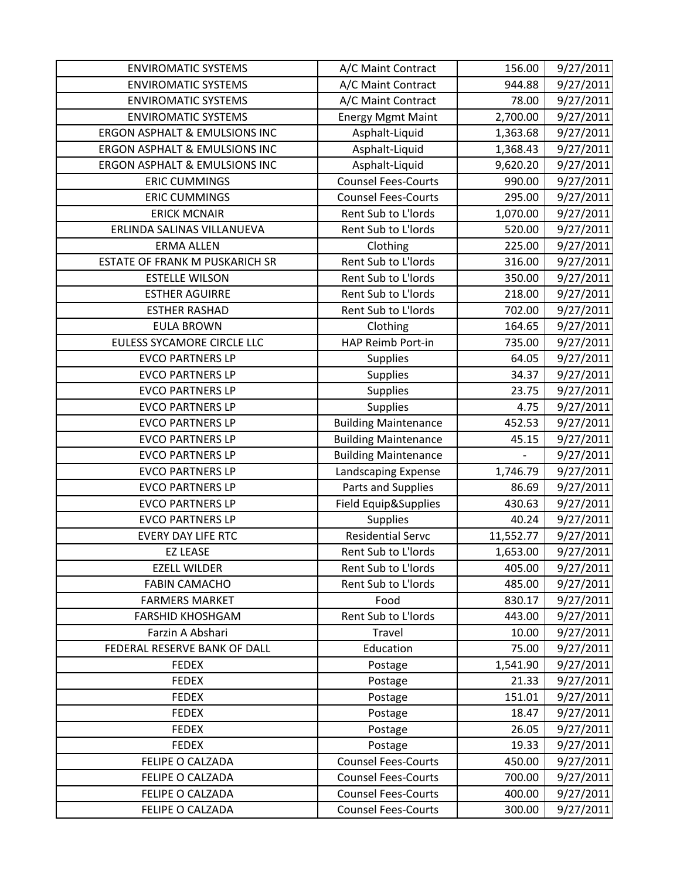| <b>ENVIROMATIC SYSTEMS</b>               | A/C Maint Contract          | 156.00    | 9/27/2011 |
|------------------------------------------|-----------------------------|-----------|-----------|
| <b>ENVIROMATIC SYSTEMS</b>               | A/C Maint Contract          | 944.88    | 9/27/2011 |
| <b>ENVIROMATIC SYSTEMS</b>               | A/C Maint Contract          | 78.00     | 9/27/2011 |
| <b>ENVIROMATIC SYSTEMS</b>               | <b>Energy Mgmt Maint</b>    | 2,700.00  | 9/27/2011 |
| <b>ERGON ASPHALT &amp; EMULSIONS INC</b> | Asphalt-Liquid              | 1,363.68  | 9/27/2011 |
| ERGON ASPHALT & EMULSIONS INC            | Asphalt-Liquid              | 1,368.43  | 9/27/2011 |
| ERGON ASPHALT & EMULSIONS INC            | Asphalt-Liquid              | 9,620.20  | 9/27/2011 |
| <b>ERIC CUMMINGS</b>                     | <b>Counsel Fees-Courts</b>  | 990.00    | 9/27/2011 |
| <b>ERIC CUMMINGS</b>                     | <b>Counsel Fees-Courts</b>  | 295.00    | 9/27/2011 |
| <b>ERICK MCNAIR</b>                      | Rent Sub to L'Iords         | 1,070.00  | 9/27/2011 |
| ERLINDA SALINAS VILLANUEVA               | Rent Sub to L'Iords         | 520.00    | 9/27/2011 |
| <b>ERMA ALLEN</b>                        | Clothing                    | 225.00    | 9/27/2011 |
| ESTATE OF FRANK M PUSKARICH SR           | Rent Sub to L'Iords         | 316.00    | 9/27/2011 |
| <b>ESTELLE WILSON</b>                    | Rent Sub to L'Iords         | 350.00    | 9/27/2011 |
| <b>ESTHER AGUIRRE</b>                    | Rent Sub to L'Iords         | 218.00    | 9/27/2011 |
| <b>ESTHER RASHAD</b>                     | Rent Sub to L'Iords         | 702.00    | 9/27/2011 |
| <b>EULA BROWN</b>                        | Clothing                    | 164.65    | 9/27/2011 |
| <b>EULESS SYCAMORE CIRCLE LLC</b>        | HAP Reimb Port-in           | 735.00    | 9/27/2011 |
| <b>EVCO PARTNERS LP</b>                  | <b>Supplies</b>             | 64.05     | 9/27/2011 |
| <b>EVCO PARTNERS LP</b>                  | Supplies                    | 34.37     | 9/27/2011 |
| <b>EVCO PARTNERS LP</b>                  | Supplies                    | 23.75     | 9/27/2011 |
| <b>EVCO PARTNERS LP</b>                  | Supplies                    | 4.75      | 9/27/2011 |
| <b>EVCO PARTNERS LP</b>                  | <b>Building Maintenance</b> | 452.53    | 9/27/2011 |
| <b>EVCO PARTNERS LP</b>                  | <b>Building Maintenance</b> | 45.15     | 9/27/2011 |
| <b>EVCO PARTNERS LP</b>                  | <b>Building Maintenance</b> |           | 9/27/2011 |
| <b>EVCO PARTNERS LP</b>                  | Landscaping Expense         | 1,746.79  | 9/27/2011 |
| <b>EVCO PARTNERS LP</b>                  | Parts and Supplies          | 86.69     | 9/27/2011 |
| <b>EVCO PARTNERS LP</b>                  | Field Equip&Supplies        | 430.63    | 9/27/2011 |
| <b>EVCO PARTNERS LP</b>                  | <b>Supplies</b>             | 40.24     | 9/27/2011 |
| <b>EVERY DAY LIFE RTC</b>                | <b>Residential Servc</b>    | 11,552.77 | 9/27/2011 |
| <b>EZ LEASE</b>                          | Rent Sub to L'Iords         | 1,653.00  | 9/27/2011 |
| <b>EZELL WILDER</b>                      | Rent Sub to L'Iords         | 405.00    | 9/27/2011 |
| <b>FABIN CAMACHO</b>                     | Rent Sub to L'Iords         | 485.00    | 9/27/2011 |
| <b>FARMERS MARKET</b>                    | Food                        | 830.17    | 9/27/2011 |
| <b>FARSHID KHOSHGAM</b>                  | Rent Sub to L'Iords         | 443.00    | 9/27/2011 |
| Farzin A Abshari                         | Travel                      | 10.00     | 9/27/2011 |
| FEDERAL RESERVE BANK OF DALL             | Education                   | 75.00     | 9/27/2011 |
| <b>FEDEX</b>                             | Postage                     | 1,541.90  | 9/27/2011 |
| <b>FEDEX</b>                             | Postage                     | 21.33     | 9/27/2011 |
| <b>FEDEX</b>                             | Postage                     | 151.01    | 9/27/2011 |
| <b>FEDEX</b>                             | Postage                     | 18.47     | 9/27/2011 |
| <b>FEDEX</b>                             | Postage                     | 26.05     | 9/27/2011 |
| <b>FEDEX</b>                             | Postage                     | 19.33     | 9/27/2011 |
| FELIPE O CALZADA                         | <b>Counsel Fees-Courts</b>  | 450.00    | 9/27/2011 |
| FELIPE O CALZADA                         | <b>Counsel Fees-Courts</b>  | 700.00    | 9/27/2011 |
| <b>FELIPE O CALZADA</b>                  | <b>Counsel Fees-Courts</b>  | 400.00    | 9/27/2011 |
| FELIPE O CALZADA                         | <b>Counsel Fees-Courts</b>  | 300.00    | 9/27/2011 |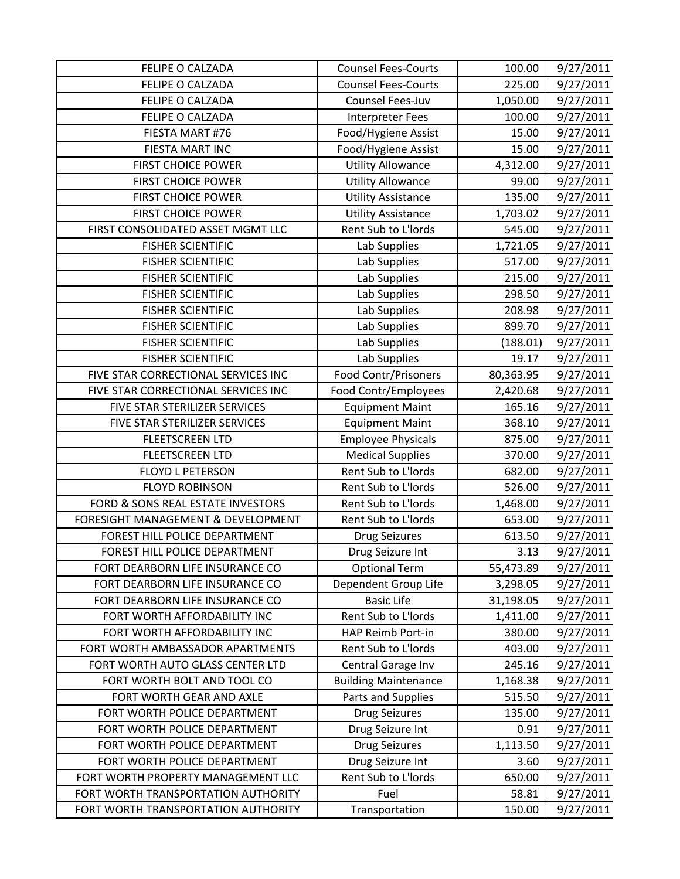| FELIPE O CALZADA                    | <b>Counsel Fees-Courts</b>  | 100.00    | 9/27/2011 |
|-------------------------------------|-----------------------------|-----------|-----------|
| FELIPE O CALZADA                    | <b>Counsel Fees-Courts</b>  | 225.00    | 9/27/2011 |
| FELIPE O CALZADA                    | Counsel Fees-Juv            | 1,050.00  | 9/27/2011 |
| FELIPE O CALZADA                    | Interpreter Fees            | 100.00    | 9/27/2011 |
| FIESTA MART #76                     | Food/Hygiene Assist         | 15.00     | 9/27/2011 |
| FIESTA MART INC                     | Food/Hygiene Assist         | 15.00     | 9/27/2011 |
| <b>FIRST CHOICE POWER</b>           | <b>Utility Allowance</b>    | 4,312.00  | 9/27/2011 |
| <b>FIRST CHOICE POWER</b>           | <b>Utility Allowance</b>    | 99.00     | 9/27/2011 |
| <b>FIRST CHOICE POWER</b>           | <b>Utility Assistance</b>   | 135.00    | 9/27/2011 |
| <b>FIRST CHOICE POWER</b>           | <b>Utility Assistance</b>   | 1,703.02  | 9/27/2011 |
| FIRST CONSOLIDATED ASSET MGMT LLC   | Rent Sub to L'Iords         | 545.00    | 9/27/2011 |
| <b>FISHER SCIENTIFIC</b>            | Lab Supplies                | 1,721.05  | 9/27/2011 |
| <b>FISHER SCIENTIFIC</b>            | Lab Supplies                | 517.00    | 9/27/2011 |
| <b>FISHER SCIENTIFIC</b>            | Lab Supplies                | 215.00    | 9/27/2011 |
| <b>FISHER SCIENTIFIC</b>            | Lab Supplies                | 298.50    | 9/27/2011 |
| <b>FISHER SCIENTIFIC</b>            | Lab Supplies                | 208.98    | 9/27/2011 |
| <b>FISHER SCIENTIFIC</b>            | Lab Supplies                | 899.70    | 9/27/2011 |
| <b>FISHER SCIENTIFIC</b>            | Lab Supplies                | (188.01)  | 9/27/2011 |
| <b>FISHER SCIENTIFIC</b>            | Lab Supplies                | 19.17     | 9/27/2011 |
| FIVE STAR CORRECTIONAL SERVICES INC | <b>Food Contr/Prisoners</b> | 80,363.95 | 9/27/2011 |
| FIVE STAR CORRECTIONAL SERVICES INC | Food Contr/Employees        | 2,420.68  | 9/27/2011 |
| FIVE STAR STERILIZER SERVICES       | <b>Equipment Maint</b>      | 165.16    | 9/27/2011 |
| FIVE STAR STERILIZER SERVICES       | <b>Equipment Maint</b>      | 368.10    | 9/27/2011 |
| <b>FLEETSCREEN LTD</b>              | <b>Employee Physicals</b>   | 875.00    | 9/27/2011 |
| <b>FLEETSCREEN LTD</b>              | <b>Medical Supplies</b>     | 370.00    | 9/27/2011 |
| <b>FLOYD L PETERSON</b>             | Rent Sub to L'Iords         | 682.00    | 9/27/2011 |
| <b>FLOYD ROBINSON</b>               | Rent Sub to L'Iords         | 526.00    | 9/27/2011 |
| FORD & SONS REAL ESTATE INVESTORS   | Rent Sub to L'Iords         | 1,468.00  | 9/27/2011 |
| FORESIGHT MANAGEMENT & DEVELOPMENT  | Rent Sub to L'Iords         | 653.00    | 9/27/2011 |
| FOREST HILL POLICE DEPARTMENT       | <b>Drug Seizures</b>        | 613.50    | 9/27/2011 |
| FOREST HILL POLICE DEPARTMENT       | Drug Seizure Int            | 3.13      | 9/27/2011 |
| FORT DEARBORN LIFE INSURANCE CO     | <b>Optional Term</b>        | 55,473.89 | 9/27/2011 |
| FORT DEARBORN LIFE INSURANCE CO     | Dependent Group Life        | 3,298.05  | 9/27/2011 |
| FORT DEARBORN LIFE INSURANCE CO     | <b>Basic Life</b>           | 31,198.05 | 9/27/2011 |
| FORT WORTH AFFORDABILITY INC        | Rent Sub to L'Iords         | 1,411.00  | 9/27/2011 |
| FORT WORTH AFFORDABILITY INC        | HAP Reimb Port-in           | 380.00    | 9/27/2011 |
| FORT WORTH AMBASSADOR APARTMENTS    | Rent Sub to L'Iords         | 403.00    | 9/27/2011 |
| FORT WORTH AUTO GLASS CENTER LTD    | Central Garage Inv          | 245.16    | 9/27/2011 |
| FORT WORTH BOLT AND TOOL CO         | <b>Building Maintenance</b> | 1,168.38  | 9/27/2011 |
| FORT WORTH GEAR AND AXLE            | Parts and Supplies          | 515.50    | 9/27/2011 |
| FORT WORTH POLICE DEPARTMENT        | <b>Drug Seizures</b>        | 135.00    | 9/27/2011 |
| FORT WORTH POLICE DEPARTMENT        | Drug Seizure Int            | 0.91      | 9/27/2011 |
| FORT WORTH POLICE DEPARTMENT        | <b>Drug Seizures</b>        | 1,113.50  | 9/27/2011 |
| FORT WORTH POLICE DEPARTMENT        | Drug Seizure Int            | 3.60      | 9/27/2011 |
| FORT WORTH PROPERTY MANAGEMENT LLC  | Rent Sub to L'Iords         | 650.00    | 9/27/2011 |
| FORT WORTH TRANSPORTATION AUTHORITY | Fuel                        | 58.81     | 9/27/2011 |
| FORT WORTH TRANSPORTATION AUTHORITY | Transportation              | 150.00    | 9/27/2011 |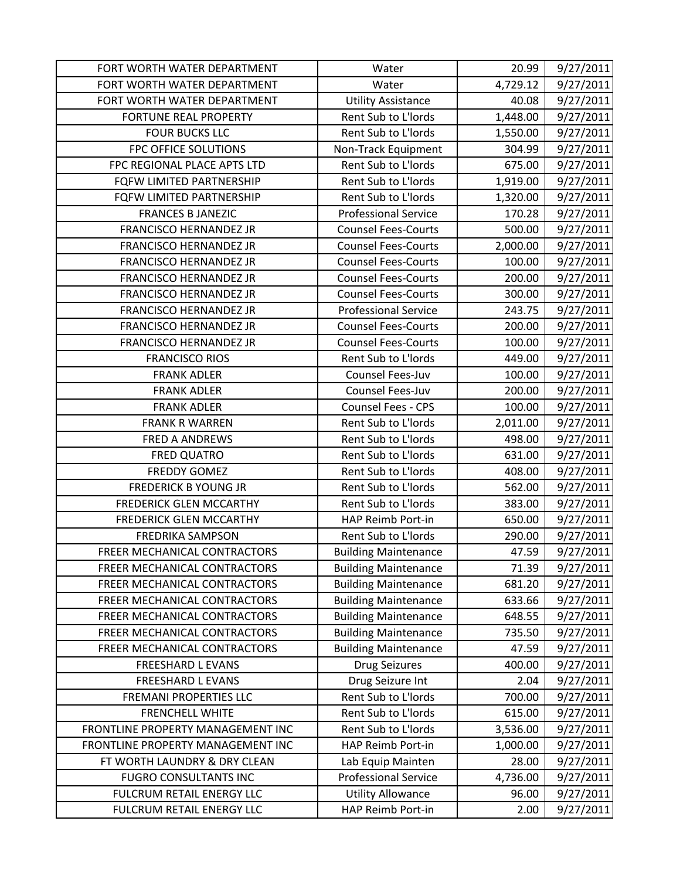| FORT WORTH WATER DEPARTMENT         | Water                       | 20.99    | 9/27/2011 |
|-------------------------------------|-----------------------------|----------|-----------|
| FORT WORTH WATER DEPARTMENT         | Water                       | 4,729.12 | 9/27/2011 |
| FORT WORTH WATER DEPARTMENT         | <b>Utility Assistance</b>   | 40.08    | 9/27/2011 |
| <b>FORTUNE REAL PROPERTY</b>        | Rent Sub to L'Iords         | 1,448.00 | 9/27/2011 |
| <b>FOUR BUCKS LLC</b>               | Rent Sub to L'Iords         | 1,550.00 | 9/27/2011 |
| FPC OFFICE SOLUTIONS                | Non-Track Equipment         | 304.99   | 9/27/2011 |
| FPC REGIONAL PLACE APTS LTD         | Rent Sub to L'Iords         | 675.00   | 9/27/2011 |
| FQFW LIMITED PARTNERSHIP            | Rent Sub to L'Iords         | 1,919.00 | 9/27/2011 |
| FQFW LIMITED PARTNERSHIP            | Rent Sub to L'Iords         | 1,320.00 | 9/27/2011 |
| <b>FRANCES B JANEZIC</b>            | <b>Professional Service</b> | 170.28   | 9/27/2011 |
| <b>FRANCISCO HERNANDEZ JR</b>       | <b>Counsel Fees-Courts</b>  | 500.00   | 9/27/2011 |
| FRANCISCO HERNANDEZ JR              | <b>Counsel Fees-Courts</b>  | 2,000.00 | 9/27/2011 |
| FRANCISCO HERNANDEZ JR              | <b>Counsel Fees-Courts</b>  | 100.00   | 9/27/2011 |
| <b>FRANCISCO HERNANDEZ JR</b>       | <b>Counsel Fees-Courts</b>  | 200.00   | 9/27/2011 |
| <b>FRANCISCO HERNANDEZ JR</b>       | <b>Counsel Fees-Courts</b>  | 300.00   | 9/27/2011 |
| FRANCISCO HERNANDEZ JR              | <b>Professional Service</b> | 243.75   | 9/27/2011 |
| FRANCISCO HERNANDEZ JR              | <b>Counsel Fees-Courts</b>  | 200.00   | 9/27/2011 |
| FRANCISCO HERNANDEZ JR              | <b>Counsel Fees-Courts</b>  | 100.00   | 9/27/2011 |
| <b>FRANCISCO RIOS</b>               | Rent Sub to L'Iords         | 449.00   | 9/27/2011 |
| <b>FRANK ADLER</b>                  | Counsel Fees-Juv            | 100.00   | 9/27/2011 |
| <b>FRANK ADLER</b>                  | Counsel Fees-Juv            | 200.00   | 9/27/2011 |
| <b>FRANK ADLER</b>                  | Counsel Fees - CPS          | 100.00   | 9/27/2011 |
| <b>FRANK R WARREN</b>               | Rent Sub to L'Iords         | 2,011.00 | 9/27/2011 |
| <b>FRED A ANDREWS</b>               | Rent Sub to L'Iords         | 498.00   | 9/27/2011 |
| <b>FRED QUATRO</b>                  | Rent Sub to L'Iords         | 631.00   | 9/27/2011 |
| <b>FREDDY GOMEZ</b>                 | Rent Sub to L'Iords         | 408.00   | 9/27/2011 |
| <b>FREDERICK B YOUNG JR</b>         | Rent Sub to L'Iords         | 562.00   | 9/27/2011 |
| <b>FREDERICK GLEN MCCARTHY</b>      | Rent Sub to L'Iords         | 383.00   | 9/27/2011 |
| <b>FREDERICK GLEN MCCARTHY</b>      | HAP Reimb Port-in           | 650.00   | 9/27/2011 |
| <b>FREDRIKA SAMPSON</b>             | Rent Sub to L'Iords         | 290.00   | 9/27/2011 |
| <b>FREER MECHANICAL CONTRACTORS</b> | <b>Building Maintenance</b> | 47.59    | 9/27/2011 |
| FREER MECHANICAL CONTRACTORS        | <b>Building Maintenance</b> | 71.39    | 9/27/2011 |
| FREER MECHANICAL CONTRACTORS        | <b>Building Maintenance</b> | 681.20   | 9/27/2011 |
| FREER MECHANICAL CONTRACTORS        | <b>Building Maintenance</b> | 633.66   | 9/27/2011 |
| FREER MECHANICAL CONTRACTORS        | <b>Building Maintenance</b> | 648.55   | 9/27/2011 |
| FREER MECHANICAL CONTRACTORS        | <b>Building Maintenance</b> | 735.50   | 9/27/2011 |
| FREER MECHANICAL CONTRACTORS        | <b>Building Maintenance</b> | 47.59    | 9/27/2011 |
| <b>FREESHARD L EVANS</b>            | <b>Drug Seizures</b>        | 400.00   | 9/27/2011 |
| <b>FREESHARD L EVANS</b>            | Drug Seizure Int            | 2.04     | 9/27/2011 |
| <b>FREMANI PROPERTIES LLC</b>       | Rent Sub to L'Iords         | 700.00   | 9/27/2011 |
| <b>FRENCHELL WHITE</b>              | Rent Sub to L'Iords         | 615.00   | 9/27/2011 |
| FRONTLINE PROPERTY MANAGEMENT INC   | Rent Sub to L'Iords         | 3,536.00 | 9/27/2011 |
| FRONTLINE PROPERTY MANAGEMENT INC   | HAP Reimb Port-in           | 1,000.00 | 9/27/2011 |
| FT WORTH LAUNDRY & DRY CLEAN        | Lab Equip Mainten           | 28.00    | 9/27/2011 |
| <b>FUGRO CONSULTANTS INC</b>        | <b>Professional Service</b> | 4,736.00 | 9/27/2011 |
| FULCRUM RETAIL ENERGY LLC           | <b>Utility Allowance</b>    | 96.00    | 9/27/2011 |
| FULCRUM RETAIL ENERGY LLC           | HAP Reimb Port-in           | 2.00     | 9/27/2011 |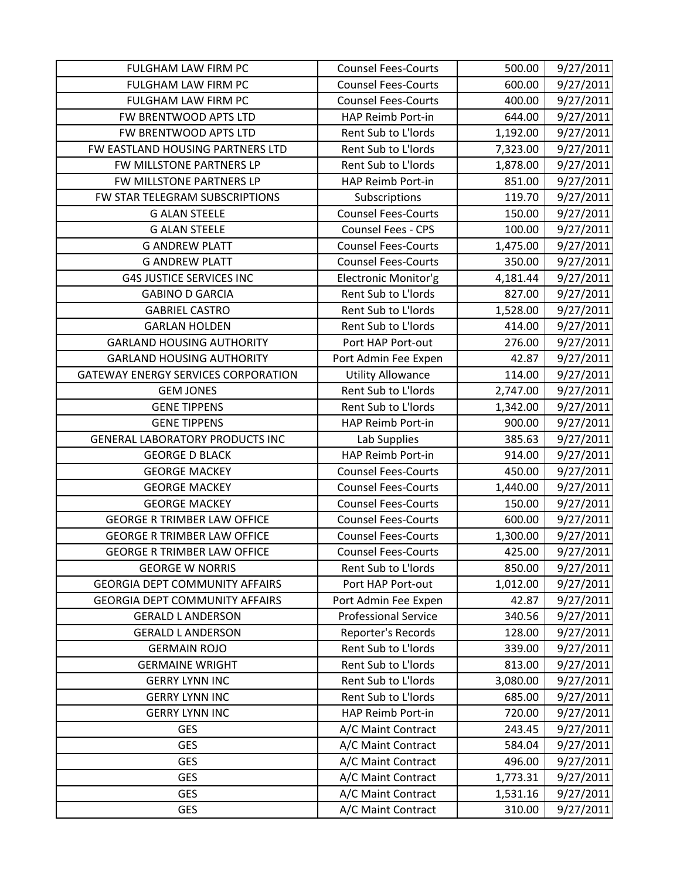| <b>FULGHAM LAW FIRM PC</b>                 | <b>Counsel Fees-Courts</b>  | 500.00   | 9/27/2011 |
|--------------------------------------------|-----------------------------|----------|-----------|
| <b>FULGHAM LAW FIRM PC</b>                 | <b>Counsel Fees-Courts</b>  | 600.00   | 9/27/2011 |
| FULGHAM LAW FIRM PC                        | <b>Counsel Fees-Courts</b>  | 400.00   | 9/27/2011 |
| FW BRENTWOOD APTS LTD                      | HAP Reimb Port-in           | 644.00   | 9/27/2011 |
| FW BRENTWOOD APTS LTD                      | Rent Sub to L'Iords         | 1,192.00 | 9/27/2011 |
| FW EASTLAND HOUSING PARTNERS LTD           | Rent Sub to L'Iords         | 7,323.00 | 9/27/2011 |
| FW MILLSTONE PARTNERS LP                   | Rent Sub to L'Iords         | 1,878.00 | 9/27/2011 |
| FW MILLSTONE PARTNERS LP                   | HAP Reimb Port-in           | 851.00   | 9/27/2011 |
| FW STAR TELEGRAM SUBSCRIPTIONS             | Subscriptions               | 119.70   | 9/27/2011 |
| <b>G ALAN STEELE</b>                       | <b>Counsel Fees-Courts</b>  | 150.00   | 9/27/2011 |
| <b>G ALAN STEELE</b>                       | <b>Counsel Fees - CPS</b>   | 100.00   | 9/27/2011 |
| <b>G ANDREW PLATT</b>                      | <b>Counsel Fees-Courts</b>  | 1,475.00 | 9/27/2011 |
| <b>G ANDREW PLATT</b>                      | <b>Counsel Fees-Courts</b>  | 350.00   | 9/27/2011 |
| <b>G4S JUSTICE SERVICES INC</b>            | Electronic Monitor'g        | 4,181.44 | 9/27/2011 |
| <b>GABINO D GARCIA</b>                     | Rent Sub to L'Iords         | 827.00   | 9/27/2011 |
| <b>GABRIEL CASTRO</b>                      | Rent Sub to L'Iords         | 1,528.00 | 9/27/2011 |
| <b>GARLAN HOLDEN</b>                       | Rent Sub to L'Iords         | 414.00   | 9/27/2011 |
| <b>GARLAND HOUSING AUTHORITY</b>           | Port HAP Port-out           | 276.00   | 9/27/2011 |
| <b>GARLAND HOUSING AUTHORITY</b>           | Port Admin Fee Expen        | 42.87    | 9/27/2011 |
| <b>GATEWAY ENERGY SERVICES CORPORATION</b> | <b>Utility Allowance</b>    | 114.00   | 9/27/2011 |
| <b>GEM JONES</b>                           | Rent Sub to L'Iords         | 2,747.00 | 9/27/2011 |
| <b>GENE TIPPENS</b>                        | Rent Sub to L'Iords         | 1,342.00 | 9/27/2011 |
| <b>GENE TIPPENS</b>                        | HAP Reimb Port-in           | 900.00   | 9/27/2011 |
| <b>GENERAL LABORATORY PRODUCTS INC</b>     | Lab Supplies                | 385.63   | 9/27/2011 |
| <b>GEORGE D BLACK</b>                      | HAP Reimb Port-in           | 914.00   | 9/27/2011 |
| <b>GEORGE MACKEY</b>                       | <b>Counsel Fees-Courts</b>  | 450.00   | 9/27/2011 |
| <b>GEORGE MACKEY</b>                       | <b>Counsel Fees-Courts</b>  | 1,440.00 | 9/27/2011 |
| <b>GEORGE MACKEY</b>                       | <b>Counsel Fees-Courts</b>  | 150.00   | 9/27/2011 |
| <b>GEORGE R TRIMBER LAW OFFICE</b>         | <b>Counsel Fees-Courts</b>  | 600.00   | 9/27/2011 |
| <b>GEORGE R TRIMBER LAW OFFICE</b>         | <b>Counsel Fees-Courts</b>  | 1,300.00 | 9/27/2011 |
| <b>GEORGE R TRIMBER LAW OFFICE</b>         | <b>Counsel Fees-Courts</b>  | 425.00   | 9/27/2011 |
| <b>GEORGE W NORRIS</b>                     | Rent Sub to L'Iords         | 850.00   | 9/27/2011 |
| <b>GEORGIA DEPT COMMUNITY AFFAIRS</b>      | Port HAP Port-out           | 1,012.00 | 9/27/2011 |
| <b>GEORGIA DEPT COMMUNITY AFFAIRS</b>      | Port Admin Fee Expen        | 42.87    | 9/27/2011 |
| <b>GERALD L ANDERSON</b>                   | <b>Professional Service</b> | 340.56   | 9/27/2011 |
| <b>GERALD L ANDERSON</b>                   | Reporter's Records          | 128.00   | 9/27/2011 |
| <b>GERMAIN ROJO</b>                        | Rent Sub to L'Iords         | 339.00   | 9/27/2011 |
| <b>GERMAINE WRIGHT</b>                     | Rent Sub to L'Iords         | 813.00   | 9/27/2011 |
| <b>GERRY LYNN INC</b>                      | Rent Sub to L'Iords         | 3,080.00 | 9/27/2011 |
| <b>GERRY LYNN INC</b>                      | Rent Sub to L'Iords         | 685.00   | 9/27/2011 |
| <b>GERRY LYNN INC</b>                      | HAP Reimb Port-in           | 720.00   | 9/27/2011 |
| <b>GES</b>                                 | A/C Maint Contract          | 243.45   | 9/27/2011 |
| <b>GES</b>                                 | A/C Maint Contract          | 584.04   | 9/27/2011 |
| <b>GES</b>                                 | A/C Maint Contract          | 496.00   | 9/27/2011 |
| <b>GES</b>                                 | A/C Maint Contract          | 1,773.31 | 9/27/2011 |
| <b>GES</b>                                 | A/C Maint Contract          | 1,531.16 | 9/27/2011 |
| <b>GES</b>                                 | A/C Maint Contract          | 310.00   | 9/27/2011 |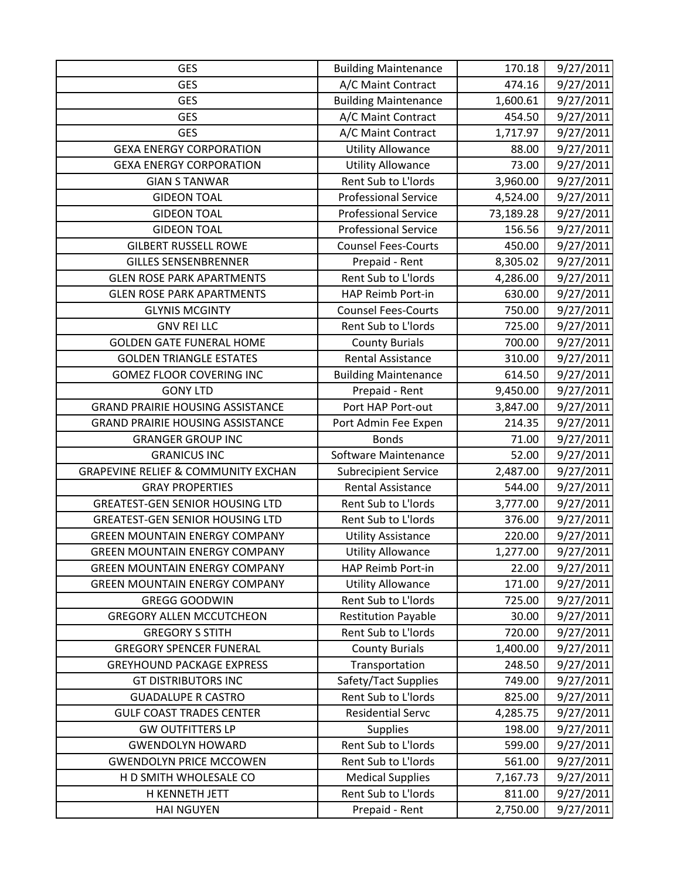| <b>GES</b>                                     | <b>Building Maintenance</b> | 170.18    | 9/27/2011 |
|------------------------------------------------|-----------------------------|-----------|-----------|
| <b>GES</b>                                     | A/C Maint Contract          | 474.16    | 9/27/2011 |
| <b>GES</b>                                     | <b>Building Maintenance</b> | 1,600.61  | 9/27/2011 |
| <b>GES</b>                                     | A/C Maint Contract          | 454.50    | 9/27/2011 |
| <b>GES</b>                                     | A/C Maint Contract          | 1,717.97  | 9/27/2011 |
| <b>GEXA ENERGY CORPORATION</b>                 | <b>Utility Allowance</b>    | 88.00     | 9/27/2011 |
| <b>GEXA ENERGY CORPORATION</b>                 | <b>Utility Allowance</b>    | 73.00     | 9/27/2011 |
| <b>GIAN S TANWAR</b>                           | Rent Sub to L'Iords         | 3,960.00  | 9/27/2011 |
| <b>GIDEON TOAL</b>                             | <b>Professional Service</b> | 4,524.00  | 9/27/2011 |
| <b>GIDEON TOAL</b>                             | <b>Professional Service</b> | 73,189.28 | 9/27/2011 |
| <b>GIDEON TOAL</b>                             | <b>Professional Service</b> | 156.56    | 9/27/2011 |
| <b>GILBERT RUSSELL ROWE</b>                    | <b>Counsel Fees-Courts</b>  | 450.00    | 9/27/2011 |
| <b>GILLES SENSENBRENNER</b>                    | Prepaid - Rent              | 8,305.02  | 9/27/2011 |
| <b>GLEN ROSE PARK APARTMENTS</b>               | Rent Sub to L'Iords         | 4,286.00  | 9/27/2011 |
| <b>GLEN ROSE PARK APARTMENTS</b>               | HAP Reimb Port-in           | 630.00    | 9/27/2011 |
| <b>GLYNIS MCGINTY</b>                          | <b>Counsel Fees-Courts</b>  | 750.00    | 9/27/2011 |
| <b>GNV REI LLC</b>                             | Rent Sub to L'Iords         | 725.00    | 9/27/2011 |
| <b>GOLDEN GATE FUNERAL HOME</b>                | <b>County Burials</b>       | 700.00    | 9/27/2011 |
| <b>GOLDEN TRIANGLE ESTATES</b>                 | <b>Rental Assistance</b>    | 310.00    | 9/27/2011 |
| <b>GOMEZ FLOOR COVERING INC</b>                | <b>Building Maintenance</b> | 614.50    | 9/27/2011 |
| <b>GONY LTD</b>                                | Prepaid - Rent              | 9,450.00  | 9/27/2011 |
| <b>GRAND PRAIRIE HOUSING ASSISTANCE</b>        | Port HAP Port-out           | 3,847.00  | 9/27/2011 |
| <b>GRAND PRAIRIE HOUSING ASSISTANCE</b>        | Port Admin Fee Expen        | 214.35    | 9/27/2011 |
| <b>GRANGER GROUP INC</b>                       | <b>Bonds</b>                | 71.00     | 9/27/2011 |
| <b>GRANICUS INC</b>                            | Software Maintenance        | 52.00     | 9/27/2011 |
| <b>GRAPEVINE RELIEF &amp; COMMUNITY EXCHAN</b> | <b>Subrecipient Service</b> | 2,487.00  | 9/27/2011 |
| <b>GRAY PROPERTIES</b>                         | Rental Assistance           | 544.00    | 9/27/2011 |
| <b>GREATEST-GEN SENIOR HOUSING LTD</b>         | Rent Sub to L'Iords         | 3,777.00  | 9/27/2011 |
| <b>GREATEST-GEN SENIOR HOUSING LTD</b>         | Rent Sub to L'Iords         | 376.00    | 9/27/2011 |
| <b>GREEN MOUNTAIN ENERGY COMPANY</b>           | <b>Utility Assistance</b>   | 220.00    | 9/27/2011 |
| <b>GREEN MOUNTAIN ENERGY COMPANY</b>           | <b>Utility Allowance</b>    | 1,277.00  | 9/27/2011 |
| <b>GREEN MOUNTAIN ENERGY COMPANY</b>           | HAP Reimb Port-in           | 22.00     | 9/27/2011 |
| <b>GREEN MOUNTAIN ENERGY COMPANY</b>           | <b>Utility Allowance</b>    | 171.00    | 9/27/2011 |
| <b>GREGG GOODWIN</b>                           | Rent Sub to L'Iords         | 725.00    | 9/27/2011 |
| <b>GREGORY ALLEN MCCUTCHEON</b>                | <b>Restitution Payable</b>  | 30.00     | 9/27/2011 |
| <b>GREGORY S STITH</b>                         | Rent Sub to L'Iords         | 720.00    | 9/27/2011 |
| <b>GREGORY SPENCER FUNERAL</b>                 | <b>County Burials</b>       | 1,400.00  | 9/27/2011 |
| <b>GREYHOUND PACKAGE EXPRESS</b>               | Transportation              | 248.50    | 9/27/2011 |
| <b>GT DISTRIBUTORS INC</b>                     | Safety/Tact Supplies        | 749.00    | 9/27/2011 |
| <b>GUADALUPE R CASTRO</b>                      | Rent Sub to L'Iords         | 825.00    | 9/27/2011 |
| <b>GULF COAST TRADES CENTER</b>                | <b>Residential Servc</b>    | 4,285.75  | 9/27/2011 |
| <b>GW OUTFITTERS LP</b>                        | <b>Supplies</b>             | 198.00    | 9/27/2011 |
| <b>GWENDOLYN HOWARD</b>                        | Rent Sub to L'Iords         | 599.00    | 9/27/2011 |
| <b>GWENDOLYN PRICE MCCOWEN</b>                 | Rent Sub to L'Iords         | 561.00    | 9/27/2011 |
| H D SMITH WHOLESALE CO                         | <b>Medical Supplies</b>     | 7,167.73  | 9/27/2011 |
| H KENNETH JETT                                 | Rent Sub to L'Iords         | 811.00    | 9/27/2011 |
| <b>HAI NGUYEN</b>                              | Prepaid - Rent              | 2,750.00  | 9/27/2011 |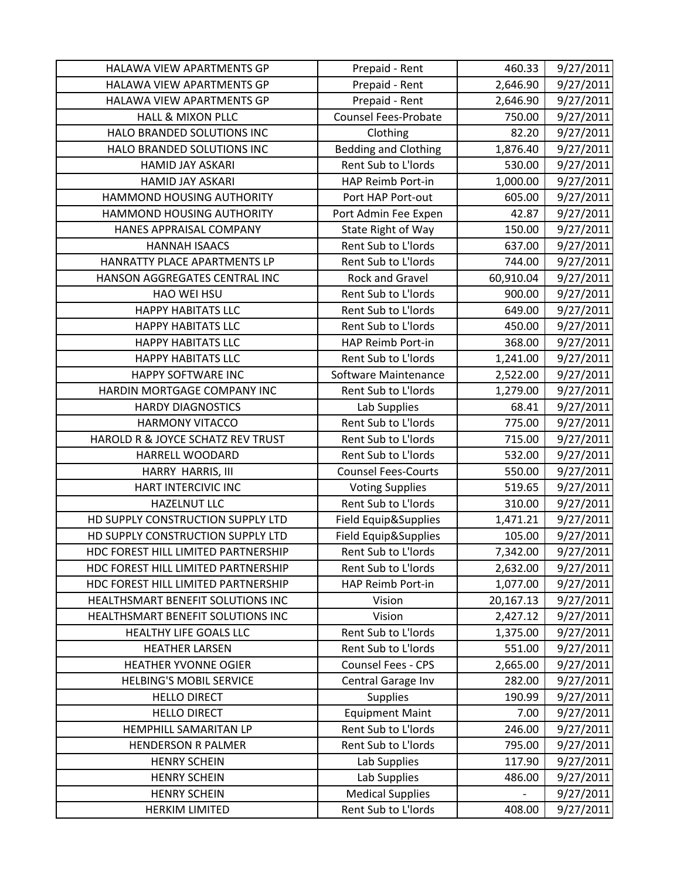| HALAWA VIEW APARTMENTS GP           | Prepaid - Rent              | 460.33    | 9/27/2011 |
|-------------------------------------|-----------------------------|-----------|-----------|
| HALAWA VIEW APARTMENTS GP           | Prepaid - Rent              | 2,646.90  | 9/27/2011 |
| HALAWA VIEW APARTMENTS GP           | Prepaid - Rent              | 2,646.90  | 9/27/2011 |
| <b>HALL &amp; MIXON PLLC</b>        | <b>Counsel Fees-Probate</b> | 750.00    | 9/27/2011 |
| HALO BRANDED SOLUTIONS INC          | Clothing                    | 82.20     | 9/27/2011 |
| HALO BRANDED SOLUTIONS INC          | <b>Bedding and Clothing</b> | 1,876.40  | 9/27/2011 |
| <b>HAMID JAY ASKARI</b>             | Rent Sub to L'Iords         | 530.00    | 9/27/2011 |
| <b>HAMID JAY ASKARI</b>             | HAP Reimb Port-in           | 1,000.00  | 9/27/2011 |
| HAMMOND HOUSING AUTHORITY           | Port HAP Port-out           | 605.00    | 9/27/2011 |
| HAMMOND HOUSING AUTHORITY           | Port Admin Fee Expen        | 42.87     | 9/27/2011 |
| HANES APPRAISAL COMPANY             | State Right of Way          | 150.00    | 9/27/2011 |
| <b>HANNAH ISAACS</b>                | Rent Sub to L'Iords         | 637.00    | 9/27/2011 |
| HANRATTY PLACE APARTMENTS LP        | Rent Sub to L'Iords         | 744.00    | 9/27/2011 |
| HANSON AGGREGATES CENTRAL INC       | Rock and Gravel             | 60,910.04 | 9/27/2011 |
| HAO WEI HSU                         | Rent Sub to L'Iords         | 900.00    | 9/27/2011 |
| <b>HAPPY HABITATS LLC</b>           | Rent Sub to L'Iords         | 649.00    | 9/27/2011 |
| <b>HAPPY HABITATS LLC</b>           | Rent Sub to L'Iords         | 450.00    | 9/27/2011 |
| <b>HAPPY HABITATS LLC</b>           | HAP Reimb Port-in           | 368.00    | 9/27/2011 |
| <b>HAPPY HABITATS LLC</b>           | Rent Sub to L'Iords         | 1,241.00  | 9/27/2011 |
| HAPPY SOFTWARE INC                  | Software Maintenance        | 2,522.00  | 9/27/2011 |
| HARDIN MORTGAGE COMPANY INC         | Rent Sub to L'Iords         | 1,279.00  | 9/27/2011 |
| <b>HARDY DIAGNOSTICS</b>            | Lab Supplies                | 68.41     | 9/27/2011 |
| <b>HARMONY VITACCO</b>              | Rent Sub to L'Iords         | 775.00    | 9/27/2011 |
| HAROLD R & JOYCE SCHATZ REV TRUST   | Rent Sub to L'Iords         | 715.00    | 9/27/2011 |
| HARRELL WOODARD                     | Rent Sub to L'Iords         | 532.00    | 9/27/2011 |
| HARRY HARRIS, III                   | <b>Counsel Fees-Courts</b>  | 550.00    | 9/27/2011 |
| HART INTERCIVIC INC                 | <b>Voting Supplies</b>      | 519.65    | 9/27/2011 |
| <b>HAZELNUT LLC</b>                 | Rent Sub to L'Iords         | 310.00    | 9/27/2011 |
| HD SUPPLY CONSTRUCTION SUPPLY LTD   | Field Equip&Supplies        | 1,471.21  | 9/27/2011 |
| HD SUPPLY CONSTRUCTION SUPPLY LTD   | Field Equip&Supplies        | 105.00    | 9/27/2011 |
| HDC FOREST HILL LIMITED PARTNERSHIP | Rent Sub to L'Iords         | 7,342.00  | 9/27/2011 |
| HDC FOREST HILL LIMITED PARTNERSHIP | Rent Sub to L'Iords         | 2,632.00  | 9/27/2011 |
| HDC FOREST HILL LIMITED PARTNERSHIP | HAP Reimb Port-in           | 1,077.00  | 9/27/2011 |
| HEALTHSMART BENEFIT SOLUTIONS INC   | Vision                      | 20,167.13 | 9/27/2011 |
| HEALTHSMART BENEFIT SOLUTIONS INC   | Vision                      | 2,427.12  | 9/27/2011 |
| HEALTHY LIFE GOALS LLC              | Rent Sub to L'Iords         | 1,375.00  | 9/27/2011 |
| <b>HEATHER LARSEN</b>               | Rent Sub to L'Iords         | 551.00    | 9/27/2011 |
| <b>HEATHER YVONNE OGIER</b>         | Counsel Fees - CPS          | 2,665.00  | 9/27/2011 |
| <b>HELBING'S MOBIL SERVICE</b>      | Central Garage Inv          | 282.00    | 9/27/2011 |
| <b>HELLO DIRECT</b>                 | <b>Supplies</b>             | 190.99    | 9/27/2011 |
| <b>HELLO DIRECT</b>                 | <b>Equipment Maint</b>      | 7.00      | 9/27/2011 |
| HEMPHILL SAMARITAN LP               | Rent Sub to L'Iords         | 246.00    | 9/27/2011 |
| <b>HENDERSON R PALMER</b>           | Rent Sub to L'Iords         | 795.00    | 9/27/2011 |
| <b>HENRY SCHEIN</b>                 | Lab Supplies                | 117.90    | 9/27/2011 |
| <b>HENRY SCHEIN</b>                 | Lab Supplies                | 486.00    | 9/27/2011 |
| <b>HENRY SCHEIN</b>                 | <b>Medical Supplies</b>     |           | 9/27/2011 |
| <b>HERKIM LIMITED</b>               | Rent Sub to L'Iords         | 408.00    | 9/27/2011 |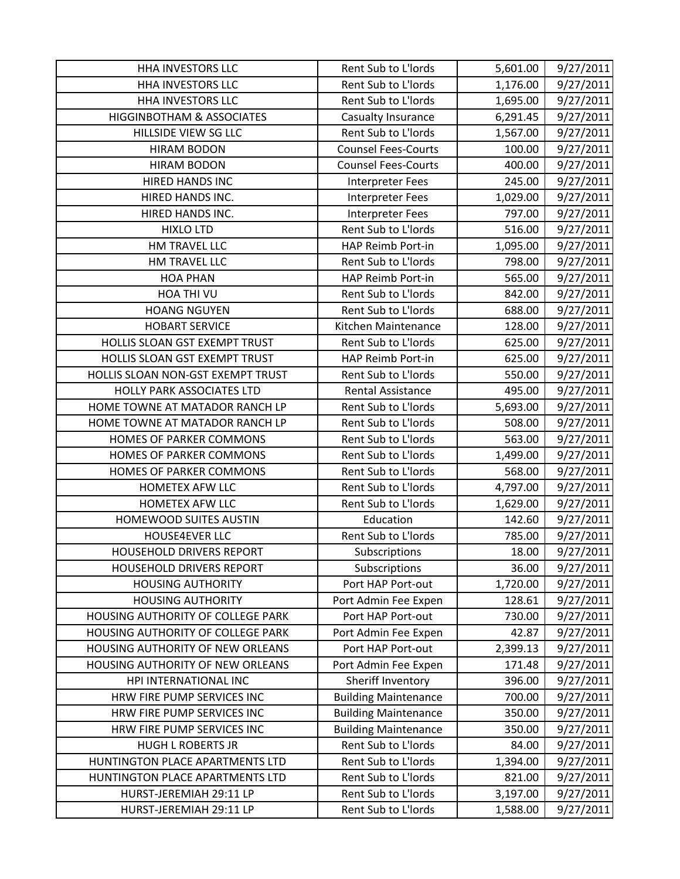| <b>HHA INVESTORS LLC</b>             | Rent Sub to L'Iords         | 5,601.00 | 9/27/2011 |
|--------------------------------------|-----------------------------|----------|-----------|
| HHA INVESTORS LLC                    | Rent Sub to L'Iords         | 1,176.00 | 9/27/2011 |
| <b>HHA INVESTORS LLC</b>             | Rent Sub to L'Iords         | 1,695.00 | 9/27/2011 |
| <b>HIGGINBOTHAM &amp; ASSOCIATES</b> | Casualty Insurance          | 6,291.45 | 9/27/2011 |
| HILLSIDE VIEW SG LLC                 | Rent Sub to L'Iords         | 1,567.00 | 9/27/2011 |
| <b>HIRAM BODON</b>                   | <b>Counsel Fees-Courts</b>  | 100.00   | 9/27/2011 |
| <b>HIRAM BODON</b>                   | <b>Counsel Fees-Courts</b>  | 400.00   | 9/27/2011 |
| HIRED HANDS INC                      | <b>Interpreter Fees</b>     | 245.00   | 9/27/2011 |
| HIRED HANDS INC.                     | <b>Interpreter Fees</b>     | 1,029.00 | 9/27/2011 |
| HIRED HANDS INC.                     | <b>Interpreter Fees</b>     | 797.00   | 9/27/2011 |
| <b>HIXLO LTD</b>                     | Rent Sub to L'Iords         | 516.00   | 9/27/2011 |
| HM TRAVEL LLC                        | HAP Reimb Port-in           | 1,095.00 | 9/27/2011 |
| HM TRAVEL LLC                        | Rent Sub to L'Iords         | 798.00   | 9/27/2011 |
| <b>HOA PHAN</b>                      | HAP Reimb Port-in           | 565.00   | 9/27/2011 |
| HOA THI VU                           | Rent Sub to L'Iords         | 842.00   | 9/27/2011 |
| <b>HOANG NGUYEN</b>                  | Rent Sub to L'Iords         | 688.00   | 9/27/2011 |
| <b>HOBART SERVICE</b>                | Kitchen Maintenance         | 128.00   | 9/27/2011 |
| HOLLIS SLOAN GST EXEMPT TRUST        | Rent Sub to L'Iords         | 625.00   | 9/27/2011 |
| HOLLIS SLOAN GST EXEMPT TRUST        | HAP Reimb Port-in           | 625.00   | 9/27/2011 |
| HOLLIS SLOAN NON-GST EXEMPT TRUST    | Rent Sub to L'Iords         | 550.00   | 9/27/2011 |
| <b>HOLLY PARK ASSOCIATES LTD</b>     | <b>Rental Assistance</b>    | 495.00   | 9/27/2011 |
| HOME TOWNE AT MATADOR RANCH LP       | Rent Sub to L'Iords         | 5,693.00 | 9/27/2011 |
| HOME TOWNE AT MATADOR RANCH LP       | Rent Sub to L'Iords         | 508.00   | 9/27/2011 |
| HOMES OF PARKER COMMONS              | Rent Sub to L'Iords         | 563.00   | 9/27/2011 |
| HOMES OF PARKER COMMONS              | Rent Sub to L'Iords         | 1,499.00 | 9/27/2011 |
| HOMES OF PARKER COMMONS              | Rent Sub to L'Iords         | 568.00   | 9/27/2011 |
| HOMETEX AFW LLC                      | Rent Sub to L'Iords         | 4,797.00 | 9/27/2011 |
| <b>HOMETEX AFW LLC</b>               | Rent Sub to L'Iords         | 1,629.00 | 9/27/2011 |
| HOMEWOOD SUITES AUSTIN               | Education                   | 142.60   | 9/27/2011 |
| HOUSE4EVER LLC                       | Rent Sub to L'Iords         | 785.00   | 9/27/2011 |
| <b>HOUSEHOLD DRIVERS REPORT</b>      | Subscriptions               | 18.00    | 9/27/2011 |
| <b>HOUSEHOLD DRIVERS REPORT</b>      | Subscriptions               | 36.00    | 9/27/2011 |
| <b>HOUSING AUTHORITY</b>             | Port HAP Port-out           | 1,720.00 | 9/27/2011 |
| <b>HOUSING AUTHORITY</b>             | Port Admin Fee Expen        | 128.61   | 9/27/2011 |
| HOUSING AUTHORITY OF COLLEGE PARK    | Port HAP Port-out           | 730.00   | 9/27/2011 |
| HOUSING AUTHORITY OF COLLEGE PARK    | Port Admin Fee Expen        | 42.87    | 9/27/2011 |
| HOUSING AUTHORITY OF NEW ORLEANS     | Port HAP Port-out           | 2,399.13 | 9/27/2011 |
| HOUSING AUTHORITY OF NEW ORLEANS     | Port Admin Fee Expen        | 171.48   | 9/27/2011 |
| HPI INTERNATIONAL INC                | Sheriff Inventory           | 396.00   | 9/27/2011 |
| HRW FIRE PUMP SERVICES INC           | <b>Building Maintenance</b> | 700.00   | 9/27/2011 |
| HRW FIRE PUMP SERVICES INC           | <b>Building Maintenance</b> | 350.00   | 9/27/2011 |
| HRW FIRE PUMP SERVICES INC           | <b>Building Maintenance</b> | 350.00   | 9/27/2011 |
| <b>HUGH L ROBERTS JR</b>             | Rent Sub to L'Iords         | 84.00    | 9/27/2011 |
| HUNTINGTON PLACE APARTMENTS LTD      | Rent Sub to L'Iords         | 1,394.00 | 9/27/2011 |
| HUNTINGTON PLACE APARTMENTS LTD      | Rent Sub to L'Iords         | 821.00   | 9/27/2011 |
| HURST-JEREMIAH 29:11 LP              | Rent Sub to L'Iords         | 3,197.00 | 9/27/2011 |
| HURST-JEREMIAH 29:11 LP              | Rent Sub to L'Iords         | 1,588.00 | 9/27/2011 |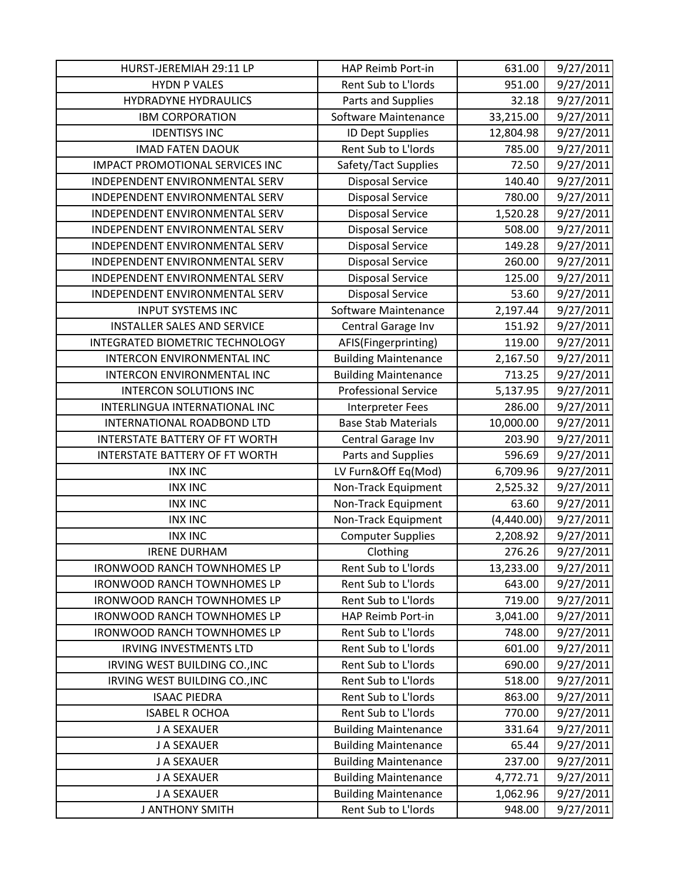| HURST-JEREMIAH 29:11 LP                | HAP Reimb Port-in           | 631.00     | 9/27/2011 |
|----------------------------------------|-----------------------------|------------|-----------|
| <b>HYDN P VALES</b>                    | Rent Sub to L'Iords         | 951.00     | 9/27/2011 |
| <b>HYDRADYNE HYDRAULICS</b>            | Parts and Supplies          | 32.18      | 9/27/2011 |
| <b>IBM CORPORATION</b>                 | Software Maintenance        | 33,215.00  | 9/27/2011 |
| <b>IDENTISYS INC</b>                   | <b>ID Dept Supplies</b>     | 12,804.98  | 9/27/2011 |
| <b>IMAD FATEN DAOUK</b>                | Rent Sub to L'Iords         | 785.00     | 9/27/2011 |
| <b>IMPACT PROMOTIONAL SERVICES INC</b> | Safety/Tact Supplies        | 72.50      | 9/27/2011 |
| INDEPENDENT ENVIRONMENTAL SERV         | <b>Disposal Service</b>     | 140.40     | 9/27/2011 |
| INDEPENDENT ENVIRONMENTAL SERV         | <b>Disposal Service</b>     | 780.00     | 9/27/2011 |
| INDEPENDENT ENVIRONMENTAL SERV         | <b>Disposal Service</b>     | 1,520.28   | 9/27/2011 |
| INDEPENDENT ENVIRONMENTAL SERV         | <b>Disposal Service</b>     | 508.00     | 9/27/2011 |
| INDEPENDENT ENVIRONMENTAL SERV         | <b>Disposal Service</b>     | 149.28     | 9/27/2011 |
| INDEPENDENT ENVIRONMENTAL SERV         | <b>Disposal Service</b>     | 260.00     | 9/27/2011 |
| INDEPENDENT ENVIRONMENTAL SERV         | <b>Disposal Service</b>     | 125.00     | 9/27/2011 |
| INDEPENDENT ENVIRONMENTAL SERV         | <b>Disposal Service</b>     | 53.60      | 9/27/2011 |
| <b>INPUT SYSTEMS INC</b>               | Software Maintenance        | 2,197.44   | 9/27/2011 |
| <b>INSTALLER SALES AND SERVICE</b>     | Central Garage Inv          | 151.92     | 9/27/2011 |
| INTEGRATED BIOMETRIC TECHNOLOGY        | AFIS(Fingerprinting)        | 119.00     | 9/27/2011 |
| INTERCON ENVIRONMENTAL INC             | <b>Building Maintenance</b> | 2,167.50   | 9/27/2011 |
| INTERCON ENVIRONMENTAL INC             | <b>Building Maintenance</b> | 713.25     | 9/27/2011 |
| <b>INTERCON SOLUTIONS INC</b>          | <b>Professional Service</b> | 5,137.95   | 9/27/2011 |
| INTERLINGUA INTERNATIONAL INC          | <b>Interpreter Fees</b>     | 286.00     | 9/27/2011 |
| INTERNATIONAL ROADBOND LTD             | <b>Base Stab Materials</b>  | 10,000.00  | 9/27/2011 |
| <b>INTERSTATE BATTERY OF FT WORTH</b>  | Central Garage Inv          | 203.90     | 9/27/2011 |
| INTERSTATE BATTERY OF FT WORTH         | Parts and Supplies          | 596.69     | 9/27/2011 |
| <b>INX INC</b>                         | LV Furn&Off Eq(Mod)         | 6,709.96   | 9/27/2011 |
| <b>INX INC</b>                         | Non-Track Equipment         | 2,525.32   | 9/27/2011 |
| <b>INX INC</b>                         | Non-Track Equipment         | 63.60      | 9/27/2011 |
| <b>INX INC</b>                         | Non-Track Equipment         | (4,440.00) | 9/27/2011 |
| <b>INX INC</b>                         | <b>Computer Supplies</b>    | 2,208.92   | 9/27/2011 |
| <b>IRENE DURHAM</b>                    | Clothing                    | 276.26     | 9/27/2011 |
| <b>IRONWOOD RANCH TOWNHOMES LP</b>     | Rent Sub to L'Iords         | 13,233.00  | 9/27/2011 |
| <b>IRONWOOD RANCH TOWNHOMES LP</b>     | Rent Sub to L'Iords         | 643.00     | 9/27/2011 |
| <b>IRONWOOD RANCH TOWNHOMES LP</b>     | Rent Sub to L'Iords         | 719.00     | 9/27/2011 |
| <b>IRONWOOD RANCH TOWNHOMES LP</b>     | HAP Reimb Port-in           | 3,041.00   | 9/27/2011 |
| <b>IRONWOOD RANCH TOWNHOMES LP</b>     | Rent Sub to L'Iords         | 748.00     | 9/27/2011 |
| <b>IRVING INVESTMENTS LTD</b>          | Rent Sub to L'Iords         | 601.00     | 9/27/2011 |
| IRVING WEST BUILDING CO., INC          | Rent Sub to L'Iords         | 690.00     | 9/27/2011 |
| IRVING WEST BUILDING CO., INC          | Rent Sub to L'Iords         | 518.00     | 9/27/2011 |
| <b>ISAAC PIEDRA</b>                    | Rent Sub to L'Iords         | 863.00     | 9/27/2011 |
| <b>ISABEL R OCHOA</b>                  | Rent Sub to L'Iords         | 770.00     | 9/27/2011 |
| J A SEXAUER                            | <b>Building Maintenance</b> | 331.64     | 9/27/2011 |
| J A SEXAUER                            | <b>Building Maintenance</b> | 65.44      | 9/27/2011 |
| J A SEXAUER                            | <b>Building Maintenance</b> | 237.00     | 9/27/2011 |
| J A SEXAUER                            | <b>Building Maintenance</b> | 4,772.71   | 9/27/2011 |
| J A SEXAUER                            | <b>Building Maintenance</b> | 1,062.96   | 9/27/2011 |
| <b>J ANTHONY SMITH</b>                 | Rent Sub to L'Iords         | 948.00     | 9/27/2011 |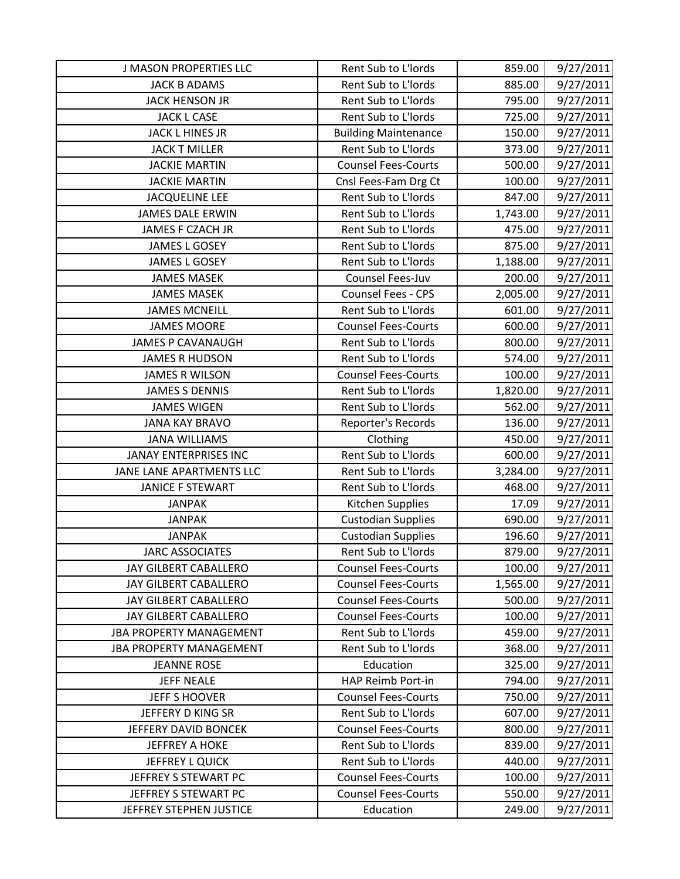| <b>J MASON PROPERTIES LLC</b>  | Rent Sub to L'Iords         | 859.00   | 9/27/2011 |
|--------------------------------|-----------------------------|----------|-----------|
| <b>JACK B ADAMS</b>            | Rent Sub to L'Iords         | 885.00   | 9/27/2011 |
| JACK HENSON JR                 | Rent Sub to L'Iords         | 795.00   | 9/27/2011 |
| <b>JACK L CASE</b>             | Rent Sub to L'Iords         | 725.00   | 9/27/2011 |
| <b>JACK L HINES JR</b>         | <b>Building Maintenance</b> | 150.00   | 9/27/2011 |
| <b>JACK T MILLER</b>           | Rent Sub to L'Iords         | 373.00   | 9/27/2011 |
| <b>JACKIE MARTIN</b>           | <b>Counsel Fees-Courts</b>  | 500.00   | 9/27/2011 |
| <b>JACKIE MARTIN</b>           | Cnsl Fees-Fam Drg Ct        | 100.00   | 9/27/2011 |
| <b>JACQUELINE LEE</b>          | Rent Sub to L'Iords         | 847.00   | 9/27/2011 |
| <b>JAMES DALE ERWIN</b>        | Rent Sub to L'Iords         | 1,743.00 | 9/27/2011 |
| JAMES F CZACH JR               | Rent Sub to L'Iords         | 475.00   | 9/27/2011 |
| <b>JAMES L GOSEY</b>           | Rent Sub to L'Iords         | 875.00   | 9/27/2011 |
| <b>JAMES L GOSEY</b>           | Rent Sub to L'Iords         | 1,188.00 | 9/27/2011 |
| <b>JAMES MASEK</b>             | Counsel Fees-Juv            | 200.00   | 9/27/2011 |
| <b>JAMES MASEK</b>             | Counsel Fees - CPS          | 2,005.00 | 9/27/2011 |
| <b>JAMES MCNEILL</b>           | Rent Sub to L'Iords         | 601.00   | 9/27/2011 |
| <b>JAMES MOORE</b>             | <b>Counsel Fees-Courts</b>  | 600.00   | 9/27/2011 |
| <b>JAMES P CAVANAUGH</b>       | Rent Sub to L'Iords         | 800.00   | 9/27/2011 |
| <b>JAMES R HUDSON</b>          | Rent Sub to L'Iords         | 574.00   | 9/27/2011 |
| <b>JAMES R WILSON</b>          | <b>Counsel Fees-Courts</b>  | 100.00   | 9/27/2011 |
| <b>JAMES S DENNIS</b>          | Rent Sub to L'Iords         | 1,820.00 | 9/27/2011 |
| <b>JAMES WIGEN</b>             | Rent Sub to L'Iords         | 562.00   | 9/27/2011 |
| <b>JANA KAY BRAVO</b>          | Reporter's Records          | 136.00   | 9/27/2011 |
| <b>JANA WILLIAMS</b>           | Clothing                    | 450.00   | 9/27/2011 |
| <b>JANAY ENTERPRISES INC</b>   | Rent Sub to L'Iords         | 600.00   | 9/27/2011 |
| JANE LANE APARTMENTS LLC       | Rent Sub to L'Iords         | 3,284.00 | 9/27/2011 |
| <b>JANICE F STEWART</b>        | Rent Sub to L'Iords         | 468.00   | 9/27/2011 |
| <b>JANPAK</b>                  | Kitchen Supplies            | 17.09    | 9/27/2011 |
| <b>JANPAK</b>                  | <b>Custodian Supplies</b>   | 690.00   | 9/27/2011 |
| <b>JANPAK</b>                  | <b>Custodian Supplies</b>   | 196.60   | 9/27/2011 |
| <b>JARC ASSOCIATES</b>         | Rent Sub to L'Iords         | 879.00   | 9/27/2011 |
| JAY GILBERT CABALLERO          | <b>Counsel Fees-Courts</b>  | 100.00   | 9/27/2011 |
| JAY GILBERT CABALLERO          | <b>Counsel Fees-Courts</b>  | 1,565.00 | 9/27/2011 |
| JAY GILBERT CABALLERO          | <b>Counsel Fees-Courts</b>  | 500.00   | 9/27/2011 |
| JAY GILBERT CABALLERO          | <b>Counsel Fees-Courts</b>  | 100.00   | 9/27/2011 |
| <b>JBA PROPERTY MANAGEMENT</b> | Rent Sub to L'Iords         | 459.00   | 9/27/2011 |
| <b>JBA PROPERTY MANAGEMENT</b> | Rent Sub to L'Iords         | 368.00   | 9/27/2011 |
| <b>JEANNE ROSE</b>             | Education                   | 325.00   | 9/27/2011 |
| <b>JEFF NEALE</b>              | HAP Reimb Port-in           | 794.00   | 9/27/2011 |
| JEFF S HOOVER                  | <b>Counsel Fees-Courts</b>  | 750.00   | 9/27/2011 |
| JEFFERY D KING SR              | Rent Sub to L'Iords         | 607.00   | 9/27/2011 |
| JEFFERY DAVID BONCEK           | <b>Counsel Fees-Courts</b>  | 800.00   | 9/27/2011 |
| <b>JEFFREY A HOKE</b>          | Rent Sub to L'Iords         | 839.00   | 9/27/2011 |
| JEFFREY L QUICK                | Rent Sub to L'Iords         | 440.00   | 9/27/2011 |
| JEFFREY S STEWART PC           | <b>Counsel Fees-Courts</b>  | 100.00   | 9/27/2011 |
| JEFFREY S STEWART PC           | <b>Counsel Fees-Courts</b>  | 550.00   | 9/27/2011 |
| JEFFREY STEPHEN JUSTICE        | Education                   | 249.00   | 9/27/2011 |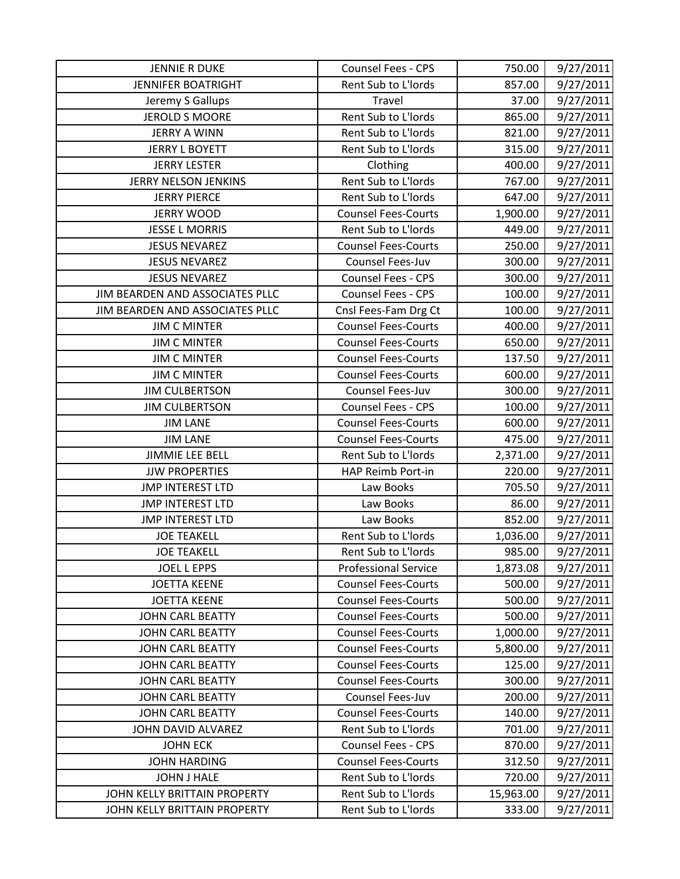| <b>JENNIE R DUKE</b>            | Counsel Fees - CPS          | 750.00    | 9/27/2011 |
|---------------------------------|-----------------------------|-----------|-----------|
| <b>JENNIFER BOATRIGHT</b>       | Rent Sub to L'Iords         | 857.00    | 9/27/2011 |
| Jeremy S Gallups                | Travel                      | 37.00     | 9/27/2011 |
| <b>JEROLD S MOORE</b>           | Rent Sub to L'Iords         | 865.00    | 9/27/2011 |
| <b>JERRY A WINN</b>             | Rent Sub to L'Iords         | 821.00    | 9/27/2011 |
| <b>JERRY L BOYETT</b>           | Rent Sub to L'Iords         | 315.00    | 9/27/2011 |
| <b>JERRY LESTER</b>             | Clothing                    | 400.00    | 9/27/2011 |
| JERRY NELSON JENKINS            | Rent Sub to L'Iords         | 767.00    | 9/27/2011 |
| <b>JERRY PIERCE</b>             | Rent Sub to L'Iords         | 647.00    | 9/27/2011 |
| <b>JERRY WOOD</b>               | <b>Counsel Fees-Courts</b>  | 1,900.00  | 9/27/2011 |
| <b>JESSE L MORRIS</b>           | Rent Sub to L'Iords         | 449.00    | 9/27/2011 |
| <b>JESUS NEVAREZ</b>            | <b>Counsel Fees-Courts</b>  | 250.00    | 9/27/2011 |
| <b>JESUS NEVAREZ</b>            | Counsel Fees-Juv            | 300.00    | 9/27/2011 |
| <b>JESUS NEVAREZ</b>            | <b>Counsel Fees - CPS</b>   | 300.00    | 9/27/2011 |
| JIM BEARDEN AND ASSOCIATES PLLC | <b>Counsel Fees - CPS</b>   | 100.00    | 9/27/2011 |
| JIM BEARDEN AND ASSOCIATES PLLC | Cnsl Fees-Fam Drg Ct        | 100.00    | 9/27/2011 |
| <b>JIM C MINTER</b>             | <b>Counsel Fees-Courts</b>  | 400.00    | 9/27/2011 |
| <b>JIM C MINTER</b>             | <b>Counsel Fees-Courts</b>  | 650.00    | 9/27/2011 |
| <b>JIM C MINTER</b>             | <b>Counsel Fees-Courts</b>  | 137.50    | 9/27/2011 |
| <b>JIM C MINTER</b>             | <b>Counsel Fees-Courts</b>  | 600.00    | 9/27/2011 |
| <b>JIM CULBERTSON</b>           | Counsel Fees-Juv            | 300.00    | 9/27/2011 |
| <b>JIM CULBERTSON</b>           | Counsel Fees - CPS          | 100.00    | 9/27/2011 |
| <b>JIM LANE</b>                 | <b>Counsel Fees-Courts</b>  | 600.00    | 9/27/2011 |
| <b>JIM LANE</b>                 | <b>Counsel Fees-Courts</b>  | 475.00    | 9/27/2011 |
| <b>JIMMIE LEE BELL</b>          | Rent Sub to L'Iords         | 2,371.00  | 9/27/2011 |
| <b>JJW PROPERTIES</b>           | HAP Reimb Port-in           | 220.00    | 9/27/2011 |
| <b>JMP INTEREST LTD</b>         | Law Books                   | 705.50    | 9/27/2011 |
| <b>JMP INTEREST LTD</b>         | Law Books                   | 86.00     | 9/27/2011 |
| <b>JMP INTEREST LTD</b>         | Law Books                   | 852.00    | 9/27/2011 |
| <b>JOE TEAKELL</b>              | Rent Sub to L'Iords         | 1,036.00  | 9/27/2011 |
| <b>JOE TEAKELL</b>              | Rent Sub to L'Iords         | 985.00    | 9/27/2011 |
| <b>JOEL L EPPS</b>              | <b>Professional Service</b> | 1,873.08  | 9/27/2011 |
| <b>JOETTA KEENE</b>             | <b>Counsel Fees-Courts</b>  | 500.00    | 9/27/2011 |
| <b>JOETTA KEENE</b>             | <b>Counsel Fees-Courts</b>  | 500.00    | 9/27/2011 |
| <b>JOHN CARL BEATTY</b>         | <b>Counsel Fees-Courts</b>  | 500.00    | 9/27/2011 |
| <b>JOHN CARL BEATTY</b>         | <b>Counsel Fees-Courts</b>  | 1,000.00  | 9/27/2011 |
| <b>JOHN CARL BEATTY</b>         | <b>Counsel Fees-Courts</b>  | 5,800.00  | 9/27/2011 |
| <b>JOHN CARL BEATTY</b>         | <b>Counsel Fees-Courts</b>  | 125.00    | 9/27/2011 |
| <b>JOHN CARL BEATTY</b>         | <b>Counsel Fees-Courts</b>  | 300.00    | 9/27/2011 |
| <b>JOHN CARL BEATTY</b>         | Counsel Fees-Juv            | 200.00    | 9/27/2011 |
| <b>JOHN CARL BEATTY</b>         | <b>Counsel Fees-Courts</b>  | 140.00    | 9/27/2011 |
| JOHN DAVID ALVAREZ              | Rent Sub to L'Iords         | 701.00    | 9/27/2011 |
| <b>JOHN ECK</b>                 | <b>Counsel Fees - CPS</b>   | 870.00    | 9/27/2011 |
| <b>JOHN HARDING</b>             | <b>Counsel Fees-Courts</b>  | 312.50    | 9/27/2011 |
| <b>JOHN J HALE</b>              | Rent Sub to L'Iords         | 720.00    | 9/27/2011 |
| JOHN KELLY BRITTAIN PROPERTY    | Rent Sub to L'Iords         | 15,963.00 | 9/27/2011 |
| JOHN KELLY BRITTAIN PROPERTY    | Rent Sub to L'Iords         | 333.00    | 9/27/2011 |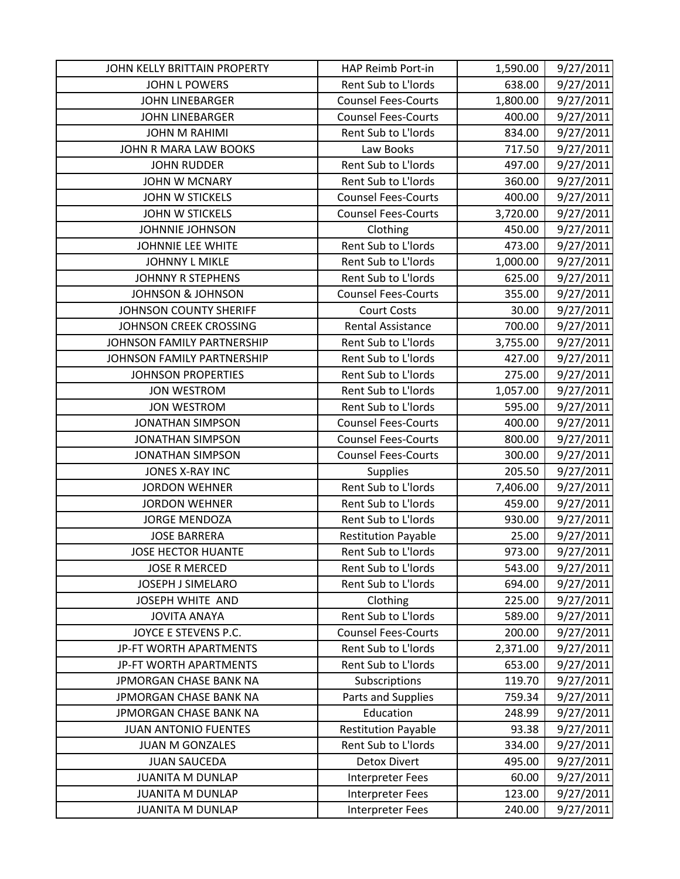| JOHN KELLY BRITTAIN PROPERTY | HAP Reimb Port-in          | 1,590.00 | 9/27/2011 |
|------------------------------|----------------------------|----------|-----------|
| <b>JOHN L POWERS</b>         | Rent Sub to L'Iords        | 638.00   | 9/27/2011 |
| <b>JOHN LINEBARGER</b>       | <b>Counsel Fees-Courts</b> | 1,800.00 | 9/27/2011 |
| <b>JOHN LINEBARGER</b>       | <b>Counsel Fees-Courts</b> | 400.00   | 9/27/2011 |
| <b>JOHN M RAHIMI</b>         | Rent Sub to L'Iords        | 834.00   | 9/27/2011 |
| JOHN R MARA LAW BOOKS        | Law Books                  | 717.50   | 9/27/2011 |
| <b>JOHN RUDDER</b>           | Rent Sub to L'Iords        | 497.00   | 9/27/2011 |
| <b>JOHN W MCNARY</b>         | Rent Sub to L'Iords        | 360.00   | 9/27/2011 |
| <b>JOHN W STICKELS</b>       | <b>Counsel Fees-Courts</b> | 400.00   | 9/27/2011 |
| <b>JOHN W STICKELS</b>       | <b>Counsel Fees-Courts</b> | 3,720.00 | 9/27/2011 |
| <b>JOHNNIE JOHNSON</b>       | Clothing                   | 450.00   | 9/27/2011 |
| JOHNNIE LEE WHITE            | Rent Sub to L'Iords        | 473.00   | 9/27/2011 |
| <b>JOHNNY L MIKLE</b>        | Rent Sub to L'Iords        | 1,000.00 | 9/27/2011 |
| <b>JOHNNY R STEPHENS</b>     | Rent Sub to L'Iords        | 625.00   | 9/27/2011 |
| <b>JOHNSON &amp; JOHNSON</b> | <b>Counsel Fees-Courts</b> | 355.00   | 9/27/2011 |
| JOHNSON COUNTY SHERIFF       | <b>Court Costs</b>         | 30.00    | 9/27/2011 |
| JOHNSON CREEK CROSSING       | <b>Rental Assistance</b>   | 700.00   | 9/27/2011 |
| JOHNSON FAMILY PARTNERSHIP   | Rent Sub to L'Iords        | 3,755.00 | 9/27/2011 |
| JOHNSON FAMILY PARTNERSHIP   | Rent Sub to L'Iords        | 427.00   | 9/27/2011 |
| <b>JOHNSON PROPERTIES</b>    | Rent Sub to L'Iords        | 275.00   | 9/27/2011 |
| <b>JON WESTROM</b>           | Rent Sub to L'Iords        | 1,057.00 | 9/27/2011 |
| <b>JON WESTROM</b>           | Rent Sub to L'Iords        | 595.00   | 9/27/2011 |
| <b>JONATHAN SIMPSON</b>      | <b>Counsel Fees-Courts</b> | 400.00   | 9/27/2011 |
| <b>JONATHAN SIMPSON</b>      | <b>Counsel Fees-Courts</b> | 800.00   | 9/27/2011 |
| <b>JONATHAN SIMPSON</b>      | <b>Counsel Fees-Courts</b> | 300.00   | 9/27/2011 |
| <b>JONES X-RAY INC</b>       | <b>Supplies</b>            | 205.50   | 9/27/2011 |
| <b>JORDON WEHNER</b>         | Rent Sub to L'Iords        | 7,406.00 | 9/27/2011 |
| <b>JORDON WEHNER</b>         | Rent Sub to L'Iords        | 459.00   | 9/27/2011 |
| <b>JORGE MENDOZA</b>         | Rent Sub to L'Iords        | 930.00   | 9/27/2011 |
| <b>JOSE BARRERA</b>          | <b>Restitution Payable</b> | 25.00    | 9/27/2011 |
| <b>JOSE HECTOR HUANTE</b>    | Rent Sub to L'Iords        | 973.00   | 9/27/2011 |
| <b>JOSE R MERCED</b>         | Rent Sub to L'Iords        | 543.00   | 9/27/2011 |
| JOSEPH J SIMELARO            | Rent Sub to L'Iords        | 694.00   | 9/27/2011 |
| JOSEPH WHITE AND             | Clothing                   | 225.00   | 9/27/2011 |
| <b>JOVITA ANAYA</b>          | Rent Sub to L'Iords        | 589.00   | 9/27/2011 |
| JOYCE E STEVENS P.C.         | <b>Counsel Fees-Courts</b> | 200.00   | 9/27/2011 |
| JP-FT WORTH APARTMENTS       | Rent Sub to L'Iords        | 2,371.00 | 9/27/2011 |
| JP-FT WORTH APARTMENTS       | Rent Sub to L'Iords        | 653.00   | 9/27/2011 |
| JPMORGAN CHASE BANK NA       | Subscriptions              | 119.70   | 9/27/2011 |
| JPMORGAN CHASE BANK NA       | Parts and Supplies         | 759.34   | 9/27/2011 |
| JPMORGAN CHASE BANK NA       | Education                  | 248.99   | 9/27/2011 |
| <b>JUAN ANTONIO FUENTES</b>  | <b>Restitution Payable</b> | 93.38    | 9/27/2011 |
| <b>JUAN M GONZALES</b>       | Rent Sub to L'Iords        | 334.00   | 9/27/2011 |
| <b>JUAN SAUCEDA</b>          | <b>Detox Divert</b>        | 495.00   | 9/27/2011 |
| <b>JUANITA M DUNLAP</b>      | <b>Interpreter Fees</b>    | 60.00    | 9/27/2011 |
| <b>JUANITA M DUNLAP</b>      | <b>Interpreter Fees</b>    | 123.00   | 9/27/2011 |
| <b>JUANITA M DUNLAP</b>      | <b>Interpreter Fees</b>    | 240.00   | 9/27/2011 |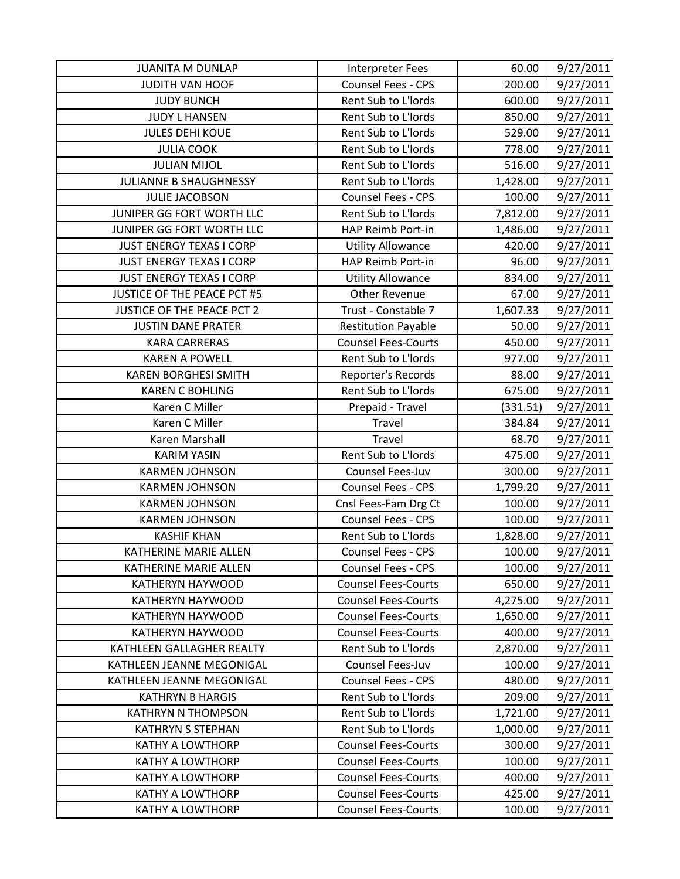| <b>JUANITA M DUNLAP</b>         | <b>Interpreter Fees</b>    | 60.00    | 9/27/2011 |
|---------------------------------|----------------------------|----------|-----------|
| <b>JUDITH VAN HOOF</b>          | Counsel Fees - CPS         | 200.00   | 9/27/2011 |
| <b>JUDY BUNCH</b>               | Rent Sub to L'Iords        | 600.00   | 9/27/2011 |
| <b>JUDY L HANSEN</b>            | Rent Sub to L'Iords        | 850.00   | 9/27/2011 |
| <b>JULES DEHI KOUE</b>          | Rent Sub to L'Iords        | 529.00   | 9/27/2011 |
| <b>JULIA COOK</b>               | Rent Sub to L'Iords        | 778.00   | 9/27/2011 |
| <b>JULIAN MIJOL</b>             | Rent Sub to L'Iords        | 516.00   | 9/27/2011 |
| <b>JULIANNE B SHAUGHNESSY</b>   | Rent Sub to L'Iords        | 1,428.00 | 9/27/2011 |
| <b>JULIE JACOBSON</b>           | Counsel Fees - CPS         | 100.00   | 9/27/2011 |
| JUNIPER GG FORT WORTH LLC       | Rent Sub to L'Iords        | 7,812.00 | 9/27/2011 |
| JUNIPER GG FORT WORTH LLC       | HAP Reimb Port-in          | 1,486.00 | 9/27/2011 |
| <b>JUST ENERGY TEXAS I CORP</b> | <b>Utility Allowance</b>   | 420.00   | 9/27/2011 |
| <b>JUST ENERGY TEXAS I CORP</b> | HAP Reimb Port-in          | 96.00    | 9/27/2011 |
| <b>JUST ENERGY TEXAS I CORP</b> | <b>Utility Allowance</b>   | 834.00   | 9/27/2011 |
| JUSTICE OF THE PEACE PCT #5     | <b>Other Revenue</b>       | 67.00    | 9/27/2011 |
| JUSTICE OF THE PEACE PCT 2      | Trust - Constable 7        | 1,607.33 | 9/27/2011 |
| <b>JUSTIN DANE PRATER</b>       | <b>Restitution Payable</b> | 50.00    | 9/27/2011 |
| <b>KARA CARRERAS</b>            | <b>Counsel Fees-Courts</b> | 450.00   | 9/27/2011 |
| <b>KAREN A POWELL</b>           | Rent Sub to L'Iords        | 977.00   | 9/27/2011 |
| <b>KAREN BORGHESI SMITH</b>     | Reporter's Records         | 88.00    | 9/27/2011 |
| <b>KAREN C BOHLING</b>          | Rent Sub to L'Iords        | 675.00   | 9/27/2011 |
| Karen C Miller                  | Prepaid - Travel           | (331.51) | 9/27/2011 |
| Karen C Miller                  | Travel                     | 384.84   | 9/27/2011 |
| Karen Marshall                  | Travel                     | 68.70    | 9/27/2011 |
| <b>KARIM YASIN</b>              | Rent Sub to L'Iords        | 475.00   | 9/27/2011 |
| <b>KARMEN JOHNSON</b>           | Counsel Fees-Juv           | 300.00   | 9/27/2011 |
| <b>KARMEN JOHNSON</b>           | Counsel Fees - CPS         | 1,799.20 | 9/27/2011 |
| <b>KARMEN JOHNSON</b>           | Cnsl Fees-Fam Drg Ct       | 100.00   | 9/27/2011 |
| <b>KARMEN JOHNSON</b>           | Counsel Fees - CPS         | 100.00   | 9/27/2011 |
| <b>KASHIF KHAN</b>              | Rent Sub to L'Iords        | 1,828.00 | 9/27/2011 |
| KATHERINE MARIE ALLEN           | <b>Counsel Fees - CPS</b>  | 100.00   | 9/27/2011 |
| <b>KATHERINE MARIE ALLEN</b>    | <b>Counsel Fees - CPS</b>  | 100.00   | 9/27/2011 |
| <b>KATHERYN HAYWOOD</b>         | <b>Counsel Fees-Courts</b> | 650.00   | 9/27/2011 |
| KATHERYN HAYWOOD                | <b>Counsel Fees-Courts</b> | 4,275.00 | 9/27/2011 |
| KATHERYN HAYWOOD                | <b>Counsel Fees-Courts</b> | 1,650.00 | 9/27/2011 |
| <b>KATHERYN HAYWOOD</b>         | <b>Counsel Fees-Courts</b> | 400.00   | 9/27/2011 |
| KATHLEEN GALLAGHER REALTY       | Rent Sub to L'Iords        | 2,870.00 | 9/27/2011 |
| KATHLEEN JEANNE MEGONIGAL       | Counsel Fees-Juv           | 100.00   | 9/27/2011 |
| KATHLEEN JEANNE MEGONIGAL       | <b>Counsel Fees - CPS</b>  | 480.00   | 9/27/2011 |
| <b>KATHRYN B HARGIS</b>         | Rent Sub to L'Iords        | 209.00   | 9/27/2011 |
| <b>KATHRYN N THOMPSON</b>       | Rent Sub to L'Iords        | 1,721.00 | 9/27/2011 |
| <b>KATHRYN S STEPHAN</b>        | Rent Sub to L'Iords        | 1,000.00 | 9/27/2011 |
| <b>KATHY A LOWTHORP</b>         | <b>Counsel Fees-Courts</b> | 300.00   | 9/27/2011 |
| <b>KATHY A LOWTHORP</b>         | <b>Counsel Fees-Courts</b> | 100.00   | 9/27/2011 |
| <b>KATHY A LOWTHORP</b>         | <b>Counsel Fees-Courts</b> | 400.00   | 9/27/2011 |
| <b>KATHY A LOWTHORP</b>         | <b>Counsel Fees-Courts</b> | 425.00   | 9/27/2011 |
| <b>KATHY A LOWTHORP</b>         | <b>Counsel Fees-Courts</b> | 100.00   | 9/27/2011 |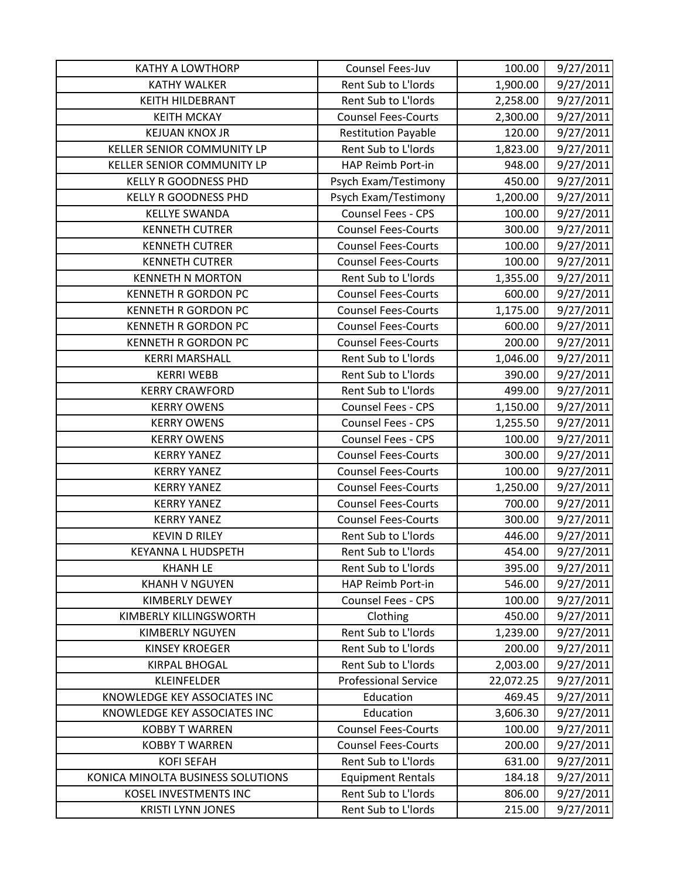| <b>KATHY A LOWTHORP</b>           | Counsel Fees-Juv            | 100.00    | 9/27/2011 |
|-----------------------------------|-----------------------------|-----------|-----------|
| <b>KATHY WALKER</b>               | Rent Sub to L'Iords         | 1,900.00  | 9/27/2011 |
| <b>KEITH HILDEBRANT</b>           | Rent Sub to L'Iords         | 2,258.00  | 9/27/2011 |
| <b>KEITH MCKAY</b>                | <b>Counsel Fees-Courts</b>  | 2,300.00  | 9/27/2011 |
| <b>KEJUAN KNOX JR</b>             | <b>Restitution Payable</b>  | 120.00    | 9/27/2011 |
| KELLER SENIOR COMMUNITY LP        | Rent Sub to L'Iords         | 1,823.00  | 9/27/2011 |
| KELLER SENIOR COMMUNITY LP        | HAP Reimb Port-in           | 948.00    | 9/27/2011 |
| <b>KELLY R GOODNESS PHD</b>       | Psych Exam/Testimony        | 450.00    | 9/27/2011 |
| <b>KELLY R GOODNESS PHD</b>       | Psych Exam/Testimony        | 1,200.00  | 9/27/2011 |
| <b>KELLYE SWANDA</b>              | Counsel Fees - CPS          | 100.00    | 9/27/2011 |
| <b>KENNETH CUTRER</b>             | <b>Counsel Fees-Courts</b>  | 300.00    | 9/27/2011 |
| <b>KENNETH CUTRER</b>             | <b>Counsel Fees-Courts</b>  | 100.00    | 9/27/2011 |
| <b>KENNETH CUTRER</b>             | <b>Counsel Fees-Courts</b>  | 100.00    | 9/27/2011 |
| <b>KENNETH N MORTON</b>           | Rent Sub to L'Iords         | 1,355.00  | 9/27/2011 |
| <b>KENNETH R GORDON PC</b>        | <b>Counsel Fees-Courts</b>  | 600.00    | 9/27/2011 |
| <b>KENNETH R GORDON PC</b>        | <b>Counsel Fees-Courts</b>  | 1,175.00  | 9/27/2011 |
| <b>KENNETH R GORDON PC</b>        | <b>Counsel Fees-Courts</b>  | 600.00    | 9/27/2011 |
| <b>KENNETH R GORDON PC</b>        | <b>Counsel Fees-Courts</b>  | 200.00    | 9/27/2011 |
| <b>KERRI MARSHALL</b>             | Rent Sub to L'Iords         | 1,046.00  | 9/27/2011 |
| <b>KERRI WEBB</b>                 | Rent Sub to L'Iords         | 390.00    | 9/27/2011 |
| <b>KERRY CRAWFORD</b>             | Rent Sub to L'Iords         | 499.00    | 9/27/2011 |
| <b>KERRY OWENS</b>                | Counsel Fees - CPS          | 1,150.00  | 9/27/2011 |
| <b>KERRY OWENS</b>                | Counsel Fees - CPS          | 1,255.50  | 9/27/2011 |
| <b>KERRY OWENS</b>                | <b>Counsel Fees - CPS</b>   | 100.00    | 9/27/2011 |
| <b>KERRY YANEZ</b>                | <b>Counsel Fees-Courts</b>  | 300.00    | 9/27/2011 |
| <b>KERRY YANEZ</b>                | <b>Counsel Fees-Courts</b>  | 100.00    | 9/27/2011 |
| <b>KERRY YANEZ</b>                | <b>Counsel Fees-Courts</b>  | 1,250.00  | 9/27/2011 |
| <b>KERRY YANEZ</b>                | <b>Counsel Fees-Courts</b>  | 700.00    | 9/27/2011 |
| <b>KERRY YANEZ</b>                | <b>Counsel Fees-Courts</b>  | 300.00    | 9/27/2011 |
| <b>KEVIN D RILEY</b>              | Rent Sub to L'Iords         | 446.00    | 9/27/2011 |
| <b>KEYANNA L HUDSPETH</b>         | Rent Sub to L'Iords         | 454.00    | 9/27/2011 |
| <b>KHANH LE</b>                   | Rent Sub to L'Iords         | 395.00    | 9/27/2011 |
| <b>KHANH V NGUYEN</b>             | HAP Reimb Port-in           | 546.00    | 9/27/2011 |
| KIMBERLY DEWEY                    | <b>Counsel Fees - CPS</b>   | 100.00    | 9/27/2011 |
| KIMBERLY KILLINGSWORTH            | Clothing                    | 450.00    | 9/27/2011 |
| <b>KIMBERLY NGUYEN</b>            | Rent Sub to L'Iords         | 1,239.00  | 9/27/2011 |
| <b>KINSEY KROEGER</b>             | Rent Sub to L'Iords         | 200.00    | 9/27/2011 |
| <b>KIRPAL BHOGAL</b>              | Rent Sub to L'Iords         | 2,003.00  | 9/27/2011 |
| <b>KLEINFELDER</b>                | <b>Professional Service</b> | 22,072.25 | 9/27/2011 |
| KNOWLEDGE KEY ASSOCIATES INC      | Education                   | 469.45    | 9/27/2011 |
| KNOWLEDGE KEY ASSOCIATES INC      | Education                   | 3,606.30  | 9/27/2011 |
| <b>KOBBY T WARREN</b>             | <b>Counsel Fees-Courts</b>  | 100.00    | 9/27/2011 |
| <b>KOBBY T WARREN</b>             | <b>Counsel Fees-Courts</b>  | 200.00    | 9/27/2011 |
| <b>KOFI SEFAH</b>                 | Rent Sub to L'Iords         | 631.00    | 9/27/2011 |
| KONICA MINOLTA BUSINESS SOLUTIONS | <b>Equipment Rentals</b>    | 184.18    | 9/27/2011 |
| <b>KOSEL INVESTMENTS INC</b>      | Rent Sub to L'Iords         | 806.00    | 9/27/2011 |
| <b>KRISTI LYNN JONES</b>          | Rent Sub to L'Iords         | 215.00    | 9/27/2011 |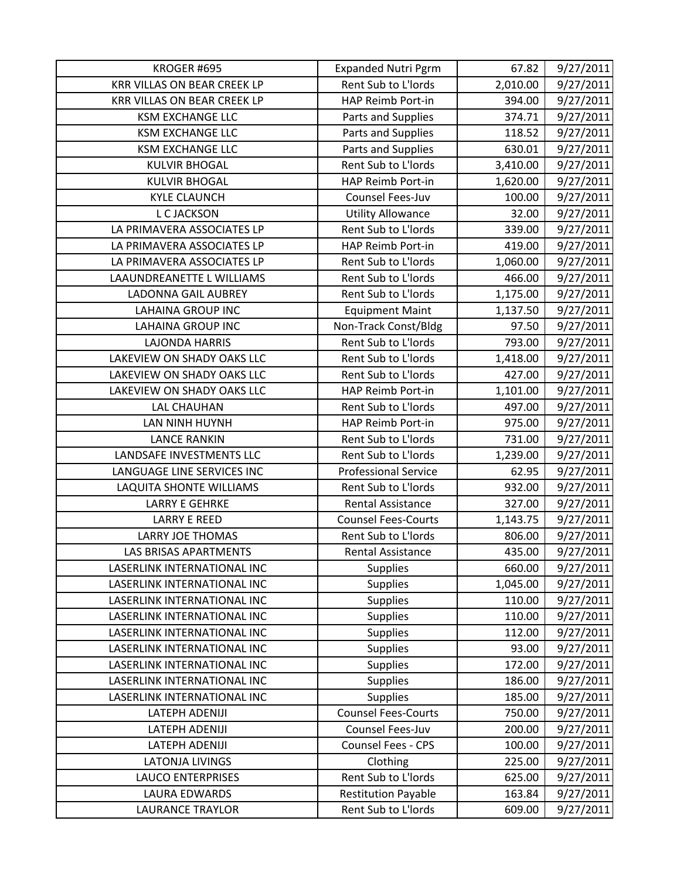| KROGER #695                        | <b>Expanded Nutri Pgrm</b>  | 67.82    | 9/27/2011 |
|------------------------------------|-----------------------------|----------|-----------|
| <b>KRR VILLAS ON BEAR CREEK LP</b> | Rent Sub to L'Iords         | 2,010.00 | 9/27/2011 |
| KRR VILLAS ON BEAR CREEK LP        | HAP Reimb Port-in           | 394.00   | 9/27/2011 |
| <b>KSM EXCHANGE LLC</b>            | Parts and Supplies          | 374.71   | 9/27/2011 |
| <b>KSM EXCHANGE LLC</b>            | Parts and Supplies          | 118.52   | 9/27/2011 |
| <b>KSM EXCHANGE LLC</b>            | Parts and Supplies          | 630.01   | 9/27/2011 |
| <b>KULVIR BHOGAL</b>               | Rent Sub to L'Iords         | 3,410.00 | 9/27/2011 |
| <b>KULVIR BHOGAL</b>               | HAP Reimb Port-in           | 1,620.00 | 9/27/2011 |
| <b>KYLE CLAUNCH</b>                | Counsel Fees-Juv            | 100.00   | 9/27/2011 |
| L C JACKSON                        | <b>Utility Allowance</b>    | 32.00    | 9/27/2011 |
| LA PRIMAVERA ASSOCIATES LP         | Rent Sub to L'Iords         | 339.00   | 9/27/2011 |
| LA PRIMAVERA ASSOCIATES LP         | HAP Reimb Port-in           | 419.00   | 9/27/2011 |
| LA PRIMAVERA ASSOCIATES LP         | Rent Sub to L'Iords         | 1,060.00 | 9/27/2011 |
| LAAUNDREANETTE L WILLIAMS          | Rent Sub to L'Iords         | 466.00   | 9/27/2011 |
| LADONNA GAIL AUBREY                | Rent Sub to L'Iords         | 1,175.00 | 9/27/2011 |
| <b>LAHAINA GROUP INC</b>           | <b>Equipment Maint</b>      | 1,137.50 | 9/27/2011 |
| <b>LAHAINA GROUP INC</b>           | Non-Track Const/Bldg        | 97.50    | 9/27/2011 |
| <b>LAJONDA HARRIS</b>              | Rent Sub to L'Iords         | 793.00   | 9/27/2011 |
| LAKEVIEW ON SHADY OAKS LLC         | Rent Sub to L'Iords         | 1,418.00 | 9/27/2011 |
| LAKEVIEW ON SHADY OAKS LLC         | Rent Sub to L'Iords         | 427.00   | 9/27/2011 |
| LAKEVIEW ON SHADY OAKS LLC         | HAP Reimb Port-in           | 1,101.00 | 9/27/2011 |
| <b>LAL CHAUHAN</b>                 | Rent Sub to L'Iords         | 497.00   | 9/27/2011 |
| LAN NINH HUYNH                     | HAP Reimb Port-in           | 975.00   | 9/27/2011 |
| <b>LANCE RANKIN</b>                | Rent Sub to L'Iords         | 731.00   | 9/27/2011 |
| LANDSAFE INVESTMENTS LLC           | Rent Sub to L'Iords         | 1,239.00 | 9/27/2011 |
| LANGUAGE LINE SERVICES INC         | <b>Professional Service</b> | 62.95    | 9/27/2011 |
| LAQUITA SHONTE WILLIAMS            | Rent Sub to L'Iords         | 932.00   | 9/27/2011 |
| <b>LARRY E GEHRKE</b>              | <b>Rental Assistance</b>    | 327.00   | 9/27/2011 |
| <b>LARRY E REED</b>                | <b>Counsel Fees-Courts</b>  | 1,143.75 | 9/27/2011 |
| <b>LARRY JOE THOMAS</b>            | Rent Sub to L'Iords         | 806.00   | 9/27/2011 |
| <b>LAS BRISAS APARTMENTS</b>       | <b>Rental Assistance</b>    | 435.00   | 9/27/2011 |
| LASERLINK INTERNATIONAL INC        | <b>Supplies</b>             | 660.00   | 9/27/2011 |
| LASERLINK INTERNATIONAL INC        | <b>Supplies</b>             | 1,045.00 | 9/27/2011 |
| LASERLINK INTERNATIONAL INC        | <b>Supplies</b>             | 110.00   | 9/27/2011 |
| LASERLINK INTERNATIONAL INC        | <b>Supplies</b>             | 110.00   | 9/27/2011 |
| LASERLINK INTERNATIONAL INC        | <b>Supplies</b>             | 112.00   | 9/27/2011 |
| LASERLINK INTERNATIONAL INC        | <b>Supplies</b>             | 93.00    | 9/27/2011 |
| LASERLINK INTERNATIONAL INC        | <b>Supplies</b>             | 172.00   | 9/27/2011 |
| LASERLINK INTERNATIONAL INC        | <b>Supplies</b>             | 186.00   | 9/27/2011 |
| LASERLINK INTERNATIONAL INC        | <b>Supplies</b>             | 185.00   | 9/27/2011 |
| LATEPH ADENIJI                     | <b>Counsel Fees-Courts</b>  | 750.00   | 9/27/2011 |
| LATEPH ADENIJI                     | Counsel Fees-Juv            | 200.00   | 9/27/2011 |
| LATEPH ADENIJI                     | Counsel Fees - CPS          | 100.00   | 9/27/2011 |
| <b>LATONJA LIVINGS</b>             | Clothing                    | 225.00   | 9/27/2011 |
| <b>LAUCO ENTERPRISES</b>           | Rent Sub to L'Iords         | 625.00   | 9/27/2011 |
| <b>LAURA EDWARDS</b>               | <b>Restitution Payable</b>  | 163.84   | 9/27/2011 |
| <b>LAURANCE TRAYLOR</b>            | Rent Sub to L'Iords         | 609.00   | 9/27/2011 |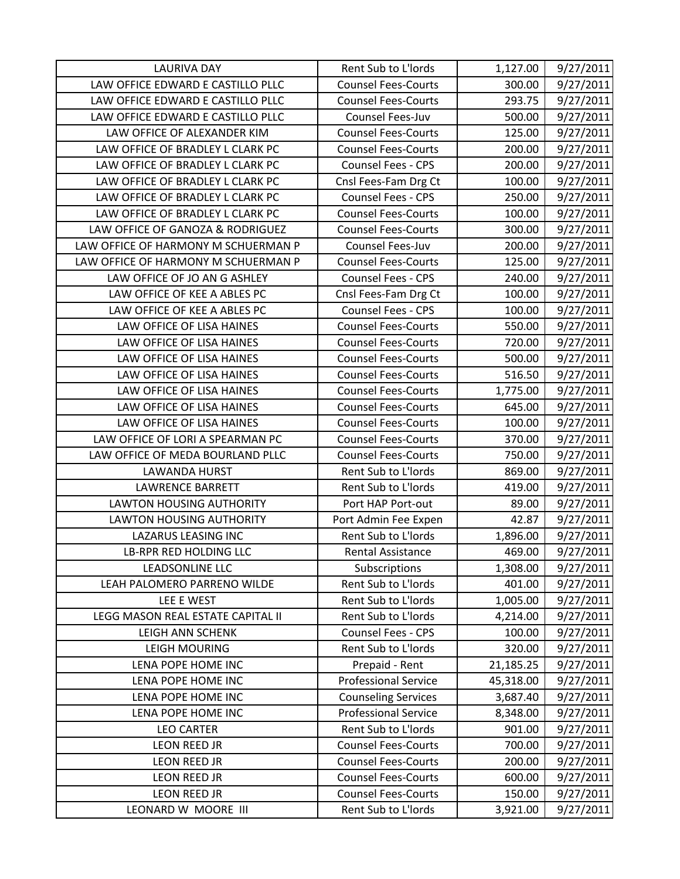| <b>LAURIVA DAY</b>                  | Rent Sub to L'Iords         | 1,127.00  | 9/27/2011 |
|-------------------------------------|-----------------------------|-----------|-----------|
| LAW OFFICE EDWARD E CASTILLO PLLC   | <b>Counsel Fees-Courts</b>  | 300.00    | 9/27/2011 |
| LAW OFFICE EDWARD E CASTILLO PLLC   | <b>Counsel Fees-Courts</b>  | 293.75    | 9/27/2011 |
| LAW OFFICE EDWARD E CASTILLO PLLC   | <b>Counsel Fees-Juv</b>     | 500.00    | 9/27/2011 |
| LAW OFFICE OF ALEXANDER KIM         | <b>Counsel Fees-Courts</b>  | 125.00    | 9/27/2011 |
| LAW OFFICE OF BRADLEY L CLARK PC    | <b>Counsel Fees-Courts</b>  | 200.00    | 9/27/2011 |
| LAW OFFICE OF BRADLEY L CLARK PC    | <b>Counsel Fees - CPS</b>   | 200.00    | 9/27/2011 |
| LAW OFFICE OF BRADLEY L CLARK PC    | Cnsl Fees-Fam Drg Ct        | 100.00    | 9/27/2011 |
| LAW OFFICE OF BRADLEY L CLARK PC    | Counsel Fees - CPS          | 250.00    | 9/27/2011 |
| LAW OFFICE OF BRADLEY L CLARK PC    | <b>Counsel Fees-Courts</b>  | 100.00    | 9/27/2011 |
| LAW OFFICE OF GANOZA & RODRIGUEZ    | <b>Counsel Fees-Courts</b>  | 300.00    | 9/27/2011 |
| LAW OFFICE OF HARMONY M SCHUERMAN P | Counsel Fees-Juv            | 200.00    | 9/27/2011 |
| LAW OFFICE OF HARMONY M SCHUERMAN P | <b>Counsel Fees-Courts</b>  | 125.00    | 9/27/2011 |
| LAW OFFICE OF JO AN G ASHLEY        | Counsel Fees - CPS          | 240.00    | 9/27/2011 |
| LAW OFFICE OF KEE A ABLES PC        | Cnsl Fees-Fam Drg Ct        | 100.00    | 9/27/2011 |
| LAW OFFICE OF KEE A ABLES PC        | Counsel Fees - CPS          | 100.00    | 9/27/2011 |
| LAW OFFICE OF LISA HAINES           | <b>Counsel Fees-Courts</b>  | 550.00    | 9/27/2011 |
| LAW OFFICE OF LISA HAINES           | <b>Counsel Fees-Courts</b>  | 720.00    | 9/27/2011 |
| LAW OFFICE OF LISA HAINES           | <b>Counsel Fees-Courts</b>  | 500.00    | 9/27/2011 |
| LAW OFFICE OF LISA HAINES           | <b>Counsel Fees-Courts</b>  | 516.50    | 9/27/2011 |
| LAW OFFICE OF LISA HAINES           | <b>Counsel Fees-Courts</b>  | 1,775.00  | 9/27/2011 |
| LAW OFFICE OF LISA HAINES           | <b>Counsel Fees-Courts</b>  | 645.00    | 9/27/2011 |
| LAW OFFICE OF LISA HAINES           | <b>Counsel Fees-Courts</b>  | 100.00    | 9/27/2011 |
| LAW OFFICE OF LORI A SPEARMAN PC    | <b>Counsel Fees-Courts</b>  | 370.00    | 9/27/2011 |
| LAW OFFICE OF MEDA BOURLAND PLLC    | <b>Counsel Fees-Courts</b>  | 750.00    | 9/27/2011 |
| <b>LAWANDA HURST</b>                | Rent Sub to L'Iords         | 869.00    | 9/27/2011 |
| <b>LAWRENCE BARRETT</b>             | Rent Sub to L'Iords         | 419.00    | 9/27/2011 |
| <b>LAWTON HOUSING AUTHORITY</b>     | Port HAP Port-out           | 89.00     | 9/27/2011 |
| <b>LAWTON HOUSING AUTHORITY</b>     | Port Admin Fee Expen        | 42.87     | 9/27/2011 |
| <b>LAZARUS LEASING INC</b>          | Rent Sub to L'Iords         | 1,896.00  | 9/27/2011 |
| LB-RPR RED HOLDING LLC              | Rental Assistance           | 469.00    | 9/27/2011 |
| <b>LEADSONLINE LLC</b>              | Subscriptions               | 1,308.00  | 9/27/2011 |
| LEAH PALOMERO PARRENO WILDE         | Rent Sub to L'Iords         | 401.00    | 9/27/2011 |
| LEE E WEST                          | Rent Sub to L'Iords         | 1,005.00  | 9/27/2011 |
| LEGG MASON REAL ESTATE CAPITAL II   | Rent Sub to L'Iords         | 4,214.00  | 9/27/2011 |
| <b>LEIGH ANN SCHENK</b>             | Counsel Fees - CPS          | 100.00    | 9/27/2011 |
| <b>LEIGH MOURING</b>                | Rent Sub to L'Iords         | 320.00    | 9/27/2011 |
| LENA POPE HOME INC                  | Prepaid - Rent              | 21,185.25 | 9/27/2011 |
| LENA POPE HOME INC                  | <b>Professional Service</b> | 45,318.00 | 9/27/2011 |
| LENA POPE HOME INC                  | <b>Counseling Services</b>  | 3,687.40  | 9/27/2011 |
| LENA POPE HOME INC                  | <b>Professional Service</b> | 8,348.00  | 9/27/2011 |
| <b>LEO CARTER</b>                   | Rent Sub to L'Iords         | 901.00    | 9/27/2011 |
| LEON REED JR                        | <b>Counsel Fees-Courts</b>  | 700.00    | 9/27/2011 |
| LEON REED JR                        | <b>Counsel Fees-Courts</b>  | 200.00    | 9/27/2011 |
| LEON REED JR                        | <b>Counsel Fees-Courts</b>  | 600.00    | 9/27/2011 |
| <b>LEON REED JR</b>                 | <b>Counsel Fees-Courts</b>  | 150.00    | 9/27/2011 |
| LEONARD W MOORE III                 | Rent Sub to L'Iords         | 3,921.00  | 9/27/2011 |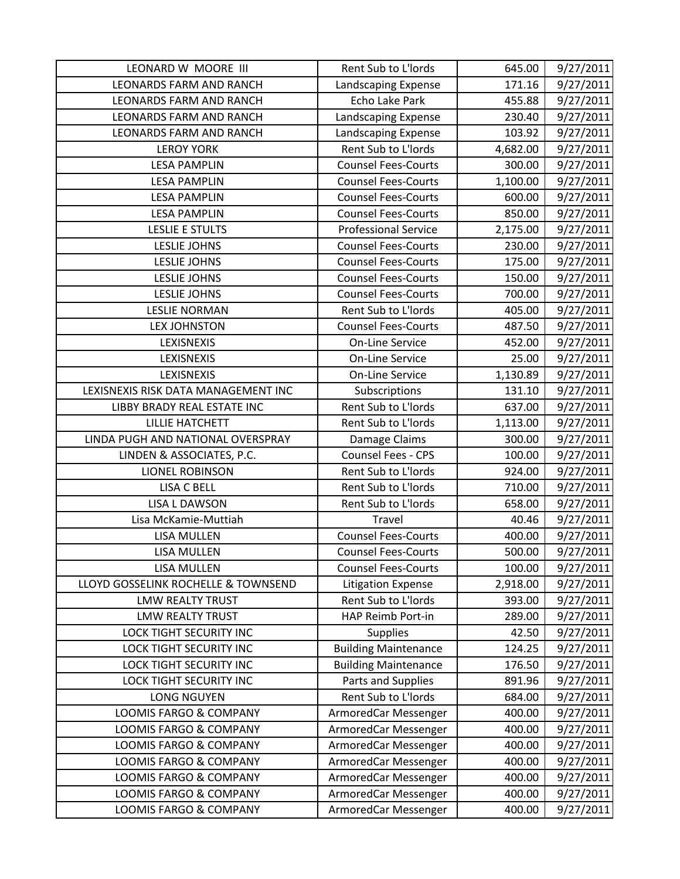| LEONARD W MOORE III                 | Rent Sub to L'Iords         | 645.00   | 9/27/2011 |
|-------------------------------------|-----------------------------|----------|-----------|
| <b>LEONARDS FARM AND RANCH</b>      | Landscaping Expense         | 171.16   | 9/27/2011 |
| <b>LEONARDS FARM AND RANCH</b>      | Echo Lake Park              | 455.88   | 9/27/2011 |
| <b>LEONARDS FARM AND RANCH</b>      | Landscaping Expense         | 230.40   | 9/27/2011 |
| <b>LEONARDS FARM AND RANCH</b>      | Landscaping Expense         | 103.92   | 9/27/2011 |
| <b>LEROY YORK</b>                   | Rent Sub to L'Iords         | 4,682.00 | 9/27/2011 |
| <b>LESA PAMPLIN</b>                 | <b>Counsel Fees-Courts</b>  | 300.00   | 9/27/2011 |
| <b>LESA PAMPLIN</b>                 | <b>Counsel Fees-Courts</b>  | 1,100.00 | 9/27/2011 |
| <b>LESA PAMPLIN</b>                 | <b>Counsel Fees-Courts</b>  | 600.00   | 9/27/2011 |
| <b>LESA PAMPLIN</b>                 | <b>Counsel Fees-Courts</b>  | 850.00   | 9/27/2011 |
| LESLIE E STULTS                     | <b>Professional Service</b> | 2,175.00 | 9/27/2011 |
| <b>LESLIE JOHNS</b>                 | <b>Counsel Fees-Courts</b>  | 230.00   | 9/27/2011 |
| <b>LESLIE JOHNS</b>                 | <b>Counsel Fees-Courts</b>  | 175.00   | 9/27/2011 |
| <b>LESLIE JOHNS</b>                 | <b>Counsel Fees-Courts</b>  | 150.00   | 9/27/2011 |
| <b>LESLIE JOHNS</b>                 | <b>Counsel Fees-Courts</b>  | 700.00   | 9/27/2011 |
| <b>LESLIE NORMAN</b>                | Rent Sub to L'Iords         | 405.00   | 9/27/2011 |
| <b>LEX JOHNSTON</b>                 | <b>Counsel Fees-Courts</b>  | 487.50   | 9/27/2011 |
| LEXISNEXIS                          | <b>On-Line Service</b>      | 452.00   | 9/27/2011 |
| LEXISNEXIS                          | <b>On-Line Service</b>      | 25.00    | 9/27/2011 |
| LEXISNEXIS                          | <b>On-Line Service</b>      | 1,130.89 | 9/27/2011 |
| LEXISNEXIS RISK DATA MANAGEMENT INC | Subscriptions               | 131.10   | 9/27/2011 |
| LIBBY BRADY REAL ESTATE INC         | Rent Sub to L'Iords         | 637.00   | 9/27/2011 |
| <b>LILLIE HATCHETT</b>              | Rent Sub to L'Iords         | 1,113.00 | 9/27/2011 |
| LINDA PUGH AND NATIONAL OVERSPRAY   | Damage Claims               | 300.00   | 9/27/2011 |
| LINDEN & ASSOCIATES, P.C.           | <b>Counsel Fees - CPS</b>   | 100.00   | 9/27/2011 |
| <b>LIONEL ROBINSON</b>              | Rent Sub to L'Iords         | 924.00   | 9/27/2011 |
| <b>LISA C BELL</b>                  | Rent Sub to L'Iords         | 710.00   | 9/27/2011 |
| <b>LISA L DAWSON</b>                | Rent Sub to L'Iords         | 658.00   | 9/27/2011 |
| Lisa McKamie-Muttiah                | Travel                      | 40.46    | 9/27/2011 |
| <b>LISA MULLEN</b>                  | <b>Counsel Fees-Courts</b>  | 400.00   | 9/27/2011 |
| <b>LISA MULLEN</b>                  | <b>Counsel Fees-Courts</b>  | 500.00   | 9/27/2011 |
| <b>LISA MULLEN</b>                  | <b>Counsel Fees-Courts</b>  | 100.00   | 9/27/2011 |
| LLOYD GOSSELINK ROCHELLE & TOWNSEND | <b>Litigation Expense</b>   | 2,918.00 | 9/27/2011 |
| <b>LMW REALTY TRUST</b>             | Rent Sub to L'Iords         | 393.00   | 9/27/2011 |
| <b>LMW REALTY TRUST</b>             | HAP Reimb Port-in           | 289.00   | 9/27/2011 |
| <b>LOCK TIGHT SECURITY INC</b>      | <b>Supplies</b>             | 42.50    | 9/27/2011 |
| LOCK TIGHT SECURITY INC             | <b>Building Maintenance</b> | 124.25   | 9/27/2011 |
| <b>LOCK TIGHT SECURITY INC</b>      | <b>Building Maintenance</b> | 176.50   | 9/27/2011 |
| LOCK TIGHT SECURITY INC             | Parts and Supplies          | 891.96   | 9/27/2011 |
| <b>LONG NGUYEN</b>                  | Rent Sub to L'Iords         | 684.00   | 9/27/2011 |
| LOOMIS FARGO & COMPANY              | ArmoredCar Messenger        | 400.00   | 9/27/2011 |
| LOOMIS FARGO & COMPANY              | ArmoredCar Messenger        | 400.00   | 9/27/2011 |
| LOOMIS FARGO & COMPANY              | ArmoredCar Messenger        | 400.00   | 9/27/2011 |
| LOOMIS FARGO & COMPANY              | ArmoredCar Messenger        | 400.00   | 9/27/2011 |
| LOOMIS FARGO & COMPANY              | ArmoredCar Messenger        | 400.00   | 9/27/2011 |
| LOOMIS FARGO & COMPANY              | ArmoredCar Messenger        | 400.00   | 9/27/2011 |
| LOOMIS FARGO & COMPANY              | ArmoredCar Messenger        | 400.00   | 9/27/2011 |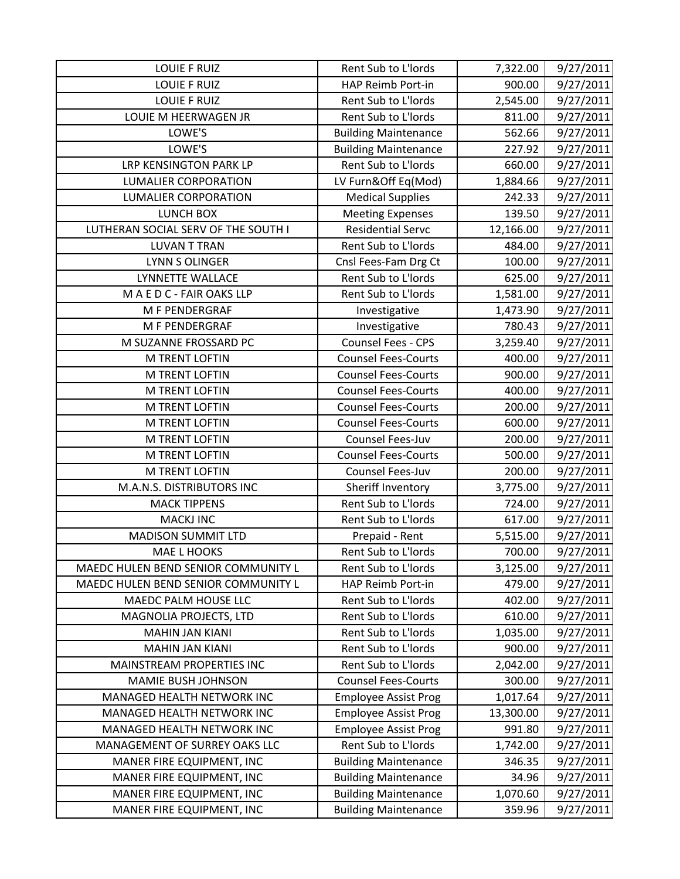| LOUIE F RUIZ                        | Rent Sub to L'Iords         | 7,322.00  | 9/27/2011 |
|-------------------------------------|-----------------------------|-----------|-----------|
| <b>LOUIE F RUIZ</b>                 | HAP Reimb Port-in           | 900.00    | 9/27/2011 |
| <b>LOUIE F RUIZ</b>                 | Rent Sub to L'Iords         | 2,545.00  | 9/27/2011 |
| LOUIE M HEERWAGEN JR                | Rent Sub to L'Iords         | 811.00    | 9/27/2011 |
| LOWE'S                              | <b>Building Maintenance</b> | 562.66    | 9/27/2011 |
| LOWE'S                              | <b>Building Maintenance</b> | 227.92    | 9/27/2011 |
| LRP KENSINGTON PARK LP              | Rent Sub to L'Iords         | 660.00    | 9/27/2011 |
| <b>LUMALIER CORPORATION</b>         | LV Furn&Off Eq(Mod)         | 1,884.66  | 9/27/2011 |
| <b>LUMALIER CORPORATION</b>         | <b>Medical Supplies</b>     | 242.33    | 9/27/2011 |
| <b>LUNCH BOX</b>                    | <b>Meeting Expenses</b>     | 139.50    | 9/27/2011 |
| LUTHERAN SOCIAL SERV OF THE SOUTH I | <b>Residential Servc</b>    | 12,166.00 | 9/27/2011 |
| <b>LUVAN T TRAN</b>                 | Rent Sub to L'Iords         | 484.00    | 9/27/2011 |
| LYNN S OLINGER                      | Cnsl Fees-Fam Drg Ct        | 100.00    | 9/27/2011 |
| LYNNETTE WALLACE                    | Rent Sub to L'Iords         | 625.00    | 9/27/2011 |
| MAEDC-FAIR OAKS LLP                 | Rent Sub to L'Iords         | 1,581.00  | 9/27/2011 |
| M F PENDERGRAF                      | Investigative               | 1,473.90  | 9/27/2011 |
| M F PENDERGRAF                      | Investigative               | 780.43    | 9/27/2011 |
| M SUZANNE FROSSARD PC               | Counsel Fees - CPS          | 3,259.40  | 9/27/2011 |
| M TRENT LOFTIN                      | <b>Counsel Fees-Courts</b>  | 400.00    | 9/27/2011 |
| <b>M TRENT LOFTIN</b>               | <b>Counsel Fees-Courts</b>  | 900.00    | 9/27/2011 |
| M TRENT LOFTIN                      | <b>Counsel Fees-Courts</b>  | 400.00    | 9/27/2011 |
| M TRENT LOFTIN                      | <b>Counsel Fees-Courts</b>  | 200.00    | 9/27/2011 |
| M TRENT LOFTIN                      | <b>Counsel Fees-Courts</b>  | 600.00    | 9/27/2011 |
| <b>M TRENT LOFTIN</b>               | Counsel Fees-Juv            | 200.00    | 9/27/2011 |
| <b>M TRENT LOFTIN</b>               | <b>Counsel Fees-Courts</b>  | 500.00    | 9/27/2011 |
| M TRENT LOFTIN                      | Counsel Fees-Juv            | 200.00    | 9/27/2011 |
| M.A.N.S. DISTRIBUTORS INC           | Sheriff Inventory           | 3,775.00  | 9/27/2011 |
| <b>MACK TIPPENS</b>                 | Rent Sub to L'Iords         | 724.00    | 9/27/2011 |
| <b>MACKJ INC</b>                    | Rent Sub to L'Iords         | 617.00    | 9/27/2011 |
| <b>MADISON SUMMIT LTD</b>           | Prepaid - Rent              | 5,515.00  | 9/27/2011 |
| MAE L HOOKS                         | Rent Sub to L'Iords         | 700.00    | 9/27/2011 |
| MAEDC HULEN BEND SENIOR COMMUNITY L | Rent Sub to L'Iords         | 3,125.00  | 9/27/2011 |
| MAEDC HULEN BEND SENIOR COMMUNITY L | HAP Reimb Port-in           | 479.00    | 9/27/2011 |
| MAEDC PALM HOUSE LLC                | Rent Sub to L'Iords         | 402.00    | 9/27/2011 |
| MAGNOLIA PROJECTS, LTD              | Rent Sub to L'Iords         | 610.00    | 9/27/2011 |
| <b>MAHIN JAN KIANI</b>              | Rent Sub to L'Iords         | 1,035.00  | 9/27/2011 |
| <b>MAHIN JAN KIANI</b>              | Rent Sub to L'Iords         | 900.00    | 9/27/2011 |
| MAINSTREAM PROPERTIES INC           | Rent Sub to L'Iords         | 2,042.00  | 9/27/2011 |
| MAMIE BUSH JOHNSON                  | <b>Counsel Fees-Courts</b>  | 300.00    | 9/27/2011 |
| MANAGED HEALTH NETWORK INC          | <b>Employee Assist Prog</b> | 1,017.64  | 9/27/2011 |
| MANAGED HEALTH NETWORK INC          | <b>Employee Assist Prog</b> | 13,300.00 | 9/27/2011 |
| MANAGED HEALTH NETWORK INC          | <b>Employee Assist Prog</b> | 991.80    | 9/27/2011 |
| MANAGEMENT OF SURREY OAKS LLC       | Rent Sub to L'Iords         | 1,742.00  | 9/27/2011 |
| MANER FIRE EQUIPMENT, INC           | <b>Building Maintenance</b> | 346.35    | 9/27/2011 |
| MANER FIRE EQUIPMENT, INC           | <b>Building Maintenance</b> | 34.96     | 9/27/2011 |
| MANER FIRE EQUIPMENT, INC           | <b>Building Maintenance</b> | 1,070.60  | 9/27/2011 |
| MANER FIRE EQUIPMENT, INC           | <b>Building Maintenance</b> | 359.96    | 9/27/2011 |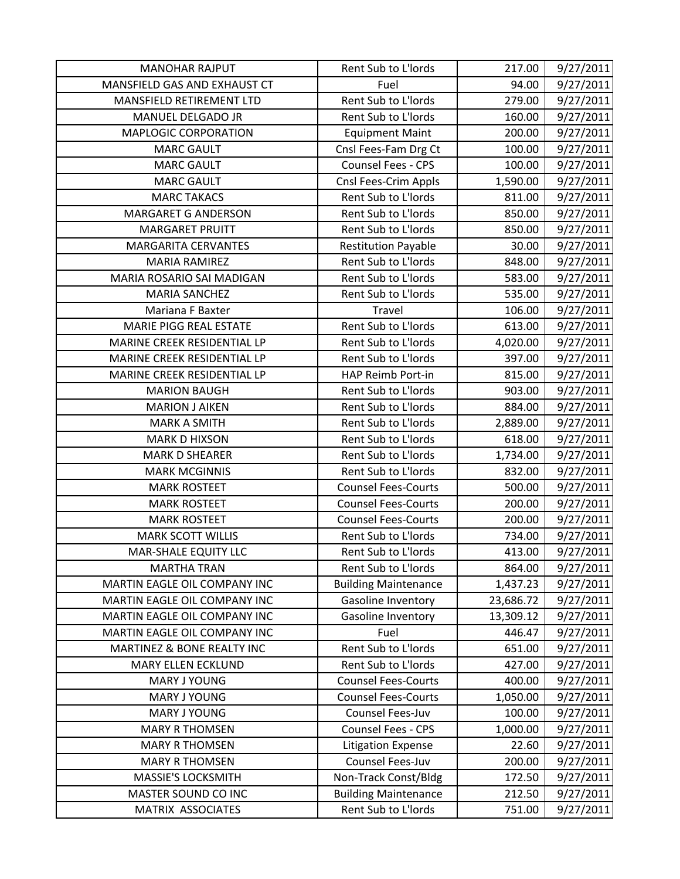| <b>MANOHAR RAJPUT</b>        | Rent Sub to L'Iords         | 217.00    | 9/27/2011 |
|------------------------------|-----------------------------|-----------|-----------|
| MANSFIELD GAS AND EXHAUST CT | Fuel                        | 94.00     | 9/27/2011 |
| MANSFIELD RETIREMENT LTD     | Rent Sub to L'Iords         | 279.00    | 9/27/2011 |
| MANUEL DELGADO JR            | Rent Sub to L'Iords         | 160.00    | 9/27/2011 |
| <b>MAPLOGIC CORPORATION</b>  | <b>Equipment Maint</b>      | 200.00    | 9/27/2011 |
| <b>MARC GAULT</b>            | Cnsl Fees-Fam Drg Ct        | 100.00    | 9/27/2011 |
| <b>MARC GAULT</b>            | Counsel Fees - CPS          | 100.00    | 9/27/2011 |
| <b>MARC GAULT</b>            | Cnsl Fees-Crim Appls        | 1,590.00  | 9/27/2011 |
| <b>MARC TAKACS</b>           | Rent Sub to L'Iords         | 811.00    | 9/27/2011 |
| <b>MARGARET G ANDERSON</b>   | Rent Sub to L'Iords         | 850.00    | 9/27/2011 |
| <b>MARGARET PRUITT</b>       | Rent Sub to L'Iords         | 850.00    | 9/27/2011 |
| <b>MARGARITA CERVANTES</b>   | <b>Restitution Payable</b>  | 30.00     | 9/27/2011 |
| <b>MARIA RAMIREZ</b>         | Rent Sub to L'Iords         | 848.00    | 9/27/2011 |
| MARIA ROSARIO SAI MADIGAN    | Rent Sub to L'Iords         | 583.00    | 9/27/2011 |
| <b>MARIA SANCHEZ</b>         | Rent Sub to L'Iords         | 535.00    | 9/27/2011 |
| Mariana F Baxter             | Travel                      | 106.00    | 9/27/2011 |
| MARIE PIGG REAL ESTATE       | Rent Sub to L'Iords         | 613.00    | 9/27/2011 |
| MARINE CREEK RESIDENTIAL LP  | Rent Sub to L'Iords         | 4,020.00  | 9/27/2011 |
| MARINE CREEK RESIDENTIAL LP  | Rent Sub to L'Iords         | 397.00    | 9/27/2011 |
| MARINE CREEK RESIDENTIAL LP  | <b>HAP Reimb Port-in</b>    | 815.00    | 9/27/2011 |
| <b>MARION BAUGH</b>          | Rent Sub to L'Iords         | 903.00    | 9/27/2011 |
| <b>MARION J AIKEN</b>        | Rent Sub to L'Iords         | 884.00    | 9/27/2011 |
| <b>MARK A SMITH</b>          | Rent Sub to L'Iords         | 2,889.00  | 9/27/2011 |
| <b>MARK D HIXSON</b>         | Rent Sub to L'Iords         | 618.00    | 9/27/2011 |
| <b>MARK D SHEARER</b>        | Rent Sub to L'Iords         | 1,734.00  | 9/27/2011 |
| <b>MARK MCGINNIS</b>         | Rent Sub to L'Iords         | 832.00    | 9/27/2011 |
| <b>MARK ROSTEET</b>          | <b>Counsel Fees-Courts</b>  | 500.00    | 9/27/2011 |
| <b>MARK ROSTEET</b>          | <b>Counsel Fees-Courts</b>  | 200.00    | 9/27/2011 |
| <b>MARK ROSTEET</b>          | <b>Counsel Fees-Courts</b>  | 200.00    | 9/27/2011 |
| <b>MARK SCOTT WILLIS</b>     | Rent Sub to L'Iords         | 734.00    | 9/27/2011 |
| <b>MAR-SHALE EQUITY LLC</b>  | Rent Sub to L'Iords         | 413.00    | 9/27/2011 |
| <b>MARTHA TRAN</b>           | Rent Sub to L'Iords         | 864.00    | 9/27/2011 |
| MARTIN EAGLE OIL COMPANY INC | <b>Building Maintenance</b> | 1,437.23  | 9/27/2011 |
| MARTIN EAGLE OIL COMPANY INC | Gasoline Inventory          | 23,686.72 | 9/27/2011 |
| MARTIN EAGLE OIL COMPANY INC | Gasoline Inventory          | 13,309.12 | 9/27/2011 |
| MARTIN EAGLE OIL COMPANY INC | Fuel                        | 446.47    | 9/27/2011 |
| MARTINEZ & BONE REALTY INC   | Rent Sub to L'Iords         | 651.00    | 9/27/2011 |
| MARY ELLEN ECKLUND           | Rent Sub to L'Iords         | 427.00    | 9/27/2011 |
| MARY J YOUNG                 | <b>Counsel Fees-Courts</b>  | 400.00    | 9/27/2011 |
| MARY J YOUNG                 | <b>Counsel Fees-Courts</b>  | 1,050.00  | 9/27/2011 |
| <b>MARY J YOUNG</b>          | Counsel Fees-Juv            | 100.00    | 9/27/2011 |
| <b>MARY R THOMSEN</b>        | Counsel Fees - CPS          | 1,000.00  | 9/27/2011 |
| <b>MARY R THOMSEN</b>        | <b>Litigation Expense</b>   | 22.60     | 9/27/2011 |
| <b>MARY R THOMSEN</b>        | Counsel Fees-Juv            | 200.00    | 9/27/2011 |
| <b>MASSIE'S LOCKSMITH</b>    | Non-Track Const/Bldg        | 172.50    | 9/27/2011 |
| MASTER SOUND CO INC          | <b>Building Maintenance</b> | 212.50    | 9/27/2011 |
| MATRIX ASSOCIATES            | Rent Sub to L'Iords         | 751.00    | 9/27/2011 |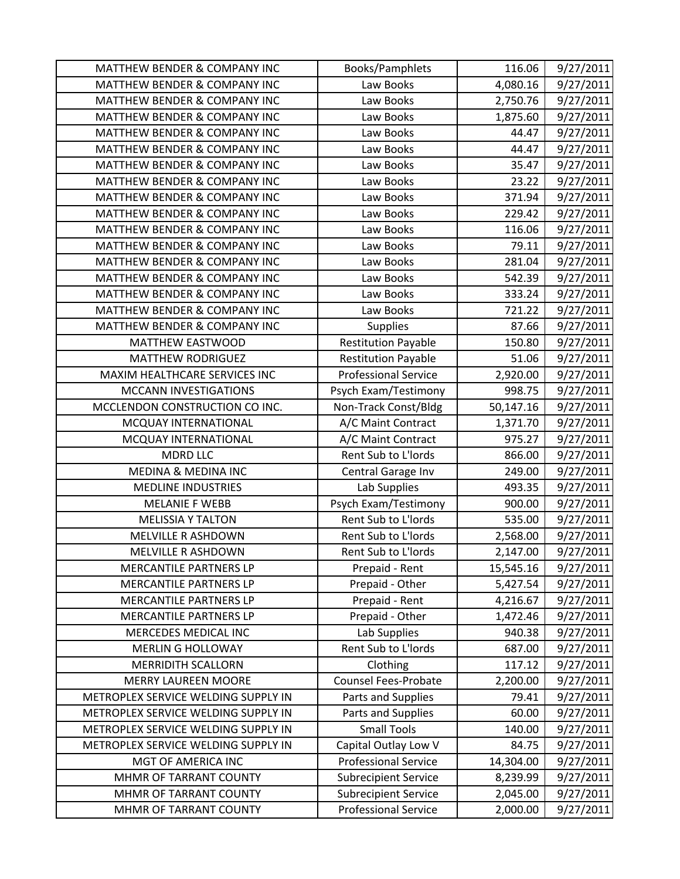| <b>MATTHEW BENDER &amp; COMPANY INC</b> | Books/Pamphlets             | 116.06    | 9/27/2011 |
|-----------------------------------------|-----------------------------|-----------|-----------|
| MATTHEW BENDER & COMPANY INC            | Law Books                   | 4,080.16  | 9/27/2011 |
| <b>MATTHEW BENDER &amp; COMPANY INC</b> | Law Books                   | 2,750.76  | 9/27/2011 |
| MATTHEW BENDER & COMPANY INC            | Law Books                   | 1,875.60  | 9/27/2011 |
| <b>MATTHEW BENDER &amp; COMPANY INC</b> | Law Books                   | 44.47     | 9/27/2011 |
| <b>MATTHEW BENDER &amp; COMPANY INC</b> | Law Books                   | 44.47     | 9/27/2011 |
| <b>MATTHEW BENDER &amp; COMPANY INC</b> | Law Books                   | 35.47     | 9/27/2011 |
| <b>MATTHEW BENDER &amp; COMPANY INC</b> | Law Books                   | 23.22     | 9/27/2011 |
| MATTHEW BENDER & COMPANY INC            | Law Books                   | 371.94    | 9/27/2011 |
| <b>MATTHEW BENDER &amp; COMPANY INC</b> | Law Books                   | 229.42    | 9/27/2011 |
| <b>MATTHEW BENDER &amp; COMPANY INC</b> | Law Books                   | 116.06    | 9/27/2011 |
| MATTHEW BENDER & COMPANY INC            | Law Books                   | 79.11     | 9/27/2011 |
| MATTHEW BENDER & COMPANY INC            | Law Books                   | 281.04    | 9/27/2011 |
| MATTHEW BENDER & COMPANY INC            | Law Books                   | 542.39    | 9/27/2011 |
| <b>MATTHEW BENDER &amp; COMPANY INC</b> | Law Books                   | 333.24    | 9/27/2011 |
| <b>MATTHEW BENDER &amp; COMPANY INC</b> | Law Books                   | 721.22    | 9/27/2011 |
| MATTHEW BENDER & COMPANY INC            | <b>Supplies</b>             | 87.66     | 9/27/2011 |
| MATTHEW EASTWOOD                        | <b>Restitution Payable</b>  | 150.80    | 9/27/2011 |
| <b>MATTHEW RODRIGUEZ</b>                | <b>Restitution Payable</b>  | 51.06     | 9/27/2011 |
| MAXIM HEALTHCARE SERVICES INC           | <b>Professional Service</b> | 2,920.00  | 9/27/2011 |
| MCCANN INVESTIGATIONS                   | Psych Exam/Testimony        | 998.75    | 9/27/2011 |
| MCCLENDON CONSTRUCTION CO INC.          | Non-Track Const/Bldg        | 50,147.16 | 9/27/2011 |
| MCQUAY INTERNATIONAL                    | A/C Maint Contract          | 1,371.70  | 9/27/2011 |
| MCQUAY INTERNATIONAL                    | A/C Maint Contract          | 975.27    | 9/27/2011 |
| <b>MDRD LLC</b>                         | Rent Sub to L'Iords         | 866.00    | 9/27/2011 |
| <b>MEDINA &amp; MEDINA INC</b>          | Central Garage Inv          | 249.00    | 9/27/2011 |
| <b>MEDLINE INDUSTRIES</b>               | Lab Supplies                | 493.35    | 9/27/2011 |
| <b>MELANIE F WEBB</b>                   | Psych Exam/Testimony        | 900.00    | 9/27/2011 |
| <b>MELISSIA Y TALTON</b>                | Rent Sub to L'Iords         | 535.00    | 9/27/2011 |
| MELVILLE R ASHDOWN                      | Rent Sub to L'Iords         | 2,568.00  | 9/27/2011 |
| <b>MELVILLE R ASHDOWN</b>               | Rent Sub to L'Iords         | 2,147.00  | 9/27/2011 |
| <b>MERCANTILE PARTNERS LP</b>           | Prepaid - Rent              | 15,545.16 | 9/27/2011 |
| MERCANTILE PARTNERS LP                  | Prepaid - Other             | 5,427.54  | 9/27/2011 |
| MERCANTILE PARTNERS LP                  | Prepaid - Rent              | 4,216.67  | 9/27/2011 |
| <b>MERCANTILE PARTNERS LP</b>           | Prepaid - Other             | 1,472.46  | 9/27/2011 |
| MERCEDES MEDICAL INC                    | Lab Supplies                | 940.38    | 9/27/2011 |
| <b>MERLIN G HOLLOWAY</b>                | Rent Sub to L'Iords         | 687.00    | 9/27/2011 |
| <b>MERRIDITH SCALLORN</b>               | Clothing                    | 117.12    | 9/27/2011 |
| <b>MERRY LAUREEN MOORE</b>              | <b>Counsel Fees-Probate</b> | 2,200.00  | 9/27/2011 |
| METROPLEX SERVICE WELDING SUPPLY IN     | Parts and Supplies          | 79.41     | 9/27/2011 |
| METROPLEX SERVICE WELDING SUPPLY IN     | Parts and Supplies          | 60.00     | 9/27/2011 |
| METROPLEX SERVICE WELDING SUPPLY IN     | <b>Small Tools</b>          | 140.00    | 9/27/2011 |
| METROPLEX SERVICE WELDING SUPPLY IN     | Capital Outlay Low V        | 84.75     | 9/27/2011 |
| MGT OF AMERICA INC                      | <b>Professional Service</b> | 14,304.00 | 9/27/2011 |
| MHMR OF TARRANT COUNTY                  | <b>Subrecipient Service</b> | 8,239.99  | 9/27/2011 |
| MHMR OF TARRANT COUNTY                  | <b>Subrecipient Service</b> | 2,045.00  | 9/27/2011 |
| MHMR OF TARRANT COUNTY                  | <b>Professional Service</b> | 2,000.00  | 9/27/2011 |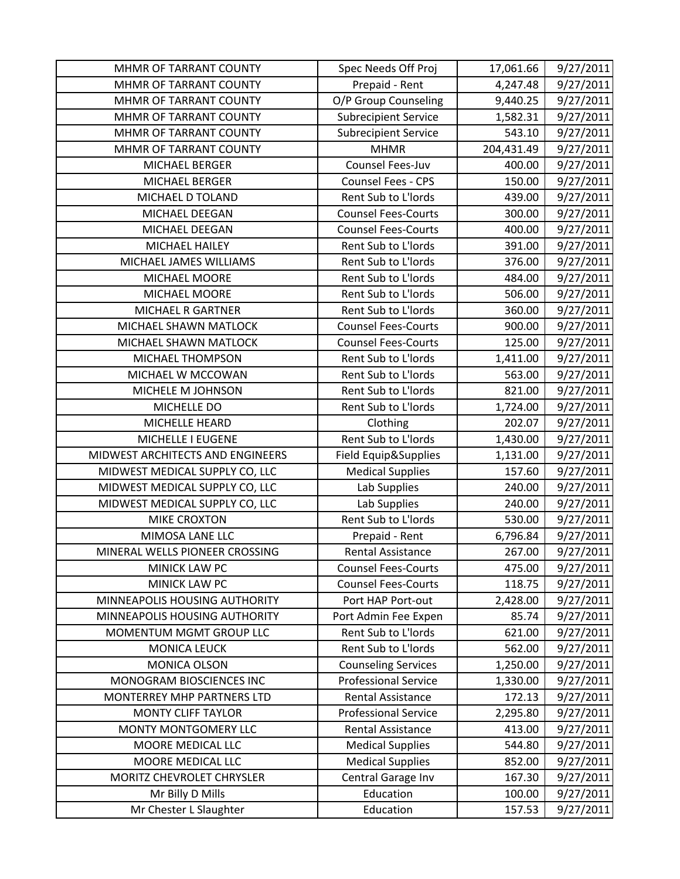| MHMR OF TARRANT COUNTY           | Spec Needs Off Proj         | 17,061.66  | 9/27/2011 |
|----------------------------------|-----------------------------|------------|-----------|
| MHMR OF TARRANT COUNTY           | Prepaid - Rent              | 4,247.48   | 9/27/2011 |
| MHMR OF TARRANT COUNTY           | O/P Group Counseling        | 9,440.25   | 9/27/2011 |
| MHMR OF TARRANT COUNTY           | <b>Subrecipient Service</b> | 1,582.31   | 9/27/2011 |
| MHMR OF TARRANT COUNTY           | <b>Subrecipient Service</b> | 543.10     | 9/27/2011 |
| MHMR OF TARRANT COUNTY           | <b>MHMR</b>                 | 204,431.49 | 9/27/2011 |
| MICHAEL BERGER                   | Counsel Fees-Juv            | 400.00     | 9/27/2011 |
| MICHAEL BERGER                   | Counsel Fees - CPS          | 150.00     | 9/27/2011 |
| MICHAEL D TOLAND                 | Rent Sub to L'Iords         | 439.00     | 9/27/2011 |
| MICHAEL DEEGAN                   | <b>Counsel Fees-Courts</b>  | 300.00     | 9/27/2011 |
| MICHAEL DEEGAN                   | <b>Counsel Fees-Courts</b>  | 400.00     | 9/27/2011 |
| MICHAEL HAILEY                   | Rent Sub to L'Iords         | 391.00     | 9/27/2011 |
| MICHAEL JAMES WILLIAMS           | Rent Sub to L'Iords         | 376.00     | 9/27/2011 |
| MICHAEL MOORE                    | Rent Sub to L'Iords         | 484.00     | 9/27/2011 |
| MICHAEL MOORE                    | Rent Sub to L'Iords         | 506.00     | 9/27/2011 |
| <b>MICHAEL R GARTNER</b>         | Rent Sub to L'Iords         | 360.00     | 9/27/2011 |
| MICHAEL SHAWN MATLOCK            | <b>Counsel Fees-Courts</b>  | 900.00     | 9/27/2011 |
| MICHAEL SHAWN MATLOCK            | <b>Counsel Fees-Courts</b>  | 125.00     | 9/27/2011 |
| MICHAEL THOMPSON                 | Rent Sub to L'Iords         | 1,411.00   | 9/27/2011 |
| MICHAEL W MCCOWAN                | Rent Sub to L'Iords         | 563.00     | 9/27/2011 |
| MICHELE M JOHNSON                | Rent Sub to L'Iords         | 821.00     | 9/27/2011 |
| MICHELLE DO                      | Rent Sub to L'Iords         | 1,724.00   | 9/27/2011 |
| MICHELLE HEARD                   | Clothing                    | 202.07     | 9/27/2011 |
| MICHELLE I EUGENE                | Rent Sub to L'Iords         | 1,430.00   | 9/27/2011 |
| MIDWEST ARCHITECTS AND ENGINEERS | Field Equip&Supplies        | 1,131.00   | 9/27/2011 |
| MIDWEST MEDICAL SUPPLY CO, LLC   | <b>Medical Supplies</b>     | 157.60     | 9/27/2011 |
| MIDWEST MEDICAL SUPPLY CO, LLC   | Lab Supplies                | 240.00     | 9/27/2011 |
| MIDWEST MEDICAL SUPPLY CO, LLC   | Lab Supplies                | 240.00     | 9/27/2011 |
| <b>MIKE CROXTON</b>              | Rent Sub to L'Iords         | 530.00     | 9/27/2011 |
| MIMOSA LANE LLC                  | Prepaid - Rent              | 6,796.84   | 9/27/2011 |
| MINERAL WELLS PIONEER CROSSING   | <b>Rental Assistance</b>    | 267.00     | 9/27/2011 |
| MINICK LAW PC                    | <b>Counsel Fees-Courts</b>  | 475.00     | 9/27/2011 |
| MINICK LAW PC                    | <b>Counsel Fees-Courts</b>  | 118.75     | 9/27/2011 |
| MINNEAPOLIS HOUSING AUTHORITY    | Port HAP Port-out           | 2,428.00   | 9/27/2011 |
| MINNEAPOLIS HOUSING AUTHORITY    | Port Admin Fee Expen        | 85.74      | 9/27/2011 |
| MOMENTUM MGMT GROUP LLC          | Rent Sub to L'Iords         | 621.00     | 9/27/2011 |
| <b>MONICA LEUCK</b>              | Rent Sub to L'Iords         | 562.00     | 9/27/2011 |
| <b>MONICA OLSON</b>              | <b>Counseling Services</b>  | 1,250.00   | 9/27/2011 |
| MONOGRAM BIOSCIENCES INC         | <b>Professional Service</b> | 1,330.00   | 9/27/2011 |
| MONTERREY MHP PARTNERS LTD       | <b>Rental Assistance</b>    | 172.13     | 9/27/2011 |
| <b>MONTY CLIFF TAYLOR</b>        | <b>Professional Service</b> | 2,295.80   | 9/27/2011 |
| MONTY MONTGOMERY LLC             | <b>Rental Assistance</b>    | 413.00     | 9/27/2011 |
| MOORE MEDICAL LLC                | <b>Medical Supplies</b>     | 544.80     | 9/27/2011 |
| MOORE MEDICAL LLC                | <b>Medical Supplies</b>     | 852.00     | 9/27/2011 |
| MORITZ CHEVROLET CHRYSLER        | Central Garage Inv          | 167.30     | 9/27/2011 |
| Mr Billy D Mills                 | Education                   | 100.00     | 9/27/2011 |
| Mr Chester L Slaughter           | Education                   | 157.53     | 9/27/2011 |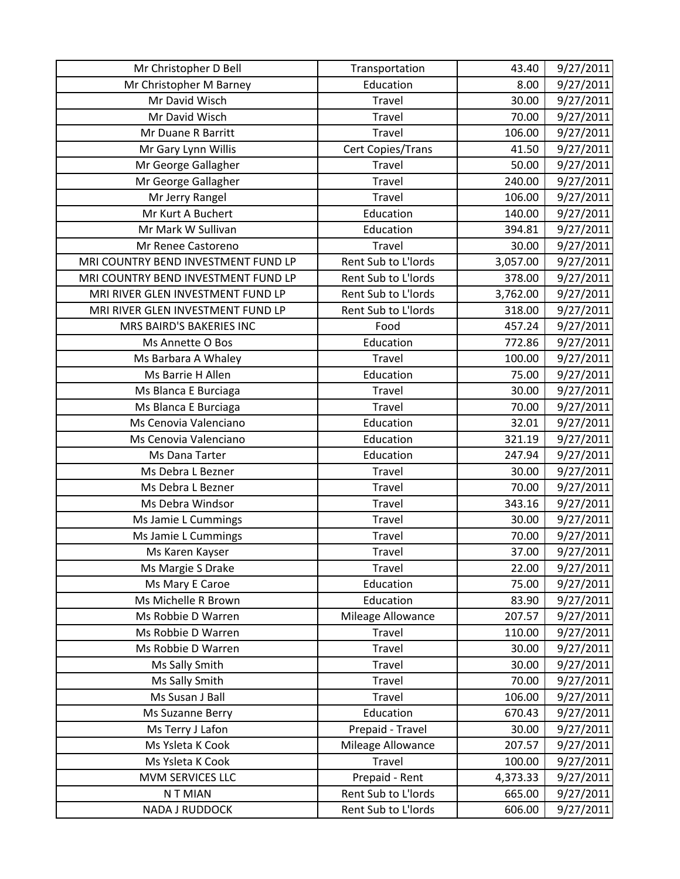| Mr Christopher D Bell               | Transportation      | 43.40    | 9/27/2011 |
|-------------------------------------|---------------------|----------|-----------|
| Mr Christopher M Barney             | Education           | 8.00     | 9/27/2011 |
| Mr David Wisch                      | Travel              | 30.00    | 9/27/2011 |
| Mr David Wisch                      | Travel              | 70.00    | 9/27/2011 |
| Mr Duane R Barritt                  | Travel              | 106.00   | 9/27/2011 |
| Mr Gary Lynn Willis                 | Cert Copies/Trans   | 41.50    | 9/27/2011 |
| Mr George Gallagher                 | Travel              | 50.00    | 9/27/2011 |
| Mr George Gallagher                 | Travel              | 240.00   | 9/27/2011 |
| Mr Jerry Rangel                     | Travel              | 106.00   | 9/27/2011 |
| Mr Kurt A Buchert                   | Education           | 140.00   | 9/27/2011 |
| Mr Mark W Sullivan                  | Education           | 394.81   | 9/27/2011 |
| Mr Renee Castoreno                  | Travel              | 30.00    | 9/27/2011 |
| MRI COUNTRY BEND INVESTMENT FUND LP | Rent Sub to L'Iords | 3,057.00 | 9/27/2011 |
| MRI COUNTRY BEND INVESTMENT FUND LP | Rent Sub to L'Iords | 378.00   | 9/27/2011 |
| MRI RIVER GLEN INVESTMENT FUND LP   | Rent Sub to L'Iords | 3,762.00 | 9/27/2011 |
| MRI RIVER GLEN INVESTMENT FUND LP   | Rent Sub to L'Iords | 318.00   | 9/27/2011 |
| MRS BAIRD'S BAKERIES INC            | Food                | 457.24   | 9/27/2011 |
| Ms Annette O Bos                    | Education           | 772.86   | 9/27/2011 |
| Ms Barbara A Whaley                 | <b>Travel</b>       | 100.00   | 9/27/2011 |
| Ms Barrie H Allen                   | Education           | 75.00    | 9/27/2011 |
| Ms Blanca E Burciaga                | <b>Travel</b>       | 30.00    | 9/27/2011 |
| Ms Blanca E Burciaga                | Travel              | 70.00    | 9/27/2011 |
| Ms Cenovia Valenciano               | Education           | 32.01    | 9/27/2011 |
| Ms Cenovia Valenciano               | Education           | 321.19   | 9/27/2011 |
| Ms Dana Tarter                      | Education           | 247.94   | 9/27/2011 |
| Ms Debra L Bezner                   | <b>Travel</b>       | 30.00    | 9/27/2011 |
| Ms Debra L Bezner                   | Travel              | 70.00    | 9/27/2011 |
| Ms Debra Windsor                    | <b>Travel</b>       | 343.16   | 9/27/2011 |
| Ms Jamie L Cummings                 | Travel              | 30.00    | 9/27/2011 |
| Ms Jamie L Cummings                 | Travel              | 70.00    | 9/27/2011 |
| Ms Karen Kayser                     | Travel              | 37.00    | 9/27/2011 |
| Ms Margie S Drake                   | Travel              | 22.00    | 9/27/2011 |
| Ms Mary E Caroe                     | Education           | 75.00    | 9/27/2011 |
| Ms Michelle R Brown                 | Education           | 83.90    | 9/27/2011 |
| Ms Robbie D Warren                  | Mileage Allowance   | 207.57   | 9/27/2011 |
| Ms Robbie D Warren                  | Travel              | 110.00   | 9/27/2011 |
| Ms Robbie D Warren                  | Travel              | 30.00    | 9/27/2011 |
| Ms Sally Smith                      | Travel              | 30.00    | 9/27/2011 |
| Ms Sally Smith                      | Travel              | 70.00    | 9/27/2011 |
| Ms Susan J Ball                     | Travel              | 106.00   | 9/27/2011 |
| Ms Suzanne Berry                    | Education           | 670.43   | 9/27/2011 |
| Ms Terry J Lafon                    | Prepaid - Travel    | 30.00    | 9/27/2011 |
| Ms Ysleta K Cook                    | Mileage Allowance   | 207.57   | 9/27/2011 |
| Ms Ysleta K Cook                    | Travel              | 100.00   | 9/27/2011 |
| MVM SERVICES LLC                    | Prepaid - Rent      | 4,373.33 | 9/27/2011 |
| N T MIAN                            | Rent Sub to L'Iords | 665.00   | 9/27/2011 |
| NADA J RUDDOCK                      | Rent Sub to L'Iords | 606.00   | 9/27/2011 |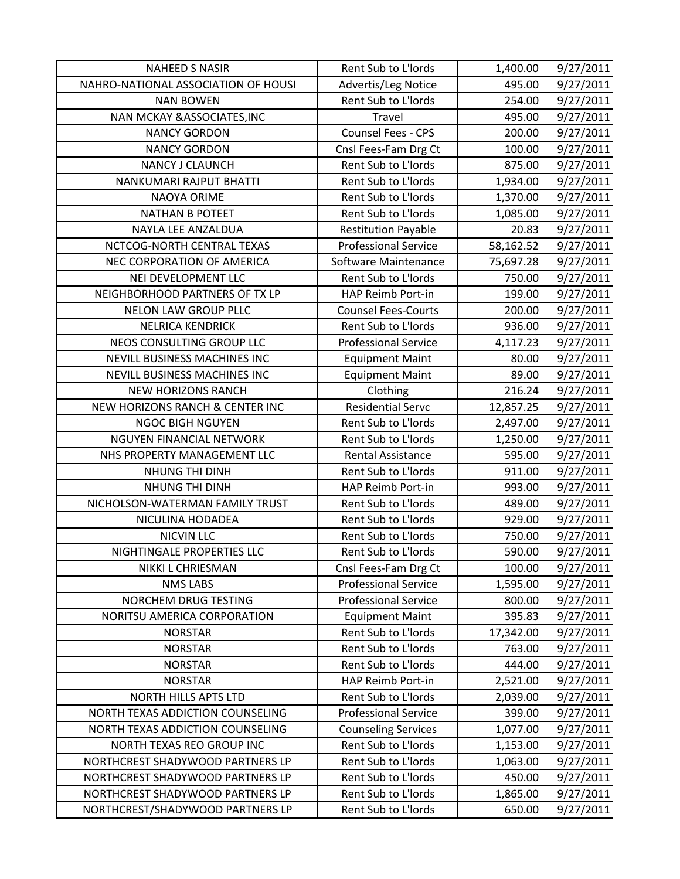| <b>NAHEED S NASIR</b>                  | Rent Sub to L'Iords         | 1,400.00  | 9/27/2011 |
|----------------------------------------|-----------------------------|-----------|-----------|
| NAHRO-NATIONAL ASSOCIATION OF HOUSI    | Advertis/Leg Notice         | 495.00    | 9/27/2011 |
| <b>NAN BOWEN</b>                       | Rent Sub to L'Iords         | 254.00    | 9/27/2011 |
| <b>NAN MCKAY &amp; ASSOCIATES, INC</b> | Travel                      | 495.00    | 9/27/2011 |
| <b>NANCY GORDON</b>                    | Counsel Fees - CPS          | 200.00    | 9/27/2011 |
| <b>NANCY GORDON</b>                    | Cnsl Fees-Fam Drg Ct        | 100.00    | 9/27/2011 |
| <b>NANCY J CLAUNCH</b>                 | Rent Sub to L'Iords         | 875.00    | 9/27/2011 |
| NANKUMARI RAJPUT BHATTI                | Rent Sub to L'Iords         | 1,934.00  | 9/27/2011 |
| NAOYA ORIME                            | Rent Sub to L'Iords         | 1,370.00  | 9/27/2011 |
| <b>NATHAN B POTEET</b>                 | Rent Sub to L'Iords         | 1,085.00  | 9/27/2011 |
| NAYLA LEE ANZALDUA                     | <b>Restitution Payable</b>  | 20.83     | 9/27/2011 |
| NCTCOG-NORTH CENTRAL TEXAS             | <b>Professional Service</b> | 58,162.52 | 9/27/2011 |
| NEC CORPORATION OF AMERICA             | Software Maintenance        | 75,697.28 | 9/27/2011 |
| NEI DEVELOPMENT LLC                    | Rent Sub to L'Iords         | 750.00    | 9/27/2011 |
| NEIGHBORHOOD PARTNERS OF TX LP         | HAP Reimb Port-in           | 199.00    | 9/27/2011 |
| NELON LAW GROUP PLLC                   | <b>Counsel Fees-Courts</b>  | 200.00    | 9/27/2011 |
| <b>NELRICA KENDRICK</b>                | Rent Sub to L'Iords         | 936.00    | 9/27/2011 |
| NEOS CONSULTING GROUP LLC              | <b>Professional Service</b> | 4,117.23  | 9/27/2011 |
| NEVILL BUSINESS MACHINES INC           | <b>Equipment Maint</b>      | 80.00     | 9/27/2011 |
| <b>NEVILL BUSINESS MACHINES INC</b>    | <b>Equipment Maint</b>      | 89.00     | 9/27/2011 |
| <b>NEW HORIZONS RANCH</b>              | Clothing                    | 216.24    | 9/27/2011 |
| NEW HORIZONS RANCH & CENTER INC        | <b>Residential Servc</b>    | 12,857.25 | 9/27/2011 |
| <b>NGOC BIGH NGUYEN</b>                | Rent Sub to L'Iords         | 2,497.00  | 9/27/2011 |
| NGUYEN FINANCIAL NETWORK               | Rent Sub to L'Iords         | 1,250.00  | 9/27/2011 |
| NHS PROPERTY MANAGEMENT LLC            | <b>Rental Assistance</b>    | 595.00    | 9/27/2011 |
| NHUNG THI DINH                         | Rent Sub to L'Iords         | 911.00    | 9/27/2011 |
| NHUNG THI DINH                         | HAP Reimb Port-in           | 993.00    | 9/27/2011 |
| NICHOLSON-WATERMAN FAMILY TRUST        | Rent Sub to L'Iords         | 489.00    | 9/27/2011 |
| NICULINA HODADEA                       | Rent Sub to L'Iords         | 929.00    | 9/27/2011 |
| <b>NICVIN LLC</b>                      | Rent Sub to L'Iords         | 750.00    | 9/27/2011 |
| NIGHTINGALE PROPERTIES LLC             | Rent Sub to L'Iords         | 590.00    | 9/27/2011 |
| NIKKI L CHRIESMAN                      | Cnsl Fees-Fam Drg Ct        | 100.00    | 9/27/2011 |
| <b>NMS LABS</b>                        | <b>Professional Service</b> | 1,595.00  | 9/27/2011 |
| NORCHEM DRUG TESTING                   | <b>Professional Service</b> | 800.00    | 9/27/2011 |
| NORITSU AMERICA CORPORATION            | <b>Equipment Maint</b>      | 395.83    | 9/27/2011 |
| <b>NORSTAR</b>                         | Rent Sub to L'Iords         | 17,342.00 | 9/27/2011 |
| <b>NORSTAR</b>                         | Rent Sub to L'Iords         | 763.00    | 9/27/2011 |
| <b>NORSTAR</b>                         | Rent Sub to L'Iords         | 444.00    | 9/27/2011 |
| <b>NORSTAR</b>                         | HAP Reimb Port-in           | 2,521.00  | 9/27/2011 |
| <b>NORTH HILLS APTS LTD</b>            | Rent Sub to L'Iords         | 2,039.00  | 9/27/2011 |
| NORTH TEXAS ADDICTION COUNSELING       | <b>Professional Service</b> | 399.00    | 9/27/2011 |
| NORTH TEXAS ADDICTION COUNSELING       | <b>Counseling Services</b>  | 1,077.00  | 9/27/2011 |
| NORTH TEXAS REO GROUP INC              | Rent Sub to L'Iords         | 1,153.00  | 9/27/2011 |
| NORTHCREST SHADYWOOD PARTNERS LP       | Rent Sub to L'Iords         | 1,063.00  | 9/27/2011 |
| NORTHCREST SHADYWOOD PARTNERS LP       | Rent Sub to L'Iords         | 450.00    | 9/27/2011 |
| NORTHCREST SHADYWOOD PARTNERS LP       | Rent Sub to L'Iords         | 1,865.00  | 9/27/2011 |
| NORTHCREST/SHADYWOOD PARTNERS LP       | Rent Sub to L'Iords         | 650.00    | 9/27/2011 |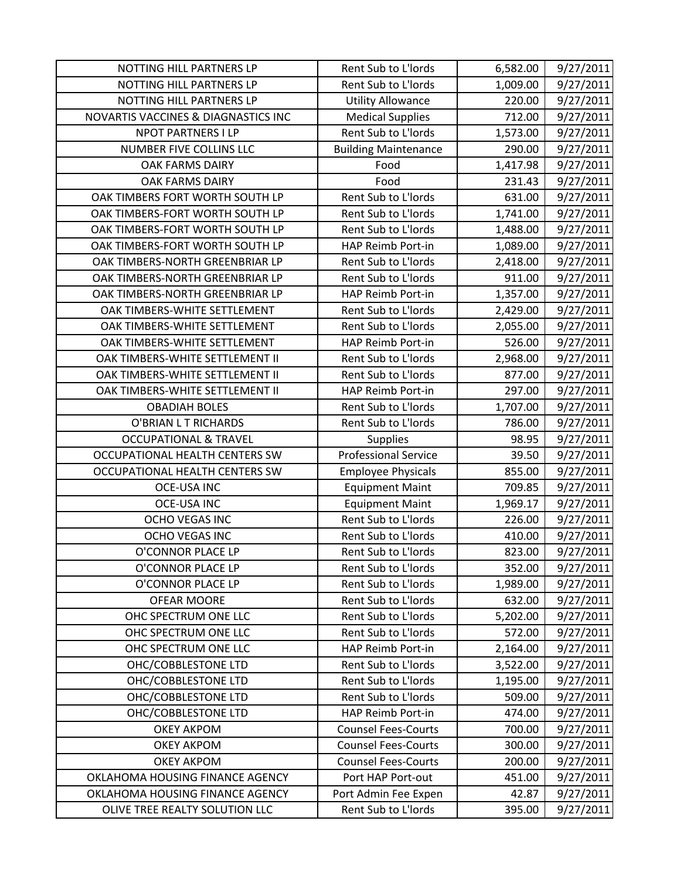| NOTTING HILL PARTNERS LP            | Rent Sub to L'Iords         | 6,582.00 | 9/27/2011 |
|-------------------------------------|-----------------------------|----------|-----------|
| NOTTING HILL PARTNERS LP            | Rent Sub to L'Iords         | 1,009.00 | 9/27/2011 |
| NOTTING HILL PARTNERS LP            | <b>Utility Allowance</b>    | 220.00   | 9/27/2011 |
| NOVARTIS VACCINES & DIAGNASTICS INC | <b>Medical Supplies</b>     | 712.00   | 9/27/2011 |
| <b>NPOT PARTNERS I LP</b>           | Rent Sub to L'Iords         | 1,573.00 | 9/27/2011 |
| NUMBER FIVE COLLINS LLC             | <b>Building Maintenance</b> | 290.00   | 9/27/2011 |
| <b>OAK FARMS DAIRY</b>              | Food                        | 1,417.98 | 9/27/2011 |
| <b>OAK FARMS DAIRY</b>              | Food                        | 231.43   | 9/27/2011 |
| OAK TIMBERS FORT WORTH SOUTH LP     | Rent Sub to L'Iords         | 631.00   | 9/27/2011 |
| OAK TIMBERS-FORT WORTH SOUTH LP     | Rent Sub to L'Iords         | 1,741.00 | 9/27/2011 |
| OAK TIMBERS-FORT WORTH SOUTH LP     | Rent Sub to L'Iords         | 1,488.00 | 9/27/2011 |
| OAK TIMBERS-FORT WORTH SOUTH LP     | HAP Reimb Port-in           | 1,089.00 | 9/27/2011 |
| OAK TIMBERS-NORTH GREENBRIAR LP     | Rent Sub to L'Iords         | 2,418.00 | 9/27/2011 |
| OAK TIMBERS-NORTH GREENBRIAR LP     | Rent Sub to L'Iords         | 911.00   | 9/27/2011 |
| OAK TIMBERS-NORTH GREENBRIAR LP     | HAP Reimb Port-in           | 1,357.00 | 9/27/2011 |
| OAK TIMBERS-WHITE SETTLEMENT        | Rent Sub to L'Iords         | 2,429.00 | 9/27/2011 |
| OAK TIMBERS-WHITE SETTLEMENT        | Rent Sub to L'Iords         | 2,055.00 | 9/27/2011 |
| OAK TIMBERS-WHITE SETTLEMENT        | HAP Reimb Port-in           | 526.00   | 9/27/2011 |
| OAK TIMBERS-WHITE SETTLEMENT II     | Rent Sub to L'Iords         | 2,968.00 | 9/27/2011 |
| OAK TIMBERS-WHITE SETTLEMENT II     | Rent Sub to L'Iords         | 877.00   | 9/27/2011 |
| OAK TIMBERS-WHITE SETTLEMENT II     | HAP Reimb Port-in           | 297.00   | 9/27/2011 |
| <b>OBADIAH BOLES</b>                | Rent Sub to L'Iords         | 1,707.00 | 9/27/2011 |
| O'BRIAN L T RICHARDS                | Rent Sub to L'Iords         | 786.00   | 9/27/2011 |
| <b>OCCUPATIONAL &amp; TRAVEL</b>    | <b>Supplies</b>             | 98.95    | 9/27/2011 |
| OCCUPATIONAL HEALTH CENTERS SW      | <b>Professional Service</b> | 39.50    | 9/27/2011 |
| OCCUPATIONAL HEALTH CENTERS SW      | <b>Employee Physicals</b>   | 855.00   | 9/27/2011 |
| <b>OCE-USA INC</b>                  | <b>Equipment Maint</b>      | 709.85   | 9/27/2011 |
| <b>OCE-USA INC</b>                  | <b>Equipment Maint</b>      | 1,969.17 | 9/27/2011 |
| <b>OCHO VEGAS INC</b>               | Rent Sub to L'Iords         | 226.00   | 9/27/2011 |
| OCHO VEGAS INC                      | Rent Sub to L'Iords         | 410.00   | 9/27/2011 |
| O'CONNOR PLACE LP                   | Rent Sub to L'Iords         | 823.00   | 9/27/2011 |
| O'CONNOR PLACE LP                   | Rent Sub to L'Iords         | 352.00   | 9/27/2011 |
| O'CONNOR PLACE LP                   | Rent Sub to L'Iords         | 1,989.00 | 9/27/2011 |
| <b>OFEAR MOORE</b>                  | Rent Sub to L'Iords         | 632.00   | 9/27/2011 |
| OHC SPECTRUM ONE LLC                | Rent Sub to L'Iords         | 5,202.00 | 9/27/2011 |
| OHC SPECTRUM ONE LLC                | Rent Sub to L'Iords         | 572.00   | 9/27/2011 |
| OHC SPECTRUM ONE LLC                | HAP Reimb Port-in           | 2,164.00 | 9/27/2011 |
| OHC/COBBLESTONE LTD                 | Rent Sub to L'Iords         | 3,522.00 | 9/27/2011 |
| OHC/COBBLESTONE LTD                 | Rent Sub to L'Iords         | 1,195.00 | 9/27/2011 |
| OHC/COBBLESTONE LTD                 | Rent Sub to L'Iords         | 509.00   | 9/27/2011 |
| OHC/COBBLESTONE LTD                 | HAP Reimb Port-in           | 474.00   | 9/27/2011 |
| <b>OKEY AKPOM</b>                   | <b>Counsel Fees-Courts</b>  | 700.00   | 9/27/2011 |
| <b>OKEY AKPOM</b>                   | <b>Counsel Fees-Courts</b>  | 300.00   | 9/27/2011 |
| <b>OKEY AKPOM</b>                   | <b>Counsel Fees-Courts</b>  | 200.00   | 9/27/2011 |
| OKLAHOMA HOUSING FINANCE AGENCY     | Port HAP Port-out           | 451.00   | 9/27/2011 |
| OKLAHOMA HOUSING FINANCE AGENCY     | Port Admin Fee Expen        | 42.87    | 9/27/2011 |
| OLIVE TREE REALTY SOLUTION LLC      | Rent Sub to L'Iords         | 395.00   | 9/27/2011 |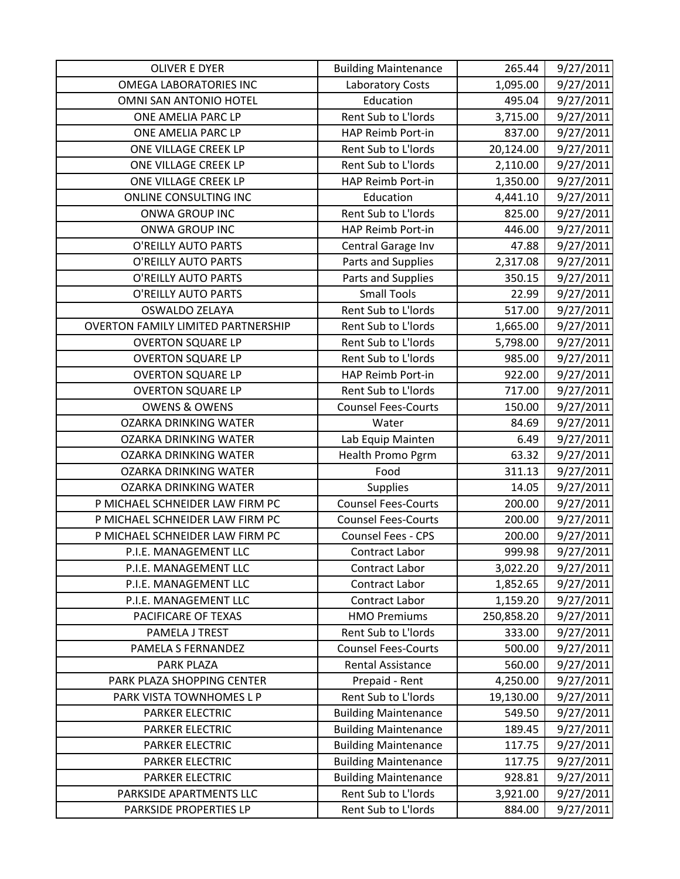| <b>OLIVER E DYER</b>                      | <b>Building Maintenance</b> | 265.44     | 9/27/2011 |
|-------------------------------------------|-----------------------------|------------|-----------|
| <b>OMEGA LABORATORIES INC</b>             | Laboratory Costs            | 1,095.00   | 9/27/2011 |
| OMNI SAN ANTONIO HOTEL                    | Education                   | 495.04     | 9/27/2011 |
| ONE AMELIA PARC LP                        | Rent Sub to L'Iords         | 3,715.00   | 9/27/2011 |
| ONE AMELIA PARC LP                        | HAP Reimb Port-in           | 837.00     | 9/27/2011 |
| ONE VILLAGE CREEK LP                      | Rent Sub to L'Iords         | 20,124.00  | 9/27/2011 |
| ONE VILLAGE CREEK LP                      | Rent Sub to L'Iords         | 2,110.00   | 9/27/2011 |
| ONE VILLAGE CREEK LP                      | HAP Reimb Port-in           | 1,350.00   | 9/27/2011 |
| ONLINE CONSULTING INC                     | Education                   | 4,441.10   | 9/27/2011 |
| ONWA GROUP INC                            | Rent Sub to L'Iords         | 825.00     | 9/27/2011 |
| ONWA GROUP INC                            | HAP Reimb Port-in           | 446.00     | 9/27/2011 |
| O'REILLY AUTO PARTS                       | Central Garage Inv          | 47.88      | 9/27/2011 |
| O'REILLY AUTO PARTS                       | Parts and Supplies          | 2,317.08   | 9/27/2011 |
| O'REILLY AUTO PARTS                       | Parts and Supplies          | 350.15     | 9/27/2011 |
| <b>O'REILLY AUTO PARTS</b>                | <b>Small Tools</b>          | 22.99      | 9/27/2011 |
| <b>OSWALDO ZELAYA</b>                     | Rent Sub to L'Iords         | 517.00     | 9/27/2011 |
| <b>OVERTON FAMILY LIMITED PARTNERSHIP</b> | Rent Sub to L'Iords         | 1,665.00   | 9/27/2011 |
| <b>OVERTON SQUARE LP</b>                  | Rent Sub to L'Iords         | 5,798.00   | 9/27/2011 |
| <b>OVERTON SQUARE LP</b>                  | Rent Sub to L'Iords         | 985.00     | 9/27/2011 |
| <b>OVERTON SQUARE LP</b>                  | HAP Reimb Port-in           | 922.00     | 9/27/2011 |
| <b>OVERTON SQUARE LP</b>                  | Rent Sub to L'Iords         | 717.00     | 9/27/2011 |
| <b>OWENS &amp; OWENS</b>                  | <b>Counsel Fees-Courts</b>  | 150.00     | 9/27/2011 |
| <b>OZARKA DRINKING WATER</b>              | Water                       | 84.69      | 9/27/2011 |
| <b>OZARKA DRINKING WATER</b>              | Lab Equip Mainten           | 6.49       | 9/27/2011 |
| <b>OZARKA DRINKING WATER</b>              | <b>Health Promo Pgrm</b>    | 63.32      | 9/27/2011 |
| <b>OZARKA DRINKING WATER</b>              | Food                        | 311.13     | 9/27/2011 |
| <b>OZARKA DRINKING WATER</b>              | <b>Supplies</b>             | 14.05      | 9/27/2011 |
| P MICHAEL SCHNEIDER LAW FIRM PC           | <b>Counsel Fees-Courts</b>  | 200.00     | 9/27/2011 |
| P MICHAEL SCHNEIDER LAW FIRM PC           | <b>Counsel Fees-Courts</b>  | 200.00     | 9/27/2011 |
| P MICHAEL SCHNEIDER LAW FIRM PC           | <b>Counsel Fees - CPS</b>   | 200.00     | 9/27/2011 |
| P.I.E. MANAGEMENT LLC                     | <b>Contract Labor</b>       | 999.98     | 9/27/2011 |
| P.I.E. MANAGEMENT LLC                     | Contract Labor              | 3,022.20   | 9/27/2011 |
| P.I.E. MANAGEMENT LLC                     | Contract Labor              | 1,852.65   | 9/27/2011 |
| P.I.E. MANAGEMENT LLC                     | Contract Labor              | 1,159.20   | 9/27/2011 |
| PACIFICARE OF TEXAS                       | <b>HMO Premiums</b>         | 250,858.20 | 9/27/2011 |
| PAMELA J TREST                            | Rent Sub to L'Iords         | 333.00     | 9/27/2011 |
| PAMELA S FERNANDEZ                        | <b>Counsel Fees-Courts</b>  | 500.00     | 9/27/2011 |
| PARK PLAZA                                | <b>Rental Assistance</b>    | 560.00     | 9/27/2011 |
| PARK PLAZA SHOPPING CENTER                | Prepaid - Rent              | 4,250.00   | 9/27/2011 |
| PARK VISTA TOWNHOMES L P                  | Rent Sub to L'Iords         | 19,130.00  | 9/27/2011 |
| <b>PARKER ELECTRIC</b>                    | <b>Building Maintenance</b> | 549.50     | 9/27/2011 |
| <b>PARKER ELECTRIC</b>                    | <b>Building Maintenance</b> | 189.45     | 9/27/2011 |
| <b>PARKER ELECTRIC</b>                    | <b>Building Maintenance</b> | 117.75     | 9/27/2011 |
| PARKER ELECTRIC                           | <b>Building Maintenance</b> | 117.75     | 9/27/2011 |
| <b>PARKER ELECTRIC</b>                    | <b>Building Maintenance</b> | 928.81     | 9/27/2011 |
| PARKSIDE APARTMENTS LLC                   | Rent Sub to L'Iords         | 3,921.00   | 9/27/2011 |
| PARKSIDE PROPERTIES LP                    | Rent Sub to L'Iords         | 884.00     | 9/27/2011 |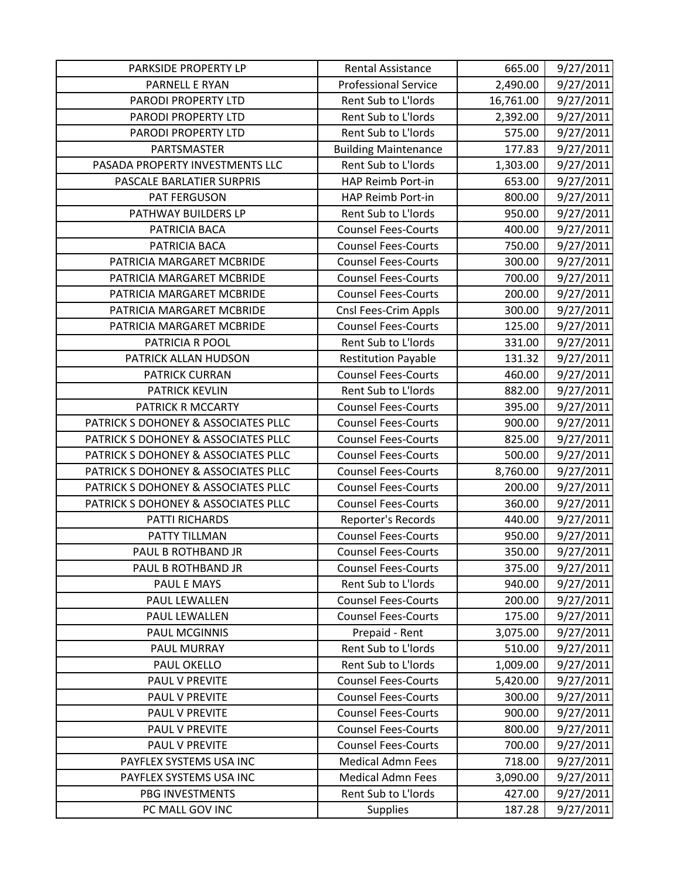| PARKSIDE PROPERTY LP                | <b>Rental Assistance</b>    | 665.00    | 9/27/2011 |
|-------------------------------------|-----------------------------|-----------|-----------|
| PARNELL E RYAN                      | <b>Professional Service</b> | 2,490.00  | 9/27/2011 |
| PARODI PROPERTY LTD                 | Rent Sub to L'Iords         | 16,761.00 | 9/27/2011 |
| PARODI PROPERTY LTD                 | Rent Sub to L'Iords         | 2,392.00  | 9/27/2011 |
| PARODI PROPERTY LTD                 | Rent Sub to L'Iords         | 575.00    | 9/27/2011 |
| PARTSMASTER                         | <b>Building Maintenance</b> | 177.83    | 9/27/2011 |
| PASADA PROPERTY INVESTMENTS LLC     | Rent Sub to L'Iords         | 1,303.00  | 9/27/2011 |
| PASCALE BARLATIER SURPRIS           | HAP Reimb Port-in           | 653.00    | 9/27/2011 |
| PAT FERGUSON                        | HAP Reimb Port-in           | 800.00    | 9/27/2011 |
| PATHWAY BUILDERS LP                 | Rent Sub to L'Iords         | 950.00    | 9/27/2011 |
| PATRICIA BACA                       | <b>Counsel Fees-Courts</b>  | 400.00    | 9/27/2011 |
| PATRICIA BACA                       | <b>Counsel Fees-Courts</b>  | 750.00    | 9/27/2011 |
| PATRICIA MARGARET MCBRIDE           | <b>Counsel Fees-Courts</b>  | 300.00    | 9/27/2011 |
| PATRICIA MARGARET MCBRIDE           | <b>Counsel Fees-Courts</b>  | 700.00    | 9/27/2011 |
| PATRICIA MARGARET MCBRIDE           | <b>Counsel Fees-Courts</b>  | 200.00    | 9/27/2011 |
| PATRICIA MARGARET MCBRIDE           | Cnsl Fees-Crim Appls        | 300.00    | 9/27/2011 |
| PATRICIA MARGARET MCBRIDE           | <b>Counsel Fees-Courts</b>  | 125.00    | 9/27/2011 |
| PATRICIA R POOL                     | Rent Sub to L'Iords         | 331.00    | 9/27/2011 |
| PATRICK ALLAN HUDSON                | <b>Restitution Payable</b>  | 131.32    | 9/27/2011 |
| <b>PATRICK CURRAN</b>               | <b>Counsel Fees-Courts</b>  | 460.00    | 9/27/2011 |
| <b>PATRICK KEVLIN</b>               | Rent Sub to L'Iords         | 882.00    | 9/27/2011 |
| PATRICK R MCCARTY                   | <b>Counsel Fees-Courts</b>  | 395.00    | 9/27/2011 |
| PATRICK S DOHONEY & ASSOCIATES PLLC | <b>Counsel Fees-Courts</b>  | 900.00    | 9/27/2011 |
| PATRICK S DOHONEY & ASSOCIATES PLLC | <b>Counsel Fees-Courts</b>  | 825.00    | 9/27/2011 |
| PATRICK S DOHONEY & ASSOCIATES PLLC | <b>Counsel Fees-Courts</b>  | 500.00    | 9/27/2011 |
| PATRICK S DOHONEY & ASSOCIATES PLLC | <b>Counsel Fees-Courts</b>  | 8,760.00  | 9/27/2011 |
| PATRICK S DOHONEY & ASSOCIATES PLLC | <b>Counsel Fees-Courts</b>  | 200.00    | 9/27/2011 |
| PATRICK S DOHONEY & ASSOCIATES PLLC | <b>Counsel Fees-Courts</b>  | 360.00    | 9/27/2011 |
| PATTI RICHARDS                      | Reporter's Records          | 440.00    | 9/27/2011 |
| PATTY TILLMAN                       | <b>Counsel Fees-Courts</b>  | 950.00    | 9/27/2011 |
| PAUL B ROTHBAND JR                  | <b>Counsel Fees-Courts</b>  | 350.00    | 9/27/2011 |
| PAUL B ROTHBAND JR                  | <b>Counsel Fees-Courts</b>  | 375.00    | 9/27/2011 |
| PAUL E MAYS                         | Rent Sub to L'Iords         | 940.00    | 9/27/2011 |
| PAUL LEWALLEN                       | <b>Counsel Fees-Courts</b>  | 200.00    | 9/27/2011 |
| PAUL LEWALLEN                       | <b>Counsel Fees-Courts</b>  | 175.00    | 9/27/2011 |
| <b>PAUL MCGINNIS</b>                | Prepaid - Rent              | 3,075.00  | 9/27/2011 |
| PAUL MURRAY                         | Rent Sub to L'Iords         | 510.00    | 9/27/2011 |
| PAUL OKELLO                         | Rent Sub to L'Iords         | 1,009.00  | 9/27/2011 |
| PAUL V PREVITE                      | <b>Counsel Fees-Courts</b>  | 5,420.00  | 9/27/2011 |
| PAUL V PREVITE                      | <b>Counsel Fees-Courts</b>  | 300.00    | 9/27/2011 |
| PAUL V PREVITE                      | <b>Counsel Fees-Courts</b>  | 900.00    | 9/27/2011 |
| PAUL V PREVITE                      | <b>Counsel Fees-Courts</b>  | 800.00    | 9/27/2011 |
| PAUL V PREVITE                      | <b>Counsel Fees-Courts</b>  | 700.00    | 9/27/2011 |
| PAYFLEX SYSTEMS USA INC             | <b>Medical Admn Fees</b>    | 718.00    | 9/27/2011 |
| PAYFLEX SYSTEMS USA INC             | <b>Medical Admn Fees</b>    | 3,090.00  | 9/27/2011 |
| PBG INVESTMENTS                     | Rent Sub to L'Iords         | 427.00    | 9/27/2011 |
| PC MALL GOV INC                     | <b>Supplies</b>             | 187.28    | 9/27/2011 |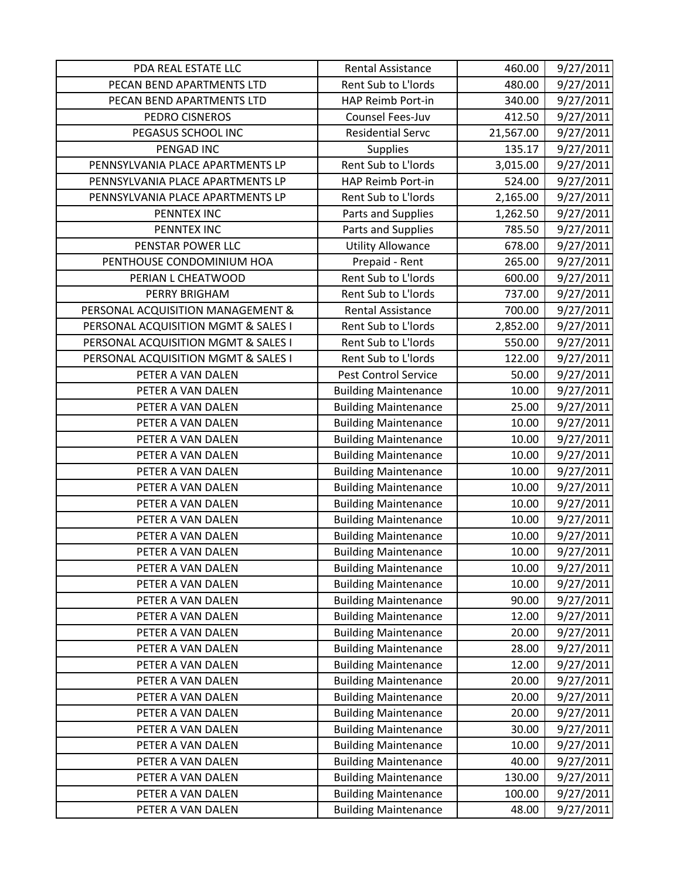| PDA REAL ESTATE LLC                 | Rental Assistance           | 460.00    | 9/27/2011 |
|-------------------------------------|-----------------------------|-----------|-----------|
| PECAN BEND APARTMENTS LTD           | Rent Sub to L'Iords         | 480.00    | 9/27/2011 |
| PECAN BEND APARTMENTS LTD           | <b>HAP Reimb Port-in</b>    | 340.00    | 9/27/2011 |
| PEDRO CISNEROS                      | Counsel Fees-Juv            | 412.50    | 9/27/2011 |
| PEGASUS SCHOOL INC                  | <b>Residential Servc</b>    | 21,567.00 | 9/27/2011 |
| PENGAD INC                          | <b>Supplies</b>             | 135.17    | 9/27/2011 |
| PENNSYLVANIA PLACE APARTMENTS LP    | Rent Sub to L'Iords         | 3,015.00  | 9/27/2011 |
| PENNSYLVANIA PLACE APARTMENTS LP    | HAP Reimb Port-in           | 524.00    | 9/27/2011 |
| PENNSYLVANIA PLACE APARTMENTS LP    | Rent Sub to L'Iords         | 2,165.00  | 9/27/2011 |
| PENNTEX INC                         | Parts and Supplies          | 1,262.50  | 9/27/2011 |
| PENNTEX INC                         | Parts and Supplies          | 785.50    | 9/27/2011 |
| PENSTAR POWER LLC                   | <b>Utility Allowance</b>    | 678.00    | 9/27/2011 |
| PENTHOUSE CONDOMINIUM HOA           | Prepaid - Rent              | 265.00    | 9/27/2011 |
| PERIAN L CHEATWOOD                  | Rent Sub to L'Iords         | 600.00    | 9/27/2011 |
| <b>PERRY BRIGHAM</b>                | Rent Sub to L'Iords         | 737.00    | 9/27/2011 |
| PERSONAL ACQUISITION MANAGEMENT &   | <b>Rental Assistance</b>    | 700.00    | 9/27/2011 |
| PERSONAL ACQUISITION MGMT & SALES I | Rent Sub to L'Iords         | 2,852.00  | 9/27/2011 |
| PERSONAL ACQUISITION MGMT & SALES I | Rent Sub to L'Iords         | 550.00    | 9/27/2011 |
| PERSONAL ACQUISITION MGMT & SALES I | Rent Sub to L'Iords         | 122.00    | 9/27/2011 |
| PETER A VAN DALEN                   | <b>Pest Control Service</b> | 50.00     | 9/27/2011 |
| PETER A VAN DALEN                   | <b>Building Maintenance</b> | 10.00     | 9/27/2011 |
| PETER A VAN DALEN                   | <b>Building Maintenance</b> | 25.00     | 9/27/2011 |
| PETER A VAN DALEN                   | <b>Building Maintenance</b> | 10.00     | 9/27/2011 |
| PETER A VAN DALEN                   | <b>Building Maintenance</b> | 10.00     | 9/27/2011 |
| PETER A VAN DALEN                   | <b>Building Maintenance</b> | 10.00     | 9/27/2011 |
| PETER A VAN DALEN                   | <b>Building Maintenance</b> | 10.00     | 9/27/2011 |
| PETER A VAN DALEN                   | <b>Building Maintenance</b> | 10.00     | 9/27/2011 |
| PETER A VAN DALEN                   | <b>Building Maintenance</b> | 10.00     | 9/27/2011 |
| PETER A VAN DALEN                   | <b>Building Maintenance</b> | 10.00     | 9/27/2011 |
| PETER A VAN DALEN                   | <b>Building Maintenance</b> | 10.00     | 9/27/2011 |
| PETER A VAN DALEN                   | <b>Building Maintenance</b> | 10.00     | 9/27/2011 |
| PETER A VAN DALEN                   | <b>Building Maintenance</b> | 10.00     | 9/27/2011 |
| PETER A VAN DALEN                   | <b>Building Maintenance</b> | 10.00     | 9/27/2011 |
| PETER A VAN DALEN                   | <b>Building Maintenance</b> | 90.00     | 9/27/2011 |
| PETER A VAN DALEN                   | <b>Building Maintenance</b> | 12.00     | 9/27/2011 |
| PETER A VAN DALEN                   | <b>Building Maintenance</b> | 20.00     | 9/27/2011 |
| PETER A VAN DALEN                   | <b>Building Maintenance</b> | 28.00     | 9/27/2011 |
| PETER A VAN DALEN                   | <b>Building Maintenance</b> | 12.00     | 9/27/2011 |
| PETER A VAN DALEN                   | <b>Building Maintenance</b> | 20.00     | 9/27/2011 |
| PETER A VAN DALEN                   | <b>Building Maintenance</b> | 20.00     | 9/27/2011 |
| PETER A VAN DALEN                   | <b>Building Maintenance</b> | 20.00     | 9/27/2011 |
| PETER A VAN DALEN                   | <b>Building Maintenance</b> | 30.00     | 9/27/2011 |
| PETER A VAN DALEN                   | <b>Building Maintenance</b> | 10.00     | 9/27/2011 |
| PETER A VAN DALEN                   | <b>Building Maintenance</b> | 40.00     | 9/27/2011 |
| PETER A VAN DALEN                   | <b>Building Maintenance</b> | 130.00    | 9/27/2011 |
| PETER A VAN DALEN                   | <b>Building Maintenance</b> | 100.00    | 9/27/2011 |
| PETER A VAN DALEN                   | <b>Building Maintenance</b> | 48.00     | 9/27/2011 |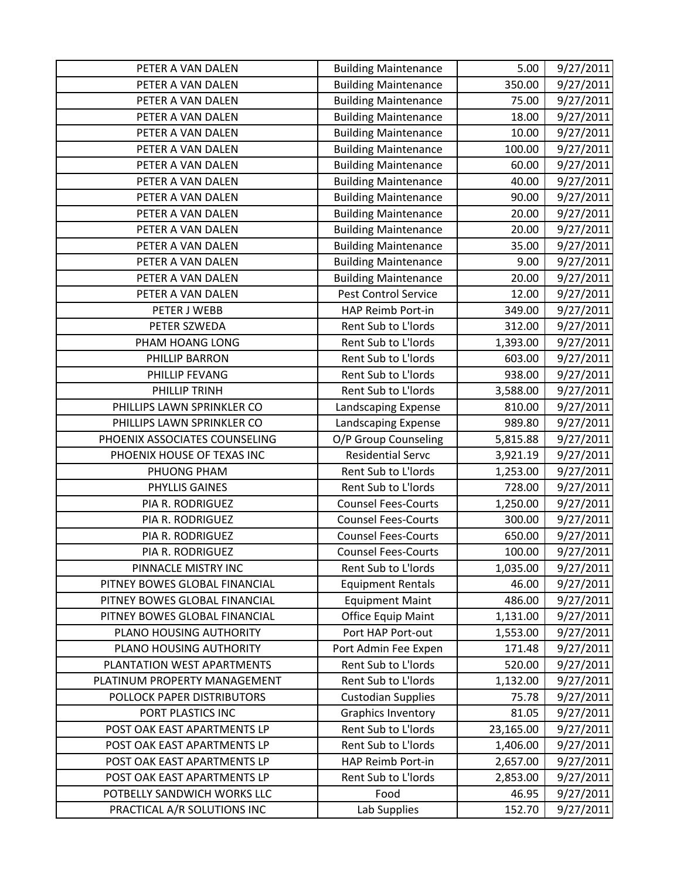| PETER A VAN DALEN             | <b>Building Maintenance</b> | 5.00      | 9/27/2011 |
|-------------------------------|-----------------------------|-----------|-----------|
| PETER A VAN DALEN             | <b>Building Maintenance</b> | 350.00    | 9/27/2011 |
| PETER A VAN DALEN             | <b>Building Maintenance</b> | 75.00     | 9/27/2011 |
| PETER A VAN DALEN             | <b>Building Maintenance</b> | 18.00     | 9/27/2011 |
| PETER A VAN DALEN             | <b>Building Maintenance</b> | 10.00     | 9/27/2011 |
| PETER A VAN DALEN             | <b>Building Maintenance</b> | 100.00    | 9/27/2011 |
| PETER A VAN DALEN             | <b>Building Maintenance</b> | 60.00     | 9/27/2011 |
| PETER A VAN DALEN             | <b>Building Maintenance</b> | 40.00     | 9/27/2011 |
| PETER A VAN DALEN             | <b>Building Maintenance</b> | 90.00     | 9/27/2011 |
| PETER A VAN DALEN             | <b>Building Maintenance</b> | 20.00     | 9/27/2011 |
| PETER A VAN DALEN             | <b>Building Maintenance</b> | 20.00     | 9/27/2011 |
| PETER A VAN DALEN             | <b>Building Maintenance</b> | 35.00     | 9/27/2011 |
| PETER A VAN DALEN             | <b>Building Maintenance</b> | 9.00      | 9/27/2011 |
| PETER A VAN DALEN             | <b>Building Maintenance</b> | 20.00     | 9/27/2011 |
| PETER A VAN DALEN             | <b>Pest Control Service</b> | 12.00     | 9/27/2011 |
| PETER J WEBB                  | HAP Reimb Port-in           | 349.00    | 9/27/2011 |
| PETER SZWEDA                  | Rent Sub to L'Iords         | 312.00    | 9/27/2011 |
| PHAM HOANG LONG               | Rent Sub to L'Iords         | 1,393.00  | 9/27/2011 |
| PHILLIP BARRON                | Rent Sub to L'Iords         | 603.00    | 9/27/2011 |
| PHILLIP FEVANG                | Rent Sub to L'Iords         | 938.00    | 9/27/2011 |
| PHILLIP TRINH                 | Rent Sub to L'Iords         | 3,588.00  | 9/27/2011 |
| PHILLIPS LAWN SPRINKLER CO    | Landscaping Expense         | 810.00    | 9/27/2011 |
| PHILLIPS LAWN SPRINKLER CO    | Landscaping Expense         | 989.80    | 9/27/2011 |
| PHOENIX ASSOCIATES COUNSELING | O/P Group Counseling        | 5,815.88  | 9/27/2011 |
| PHOENIX HOUSE OF TEXAS INC    | <b>Residential Servc</b>    | 3,921.19  | 9/27/2011 |
| PHUONG PHAM                   | Rent Sub to L'Iords         | 1,253.00  | 9/27/2011 |
| PHYLLIS GAINES                | Rent Sub to L'Iords         | 728.00    | 9/27/2011 |
| PIA R. RODRIGUEZ              | <b>Counsel Fees-Courts</b>  | 1,250.00  | 9/27/2011 |
| PIA R. RODRIGUEZ              | <b>Counsel Fees-Courts</b>  | 300.00    | 9/27/2011 |
| PIA R. RODRIGUEZ              | <b>Counsel Fees-Courts</b>  | 650.00    | 9/27/2011 |
| PIA R. RODRIGUEZ              | <b>Counsel Fees-Courts</b>  | 100.00    | 9/27/2011 |
| PINNACLE MISTRY INC           | Rent Sub to L'Iords         | 1,035.00  | 9/27/2011 |
| PITNEY BOWES GLOBAL FINANCIAL | <b>Equipment Rentals</b>    | 46.00     | 9/27/2011 |
| PITNEY BOWES GLOBAL FINANCIAL | <b>Equipment Maint</b>      | 486.00    | 9/27/2011 |
| PITNEY BOWES GLOBAL FINANCIAL | Office Equip Maint          | 1,131.00  | 9/27/2011 |
| PLANO HOUSING AUTHORITY       | Port HAP Port-out           | 1,553.00  | 9/27/2011 |
| PLANO HOUSING AUTHORITY       | Port Admin Fee Expen        | 171.48    | 9/27/2011 |
| PLANTATION WEST APARTMENTS    | Rent Sub to L'Iords         | 520.00    | 9/27/2011 |
| PLATINUM PROPERTY MANAGEMENT  | Rent Sub to L'Iords         | 1,132.00  | 9/27/2011 |
| POLLOCK PAPER DISTRIBUTORS    | <b>Custodian Supplies</b>   | 75.78     | 9/27/2011 |
| PORT PLASTICS INC             | <b>Graphics Inventory</b>   | 81.05     | 9/27/2011 |
| POST OAK EAST APARTMENTS LP   | Rent Sub to L'Iords         | 23,165.00 | 9/27/2011 |
| POST OAK EAST APARTMENTS LP   | Rent Sub to L'Iords         | 1,406.00  | 9/27/2011 |
| POST OAK EAST APARTMENTS LP   | HAP Reimb Port-in           | 2,657.00  | 9/27/2011 |
| POST OAK EAST APARTMENTS LP   | Rent Sub to L'Iords         | 2,853.00  | 9/27/2011 |
| POTBELLY SANDWICH WORKS LLC   | Food                        | 46.95     | 9/27/2011 |
| PRACTICAL A/R SOLUTIONS INC   | Lab Supplies                | 152.70    | 9/27/2011 |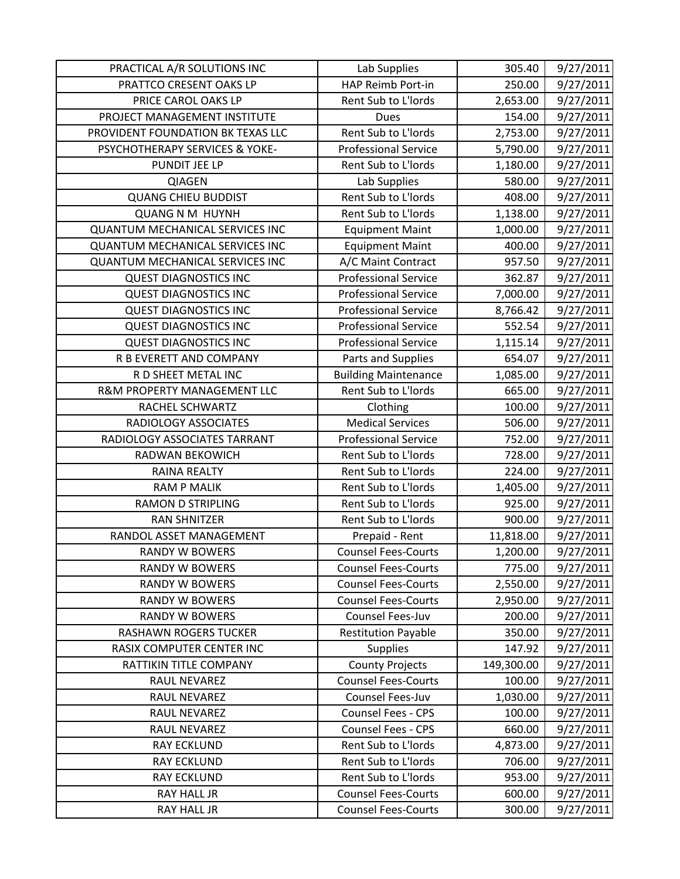| PRACTICAL A/R SOLUTIONS INC            | Lab Supplies                | 305.40     | 9/27/2011 |
|----------------------------------------|-----------------------------|------------|-----------|
| PRATTCO CRESENT OAKS LP                | HAP Reimb Port-in           | 250.00     | 9/27/2011 |
| PRICE CAROL OAKS LP                    | Rent Sub to L'Iords         | 2,653.00   | 9/27/2011 |
| PROJECT MANAGEMENT INSTITUTE           | <b>Dues</b>                 | 154.00     | 9/27/2011 |
| PROVIDENT FOUNDATION BK TEXAS LLC      | Rent Sub to L'Iords         | 2,753.00   | 9/27/2011 |
| PSYCHOTHERAPY SERVICES & YOKE-         | <b>Professional Service</b> | 5,790.00   | 9/27/2011 |
| PUNDIT JEE LP                          | Rent Sub to L'Iords         | 1,180.00   | 9/27/2011 |
| QIAGEN                                 | Lab Supplies                | 580.00     | 9/27/2011 |
| <b>QUANG CHIEU BUDDIST</b>             | Rent Sub to L'Iords         | 408.00     | 9/27/2011 |
| <b>QUANG N M HUYNH</b>                 | Rent Sub to L'Iords         | 1,138.00   | 9/27/2011 |
| <b>QUANTUM MECHANICAL SERVICES INC</b> | <b>Equipment Maint</b>      | 1,000.00   | 9/27/2011 |
| <b>QUANTUM MECHANICAL SERVICES INC</b> | <b>Equipment Maint</b>      | 400.00     | 9/27/2011 |
| <b>QUANTUM MECHANICAL SERVICES INC</b> | A/C Maint Contract          | 957.50     | 9/27/2011 |
| <b>QUEST DIAGNOSTICS INC</b>           | <b>Professional Service</b> | 362.87     | 9/27/2011 |
| <b>QUEST DIAGNOSTICS INC</b>           | <b>Professional Service</b> | 7,000.00   | 9/27/2011 |
| <b>QUEST DIAGNOSTICS INC</b>           | <b>Professional Service</b> | 8,766.42   | 9/27/2011 |
| <b>QUEST DIAGNOSTICS INC</b>           | <b>Professional Service</b> | 552.54     | 9/27/2011 |
| <b>QUEST DIAGNOSTICS INC</b>           | <b>Professional Service</b> | 1,115.14   | 9/27/2011 |
| R B EVERETT AND COMPANY                | Parts and Supplies          | 654.07     | 9/27/2011 |
| R D SHEET METAL INC                    | <b>Building Maintenance</b> | 1,085.00   | 9/27/2011 |
| R&M PROPERTY MANAGEMENT LLC            | Rent Sub to L'Iords         | 665.00     | 9/27/2011 |
| RACHEL SCHWARTZ                        | Clothing                    | 100.00     | 9/27/2011 |
| RADIOLOGY ASSOCIATES                   | <b>Medical Services</b>     | 506.00     | 9/27/2011 |
| RADIOLOGY ASSOCIATES TARRANT           | <b>Professional Service</b> | 752.00     | 9/27/2011 |
| RADWAN BEKOWICH                        | Rent Sub to L'Iords         | 728.00     | 9/27/2011 |
| <b>RAINA REALTY</b>                    | Rent Sub to L'Iords         | 224.00     | 9/27/2011 |
| <b>RAM P MALIK</b>                     | Rent Sub to L'Iords         | 1,405.00   | 9/27/2011 |
| <b>RAMON D STRIPLING</b>               | Rent Sub to L'Iords         | 925.00     | 9/27/2011 |
| <b>RAN SHNITZER</b>                    | Rent Sub to L'Iords         | 900.00     | 9/27/2011 |
| RANDOL ASSET MANAGEMENT                | Prepaid - Rent              | 11,818.00  | 9/27/2011 |
| <b>RANDY W BOWERS</b>                  | <b>Counsel Fees-Courts</b>  | 1,200.00   | 9/27/2011 |
| <b>RANDY W BOWERS</b>                  | <b>Counsel Fees-Courts</b>  | 775.00     | 9/27/2011 |
| <b>RANDY W BOWERS</b>                  | <b>Counsel Fees-Courts</b>  | 2,550.00   | 9/27/2011 |
| <b>RANDY W BOWERS</b>                  | <b>Counsel Fees-Courts</b>  | 2,950.00   | 9/27/2011 |
| <b>RANDY W BOWERS</b>                  | Counsel Fees-Juv            | 200.00     | 9/27/2011 |
| <b>RASHAWN ROGERS TUCKER</b>           | <b>Restitution Payable</b>  | 350.00     | 9/27/2011 |
| RASIX COMPUTER CENTER INC              | <b>Supplies</b>             | 147.92     | 9/27/2011 |
| RATTIKIN TITLE COMPANY                 | <b>County Projects</b>      | 149,300.00 | 9/27/2011 |
| RAUL NEVAREZ                           | <b>Counsel Fees-Courts</b>  | 100.00     | 9/27/2011 |
| RAUL NEVAREZ                           | Counsel Fees-Juv            | 1,030.00   | 9/27/2011 |
| RAUL NEVAREZ                           | Counsel Fees - CPS          | 100.00     | 9/27/2011 |
| RAUL NEVAREZ                           | Counsel Fees - CPS          | 660.00     | 9/27/2011 |
| <b>RAY ECKLUND</b>                     | Rent Sub to L'Iords         | 4,873.00   | 9/27/2011 |
| <b>RAY ECKLUND</b>                     | Rent Sub to L'Iords         | 706.00     | 9/27/2011 |
| <b>RAY ECKLUND</b>                     | Rent Sub to L'Iords         | 953.00     | 9/27/2011 |
| RAY HALL JR                            | <b>Counsel Fees-Courts</b>  | 600.00     | 9/27/2011 |
| RAY HALL JR                            | <b>Counsel Fees-Courts</b>  | 300.00     | 9/27/2011 |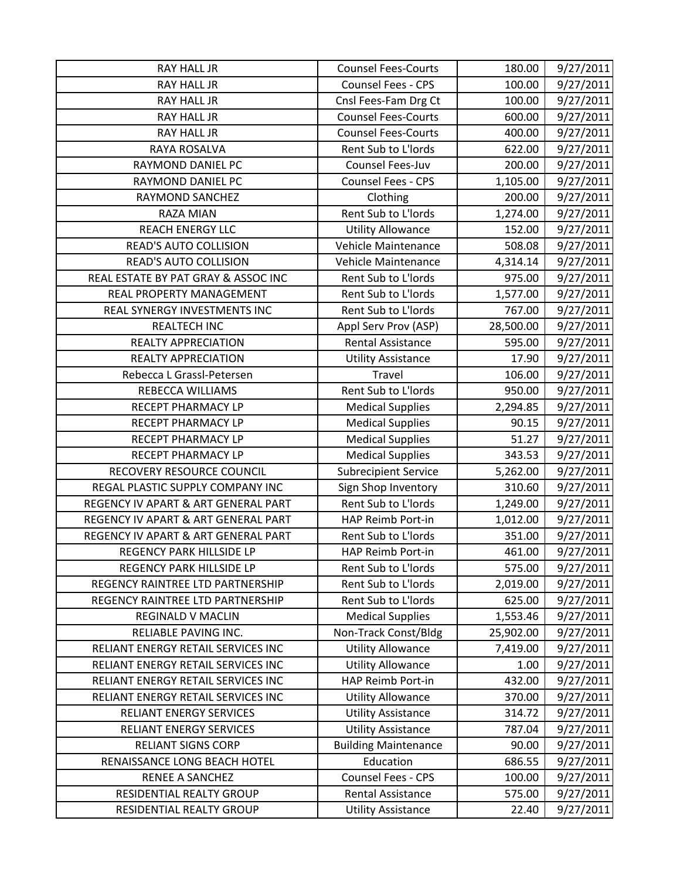| RAY HALL JR                         | <b>Counsel Fees-Courts</b>  | 180.00    | 9/27/2011 |
|-------------------------------------|-----------------------------|-----------|-----------|
| <b>RAY HALL JR</b>                  | Counsel Fees - CPS          | 100.00    | 9/27/2011 |
| RAY HALL JR                         | Cnsl Fees-Fam Drg Ct        | 100.00    | 9/27/2011 |
| <b>RAY HALL JR</b>                  | <b>Counsel Fees-Courts</b>  | 600.00    | 9/27/2011 |
| <b>RAY HALL JR</b>                  | <b>Counsel Fees-Courts</b>  | 400.00    | 9/27/2011 |
| RAYA ROSALVA                        | Rent Sub to L'Iords         | 622.00    | 9/27/2011 |
| RAYMOND DANIEL PC                   | Counsel Fees-Juv            | 200.00    | 9/27/2011 |
| RAYMOND DANIEL PC                   | Counsel Fees - CPS          | 1,105.00  | 9/27/2011 |
| RAYMOND SANCHEZ                     | Clothing                    | 200.00    | 9/27/2011 |
| <b>RAZA MIAN</b>                    | Rent Sub to L'Iords         | 1,274.00  | 9/27/2011 |
| <b>REACH ENERGY LLC</b>             | <b>Utility Allowance</b>    | 152.00    | 9/27/2011 |
| <b>READ'S AUTO COLLISION</b>        | Vehicle Maintenance         | 508.08    | 9/27/2011 |
| <b>READ'S AUTO COLLISION</b>        | Vehicle Maintenance         | 4,314.14  | 9/27/2011 |
| REAL ESTATE BY PAT GRAY & ASSOC INC | Rent Sub to L'Iords         | 975.00    | 9/27/2011 |
| REAL PROPERTY MANAGEMENT            | Rent Sub to L'Iords         | 1,577.00  | 9/27/2011 |
| REAL SYNERGY INVESTMENTS INC        | Rent Sub to L'Iords         | 767.00    | 9/27/2011 |
| <b>REALTECH INC</b>                 | Appl Serv Prov (ASP)        | 28,500.00 | 9/27/2011 |
| <b>REALTY APPRECIATION</b>          | <b>Rental Assistance</b>    | 595.00    | 9/27/2011 |
| <b>REALTY APPRECIATION</b>          | <b>Utility Assistance</b>   | 17.90     | 9/27/2011 |
| Rebecca L Grassl-Petersen           | Travel                      | 106.00    | 9/27/2011 |
| REBECCA WILLIAMS                    | Rent Sub to L'Iords         | 950.00    | 9/27/2011 |
| RECEPT PHARMACY LP                  | <b>Medical Supplies</b>     | 2,294.85  | 9/27/2011 |
| RECEPT PHARMACY LP                  | <b>Medical Supplies</b>     | 90.15     | 9/27/2011 |
| RECEPT PHARMACY LP                  | <b>Medical Supplies</b>     | 51.27     | 9/27/2011 |
| RECEPT PHARMACY LP                  | <b>Medical Supplies</b>     | 343.53    | 9/27/2011 |
| RECOVERY RESOURCE COUNCIL           | <b>Subrecipient Service</b> | 5,262.00  | 9/27/2011 |
| REGAL PLASTIC SUPPLY COMPANY INC    | Sign Shop Inventory         | 310.60    | 9/27/2011 |
| REGENCY IV APART & ART GENERAL PART | Rent Sub to L'Iords         | 1,249.00  | 9/27/2011 |
| REGENCY IV APART & ART GENERAL PART | HAP Reimb Port-in           | 1,012.00  | 9/27/2011 |
| REGENCY IV APART & ART GENERAL PART | Rent Sub to L'Iords         | 351.00    | 9/27/2011 |
| REGENCY PARK HILLSIDE LP            | HAP Reimb Port-in           | 461.00    | 9/27/2011 |
| REGENCY PARK HILLSIDE LP            | Rent Sub to L'Iords         | 575.00    | 9/27/2011 |
| REGENCY RAINTREE LTD PARTNERSHIP    | Rent Sub to L'Iords         | 2,019.00  | 9/27/2011 |
| REGENCY RAINTREE LTD PARTNERSHIP    | Rent Sub to L'Iords         | 625.00    | 9/27/2011 |
| REGINALD V MACLIN                   | <b>Medical Supplies</b>     | 1,553.46  | 9/27/2011 |
| RELIABLE PAVING INC.                | Non-Track Const/Bldg        | 25,902.00 | 9/27/2011 |
| RELIANT ENERGY RETAIL SERVICES INC  | <b>Utility Allowance</b>    | 7,419.00  | 9/27/2011 |
| RELIANT ENERGY RETAIL SERVICES INC  | <b>Utility Allowance</b>    | 1.00      | 9/27/2011 |
| RELIANT ENERGY RETAIL SERVICES INC  | <b>HAP Reimb Port-in</b>    | 432.00    | 9/27/2011 |
| RELIANT ENERGY RETAIL SERVICES INC  | <b>Utility Allowance</b>    | 370.00    | 9/27/2011 |
| <b>RELIANT ENERGY SERVICES</b>      | <b>Utility Assistance</b>   | 314.72    | 9/27/2011 |
| <b>RELIANT ENERGY SERVICES</b>      | <b>Utility Assistance</b>   | 787.04    | 9/27/2011 |
| <b>RELIANT SIGNS CORP</b>           | <b>Building Maintenance</b> | 90.00     | 9/27/2011 |
| RENAISSANCE LONG BEACH HOTEL        | Education                   | 686.55    | 9/27/2011 |
| RENEE A SANCHEZ                     | Counsel Fees - CPS          | 100.00    | 9/27/2011 |
| RESIDENTIAL REALTY GROUP            | <b>Rental Assistance</b>    | 575.00    | 9/27/2011 |
| RESIDENTIAL REALTY GROUP            | <b>Utility Assistance</b>   | 22.40     | 9/27/2011 |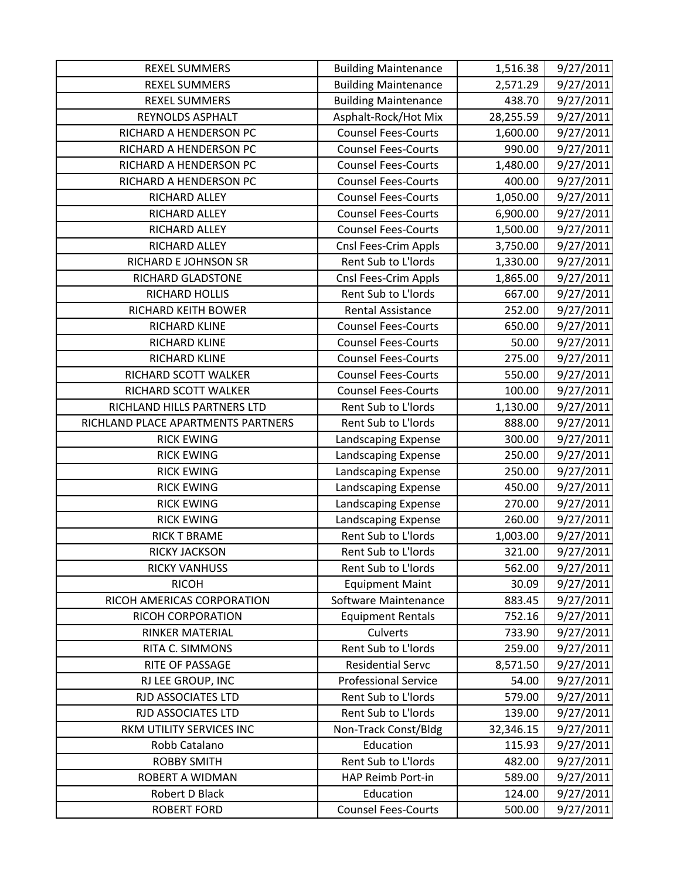| <b>REXEL SUMMERS</b>               | <b>Building Maintenance</b> | 1,516.38  | 9/27/2011 |
|------------------------------------|-----------------------------|-----------|-----------|
| <b>REXEL SUMMERS</b>               | <b>Building Maintenance</b> | 2,571.29  | 9/27/2011 |
| <b>REXEL SUMMERS</b>               | <b>Building Maintenance</b> | 438.70    | 9/27/2011 |
| REYNOLDS ASPHALT                   | Asphalt-Rock/Hot Mix        | 28,255.59 | 9/27/2011 |
| RICHARD A HENDERSON PC             | <b>Counsel Fees-Courts</b>  | 1,600.00  | 9/27/2011 |
| RICHARD A HENDERSON PC             | <b>Counsel Fees-Courts</b>  | 990.00    | 9/27/2011 |
| RICHARD A HENDERSON PC             | <b>Counsel Fees-Courts</b>  | 1,480.00  | 9/27/2011 |
| RICHARD A HENDERSON PC             | <b>Counsel Fees-Courts</b>  | 400.00    | 9/27/2011 |
| RICHARD ALLEY                      | <b>Counsel Fees-Courts</b>  | 1,050.00  | 9/27/2011 |
| RICHARD ALLEY                      | <b>Counsel Fees-Courts</b>  | 6,900.00  | 9/27/2011 |
| RICHARD ALLEY                      | <b>Counsel Fees-Courts</b>  | 1,500.00  | 9/27/2011 |
| RICHARD ALLEY                      | Cnsl Fees-Crim Appls        | 3,750.00  | 9/27/2011 |
| RICHARD E JOHNSON SR               | Rent Sub to L'Iords         | 1,330.00  | 9/27/2011 |
| RICHARD GLADSTONE                  | Cnsl Fees-Crim Appls        | 1,865.00  | 9/27/2011 |
| RICHARD HOLLIS                     | Rent Sub to L'Iords         | 667.00    | 9/27/2011 |
| RICHARD KEITH BOWER                | <b>Rental Assistance</b>    | 252.00    | 9/27/2011 |
| RICHARD KLINE                      | <b>Counsel Fees-Courts</b>  | 650.00    | 9/27/2011 |
| RICHARD KLINE                      | <b>Counsel Fees-Courts</b>  | 50.00     | 9/27/2011 |
| RICHARD KLINE                      | <b>Counsel Fees-Courts</b>  | 275.00    | 9/27/2011 |
| RICHARD SCOTT WALKER               | <b>Counsel Fees-Courts</b>  | 550.00    | 9/27/2011 |
| RICHARD SCOTT WALKER               | <b>Counsel Fees-Courts</b>  | 100.00    | 9/27/2011 |
| RICHLAND HILLS PARTNERS LTD        | Rent Sub to L'Iords         | 1,130.00  | 9/27/2011 |
| RICHLAND PLACE APARTMENTS PARTNERS | Rent Sub to L'Iords         | 888.00    | 9/27/2011 |
| <b>RICK EWING</b>                  | Landscaping Expense         | 300.00    | 9/27/2011 |
| <b>RICK EWING</b>                  | Landscaping Expense         | 250.00    | 9/27/2011 |
| <b>RICK EWING</b>                  | Landscaping Expense         | 250.00    | 9/27/2011 |
| <b>RICK EWING</b>                  | Landscaping Expense         | 450.00    | 9/27/2011 |
| <b>RICK EWING</b>                  | Landscaping Expense         | 270.00    | 9/27/2011 |
| <b>RICK EWING</b>                  | Landscaping Expense         | 260.00    | 9/27/2011 |
| <b>RICK T BRAME</b>                | Rent Sub to L'Iords         | 1,003.00  | 9/27/2011 |
| <b>RICKY JACKSON</b>               | Rent Sub to L'Iords         | 321.00    | 9/27/2011 |
| <b>RICKY VANHUSS</b>               | Rent Sub to L'Iords         | 562.00    | 9/27/2011 |
| <b>RICOH</b>                       | <b>Equipment Maint</b>      | 30.09     | 9/27/2011 |
| RICOH AMERICAS CORPORATION         | Software Maintenance        | 883.45    | 9/27/2011 |
| RICOH CORPORATION                  | <b>Equipment Rentals</b>    | 752.16    | 9/27/2011 |
| <b>RINKER MATERIAL</b>             | Culverts                    | 733.90    | 9/27/2011 |
| RITA C. SIMMONS                    | Rent Sub to L'Iords         | 259.00    | 9/27/2011 |
| RITE OF PASSAGE                    | <b>Residential Servc</b>    | 8,571.50  | 9/27/2011 |
| RJ LEE GROUP, INC                  | <b>Professional Service</b> | 54.00     | 9/27/2011 |
| RJD ASSOCIATES LTD                 | Rent Sub to L'Iords         | 579.00    | 9/27/2011 |
| RJD ASSOCIATES LTD                 | Rent Sub to L'Iords         | 139.00    | 9/27/2011 |
| RKM UTILITY SERVICES INC           | Non-Track Const/Bldg        | 32,346.15 | 9/27/2011 |
| Robb Catalano                      | Education                   | 115.93    | 9/27/2011 |
| <b>ROBBY SMITH</b>                 | Rent Sub to L'Iords         | 482.00    | 9/27/2011 |
| ROBERT A WIDMAN                    | HAP Reimb Port-in           | 589.00    | 9/27/2011 |
| Robert D Black                     | Education                   | 124.00    | 9/27/2011 |
| <b>ROBERT FORD</b>                 | <b>Counsel Fees-Courts</b>  | 500.00    | 9/27/2011 |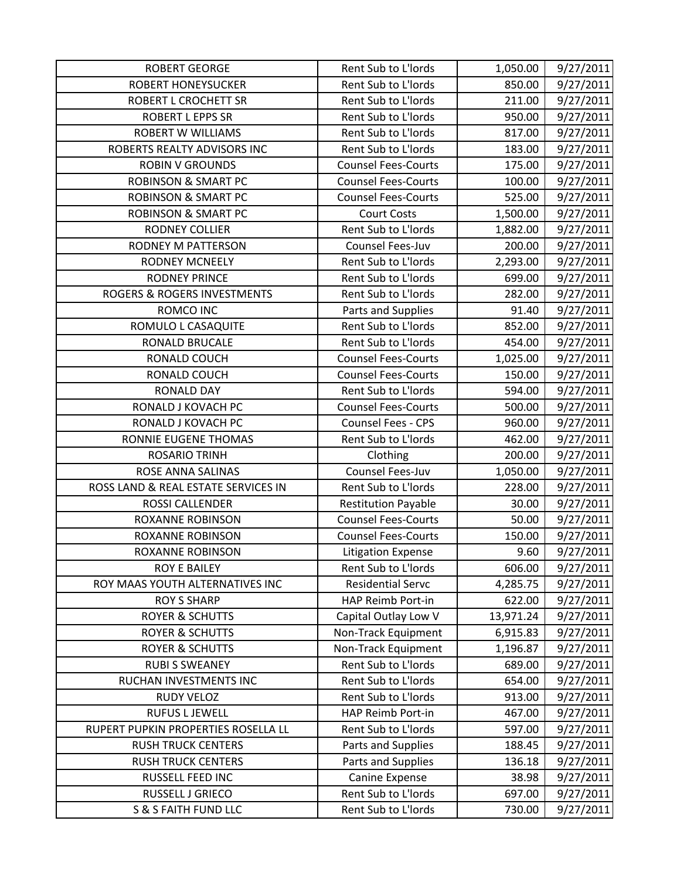| <b>ROBERT GEORGE</b>                | Rent Sub to L'Iords        | 1,050.00  | 9/27/2011 |
|-------------------------------------|----------------------------|-----------|-----------|
| <b>ROBERT HONEYSUCKER</b>           | Rent Sub to L'Iords        | 850.00    | 9/27/2011 |
| <b>ROBERT L CROCHETT SR</b>         | Rent Sub to L'Iords        | 211.00    | 9/27/2011 |
| <b>ROBERT L EPPS SR</b>             | Rent Sub to L'Iords        | 950.00    | 9/27/2011 |
| <b>ROBERT W WILLIAMS</b>            | Rent Sub to L'Iords        | 817.00    | 9/27/2011 |
| ROBERTS REALTY ADVISORS INC         | Rent Sub to L'Iords        | 183.00    | 9/27/2011 |
| <b>ROBIN V GROUNDS</b>              | <b>Counsel Fees-Courts</b> | 175.00    | 9/27/2011 |
| <b>ROBINSON &amp; SMART PC</b>      | <b>Counsel Fees-Courts</b> | 100.00    | 9/27/2011 |
| <b>ROBINSON &amp; SMART PC</b>      | <b>Counsel Fees-Courts</b> | 525.00    | 9/27/2011 |
| <b>ROBINSON &amp; SMART PC</b>      | <b>Court Costs</b>         | 1,500.00  | 9/27/2011 |
| RODNEY COLLIER                      | Rent Sub to L'Iords        | 1,882.00  | 9/27/2011 |
| RODNEY M PATTERSON                  | Counsel Fees-Juv           | 200.00    | 9/27/2011 |
| <b>RODNEY MCNEELY</b>               | Rent Sub to L'Iords        | 2,293.00  | 9/27/2011 |
| <b>RODNEY PRINCE</b>                | Rent Sub to L'Iords        | 699.00    | 9/27/2011 |
| ROGERS & ROGERS INVESTMENTS         | Rent Sub to L'Iords        | 282.00    | 9/27/2011 |
| ROMCO INC                           | Parts and Supplies         | 91.40     | 9/27/2011 |
| ROMULO L CASAQUITE                  | Rent Sub to L'Iords        | 852.00    | 9/27/2011 |
| RONALD BRUCALE                      | Rent Sub to L'Iords        | 454.00    | 9/27/2011 |
| RONALD COUCH                        | <b>Counsel Fees-Courts</b> | 1,025.00  | 9/27/2011 |
| RONALD COUCH                        | <b>Counsel Fees-Courts</b> | 150.00    | 9/27/2011 |
| <b>RONALD DAY</b>                   | Rent Sub to L'Iords        | 594.00    | 9/27/2011 |
| RONALD J KOVACH PC                  | <b>Counsel Fees-Courts</b> | 500.00    | 9/27/2011 |
| RONALD J KOVACH PC                  | Counsel Fees - CPS         | 960.00    | 9/27/2011 |
| RONNIE EUGENE THOMAS                | Rent Sub to L'Iords        | 462.00    | 9/27/2011 |
| <b>ROSARIO TRINH</b>                | Clothing                   | 200.00    | 9/27/2011 |
| ROSE ANNA SALINAS                   | Counsel Fees-Juv           | 1,050.00  | 9/27/2011 |
| ROSS LAND & REAL ESTATE SERVICES IN | Rent Sub to L'Iords        | 228.00    | 9/27/2011 |
| ROSSI CALLENDER                     | <b>Restitution Payable</b> | 30.00     | 9/27/2011 |
| <b>ROXANNE ROBINSON</b>             | <b>Counsel Fees-Courts</b> | 50.00     | 9/27/2011 |
| <b>ROXANNE ROBINSON</b>             | <b>Counsel Fees-Courts</b> | 150.00    | 9/27/2011 |
| <b>ROXANNE ROBINSON</b>             | <b>Litigation Expense</b>  | 9.60      | 9/27/2011 |
| <b>ROY E BAILEY</b>                 | Rent Sub to L'Iords        | 606.00    | 9/27/2011 |
| ROY MAAS YOUTH ALTERNATIVES INC     | <b>Residential Servc</b>   | 4,285.75  | 9/27/2011 |
| <b>ROY S SHARP</b>                  | <b>HAP Reimb Port-in</b>   | 622.00    | 9/27/2011 |
| <b>ROYER &amp; SCHUTTS</b>          | Capital Outlay Low V       | 13,971.24 | 9/27/2011 |
| <b>ROYER &amp; SCHUTTS</b>          | Non-Track Equipment        | 6,915.83  | 9/27/2011 |
| <b>ROYER &amp; SCHUTTS</b>          | Non-Track Equipment        | 1,196.87  | 9/27/2011 |
| <b>RUBI S SWEANEY</b>               | Rent Sub to L'Iords        | 689.00    | 9/27/2011 |
| RUCHAN INVESTMENTS INC              | Rent Sub to L'Iords        | 654.00    | 9/27/2011 |
| <b>RUDY VELOZ</b>                   | Rent Sub to L'Iords        | 913.00    | 9/27/2011 |
| <b>RUFUS L JEWELL</b>               | HAP Reimb Port-in          | 467.00    | 9/27/2011 |
| RUPERT PUPKIN PROPERTIES ROSELLA LL | Rent Sub to L'Iords        | 597.00    | 9/27/2011 |
| <b>RUSH TRUCK CENTERS</b>           | Parts and Supplies         | 188.45    | 9/27/2011 |
| <b>RUSH TRUCK CENTERS</b>           | Parts and Supplies         | 136.18    | 9/27/2011 |
| RUSSELL FEED INC                    | Canine Expense             | 38.98     | 9/27/2011 |
| RUSSELL J GRIECO                    | Rent Sub to L'Iords        | 697.00    | 9/27/2011 |
| <b>S &amp; S FAITH FUND LLC</b>     | Rent Sub to L'Iords        | 730.00    | 9/27/2011 |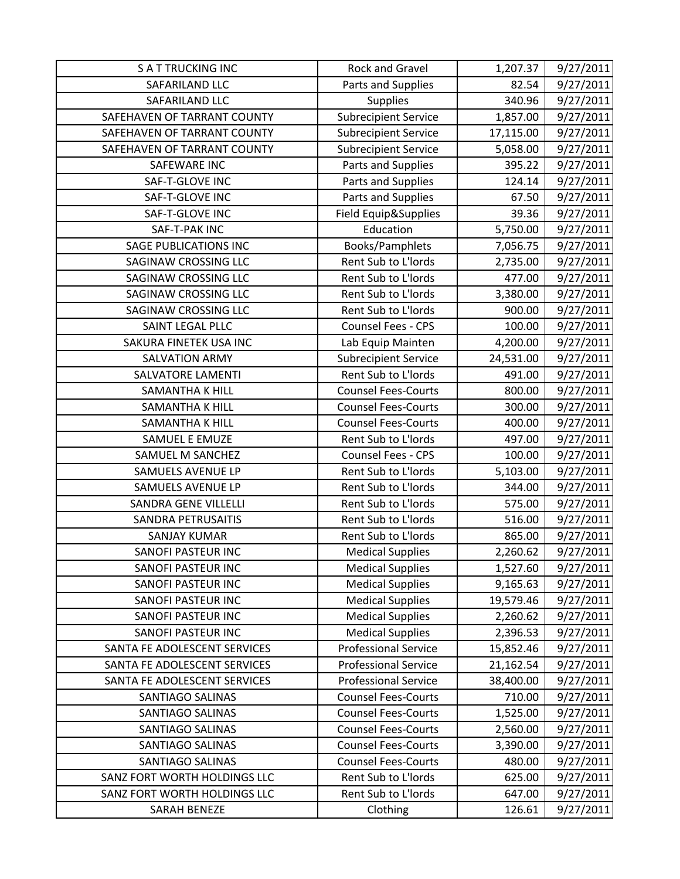| <b>SATTRUCKING INC</b>       | Rock and Gravel             | 1,207.37  | 9/27/2011 |
|------------------------------|-----------------------------|-----------|-----------|
| SAFARILAND LLC               | Parts and Supplies          | 82.54     | 9/27/2011 |
| SAFARILAND LLC               | <b>Supplies</b>             | 340.96    | 9/27/2011 |
| SAFEHAVEN OF TARRANT COUNTY  | <b>Subrecipient Service</b> | 1,857.00  | 9/27/2011 |
| SAFEHAVEN OF TARRANT COUNTY  | <b>Subrecipient Service</b> | 17,115.00 | 9/27/2011 |
| SAFEHAVEN OF TARRANT COUNTY  | <b>Subrecipient Service</b> | 5,058.00  | 9/27/2011 |
| SAFEWARE INC                 | Parts and Supplies          | 395.22    | 9/27/2011 |
| SAF-T-GLOVE INC              | Parts and Supplies          | 124.14    | 9/27/2011 |
| SAF-T-GLOVE INC              | Parts and Supplies          | 67.50     | 9/27/2011 |
| SAF-T-GLOVE INC              | Field Equip&Supplies        | 39.36     | 9/27/2011 |
| SAF-T-PAK INC                | Education                   | 5,750.00  | 9/27/2011 |
| <b>SAGE PUBLICATIONS INC</b> | Books/Pamphlets             | 7,056.75  | 9/27/2011 |
| SAGINAW CROSSING LLC         | Rent Sub to L'Iords         | 2,735.00  | 9/27/2011 |
| <b>SAGINAW CROSSING LLC</b>  | Rent Sub to L'Iords         | 477.00    | 9/27/2011 |
| <b>SAGINAW CROSSING LLC</b>  | Rent Sub to L'Iords         | 3,380.00  | 9/27/2011 |
| SAGINAW CROSSING LLC         | Rent Sub to L'Iords         | 900.00    | 9/27/2011 |
| SAINT LEGAL PLLC             | Counsel Fees - CPS          | 100.00    | 9/27/2011 |
| SAKURA FINETEK USA INC       | Lab Equip Mainten           | 4,200.00  | 9/27/2011 |
| <b>SALVATION ARMY</b>        | <b>Subrecipient Service</b> | 24,531.00 | 9/27/2011 |
| SALVATORE LAMENTI            | Rent Sub to L'Iords         | 491.00    | 9/27/2011 |
| SAMANTHA K HILL              | <b>Counsel Fees-Courts</b>  | 800.00    | 9/27/2011 |
| <b>SAMANTHA K HILL</b>       | <b>Counsel Fees-Courts</b>  | 300.00    | 9/27/2011 |
| <b>SAMANTHA K HILL</b>       | <b>Counsel Fees-Courts</b>  | 400.00    | 9/27/2011 |
| SAMUEL E EMUZE               | Rent Sub to L'Iords         | 497.00    | 9/27/2011 |
| SAMUEL M SANCHEZ             | Counsel Fees - CPS          | 100.00    | 9/27/2011 |
| SAMUELS AVENUE LP            | Rent Sub to L'Iords         | 5,103.00  | 9/27/2011 |
| SAMUELS AVENUE LP            | Rent Sub to L'Iords         | 344.00    | 9/27/2011 |
| <b>SANDRA GENE VILLELLI</b>  | Rent Sub to L'Iords         | 575.00    | 9/27/2011 |
| <b>SANDRA PETRUSAITIS</b>    | Rent Sub to L'Iords         | 516.00    | 9/27/2011 |
| <b>SANJAY KUMAR</b>          | Rent Sub to L'Iords         | 865.00    | 9/27/2011 |
| <b>SANOFI PASTEUR INC</b>    | <b>Medical Supplies</b>     | 2,260.62  | 9/27/2011 |
| <b>SANOFI PASTEUR INC</b>    | <b>Medical Supplies</b>     | 1,527.60  | 9/27/2011 |
| <b>SANOFI PASTEUR INC</b>    | <b>Medical Supplies</b>     | 9,165.63  | 9/27/2011 |
| <b>SANOFI PASTEUR INC</b>    | <b>Medical Supplies</b>     | 19,579.46 | 9/27/2011 |
| <b>SANOFI PASTEUR INC</b>    | <b>Medical Supplies</b>     | 2,260.62  | 9/27/2011 |
| <b>SANOFI PASTEUR INC</b>    | <b>Medical Supplies</b>     | 2,396.53  | 9/27/2011 |
| SANTA FE ADOLESCENT SERVICES | <b>Professional Service</b> | 15,852.46 | 9/27/2011 |
| SANTA FE ADOLESCENT SERVICES | <b>Professional Service</b> | 21,162.54 | 9/27/2011 |
| SANTA FE ADOLESCENT SERVICES | <b>Professional Service</b> | 38,400.00 | 9/27/2011 |
| <b>SANTIAGO SALINAS</b>      | <b>Counsel Fees-Courts</b>  | 710.00    | 9/27/2011 |
| SANTIAGO SALINAS             | <b>Counsel Fees-Courts</b>  | 1,525.00  | 9/27/2011 |
| SANTIAGO SALINAS             | <b>Counsel Fees-Courts</b>  | 2,560.00  | 9/27/2011 |
| SANTIAGO SALINAS             | <b>Counsel Fees-Courts</b>  | 3,390.00  | 9/27/2011 |
| SANTIAGO SALINAS             | <b>Counsel Fees-Courts</b>  | 480.00    | 9/27/2011 |
| SANZ FORT WORTH HOLDINGS LLC | Rent Sub to L'Iords         | 625.00    | 9/27/2011 |
| SANZ FORT WORTH HOLDINGS LLC | Rent Sub to L'Iords         | 647.00    | 9/27/2011 |
| <b>SARAH BENEZE</b>          | Clothing                    | 126.61    | 9/27/2011 |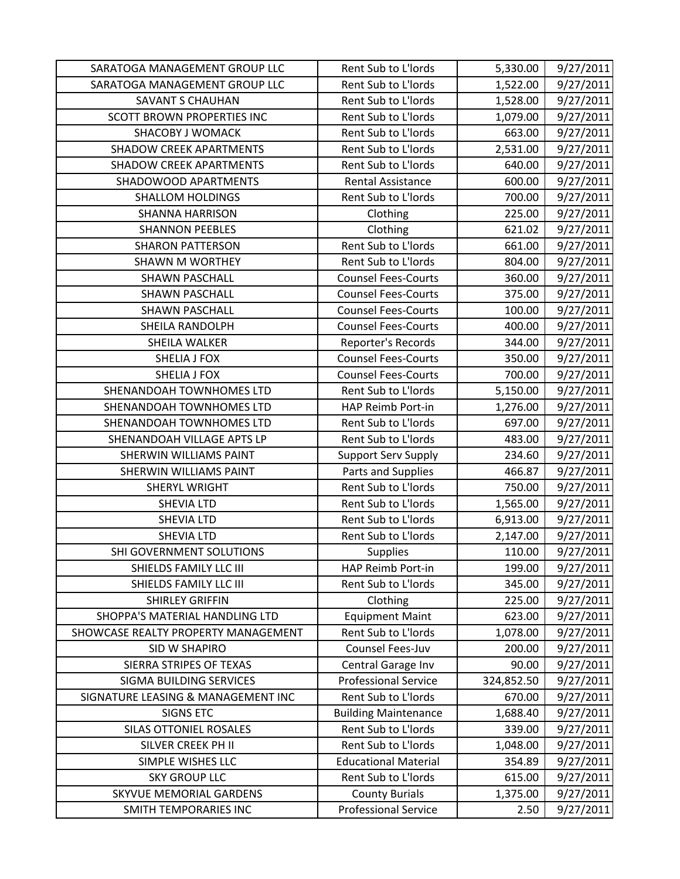| SARATOGA MANAGEMENT GROUP LLC       | Rent Sub to L'Iords         | 5,330.00   | 9/27/2011 |
|-------------------------------------|-----------------------------|------------|-----------|
| SARATOGA MANAGEMENT GROUP LLC       | Rent Sub to L'Iords         | 1,522.00   | 9/27/2011 |
| <b>SAVANT S CHAUHAN</b>             | Rent Sub to L'Iords         | 1,528.00   | 9/27/2011 |
| <b>SCOTT BROWN PROPERTIES INC</b>   | Rent Sub to L'Iords         | 1,079.00   | 9/27/2011 |
| <b>SHACOBY J WOMACK</b>             | Rent Sub to L'Iords         | 663.00     | 9/27/2011 |
| <b>SHADOW CREEK APARTMENTS</b>      | Rent Sub to L'Iords         | 2,531.00   | 9/27/2011 |
| <b>SHADOW CREEK APARTMENTS</b>      | Rent Sub to L'Iords         | 640.00     | 9/27/2011 |
| SHADOWOOD APARTMENTS                | <b>Rental Assistance</b>    | 600.00     | 9/27/2011 |
| <b>SHALLOM HOLDINGS</b>             | Rent Sub to L'Iords         | 700.00     | 9/27/2011 |
| <b>SHANNA HARRISON</b>              | Clothing                    | 225.00     | 9/27/2011 |
| <b>SHANNON PEEBLES</b>              | Clothing                    | 621.02     | 9/27/2011 |
| <b>SHARON PATTERSON</b>             | Rent Sub to L'Iords         | 661.00     | 9/27/2011 |
| <b>SHAWN M WORTHEY</b>              | Rent Sub to L'Iords         | 804.00     | 9/27/2011 |
| <b>SHAWN PASCHALL</b>               | <b>Counsel Fees-Courts</b>  | 360.00     | 9/27/2011 |
| <b>SHAWN PASCHALL</b>               | <b>Counsel Fees-Courts</b>  | 375.00     | 9/27/2011 |
| <b>SHAWN PASCHALL</b>               | <b>Counsel Fees-Courts</b>  | 100.00     | 9/27/2011 |
| SHEILA RANDOLPH                     | <b>Counsel Fees-Courts</b>  | 400.00     | 9/27/2011 |
| SHEILA WALKER                       | Reporter's Records          | 344.00     | 9/27/2011 |
| <b>SHELIA J FOX</b>                 | <b>Counsel Fees-Courts</b>  | 350.00     | 9/27/2011 |
| <b>SHELIA J FOX</b>                 | <b>Counsel Fees-Courts</b>  | 700.00     | 9/27/2011 |
| SHENANDOAH TOWNHOMES LTD            | Rent Sub to L'Iords         | 5,150.00   | 9/27/2011 |
| SHENANDOAH TOWNHOMES LTD            | HAP Reimb Port-in           | 1,276.00   | 9/27/2011 |
| SHENANDOAH TOWNHOMES LTD            | Rent Sub to L'Iords         | 697.00     | 9/27/2011 |
| SHENANDOAH VILLAGE APTS LP          | Rent Sub to L'Iords         | 483.00     | 9/27/2011 |
| SHERWIN WILLIAMS PAINT              | <b>Support Serv Supply</b>  | 234.60     | 9/27/2011 |
| <b>SHERWIN WILLIAMS PAINT</b>       | Parts and Supplies          | 466.87     | 9/27/2011 |
| <b>SHERYL WRIGHT</b>                | Rent Sub to L'Iords         | 750.00     | 9/27/2011 |
| <b>SHEVIA LTD</b>                   | Rent Sub to L'Iords         | 1,565.00   | 9/27/2011 |
| <b>SHEVIA LTD</b>                   | Rent Sub to L'Iords         | 6,913.00   | 9/27/2011 |
| <b>SHEVIA LTD</b>                   | Rent Sub to L'Iords         | 2,147.00   | 9/27/2011 |
| SHI GOVERNMENT SOLUTIONS            | <b>Supplies</b>             | 110.00     | 9/27/2011 |
| SHIELDS FAMILY LLC III              | HAP Reimb Port-in           | 199.00     | 9/27/2011 |
| SHIELDS FAMILY LLC III              | Rent Sub to L'Iords         | 345.00     | 9/27/2011 |
| <b>SHIRLEY GRIFFIN</b>              | Clothing                    | 225.00     | 9/27/2011 |
| SHOPPA'S MATERIAL HANDLING LTD      | <b>Equipment Maint</b>      | 623.00     | 9/27/2011 |
| SHOWCASE REALTY PROPERTY MANAGEMENT | Rent Sub to L'Iords         | 1,078.00   | 9/27/2011 |
| SID W SHAPIRO                       | Counsel Fees-Juv            | 200.00     | 9/27/2011 |
| SIERRA STRIPES OF TEXAS             | Central Garage Inv          | 90.00      | 9/27/2011 |
| SIGMA BUILDING SERVICES             | <b>Professional Service</b> | 324,852.50 | 9/27/2011 |
| SIGNATURE LEASING & MANAGEMENT INC  | Rent Sub to L'Iords         | 670.00     | 9/27/2011 |
| <b>SIGNS ETC</b>                    | <b>Building Maintenance</b> | 1,688.40   | 9/27/2011 |
| SILAS OTTONIEL ROSALES              | Rent Sub to L'Iords         | 339.00     | 9/27/2011 |
| SILVER CREEK PH II                  | Rent Sub to L'Iords         | 1,048.00   | 9/27/2011 |
| SIMPLE WISHES LLC                   | <b>Educational Material</b> | 354.89     | 9/27/2011 |
| <b>SKY GROUP LLC</b>                | Rent Sub to L'Iords         | 615.00     | 9/27/2011 |
| <b>SKYVUE MEMORIAL GARDENS</b>      | <b>County Burials</b>       | 1,375.00   | 9/27/2011 |
| SMITH TEMPORARIES INC               | <b>Professional Service</b> | 2.50       | 9/27/2011 |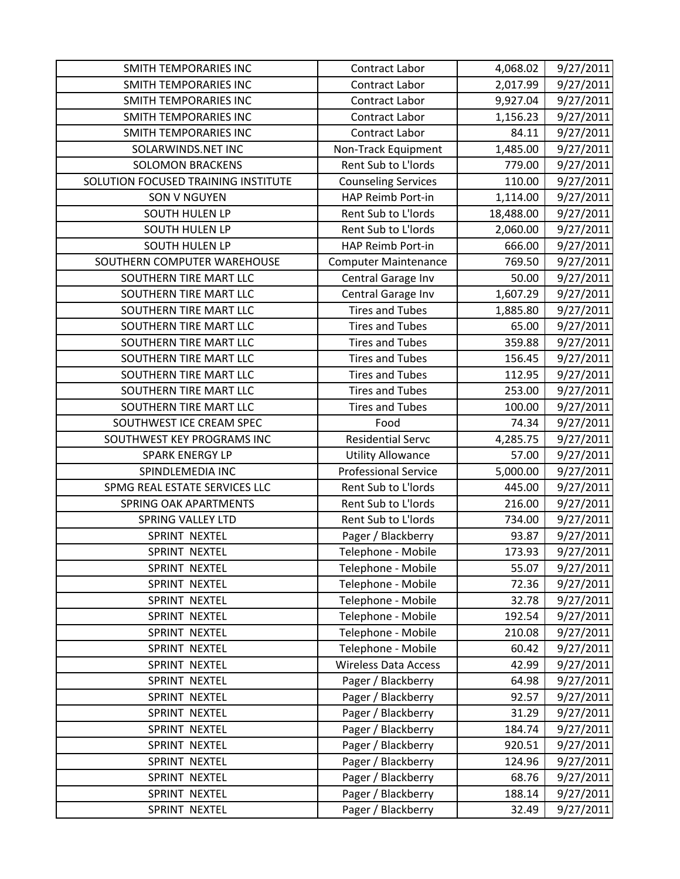| <b>SMITH TEMPORARIES INC</b>        | Contract Labor              | 4,068.02  | 9/27/2011 |
|-------------------------------------|-----------------------------|-----------|-----------|
| SMITH TEMPORARIES INC               | Contract Labor              | 2,017.99  | 9/27/2011 |
| SMITH TEMPORARIES INC               | Contract Labor              | 9,927.04  | 9/27/2011 |
| SMITH TEMPORARIES INC               | Contract Labor              | 1,156.23  | 9/27/2011 |
| <b>SMITH TEMPORARIES INC</b>        | <b>Contract Labor</b>       | 84.11     | 9/27/2011 |
| SOLARWINDS.NET INC                  | Non-Track Equipment         | 1,485.00  | 9/27/2011 |
| <b>SOLOMON BRACKENS</b>             | Rent Sub to L'Iords         | 779.00    | 9/27/2011 |
| SOLUTION FOCUSED TRAINING INSTITUTE | <b>Counseling Services</b>  | 110.00    | 9/27/2011 |
| <b>SON V NGUYEN</b>                 | HAP Reimb Port-in           | 1,114.00  | 9/27/2011 |
| <b>SOUTH HULEN LP</b>               | Rent Sub to L'Iords         | 18,488.00 | 9/27/2011 |
| SOUTH HULEN LP                      | Rent Sub to L'Iords         | 2,060.00  | 9/27/2011 |
| <b>SOUTH HULEN LP</b>               | HAP Reimb Port-in           | 666.00    | 9/27/2011 |
| SOUTHERN COMPUTER WAREHOUSE         | <b>Computer Maintenance</b> | 769.50    | 9/27/2011 |
| SOUTHERN TIRE MART LLC              | Central Garage Inv          | 50.00     | 9/27/2011 |
| SOUTHERN TIRE MART LLC              | Central Garage Inv          | 1,607.29  | 9/27/2011 |
| SOUTHERN TIRE MART LLC              | <b>Tires and Tubes</b>      | 1,885.80  | 9/27/2011 |
| SOUTHERN TIRE MART LLC              | <b>Tires and Tubes</b>      | 65.00     | 9/27/2011 |
| SOUTHERN TIRE MART LLC              | <b>Tires and Tubes</b>      | 359.88    | 9/27/2011 |
| SOUTHERN TIRE MART LLC              | <b>Tires and Tubes</b>      | 156.45    | 9/27/2011 |
| SOUTHERN TIRE MART LLC              | <b>Tires and Tubes</b>      | 112.95    | 9/27/2011 |
| SOUTHERN TIRE MART LLC              | <b>Tires and Tubes</b>      | 253.00    | 9/27/2011 |
| SOUTHERN TIRE MART LLC              | <b>Tires and Tubes</b>      | 100.00    | 9/27/2011 |
| SOUTHWEST ICE CREAM SPEC            | Food                        | 74.34     | 9/27/2011 |
| SOUTHWEST KEY PROGRAMS INC          | <b>Residential Servc</b>    | 4,285.75  | 9/27/2011 |
| <b>SPARK ENERGY LP</b>              | <b>Utility Allowance</b>    | 57.00     | 9/27/2011 |
| SPINDLEMEDIA INC                    | <b>Professional Service</b> | 5,000.00  | 9/27/2011 |
| SPMG REAL ESTATE SERVICES LLC       | Rent Sub to L'Iords         | 445.00    | 9/27/2011 |
| <b>SPRING OAK APARTMENTS</b>        | Rent Sub to L'Iords         | 216.00    | 9/27/2011 |
| <b>SPRING VALLEY LTD</b>            | Rent Sub to L'Iords         | 734.00    | 9/27/2011 |
| SPRINT NEXTEL                       | Pager / Blackberry          | 93.87     | 9/27/2011 |
| SPRINT NEXTEL                       | Telephone - Mobile          | 173.93    | 9/27/2011 |
| SPRINT NEXTEL                       | Telephone - Mobile          | 55.07     | 9/27/2011 |
| SPRINT NEXTEL                       | Telephone - Mobile          | 72.36     | 9/27/2011 |
| SPRINT NEXTEL                       | Telephone - Mobile          | 32.78     | 9/27/2011 |
| SPRINT NEXTEL                       | Telephone - Mobile          | 192.54    | 9/27/2011 |
| SPRINT NEXTEL                       | Telephone - Mobile          | 210.08    | 9/27/2011 |
| SPRINT NEXTEL                       | Telephone - Mobile          | 60.42     | 9/27/2011 |
| SPRINT NEXTEL                       | <b>Wireless Data Access</b> | 42.99     | 9/27/2011 |
| SPRINT NEXTEL                       | Pager / Blackberry          | 64.98     | 9/27/2011 |
| SPRINT NEXTEL                       | Pager / Blackberry          | 92.57     | 9/27/2011 |
| SPRINT NEXTEL                       | Pager / Blackberry          | 31.29     | 9/27/2011 |
| SPRINT NEXTEL                       | Pager / Blackberry          | 184.74    | 9/27/2011 |
| SPRINT NEXTEL                       | Pager / Blackberry          | 920.51    | 9/27/2011 |
| SPRINT NEXTEL                       | Pager / Blackberry          | 124.96    | 9/27/2011 |
| SPRINT NEXTEL                       | Pager / Blackberry          | 68.76     | 9/27/2011 |
| SPRINT NEXTEL                       | Pager / Blackberry          | 188.14    | 9/27/2011 |
| SPRINT NEXTEL                       | Pager / Blackberry          | 32.49     | 9/27/2011 |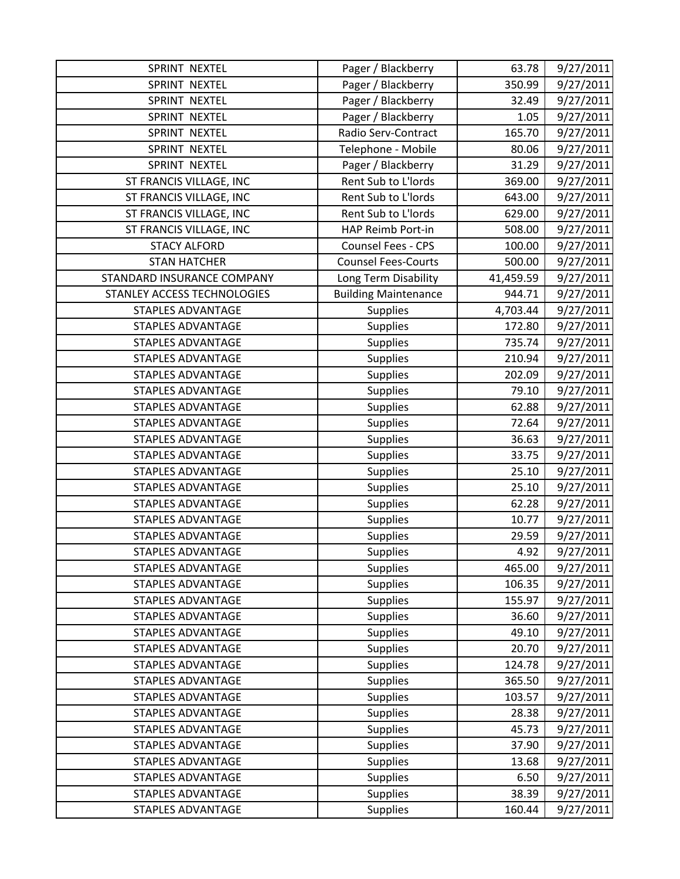| SPRINT NEXTEL               | Pager / Blackberry          | 63.78     | 9/27/2011 |
|-----------------------------|-----------------------------|-----------|-----------|
| SPRINT NEXTEL               | Pager / Blackberry          | 350.99    | 9/27/2011 |
| <b>SPRINT NEXTEL</b>        | Pager / Blackberry          | 32.49     | 9/27/2011 |
| SPRINT NEXTEL               | Pager / Blackberry          | 1.05      | 9/27/2011 |
| SPRINT NEXTEL               | Radio Serv-Contract         | 165.70    | 9/27/2011 |
| SPRINT NEXTEL               | Telephone - Mobile          | 80.06     | 9/27/2011 |
| SPRINT NEXTEL               | Pager / Blackberry          | 31.29     | 9/27/2011 |
| ST FRANCIS VILLAGE, INC     | Rent Sub to L'Iords         | 369.00    | 9/27/2011 |
| ST FRANCIS VILLAGE, INC     | Rent Sub to L'Iords         | 643.00    | 9/27/2011 |
| ST FRANCIS VILLAGE, INC     | Rent Sub to L'Iords         | 629.00    | 9/27/2011 |
| ST FRANCIS VILLAGE, INC     | HAP Reimb Port-in           | 508.00    | 9/27/2011 |
| <b>STACY ALFORD</b>         | Counsel Fees - CPS          | 100.00    | 9/27/2011 |
| <b>STAN HATCHER</b>         | <b>Counsel Fees-Courts</b>  | 500.00    | 9/27/2011 |
| STANDARD INSURANCE COMPANY  | Long Term Disability        | 41,459.59 | 9/27/2011 |
| STANLEY ACCESS TECHNOLOGIES | <b>Building Maintenance</b> | 944.71    | 9/27/2011 |
| <b>STAPLES ADVANTAGE</b>    | <b>Supplies</b>             | 4,703.44  | 9/27/2011 |
| <b>STAPLES ADVANTAGE</b>    | Supplies                    | 172.80    | 9/27/2011 |
| <b>STAPLES ADVANTAGE</b>    | <b>Supplies</b>             | 735.74    | 9/27/2011 |
| <b>STAPLES ADVANTAGE</b>    | Supplies                    | 210.94    | 9/27/2011 |
| <b>STAPLES ADVANTAGE</b>    | <b>Supplies</b>             | 202.09    | 9/27/2011 |
| <b>STAPLES ADVANTAGE</b>    | <b>Supplies</b>             | 79.10     | 9/27/2011 |
| <b>STAPLES ADVANTAGE</b>    | <b>Supplies</b>             | 62.88     | 9/27/2011 |
| <b>STAPLES ADVANTAGE</b>    | <b>Supplies</b>             | 72.64     | 9/27/2011 |
| <b>STAPLES ADVANTAGE</b>    | <b>Supplies</b>             | 36.63     | 9/27/2011 |
| <b>STAPLES ADVANTAGE</b>    | <b>Supplies</b>             | 33.75     | 9/27/2011 |
| <b>STAPLES ADVANTAGE</b>    | <b>Supplies</b>             | 25.10     | 9/27/2011 |
| <b>STAPLES ADVANTAGE</b>    | <b>Supplies</b>             | 25.10     | 9/27/2011 |
| <b>STAPLES ADVANTAGE</b>    | <b>Supplies</b>             | 62.28     | 9/27/2011 |
| <b>STAPLES ADVANTAGE</b>    | <b>Supplies</b>             | 10.77     | 9/27/2011 |
| <b>STAPLES ADVANTAGE</b>    | Supplies                    | 29.59     | 9/27/2011 |
| <b>STAPLES ADVANTAGE</b>    | <b>Supplies</b>             | 4.92      | 9/27/2011 |
| <b>STAPLES ADVANTAGE</b>    | <b>Supplies</b>             | 465.00    | 9/27/2011 |
| <b>STAPLES ADVANTAGE</b>    | <b>Supplies</b>             | 106.35    | 9/27/2011 |
| <b>STAPLES ADVANTAGE</b>    | <b>Supplies</b>             | 155.97    | 9/27/2011 |
| <b>STAPLES ADVANTAGE</b>    | <b>Supplies</b>             | 36.60     | 9/27/2011 |
| <b>STAPLES ADVANTAGE</b>    | <b>Supplies</b>             | 49.10     | 9/27/2011 |
| <b>STAPLES ADVANTAGE</b>    | <b>Supplies</b>             | 20.70     | 9/27/2011 |
| <b>STAPLES ADVANTAGE</b>    | <b>Supplies</b>             | 124.78    | 9/27/2011 |
| <b>STAPLES ADVANTAGE</b>    | <b>Supplies</b>             | 365.50    | 9/27/2011 |
| <b>STAPLES ADVANTAGE</b>    | <b>Supplies</b>             | 103.57    | 9/27/2011 |
| STAPLES ADVANTAGE           | <b>Supplies</b>             | 28.38     | 9/27/2011 |
| <b>STAPLES ADVANTAGE</b>    | <b>Supplies</b>             | 45.73     | 9/27/2011 |
| <b>STAPLES ADVANTAGE</b>    | <b>Supplies</b>             | 37.90     | 9/27/2011 |
| STAPLES ADVANTAGE           | <b>Supplies</b>             | 13.68     | 9/27/2011 |
| <b>STAPLES ADVANTAGE</b>    | <b>Supplies</b>             | 6.50      | 9/27/2011 |
| <b>STAPLES ADVANTAGE</b>    | <b>Supplies</b>             | 38.39     | 9/27/2011 |
| <b>STAPLES ADVANTAGE</b>    | <b>Supplies</b>             | 160.44    | 9/27/2011 |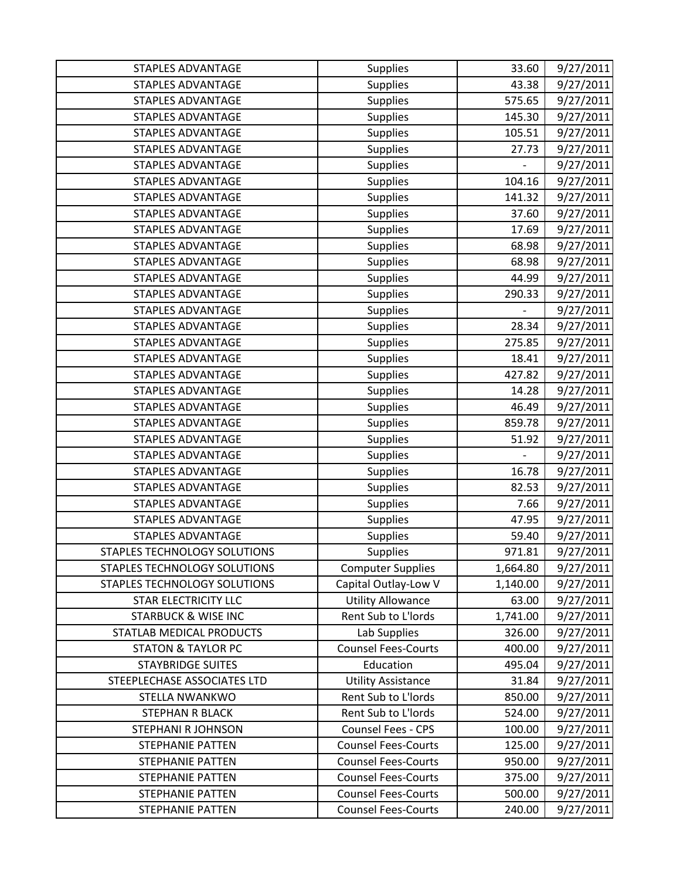| <b>STAPLES ADVANTAGE</b>       | <b>Supplies</b>            | 33.60                    | 9/27/2011 |
|--------------------------------|----------------------------|--------------------------|-----------|
| <b>STAPLES ADVANTAGE</b>       | <b>Supplies</b>            | 43.38                    | 9/27/2011 |
| <b>STAPLES ADVANTAGE</b>       | <b>Supplies</b>            | 575.65                   | 9/27/2011 |
| <b>STAPLES ADVANTAGE</b>       | <b>Supplies</b>            | 145.30                   | 9/27/2011 |
| <b>STAPLES ADVANTAGE</b>       | <b>Supplies</b>            | 105.51                   | 9/27/2011 |
| <b>STAPLES ADVANTAGE</b>       | <b>Supplies</b>            | 27.73                    | 9/27/2011 |
| <b>STAPLES ADVANTAGE</b>       | Supplies                   |                          | 9/27/2011 |
| <b>STAPLES ADVANTAGE</b>       | <b>Supplies</b>            | 104.16                   | 9/27/2011 |
| <b>STAPLES ADVANTAGE</b>       | <b>Supplies</b>            | 141.32                   | 9/27/2011 |
| <b>STAPLES ADVANTAGE</b>       | <b>Supplies</b>            | 37.60                    | 9/27/2011 |
| <b>STAPLES ADVANTAGE</b>       | <b>Supplies</b>            | 17.69                    | 9/27/2011 |
| <b>STAPLES ADVANTAGE</b>       | Supplies                   | 68.98                    | 9/27/2011 |
| <b>STAPLES ADVANTAGE</b>       | <b>Supplies</b>            | 68.98                    | 9/27/2011 |
| <b>STAPLES ADVANTAGE</b>       | <b>Supplies</b>            | 44.99                    | 9/27/2011 |
| <b>STAPLES ADVANTAGE</b>       | <b>Supplies</b>            | 290.33                   | 9/27/2011 |
| <b>STAPLES ADVANTAGE</b>       | <b>Supplies</b>            | $\overline{\phantom{0}}$ | 9/27/2011 |
| <b>STAPLES ADVANTAGE</b>       | <b>Supplies</b>            | 28.34                    | 9/27/2011 |
| <b>STAPLES ADVANTAGE</b>       | <b>Supplies</b>            | 275.85                   | 9/27/2011 |
| <b>STAPLES ADVANTAGE</b>       | Supplies                   | 18.41                    | 9/27/2011 |
| <b>STAPLES ADVANTAGE</b>       | <b>Supplies</b>            | 427.82                   | 9/27/2011 |
| <b>STAPLES ADVANTAGE</b>       | <b>Supplies</b>            | 14.28                    | 9/27/2011 |
| <b>STAPLES ADVANTAGE</b>       | Supplies                   | 46.49                    | 9/27/2011 |
| <b>STAPLES ADVANTAGE</b>       | <b>Supplies</b>            | 859.78                   | 9/27/2011 |
| <b>STAPLES ADVANTAGE</b>       | <b>Supplies</b>            | 51.92                    | 9/27/2011 |
| <b>STAPLES ADVANTAGE</b>       | <b>Supplies</b>            | $\overline{a}$           | 9/27/2011 |
| <b>STAPLES ADVANTAGE</b>       | <b>Supplies</b>            | 16.78                    | 9/27/2011 |
| <b>STAPLES ADVANTAGE</b>       | Supplies                   | 82.53                    | 9/27/2011 |
| <b>STAPLES ADVANTAGE</b>       | <b>Supplies</b>            | 7.66                     | 9/27/2011 |
| <b>STAPLES ADVANTAGE</b>       | <b>Supplies</b>            | 47.95                    | 9/27/2011 |
| <b>STAPLES ADVANTAGE</b>       | <b>Supplies</b>            | 59.40                    | 9/27/2011 |
| STAPLES TECHNOLOGY SOLUTIONS   | <b>Supplies</b>            | 971.81                   | 9/27/2011 |
| STAPLES TECHNOLOGY SOLUTIONS   | <b>Computer Supplies</b>   | 1,664.80                 | 9/27/2011 |
| STAPLES TECHNOLOGY SOLUTIONS   | Capital Outlay-Low V       | 1,140.00                 | 9/27/2011 |
| STAR ELECTRICITY LLC           | <b>Utility Allowance</b>   | 63.00                    | 9/27/2011 |
| <b>STARBUCK &amp; WISE INC</b> | Rent Sub to L'Iords        | 1,741.00                 | 9/27/2011 |
| STATLAB MEDICAL PRODUCTS       | Lab Supplies               | 326.00                   | 9/27/2011 |
| <b>STATON &amp; TAYLOR PC</b>  | <b>Counsel Fees-Courts</b> | 400.00                   | 9/27/2011 |
| <b>STAYBRIDGE SUITES</b>       | Education                  | 495.04                   | 9/27/2011 |
| STEEPLECHASE ASSOCIATES LTD    | <b>Utility Assistance</b>  | 31.84                    | 9/27/2011 |
| <b>STELLA NWANKWO</b>          | Rent Sub to L'Iords        | 850.00                   | 9/27/2011 |
| STEPHAN R BLACK                | Rent Sub to L'Iords        | 524.00                   | 9/27/2011 |
| STEPHANI R JOHNSON             | Counsel Fees - CPS         | 100.00                   | 9/27/2011 |
| <b>STEPHANIE PATTEN</b>        | <b>Counsel Fees-Courts</b> | 125.00                   | 9/27/2011 |
| STEPHANIE PATTEN               | <b>Counsel Fees-Courts</b> | 950.00                   | 9/27/2011 |
| STEPHANIE PATTEN               | <b>Counsel Fees-Courts</b> | 375.00                   | 9/27/2011 |
| STEPHANIE PATTEN               | <b>Counsel Fees-Courts</b> | 500.00                   | 9/27/2011 |
| STEPHANIE PATTEN               | <b>Counsel Fees-Courts</b> | 240.00                   | 9/27/2011 |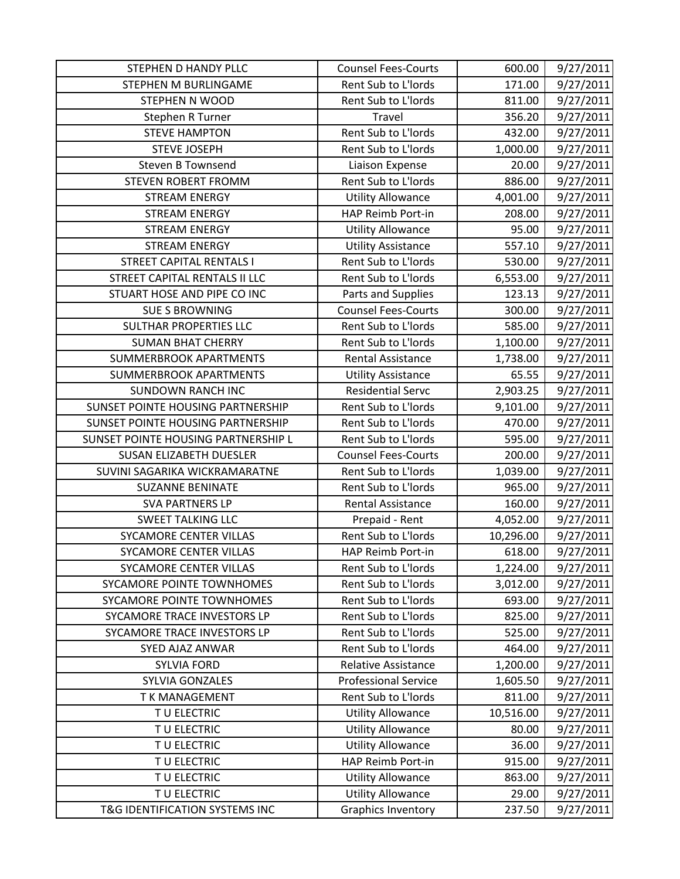| STEPHEN D HANDY PLLC                | <b>Counsel Fees-Courts</b>  | 600.00    | 9/27/2011 |
|-------------------------------------|-----------------------------|-----------|-----------|
| STEPHEN M BURLINGAME                | Rent Sub to L'Iords         | 171.00    | 9/27/2011 |
| <b>STEPHEN N WOOD</b>               | Rent Sub to L'Iords         | 811.00    | 9/27/2011 |
| Stephen R Turner                    | Travel                      | 356.20    | 9/27/2011 |
| <b>STEVE HAMPTON</b>                | Rent Sub to L'Iords         | 432.00    | 9/27/2011 |
| <b>STEVE JOSEPH</b>                 | Rent Sub to L'Iords         | 1,000.00  | 9/27/2011 |
| <b>Steven B Townsend</b>            | Liaison Expense             | 20.00     | 9/27/2011 |
| <b>STEVEN ROBERT FROMM</b>          | Rent Sub to L'Iords         | 886.00    | 9/27/2011 |
| <b>STREAM ENERGY</b>                | <b>Utility Allowance</b>    | 4,001.00  | 9/27/2011 |
| <b>STREAM ENERGY</b>                | HAP Reimb Port-in           | 208.00    | 9/27/2011 |
| <b>STREAM ENERGY</b>                | <b>Utility Allowance</b>    | 95.00     | 9/27/2011 |
| <b>STREAM ENERGY</b>                | <b>Utility Assistance</b>   | 557.10    | 9/27/2011 |
| <b>STREET CAPITAL RENTALS I</b>     | Rent Sub to L'Iords         | 530.00    | 9/27/2011 |
| STREET CAPITAL RENTALS II LLC       | Rent Sub to L'Iords         | 6,553.00  | 9/27/2011 |
| STUART HOSE AND PIPE CO INC         | Parts and Supplies          | 123.13    | 9/27/2011 |
| <b>SUE S BROWNING</b>               | <b>Counsel Fees-Courts</b>  | 300.00    | 9/27/2011 |
| SULTHAR PROPERTIES LLC              | Rent Sub to L'Iords         | 585.00    | 9/27/2011 |
| <b>SUMAN BHAT CHERRY</b>            | Rent Sub to L'Iords         | 1,100.00  | 9/27/2011 |
| <b>SUMMERBROOK APARTMENTS</b>       | <b>Rental Assistance</b>    | 1,738.00  | 9/27/2011 |
| <b>SUMMERBROOK APARTMENTS</b>       | <b>Utility Assistance</b>   | 65.55     | 9/27/2011 |
| <b>SUNDOWN RANCH INC</b>            | <b>Residential Servc</b>    | 2,903.25  | 9/27/2011 |
| SUNSET POINTE HOUSING PARTNERSHIP   | Rent Sub to L'Iords         | 9,101.00  | 9/27/2011 |
| SUNSET POINTE HOUSING PARTNERSHIP   | Rent Sub to L'Iords         | 470.00    | 9/27/2011 |
| SUNSET POINTE HOUSING PARTNERSHIP L | Rent Sub to L'Iords         | 595.00    | 9/27/2011 |
| <b>SUSAN ELIZABETH DUESLER</b>      | <b>Counsel Fees-Courts</b>  | 200.00    | 9/27/2011 |
| SUVINI SAGARIKA WICKRAMARATNE       | Rent Sub to L'Iords         | 1,039.00  | 9/27/2011 |
| <b>SUZANNE BENINATE</b>             | Rent Sub to L'Iords         | 965.00    | 9/27/2011 |
| <b>SVA PARTNERS LP</b>              | <b>Rental Assistance</b>    | 160.00    | 9/27/2011 |
| <b>SWEET TALKING LLC</b>            | Prepaid - Rent              | 4,052.00  | 9/27/2011 |
| SYCAMORE CENTER VILLAS              | Rent Sub to L'Iords         | 10,296.00 | 9/27/2011 |
| <b>SYCAMORE CENTER VILLAS</b>       | HAP Reimb Port-in           | 618.00    | 9/27/2011 |
| SYCAMORE CENTER VILLAS              | Rent Sub to L'Iords         | 1,224.00  | 9/27/2011 |
| SYCAMORE POINTE TOWNHOMES           | Rent Sub to L'Iords         | 3,012.00  | 9/27/2011 |
| SYCAMORE POINTE TOWNHOMES           | Rent Sub to L'Iords         | 693.00    | 9/27/2011 |
| SYCAMORE TRACE INVESTORS LP         | Rent Sub to L'Iords         | 825.00    | 9/27/2011 |
| SYCAMORE TRACE INVESTORS LP         | Rent Sub to L'Iords         | 525.00    | 9/27/2011 |
| SYED AJAZ ANWAR                     | Rent Sub to L'Iords         | 464.00    | 9/27/2011 |
| <b>SYLVIA FORD</b>                  | <b>Relative Assistance</b>  | 1,200.00  | 9/27/2011 |
| SYLVIA GONZALES                     | <b>Professional Service</b> | 1,605.50  | 9/27/2011 |
| T K MANAGEMENT                      | Rent Sub to L'Iords         | 811.00    | 9/27/2011 |
| TU ELECTRIC                         | <b>Utility Allowance</b>    | 10,516.00 | 9/27/2011 |
| TU ELECTRIC                         | <b>Utility Allowance</b>    | 80.00     | 9/27/2011 |
| TU ELECTRIC                         | <b>Utility Allowance</b>    | 36.00     | 9/27/2011 |
| TU ELECTRIC                         | HAP Reimb Port-in           | 915.00    | 9/27/2011 |
| TU ELECTRIC                         | <b>Utility Allowance</b>    | 863.00    | 9/27/2011 |
| TU ELECTRIC                         | <b>Utility Allowance</b>    | 29.00     | 9/27/2011 |
| T&G IDENTIFICATION SYSTEMS INC      | <b>Graphics Inventory</b>   | 237.50    | 9/27/2011 |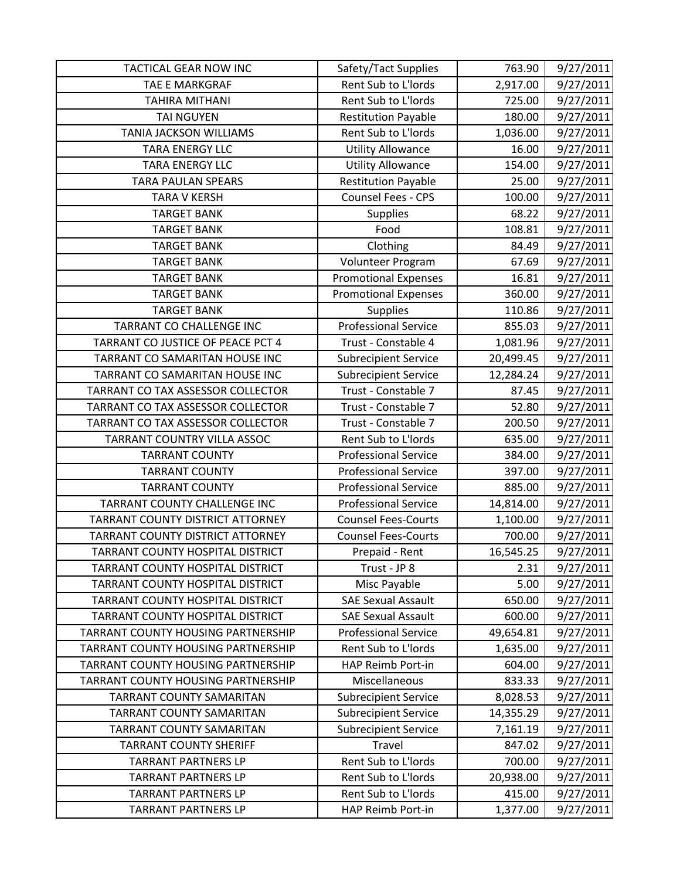| <b>TACTICAL GEAR NOW INC</b>       | Safety/Tact Supplies        | 763.90    | 9/27/2011 |
|------------------------------------|-----------------------------|-----------|-----------|
| TAE E MARKGRAF                     | Rent Sub to L'Iords         | 2,917.00  | 9/27/2011 |
| <b>TAHIRA MITHANI</b>              | Rent Sub to L'Iords         | 725.00    | 9/27/2011 |
| <b>TAI NGUYEN</b>                  | <b>Restitution Payable</b>  | 180.00    | 9/27/2011 |
| <b>TANIA JACKSON WILLIAMS</b>      | Rent Sub to L'Iords         | 1,036.00  | 9/27/2011 |
| <b>TARA ENERGY LLC</b>             | <b>Utility Allowance</b>    | 16.00     | 9/27/2011 |
| <b>TARA ENERGY LLC</b>             | <b>Utility Allowance</b>    | 154.00    | 9/27/2011 |
| <b>TARA PAULAN SPEARS</b>          | <b>Restitution Payable</b>  | 25.00     | 9/27/2011 |
| <b>TARA V KERSH</b>                | <b>Counsel Fees - CPS</b>   | 100.00    | 9/27/2011 |
| <b>TARGET BANK</b>                 | <b>Supplies</b>             | 68.22     | 9/27/2011 |
| <b>TARGET BANK</b>                 | Food                        | 108.81    | 9/27/2011 |
| <b>TARGET BANK</b>                 | Clothing                    | 84.49     | 9/27/2011 |
| <b>TARGET BANK</b>                 | Volunteer Program           | 67.69     | 9/27/2011 |
| <b>TARGET BANK</b>                 | <b>Promotional Expenses</b> | 16.81     | 9/27/2011 |
| <b>TARGET BANK</b>                 | <b>Promotional Expenses</b> | 360.00    | 9/27/2011 |
| <b>TARGET BANK</b>                 | <b>Supplies</b>             | 110.86    | 9/27/2011 |
| TARRANT CO CHALLENGE INC           | <b>Professional Service</b> | 855.03    | 9/27/2011 |
| TARRANT CO JUSTICE OF PEACE PCT 4  | Trust - Constable 4         | 1,081.96  | 9/27/2011 |
| TARRANT CO SAMARITAN HOUSE INC     | <b>Subrecipient Service</b> | 20,499.45 | 9/27/2011 |
| TARRANT CO SAMARITAN HOUSE INC     | <b>Subrecipient Service</b> | 12,284.24 | 9/27/2011 |
| TARRANT CO TAX ASSESSOR COLLECTOR  | Trust - Constable 7         | 87.45     | 9/27/2011 |
| TARRANT CO TAX ASSESSOR COLLECTOR  | Trust - Constable 7         | 52.80     | 9/27/2011 |
| TARRANT CO TAX ASSESSOR COLLECTOR  | Trust - Constable 7         | 200.50    | 9/27/2011 |
| TARRANT COUNTRY VILLA ASSOC        | Rent Sub to L'Iords         | 635.00    | 9/27/2011 |
| <b>TARRANT COUNTY</b>              | <b>Professional Service</b> | 384.00    | 9/27/2011 |
| <b>TARRANT COUNTY</b>              | <b>Professional Service</b> | 397.00    | 9/27/2011 |
| <b>TARRANT COUNTY</b>              | <b>Professional Service</b> | 885.00    | 9/27/2011 |
| TARRANT COUNTY CHALLENGE INC       | <b>Professional Service</b> | 14,814.00 | 9/27/2011 |
| TARRANT COUNTY DISTRICT ATTORNEY   | <b>Counsel Fees-Courts</b>  | 1,100.00  | 9/27/2011 |
| TARRANT COUNTY DISTRICT ATTORNEY   | <b>Counsel Fees-Courts</b>  | 700.00    | 9/27/2011 |
| TARRANT COUNTY HOSPITAL DISTRICT   | Prepaid - Rent              | 16,545.25 | 9/27/2011 |
| TARRANT COUNTY HOSPITAL DISTRICT   | Trust - JP 8                | 2.31      | 9/27/2011 |
| TARRANT COUNTY HOSPITAL DISTRICT   | Misc Payable                | 5.00      | 9/27/2011 |
| TARRANT COUNTY HOSPITAL DISTRICT   | <b>SAE Sexual Assault</b>   | 650.00    | 9/27/2011 |
| TARRANT COUNTY HOSPITAL DISTRICT   | <b>SAE Sexual Assault</b>   | 600.00    | 9/27/2011 |
| TARRANT COUNTY HOUSING PARTNERSHIP | <b>Professional Service</b> | 49,654.81 | 9/27/2011 |
| TARRANT COUNTY HOUSING PARTNERSHIP | Rent Sub to L'Iords         | 1,635.00  | 9/27/2011 |
| TARRANT COUNTY HOUSING PARTNERSHIP | HAP Reimb Port-in           | 604.00    | 9/27/2011 |
| TARRANT COUNTY HOUSING PARTNERSHIP | Miscellaneous               | 833.33    | 9/27/2011 |
| TARRANT COUNTY SAMARITAN           | <b>Subrecipient Service</b> | 8,028.53  | 9/27/2011 |
| <b>TARRANT COUNTY SAMARITAN</b>    | <b>Subrecipient Service</b> | 14,355.29 | 9/27/2011 |
| TARRANT COUNTY SAMARITAN           | <b>Subrecipient Service</b> | 7,161.19  | 9/27/2011 |
| <b>TARRANT COUNTY SHERIFF</b>      | Travel                      | 847.02    | 9/27/2011 |
| <b>TARRANT PARTNERS LP</b>         | Rent Sub to L'Iords         | 700.00    | 9/27/2011 |
| <b>TARRANT PARTNERS LP</b>         | Rent Sub to L'Iords         | 20,938.00 | 9/27/2011 |
| <b>TARRANT PARTNERS LP</b>         | Rent Sub to L'Iords         | 415.00    | 9/27/2011 |
| <b>TARRANT PARTNERS LP</b>         | HAP Reimb Port-in           | 1,377.00  | 9/27/2011 |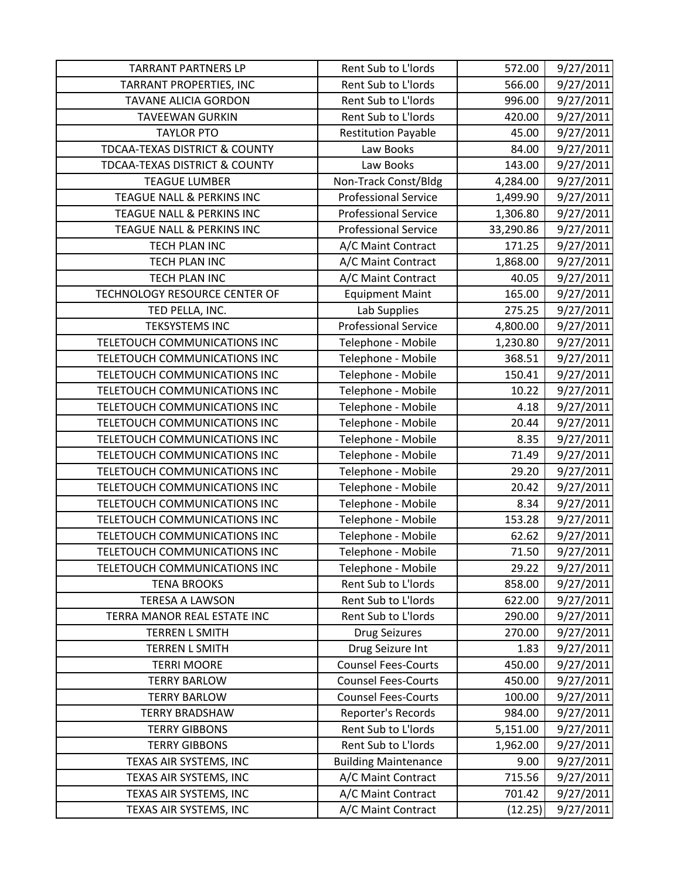| <b>TARRANT PARTNERS LP</b>    | Rent Sub to L'Iords         | 572.00    | 9/27/2011 |
|-------------------------------|-----------------------------|-----------|-----------|
| TARRANT PROPERTIES, INC       | Rent Sub to L'Iords         | 566.00    | 9/27/2011 |
| <b>TAVANE ALICIA GORDON</b>   | Rent Sub to L'Iords         | 996.00    | 9/27/2011 |
| <b>TAVEEWAN GURKIN</b>        | Rent Sub to L'Iords         | 420.00    | 9/27/2011 |
| <b>TAYLOR PTO</b>             | <b>Restitution Payable</b>  | 45.00     | 9/27/2011 |
| TDCAA-TEXAS DISTRICT & COUNTY | Law Books                   | 84.00     | 9/27/2011 |
| TDCAA-TEXAS DISTRICT & COUNTY | Law Books                   | 143.00    | 9/27/2011 |
| <b>TEAGUE LUMBER</b>          | Non-Track Const/Bldg        | 4,284.00  | 9/27/2011 |
| TEAGUE NALL & PERKINS INC     | <b>Professional Service</b> | 1,499.90  | 9/27/2011 |
| TEAGUE NALL & PERKINS INC     | <b>Professional Service</b> | 1,306.80  | 9/27/2011 |
| TEAGUE NALL & PERKINS INC     | <b>Professional Service</b> | 33,290.86 | 9/27/2011 |
| TECH PLAN INC                 | A/C Maint Contract          | 171.25    | 9/27/2011 |
| TECH PLAN INC                 | A/C Maint Contract          | 1,868.00  | 9/27/2011 |
| TECH PLAN INC                 | A/C Maint Contract          | 40.05     | 9/27/2011 |
| TECHNOLOGY RESOURCE CENTER OF | <b>Equipment Maint</b>      | 165.00    | 9/27/2011 |
| TED PELLA, INC.               | Lab Supplies                | 275.25    | 9/27/2011 |
| <b>TEKSYSTEMS INC</b>         | <b>Professional Service</b> | 4,800.00  | 9/27/2011 |
| TELETOUCH COMMUNICATIONS INC  | Telephone - Mobile          | 1,230.80  | 9/27/2011 |
| TELETOUCH COMMUNICATIONS INC  | Telephone - Mobile          | 368.51    | 9/27/2011 |
| TELETOUCH COMMUNICATIONS INC  | Telephone - Mobile          | 150.41    | 9/27/2011 |
| TELETOUCH COMMUNICATIONS INC  | Telephone - Mobile          | 10.22     | 9/27/2011 |
| TELETOUCH COMMUNICATIONS INC  | Telephone - Mobile          | 4.18      | 9/27/2011 |
| TELETOUCH COMMUNICATIONS INC  | Telephone - Mobile          | 20.44     | 9/27/2011 |
| TELETOUCH COMMUNICATIONS INC  | Telephone - Mobile          | 8.35      | 9/27/2011 |
| TELETOUCH COMMUNICATIONS INC  | Telephone - Mobile          | 71.49     | 9/27/2011 |
| TELETOUCH COMMUNICATIONS INC  | Telephone - Mobile          | 29.20     | 9/27/2011 |
| TELETOUCH COMMUNICATIONS INC  | Telephone - Mobile          | 20.42     | 9/27/2011 |
| TELETOUCH COMMUNICATIONS INC  | Telephone - Mobile          | 8.34      | 9/27/2011 |
| TELETOUCH COMMUNICATIONS INC  | Telephone - Mobile          | 153.28    | 9/27/2011 |
| TELETOUCH COMMUNICATIONS INC  | Telephone - Mobile          | 62.62     | 9/27/2011 |
| TELETOUCH COMMUNICATIONS INC  | Telephone - Mobile          | 71.50     | 9/27/2011 |
| TELETOUCH COMMUNICATIONS INC  | Telephone - Mobile          | 29.22     | 9/27/2011 |
| <b>TENA BROOKS</b>            | Rent Sub to L'Iords         | 858.00    | 9/27/2011 |
| <b>TERESA A LAWSON</b>        | Rent Sub to L'Iords         | 622.00    | 9/27/2011 |
| TERRA MANOR REAL ESTATE INC   | Rent Sub to L'Iords         | 290.00    | 9/27/2011 |
| <b>TERREN L SMITH</b>         | <b>Drug Seizures</b>        | 270.00    | 9/27/2011 |
| <b>TERREN L SMITH</b>         | Drug Seizure Int            | 1.83      | 9/27/2011 |
| <b>TERRI MOORE</b>            | <b>Counsel Fees-Courts</b>  | 450.00    | 9/27/2011 |
| <b>TERRY BARLOW</b>           | <b>Counsel Fees-Courts</b>  | 450.00    | 9/27/2011 |
| <b>TERRY BARLOW</b>           | <b>Counsel Fees-Courts</b>  | 100.00    | 9/27/2011 |
| <b>TERRY BRADSHAW</b>         | Reporter's Records          | 984.00    | 9/27/2011 |
| <b>TERRY GIBBONS</b>          | Rent Sub to L'Iords         | 5,151.00  | 9/27/2011 |
| <b>TERRY GIBBONS</b>          | Rent Sub to L'Iords         | 1,962.00  | 9/27/2011 |
| TEXAS AIR SYSTEMS, INC        | <b>Building Maintenance</b> | 9.00      | 9/27/2011 |
| TEXAS AIR SYSTEMS, INC        | A/C Maint Contract          | 715.56    | 9/27/2011 |
| TEXAS AIR SYSTEMS, INC        | A/C Maint Contract          | 701.42    | 9/27/2011 |
| TEXAS AIR SYSTEMS, INC        | A/C Maint Contract          | (12.25)   | 9/27/2011 |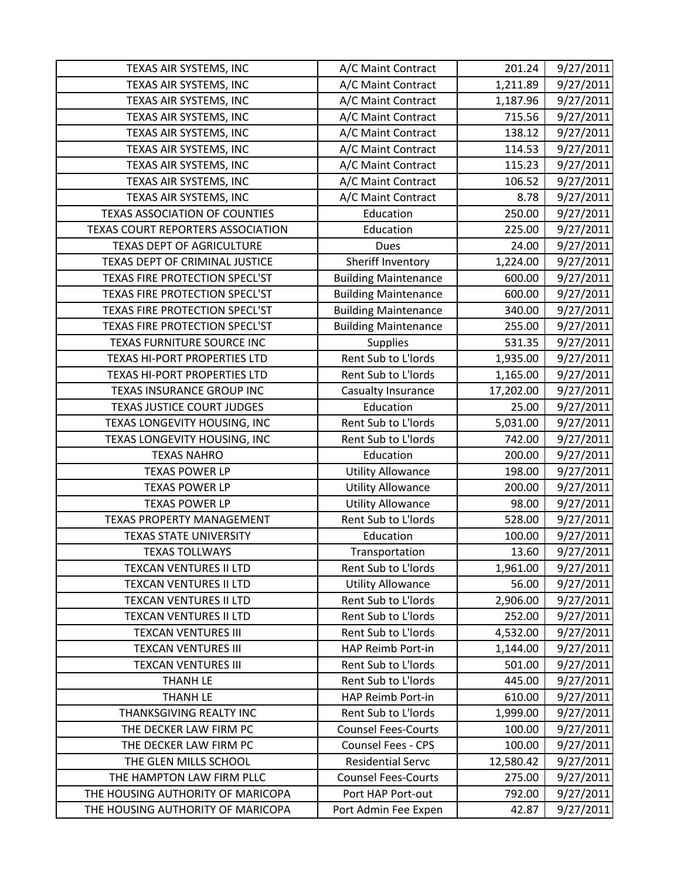| TEXAS AIR SYSTEMS, INC               | A/C Maint Contract          | 201.24    | 9/27/2011 |
|--------------------------------------|-----------------------------|-----------|-----------|
| TEXAS AIR SYSTEMS, INC               | A/C Maint Contract          | 1,211.89  | 9/27/2011 |
| TEXAS AIR SYSTEMS, INC               | A/C Maint Contract          | 1,187.96  | 9/27/2011 |
| TEXAS AIR SYSTEMS, INC               | A/C Maint Contract          | 715.56    | 9/27/2011 |
| TEXAS AIR SYSTEMS, INC               | A/C Maint Contract          | 138.12    | 9/27/2011 |
| TEXAS AIR SYSTEMS, INC               | A/C Maint Contract          | 114.53    | 9/27/2011 |
| TEXAS AIR SYSTEMS, INC               | A/C Maint Contract          | 115.23    | 9/27/2011 |
| TEXAS AIR SYSTEMS, INC               | A/C Maint Contract          | 106.52    | 9/27/2011 |
| TEXAS AIR SYSTEMS, INC               | A/C Maint Contract          | 8.78      | 9/27/2011 |
| <b>TEXAS ASSOCIATION OF COUNTIES</b> | Education                   | 250.00    | 9/27/2011 |
| TEXAS COURT REPORTERS ASSOCIATION    | Education                   | 225.00    | 9/27/2011 |
| TEXAS DEPT OF AGRICULTURE            | <b>Dues</b>                 | 24.00     | 9/27/2011 |
| TEXAS DEPT OF CRIMINAL JUSTICE       | Sheriff Inventory           | 1,224.00  | 9/27/2011 |
| TEXAS FIRE PROTECTION SPECL'ST       | <b>Building Maintenance</b> | 600.00    | 9/27/2011 |
| TEXAS FIRE PROTECTION SPECL'ST       | <b>Building Maintenance</b> | 600.00    | 9/27/2011 |
| TEXAS FIRE PROTECTION SPECL'ST       | <b>Building Maintenance</b> | 340.00    | 9/27/2011 |
| TEXAS FIRE PROTECTION SPECL'ST       | <b>Building Maintenance</b> | 255.00    | 9/27/2011 |
| TEXAS FURNITURE SOURCE INC           | <b>Supplies</b>             | 531.35    | 9/27/2011 |
| TEXAS HI-PORT PROPERTIES LTD         | Rent Sub to L'Iords         | 1,935.00  | 9/27/2011 |
| TEXAS HI-PORT PROPERTIES LTD         | Rent Sub to L'Iords         | 1,165.00  | 9/27/2011 |
| TEXAS INSURANCE GROUP INC            | Casualty Insurance          | 17,202.00 | 9/27/2011 |
| <b>TEXAS JUSTICE COURT JUDGES</b>    | Education                   | 25.00     | 9/27/2011 |
| TEXAS LONGEVITY HOUSING, INC         | Rent Sub to L'Iords         | 5,031.00  | 9/27/2011 |
| TEXAS LONGEVITY HOUSING, INC         | Rent Sub to L'Iords         | 742.00    | 9/27/2011 |
| <b>TEXAS NAHRO</b>                   | Education                   | 200.00    | 9/27/2011 |
| <b>TEXAS POWER LP</b>                | <b>Utility Allowance</b>    | 198.00    | 9/27/2011 |
| <b>TEXAS POWER LP</b>                | <b>Utility Allowance</b>    | 200.00    | 9/27/2011 |
| <b>TEXAS POWER LP</b>                | <b>Utility Allowance</b>    | 98.00     | 9/27/2011 |
| <b>TEXAS PROPERTY MANAGEMENT</b>     | Rent Sub to L'Iords         | 528.00    | 9/27/2011 |
| <b>TEXAS STATE UNIVERSITY</b>        | Education                   | 100.00    | 9/27/2011 |
| <b>TEXAS TOLLWAYS</b>                | Transportation              | 13.60     | 9/27/2011 |
| <b>TEXCAN VENTURES II LTD</b>        | Rent Sub to L'Iords         | 1,961.00  | 9/27/2011 |
| <b>TEXCAN VENTURES II LTD</b>        | <b>Utility Allowance</b>    | 56.00     | 9/27/2011 |
| <b>TEXCAN VENTURES II LTD</b>        | Rent Sub to L'Iords         | 2,906.00  | 9/27/2011 |
| <b>TEXCAN VENTURES II LTD</b>        | Rent Sub to L'Iords         | 252.00    | 9/27/2011 |
| <b>TEXCAN VENTURES III</b>           | Rent Sub to L'Iords         | 4,532.00  | 9/27/2011 |
| <b>TEXCAN VENTURES III</b>           | HAP Reimb Port-in           | 1,144.00  | 9/27/2011 |
| <b>TEXCAN VENTURES III</b>           | Rent Sub to L'Iords         | 501.00    | 9/27/2011 |
| <b>THANH LE</b>                      | Rent Sub to L'Iords         | 445.00    | 9/27/2011 |
| <b>THANH LE</b>                      | HAP Reimb Port-in           | 610.00    | 9/27/2011 |
| THANKSGIVING REALTY INC              | Rent Sub to L'Iords         | 1,999.00  | 9/27/2011 |
| THE DECKER LAW FIRM PC               | <b>Counsel Fees-Courts</b>  | 100.00    | 9/27/2011 |
| THE DECKER LAW FIRM PC               | <b>Counsel Fees - CPS</b>   | 100.00    | 9/27/2011 |
| THE GLEN MILLS SCHOOL                | <b>Residential Servc</b>    | 12,580.42 | 9/27/2011 |
| THE HAMPTON LAW FIRM PLLC            | <b>Counsel Fees-Courts</b>  | 275.00    | 9/27/2011 |
| THE HOUSING AUTHORITY OF MARICOPA    | Port HAP Port-out           | 792.00    | 9/27/2011 |
| THE HOUSING AUTHORITY OF MARICOPA    | Port Admin Fee Expen        | 42.87     | 9/27/2011 |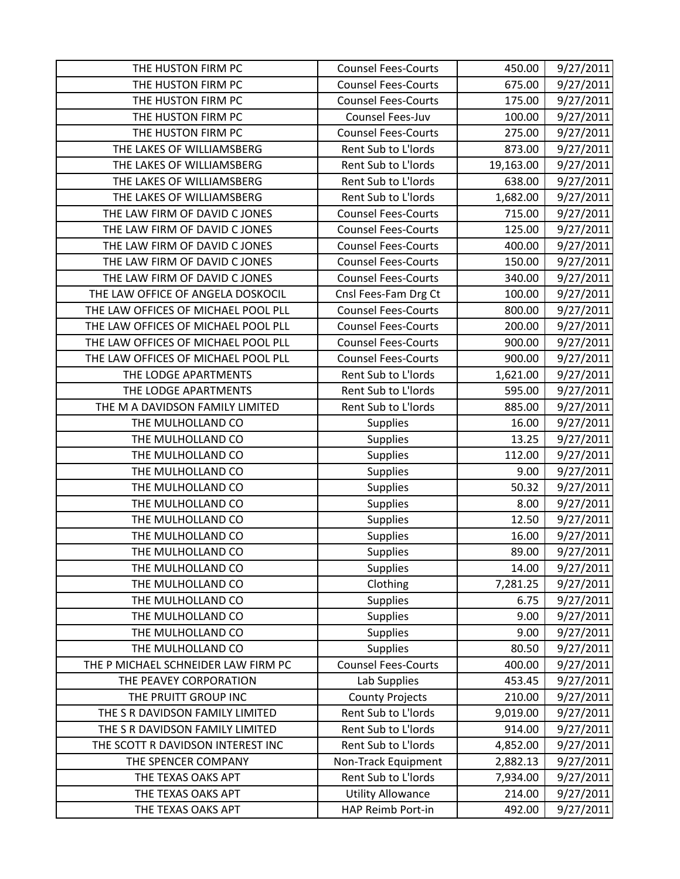| THE HUSTON FIRM PC                  | <b>Counsel Fees-Courts</b> | 450.00    | 9/27/2011 |
|-------------------------------------|----------------------------|-----------|-----------|
| THE HUSTON FIRM PC                  | <b>Counsel Fees-Courts</b> | 675.00    | 9/27/2011 |
| THE HUSTON FIRM PC                  | <b>Counsel Fees-Courts</b> | 175.00    | 9/27/2011 |
| THE HUSTON FIRM PC                  | Counsel Fees-Juv           | 100.00    | 9/27/2011 |
| THE HUSTON FIRM PC                  | <b>Counsel Fees-Courts</b> | 275.00    | 9/27/2011 |
| THE LAKES OF WILLIAMSBERG           | Rent Sub to L'Iords        | 873.00    | 9/27/2011 |
| THE LAKES OF WILLIAMSBERG           | Rent Sub to L'Iords        | 19,163.00 | 9/27/2011 |
| THE LAKES OF WILLIAMSBERG           | Rent Sub to L'Iords        | 638.00    | 9/27/2011 |
| THE LAKES OF WILLIAMSBERG           | Rent Sub to L'Iords        | 1,682.00  | 9/27/2011 |
| THE LAW FIRM OF DAVID C JONES       | <b>Counsel Fees-Courts</b> | 715.00    | 9/27/2011 |
| THE LAW FIRM OF DAVID C JONES       | <b>Counsel Fees-Courts</b> | 125.00    | 9/27/2011 |
| THE LAW FIRM OF DAVID C JONES       | <b>Counsel Fees-Courts</b> | 400.00    | 9/27/2011 |
| THE LAW FIRM OF DAVID C JONES       | <b>Counsel Fees-Courts</b> | 150.00    | 9/27/2011 |
| THE LAW FIRM OF DAVID C JONES       | <b>Counsel Fees-Courts</b> | 340.00    | 9/27/2011 |
| THE LAW OFFICE OF ANGELA DOSKOCIL   | Cnsl Fees-Fam Drg Ct       | 100.00    | 9/27/2011 |
| THE LAW OFFICES OF MICHAEL POOL PLL | <b>Counsel Fees-Courts</b> | 800.00    | 9/27/2011 |
| THE LAW OFFICES OF MICHAEL POOL PLL | <b>Counsel Fees-Courts</b> | 200.00    | 9/27/2011 |
| THE LAW OFFICES OF MICHAEL POOL PLL | <b>Counsel Fees-Courts</b> | 900.00    | 9/27/2011 |
| THE LAW OFFICES OF MICHAEL POOL PLL | <b>Counsel Fees-Courts</b> | 900.00    | 9/27/2011 |
| THE LODGE APARTMENTS                | Rent Sub to L'Iords        | 1,621.00  | 9/27/2011 |
| THE LODGE APARTMENTS                | Rent Sub to L'Iords        | 595.00    | 9/27/2011 |
| THE M A DAVIDSON FAMILY LIMITED     | Rent Sub to L'Iords        | 885.00    | 9/27/2011 |
| THE MULHOLLAND CO                   | <b>Supplies</b>            | 16.00     | 9/27/2011 |
| THE MULHOLLAND CO                   | <b>Supplies</b>            | 13.25     | 9/27/2011 |
| THE MULHOLLAND CO                   | <b>Supplies</b>            | 112.00    | 9/27/2011 |
| THE MULHOLLAND CO                   | <b>Supplies</b>            | 9.00      | 9/27/2011 |
| THE MULHOLLAND CO                   | <b>Supplies</b>            | 50.32     | 9/27/2011 |
| THE MULHOLLAND CO                   | <b>Supplies</b>            | 8.00      | 9/27/2011 |
| THE MULHOLLAND CO                   | Supplies                   | 12.50     | 9/27/2011 |
| THE MULHOLLAND CO                   | Supplies                   | 16.00     | 9/27/2011 |
| THE MULHOLLAND CO                   | <b>Supplies</b>            | 89.00     | 9/27/2011 |
| THE MULHOLLAND CO                   | <b>Supplies</b>            | 14.00     | 9/27/2011 |
| THE MULHOLLAND CO                   | Clothing                   | 7,281.25  | 9/27/2011 |
| THE MULHOLLAND CO                   | <b>Supplies</b>            | 6.75      | 9/27/2011 |
| THE MULHOLLAND CO                   | <b>Supplies</b>            | 9.00      | 9/27/2011 |
| THE MULHOLLAND CO                   | <b>Supplies</b>            | 9.00      | 9/27/2011 |
| THE MULHOLLAND CO                   | <b>Supplies</b>            | 80.50     | 9/27/2011 |
| THE P MICHAEL SCHNEIDER LAW FIRM PC | <b>Counsel Fees-Courts</b> | 400.00    | 9/27/2011 |
| THE PEAVEY CORPORATION              | Lab Supplies               | 453.45    | 9/27/2011 |
| THE PRUITT GROUP INC                | <b>County Projects</b>     | 210.00    | 9/27/2011 |
| THE S R DAVIDSON FAMILY LIMITED     | Rent Sub to L'Iords        | 9,019.00  | 9/27/2011 |
| THE S R DAVIDSON FAMILY LIMITED     | Rent Sub to L'Iords        | 914.00    | 9/27/2011 |
| THE SCOTT R DAVIDSON INTEREST INC   | Rent Sub to L'Iords        | 4,852.00  | 9/27/2011 |
| THE SPENCER COMPANY                 | Non-Track Equipment        | 2,882.13  | 9/27/2011 |
| THE TEXAS OAKS APT                  | Rent Sub to L'Iords        | 7,934.00  | 9/27/2011 |
| THE TEXAS OAKS APT                  | <b>Utility Allowance</b>   | 214.00    | 9/27/2011 |
| THE TEXAS OAKS APT                  | HAP Reimb Port-in          | 492.00    | 9/27/2011 |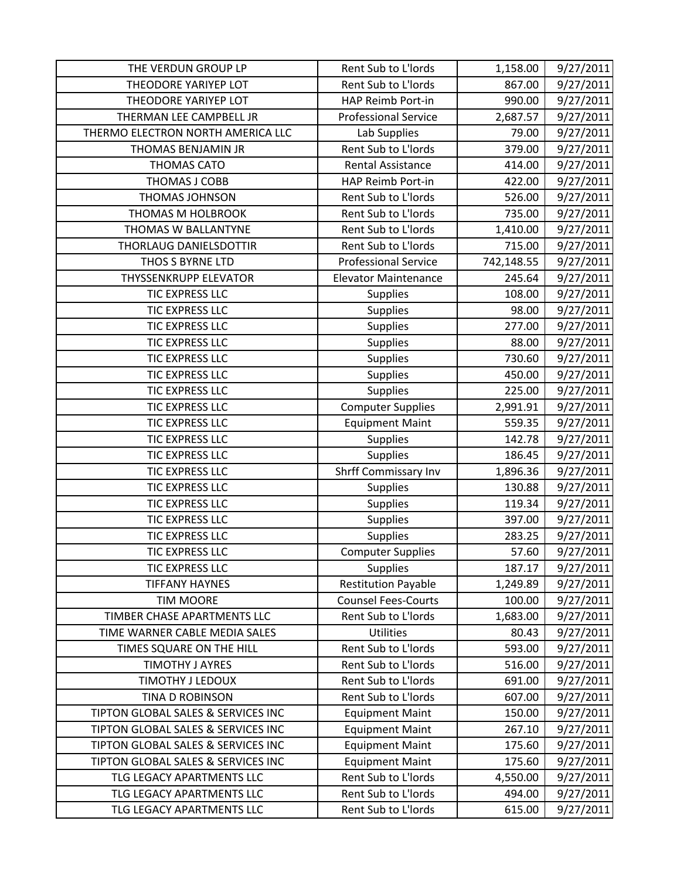| THE VERDUN GROUP LP                | Rent Sub to L'Iords         | 1,158.00   | 9/27/2011 |
|------------------------------------|-----------------------------|------------|-----------|
| THEODORE YARIYEP LOT               | Rent Sub to L'Iords         | 867.00     | 9/27/2011 |
| THEODORE YARIYEP LOT               | HAP Reimb Port-in           | 990.00     | 9/27/2011 |
| THERMAN LEE CAMPBELL JR            | <b>Professional Service</b> | 2,687.57   | 9/27/2011 |
| THERMO ELECTRON NORTH AMERICA LLC  | Lab Supplies                | 79.00      | 9/27/2011 |
| THOMAS BENJAMIN JR                 | Rent Sub to L'Iords         | 379.00     | 9/27/2011 |
| <b>THOMAS CATO</b>                 | <b>Rental Assistance</b>    | 414.00     | 9/27/2011 |
| THOMAS J COBB                      | HAP Reimb Port-in           | 422.00     | 9/27/2011 |
| <b>THOMAS JOHNSON</b>              | Rent Sub to L'Iords         | 526.00     | 9/27/2011 |
| THOMAS M HOLBROOK                  | Rent Sub to L'Iords         | 735.00     | 9/27/2011 |
| THOMAS W BALLANTYNE                | Rent Sub to L'Iords         | 1,410.00   | 9/27/2011 |
| THORLAUG DANIELSDOTTIR             | Rent Sub to L'Iords         | 715.00     | 9/27/2011 |
| THOS S BYRNE LTD                   | <b>Professional Service</b> | 742,148.55 | 9/27/2011 |
| <b>THYSSENKRUPP ELEVATOR</b>       | <b>Elevator Maintenance</b> | 245.64     | 9/27/2011 |
| TIC EXPRESS LLC                    | <b>Supplies</b>             | 108.00     | 9/27/2011 |
| TIC EXPRESS LLC                    | <b>Supplies</b>             | 98.00      | 9/27/2011 |
| TIC EXPRESS LLC                    | <b>Supplies</b>             | 277.00     | 9/27/2011 |
| TIC EXPRESS LLC                    | <b>Supplies</b>             | 88.00      | 9/27/2011 |
| <b>TIC EXPRESS LLC</b>             | <b>Supplies</b>             | 730.60     | 9/27/2011 |
| TIC EXPRESS LLC                    | <b>Supplies</b>             | 450.00     | 9/27/2011 |
| TIC EXPRESS LLC                    | <b>Supplies</b>             | 225.00     | 9/27/2011 |
| TIC EXPRESS LLC                    | <b>Computer Supplies</b>    | 2,991.91   | 9/27/2011 |
| TIC EXPRESS LLC                    | <b>Equipment Maint</b>      | 559.35     | 9/27/2011 |
| TIC EXPRESS LLC                    | <b>Supplies</b>             | 142.78     | 9/27/2011 |
| TIC EXPRESS LLC                    | <b>Supplies</b>             | 186.45     | 9/27/2011 |
| TIC EXPRESS LLC                    | Shrff Commissary Inv        | 1,896.36   | 9/27/2011 |
| TIC EXPRESS LLC                    | <b>Supplies</b>             | 130.88     | 9/27/2011 |
| TIC EXPRESS LLC                    | <b>Supplies</b>             | 119.34     | 9/27/2011 |
| TIC EXPRESS LLC                    | <b>Supplies</b>             | 397.00     | 9/27/2011 |
| TIC EXPRESS LLC                    | <b>Supplies</b>             | 283.25     | 9/27/2011 |
| <b>TIC EXPRESS LLC</b>             | <b>Computer Supplies</b>    | 57.60      | 9/27/2011 |
| <b>TIC EXPRESS LLC</b>             | <b>Supplies</b>             | 187.17     | 9/27/2011 |
| <b>TIFFANY HAYNES</b>              | <b>Restitution Payable</b>  | 1,249.89   | 9/27/2011 |
| <b>TIM MOORE</b>                   | <b>Counsel Fees-Courts</b>  | 100.00     | 9/27/2011 |
| TIMBER CHASE APARTMENTS LLC        | Rent Sub to L'Iords         | 1,683.00   | 9/27/2011 |
| TIME WARNER CABLE MEDIA SALES      | <b>Utilities</b>            | 80.43      | 9/27/2011 |
| TIMES SQUARE ON THE HILL           | Rent Sub to L'Iords         | 593.00     | 9/27/2011 |
| <b>TIMOTHY J AYRES</b>             | Rent Sub to L'Iords         | 516.00     | 9/27/2011 |
| TIMOTHY J LEDOUX                   | Rent Sub to L'Iords         | 691.00     | 9/27/2011 |
| TINA D ROBINSON                    | Rent Sub to L'Iords         | 607.00     | 9/27/2011 |
| TIPTON GLOBAL SALES & SERVICES INC | <b>Equipment Maint</b>      | 150.00     | 9/27/2011 |
| TIPTON GLOBAL SALES & SERVICES INC | <b>Equipment Maint</b>      | 267.10     | 9/27/2011 |
| TIPTON GLOBAL SALES & SERVICES INC | <b>Equipment Maint</b>      | 175.60     | 9/27/2011 |
| TIPTON GLOBAL SALES & SERVICES INC | <b>Equipment Maint</b>      | 175.60     | 9/27/2011 |
| TLG LEGACY APARTMENTS LLC          | Rent Sub to L'Iords         | 4,550.00   | 9/27/2011 |
| TLG LEGACY APARTMENTS LLC          | Rent Sub to L'Iords         | 494.00     | 9/27/2011 |
| TLG LEGACY APARTMENTS LLC          | Rent Sub to L'Iords         | 615.00     | 9/27/2011 |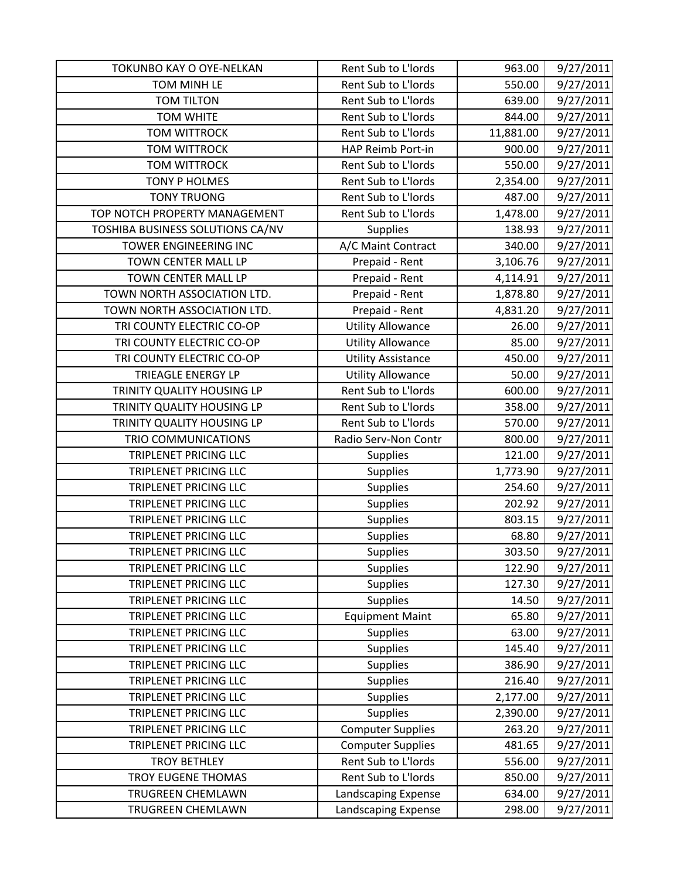| TOKUNBO KAY O OYE-NELKAN         | Rent Sub to L'Iords       | 963.00    | 9/27/2011 |
|----------------------------------|---------------------------|-----------|-----------|
| TOM MINH LE                      | Rent Sub to L'Iords       | 550.00    | 9/27/2011 |
| <b>TOM TILTON</b>                | Rent Sub to L'Iords       | 639.00    | 9/27/2011 |
| <b>TOM WHITE</b>                 | Rent Sub to L'Iords       | 844.00    | 9/27/2011 |
| <b>TOM WITTROCK</b>              | Rent Sub to L'Iords       | 11,881.00 | 9/27/2011 |
| <b>TOM WITTROCK</b>              | HAP Reimb Port-in         | 900.00    | 9/27/2011 |
| <b>TOM WITTROCK</b>              | Rent Sub to L'Iords       | 550.00    | 9/27/2011 |
| TONY P HOLMES                    | Rent Sub to L'Iords       | 2,354.00  | 9/27/2011 |
| <b>TONY TRUONG</b>               | Rent Sub to L'Iords       | 487.00    | 9/27/2011 |
| TOP NOTCH PROPERTY MANAGEMENT    | Rent Sub to L'Iords       | 1,478.00  | 9/27/2011 |
| TOSHIBA BUSINESS SOLUTIONS CA/NV | <b>Supplies</b>           | 138.93    | 9/27/2011 |
| TOWER ENGINEERING INC            | A/C Maint Contract        | 340.00    | 9/27/2011 |
| TOWN CENTER MALL LP              | Prepaid - Rent            | 3,106.76  | 9/27/2011 |
| <b>TOWN CENTER MALL LP</b>       | Prepaid - Rent            | 4,114.91  | 9/27/2011 |
| TOWN NORTH ASSOCIATION LTD.      | Prepaid - Rent            | 1,878.80  | 9/27/2011 |
| TOWN NORTH ASSOCIATION LTD.      | Prepaid - Rent            | 4,831.20  | 9/27/2011 |
| TRI COUNTY ELECTRIC CO-OP        | <b>Utility Allowance</b>  | 26.00     | 9/27/2011 |
| TRI COUNTY ELECTRIC CO-OP        | <b>Utility Allowance</b>  | 85.00     | 9/27/2011 |
| TRI COUNTY ELECTRIC CO-OP        | <b>Utility Assistance</b> | 450.00    | 9/27/2011 |
| TRIEAGLE ENERGY LP               | <b>Utility Allowance</b>  | 50.00     | 9/27/2011 |
| TRINITY QUALITY HOUSING LP       | Rent Sub to L'Iords       | 600.00    | 9/27/2011 |
| TRINITY QUALITY HOUSING LP       | Rent Sub to L'Iords       | 358.00    | 9/27/2011 |
| TRINITY QUALITY HOUSING LP       | Rent Sub to L'Iords       | 570.00    | 9/27/2011 |
| <b>TRIO COMMUNICATIONS</b>       | Radio Serv-Non Contr      | 800.00    | 9/27/2011 |
| <b>TRIPLENET PRICING LLC</b>     | <b>Supplies</b>           | 121.00    | 9/27/2011 |
| TRIPLENET PRICING LLC            | <b>Supplies</b>           | 1,773.90  | 9/27/2011 |
| TRIPLENET PRICING LLC            | <b>Supplies</b>           | 254.60    | 9/27/2011 |
| TRIPLENET PRICING LLC            | <b>Supplies</b>           | 202.92    | 9/27/2011 |
| TRIPLENET PRICING LLC            | <b>Supplies</b>           | 803.15    | 9/27/2011 |
| TRIPLENET PRICING LLC            | Supplies                  | 68.80     | 9/27/2011 |
| TRIPLENET PRICING LLC            | Supplies                  | 303.50    | 9/27/2011 |
| TRIPLENET PRICING LLC            | <b>Supplies</b>           | 122.90    | 9/27/2011 |
| TRIPLENET PRICING LLC            | <b>Supplies</b>           | 127.30    | 9/27/2011 |
| TRIPLENET PRICING LLC            | <b>Supplies</b>           | 14.50     | 9/27/2011 |
| TRIPLENET PRICING LLC            | <b>Equipment Maint</b>    | 65.80     | 9/27/2011 |
| TRIPLENET PRICING LLC            | <b>Supplies</b>           | 63.00     | 9/27/2011 |
| TRIPLENET PRICING LLC            | <b>Supplies</b>           | 145.40    | 9/27/2011 |
| TRIPLENET PRICING LLC            | <b>Supplies</b>           | 386.90    | 9/27/2011 |
| TRIPLENET PRICING LLC            | <b>Supplies</b>           | 216.40    | 9/27/2011 |
| TRIPLENET PRICING LLC            | <b>Supplies</b>           | 2,177.00  | 9/27/2011 |
| TRIPLENET PRICING LLC            | <b>Supplies</b>           | 2,390.00  | 9/27/2011 |
| TRIPLENET PRICING LLC            | <b>Computer Supplies</b>  | 263.20    | 9/27/2011 |
| TRIPLENET PRICING LLC            | <b>Computer Supplies</b>  | 481.65    | 9/27/2011 |
| <b>TROY BETHLEY</b>              | Rent Sub to L'Iords       | 556.00    | 9/27/2011 |
| <b>TROY EUGENE THOMAS</b>        | Rent Sub to L'Iords       | 850.00    | 9/27/2011 |
| <b>TRUGREEN CHEMLAWN</b>         | Landscaping Expense       | 634.00    | 9/27/2011 |
| TRUGREEN CHEMLAWN                | Landscaping Expense       | 298.00    | 9/27/2011 |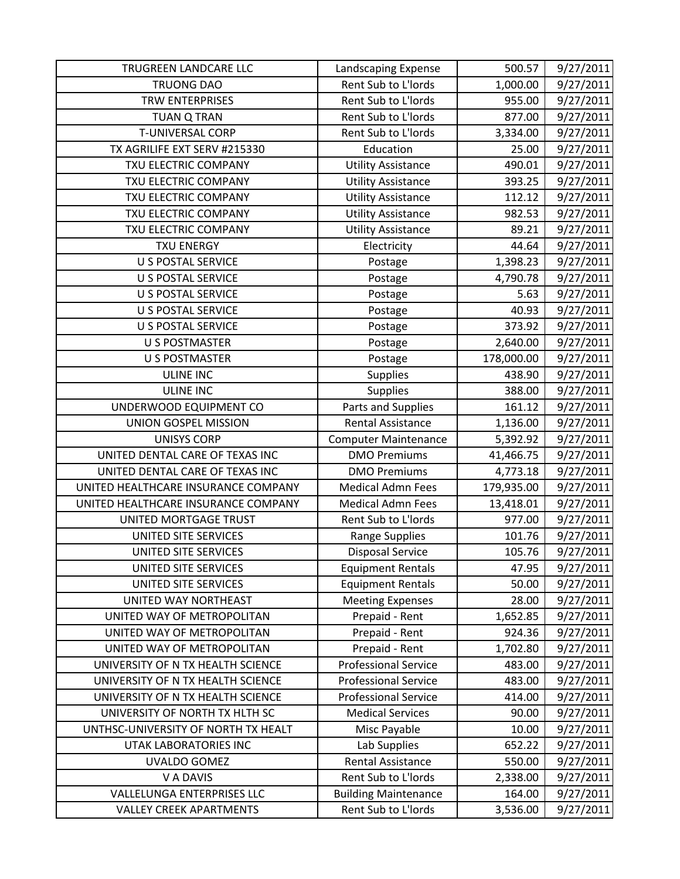| TRUGREEN LANDCARE LLC               | Landscaping Expense         | 500.57     | 9/27/2011 |
|-------------------------------------|-----------------------------|------------|-----------|
| <b>TRUONG DAO</b>                   | Rent Sub to L'Iords         | 1,000.00   | 9/27/2011 |
| <b>TRW ENTERPRISES</b>              | Rent Sub to L'Iords         | 955.00     | 9/27/2011 |
| <b>TUAN Q TRAN</b>                  | Rent Sub to L'Iords         | 877.00     | 9/27/2011 |
| <b>T-UNIVERSAL CORP</b>             | Rent Sub to L'Iords         | 3,334.00   | 9/27/2011 |
| TX AGRILIFE EXT SERV #215330        | Education                   | 25.00      | 9/27/2011 |
| TXU ELECTRIC COMPANY                | <b>Utility Assistance</b>   | 490.01     | 9/27/2011 |
| TXU ELECTRIC COMPANY                | <b>Utility Assistance</b>   | 393.25     | 9/27/2011 |
| TXU ELECTRIC COMPANY                | <b>Utility Assistance</b>   | 112.12     | 9/27/2011 |
| TXU ELECTRIC COMPANY                | <b>Utility Assistance</b>   | 982.53     | 9/27/2011 |
| TXU ELECTRIC COMPANY                | <b>Utility Assistance</b>   | 89.21      | 9/27/2011 |
| <b>TXU ENERGY</b>                   | Electricity                 | 44.64      | 9/27/2011 |
| <b>U S POSTAL SERVICE</b>           | Postage                     | 1,398.23   | 9/27/2011 |
| <b>U S POSTAL SERVICE</b>           | Postage                     | 4,790.78   | 9/27/2011 |
| <b>U S POSTAL SERVICE</b>           | Postage                     | 5.63       | 9/27/2011 |
| <b>U S POSTAL SERVICE</b>           | Postage                     | 40.93      | 9/27/2011 |
| <b>U S POSTAL SERVICE</b>           | Postage                     | 373.92     | 9/27/2011 |
| <b>U S POSTMASTER</b>               | Postage                     | 2,640.00   | 9/27/2011 |
| <b>U S POSTMASTER</b>               | Postage                     | 178,000.00 | 9/27/2011 |
| <b>ULINE INC</b>                    | <b>Supplies</b>             | 438.90     | 9/27/2011 |
| <b>ULINE INC</b>                    | <b>Supplies</b>             | 388.00     | 9/27/2011 |
| UNDERWOOD EQUIPMENT CO              | Parts and Supplies          | 161.12     | 9/27/2011 |
| UNION GOSPEL MISSION                | Rental Assistance           | 1,136.00   | 9/27/2011 |
| <b>UNISYS CORP</b>                  | <b>Computer Maintenance</b> | 5,392.92   | 9/27/2011 |
| UNITED DENTAL CARE OF TEXAS INC     | <b>DMO Premiums</b>         | 41,466.75  | 9/27/2011 |
| UNITED DENTAL CARE OF TEXAS INC     | <b>DMO Premiums</b>         | 4,773.18   | 9/27/2011 |
| UNITED HEALTHCARE INSURANCE COMPANY | <b>Medical Admn Fees</b>    | 179,935.00 | 9/27/2011 |
| UNITED HEALTHCARE INSURANCE COMPANY | <b>Medical Admn Fees</b>    | 13,418.01  | 9/27/2011 |
| UNITED MORTGAGE TRUST               | Rent Sub to L'Iords         | 977.00     | 9/27/2011 |
| UNITED SITE SERVICES                | <b>Range Supplies</b>       | 101.76     | 9/27/2011 |
| UNITED SITE SERVICES                | <b>Disposal Service</b>     | 105.76     | 9/27/2011 |
| UNITED SITE SERVICES                | <b>Equipment Rentals</b>    | 47.95      | 9/27/2011 |
| UNITED SITE SERVICES                | <b>Equipment Rentals</b>    | 50.00      | 9/27/2011 |
| UNITED WAY NORTHEAST                | <b>Meeting Expenses</b>     | 28.00      | 9/27/2011 |
| UNITED WAY OF METROPOLITAN          | Prepaid - Rent              | 1,652.85   | 9/27/2011 |
| UNITED WAY OF METROPOLITAN          | Prepaid - Rent              | 924.36     | 9/27/2011 |
| UNITED WAY OF METROPOLITAN          | Prepaid - Rent              | 1,702.80   | 9/27/2011 |
| UNIVERSITY OF N TX HEALTH SCIENCE   | <b>Professional Service</b> | 483.00     | 9/27/2011 |
| UNIVERSITY OF N TX HEALTH SCIENCE   | <b>Professional Service</b> | 483.00     | 9/27/2011 |
| UNIVERSITY OF N TX HEALTH SCIENCE   | <b>Professional Service</b> | 414.00     | 9/27/2011 |
| UNIVERSITY OF NORTH TX HLTH SC      | <b>Medical Services</b>     | 90.00      | 9/27/2011 |
| UNTHSC-UNIVERSITY OF NORTH TX HEALT | Misc Payable                | 10.00      | 9/27/2011 |
| UTAK LABORATORIES INC               | Lab Supplies                | 652.22     | 9/27/2011 |
| <b>UVALDO GOMEZ</b>                 | Rental Assistance           | 550.00     | 9/27/2011 |
| V A DAVIS                           | Rent Sub to L'Iords         | 2,338.00   | 9/27/2011 |
| <b>VALLELUNGA ENTERPRISES LLC</b>   | <b>Building Maintenance</b> | 164.00     | 9/27/2011 |
| <b>VALLEY CREEK APARTMENTS</b>      | Rent Sub to L'Iords         | 3,536.00   | 9/27/2011 |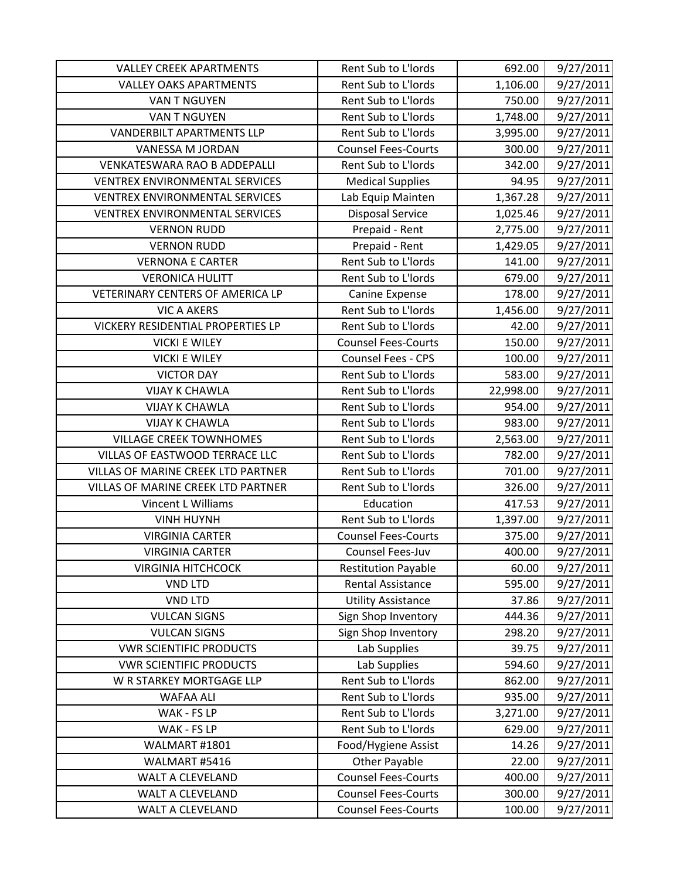| <b>VALLEY CREEK APARTMENTS</b>        | Rent Sub to L'Iords        | 692.00    | 9/27/2011 |
|---------------------------------------|----------------------------|-----------|-----------|
| <b>VALLEY OAKS APARTMENTS</b>         | Rent Sub to L'Iords        | 1,106.00  | 9/27/2011 |
| <b>VAN T NGUYEN</b>                   | Rent Sub to L'Iords        | 750.00    | 9/27/2011 |
| <b>VAN T NGUYEN</b>                   | Rent Sub to L'Iords        | 1,748.00  | 9/27/2011 |
| <b>VANDERBILT APARTMENTS LLP</b>      | Rent Sub to L'Iords        | 3,995.00  | 9/27/2011 |
| VANESSA M JORDAN                      | <b>Counsel Fees-Courts</b> | 300.00    | 9/27/2011 |
| <b>VENKATESWARA RAO B ADDEPALLI</b>   | Rent Sub to L'Iords        | 342.00    | 9/27/2011 |
| <b>VENTREX ENVIRONMENTAL SERVICES</b> | <b>Medical Supplies</b>    | 94.95     | 9/27/2011 |
| <b>VENTREX ENVIRONMENTAL SERVICES</b> | Lab Equip Mainten          | 1,367.28  | 9/27/2011 |
| <b>VENTREX ENVIRONMENTAL SERVICES</b> | <b>Disposal Service</b>    | 1,025.46  | 9/27/2011 |
| <b>VERNON RUDD</b>                    | Prepaid - Rent             | 2,775.00  | 9/27/2011 |
| <b>VERNON RUDD</b>                    | Prepaid - Rent             | 1,429.05  | 9/27/2011 |
| <b>VERNONA E CARTER</b>               | Rent Sub to L'Iords        | 141.00    | 9/27/2011 |
| <b>VERONICA HULITT</b>                | Rent Sub to L'Iords        | 679.00    | 9/27/2011 |
| VETERINARY CENTERS OF AMERICA LP      | Canine Expense             | 178.00    | 9/27/2011 |
| <b>VIC A AKERS</b>                    | Rent Sub to L'Iords        | 1,456.00  | 9/27/2011 |
| VICKERY RESIDENTIAL PROPERTIES LP     | Rent Sub to L'Iords        | 42.00     | 9/27/2011 |
| <b>VICKI E WILEY</b>                  | <b>Counsel Fees-Courts</b> | 150.00    | 9/27/2011 |
| <b>VICKI E WILEY</b>                  | <b>Counsel Fees - CPS</b>  | 100.00    | 9/27/2011 |
| <b>VICTOR DAY</b>                     | Rent Sub to L'Iords        | 583.00    | 9/27/2011 |
| <b>VIJAY K CHAWLA</b>                 | Rent Sub to L'Iords        | 22,998.00 | 9/27/2011 |
| <b>VIJAY K CHAWLA</b>                 | Rent Sub to L'Iords        | 954.00    | 9/27/2011 |
| <b>VIJAY K CHAWLA</b>                 | Rent Sub to L'Iords        | 983.00    | 9/27/2011 |
| <b>VILLAGE CREEK TOWNHOMES</b>        | Rent Sub to L'Iords        | 2,563.00  | 9/27/2011 |
| VILLAS OF EASTWOOD TERRACE LLC        | Rent Sub to L'Iords        | 782.00    | 9/27/2011 |
| VILLAS OF MARINE CREEK LTD PARTNER    | Rent Sub to L'Iords        | 701.00    | 9/27/2011 |
| VILLAS OF MARINE CREEK LTD PARTNER    | Rent Sub to L'Iords        | 326.00    | 9/27/2011 |
| Vincent L Williams                    | Education                  | 417.53    | 9/27/2011 |
| <b>VINH HUYNH</b>                     | Rent Sub to L'Iords        | 1,397.00  | 9/27/2011 |
| <b>VIRGINIA CARTER</b>                | <b>Counsel Fees-Courts</b> | 375.00    | 9/27/2011 |
| <b>VIRGINIA CARTER</b>                | Counsel Fees-Juv           | 400.00    | 9/27/2011 |
| <b>VIRGINIA HITCHCOCK</b>             | <b>Restitution Payable</b> | 60.00     | 9/27/2011 |
| <b>VND LTD</b>                        | <b>Rental Assistance</b>   | 595.00    | 9/27/2011 |
| <b>VND LTD</b>                        | <b>Utility Assistance</b>  | 37.86     | 9/27/2011 |
| <b>VULCAN SIGNS</b>                   | Sign Shop Inventory        | 444.36    | 9/27/2011 |
| <b>VULCAN SIGNS</b>                   | Sign Shop Inventory        | 298.20    | 9/27/2011 |
| <b>VWR SCIENTIFIC PRODUCTS</b>        | Lab Supplies               | 39.75     | 9/27/2011 |
| <b>VWR SCIENTIFIC PRODUCTS</b>        | Lab Supplies               | 594.60    | 9/27/2011 |
| W R STARKEY MORTGAGE LLP              | Rent Sub to L'Iords        | 862.00    | 9/27/2011 |
| <b>WAFAA ALI</b>                      | Rent Sub to L'Iords        | 935.00    | 9/27/2011 |
| WAK - FS LP                           | Rent Sub to L'Iords        | 3,271.00  | 9/27/2011 |
| WAK - FS LP                           | Rent Sub to L'Iords        | 629.00    | 9/27/2011 |
| WALMART #1801                         | Food/Hygiene Assist        | 14.26     | 9/27/2011 |
| WALMART #5416                         | <b>Other Payable</b>       | 22.00     | 9/27/2011 |
| WALT A CLEVELAND                      | <b>Counsel Fees-Courts</b> | 400.00    | 9/27/2011 |
| <b>WALT A CLEVELAND</b>               | <b>Counsel Fees-Courts</b> | 300.00    | 9/27/2011 |
| WALT A CLEVELAND                      | <b>Counsel Fees-Courts</b> | 100.00    | 9/27/2011 |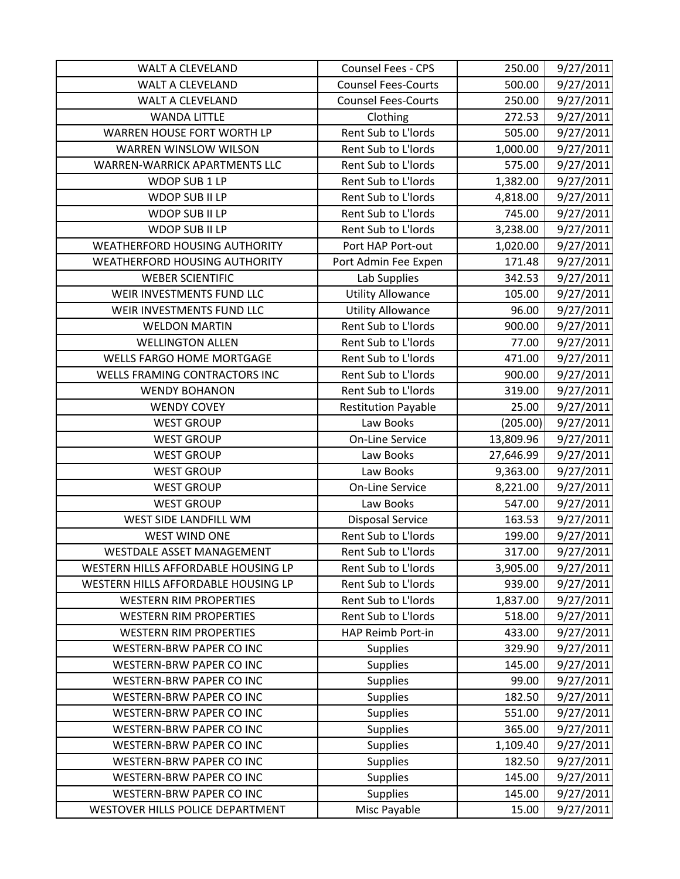| <b>WALT A CLEVELAND</b>              | Counsel Fees - CPS         | 250.00    | 9/27/2011 |
|--------------------------------------|----------------------------|-----------|-----------|
| <b>WALT A CLEVELAND</b>              | <b>Counsel Fees-Courts</b> | 500.00    | 9/27/2011 |
| <b>WALT A CLEVELAND</b>              | <b>Counsel Fees-Courts</b> | 250.00    | 9/27/2011 |
| <b>WANDA LITTLE</b>                  | Clothing                   | 272.53    | 9/27/2011 |
| WARREN HOUSE FORT WORTH LP           | Rent Sub to L'Iords        | 505.00    | 9/27/2011 |
| WARREN WINSLOW WILSON                | Rent Sub to L'Iords        | 1,000.00  | 9/27/2011 |
| WARREN-WARRICK APARTMENTS LLC        | Rent Sub to L'Iords        | 575.00    | 9/27/2011 |
| WDOP SUB 1 LP                        | Rent Sub to L'Iords        | 1,382.00  | 9/27/2011 |
| WDOP SUB II LP                       | Rent Sub to L'Iords        | 4,818.00  | 9/27/2011 |
| WDOP SUB II LP                       | Rent Sub to L'Iords        | 745.00    | 9/27/2011 |
| WDOP SUB II LP                       | Rent Sub to L'Iords        | 3,238.00  | 9/27/2011 |
| <b>WEATHERFORD HOUSING AUTHORITY</b> | Port HAP Port-out          | 1,020.00  | 9/27/2011 |
| WEATHERFORD HOUSING AUTHORITY        | Port Admin Fee Expen       | 171.48    | 9/27/2011 |
| <b>WEBER SCIENTIFIC</b>              | Lab Supplies               | 342.53    | 9/27/2011 |
| WEIR INVESTMENTS FUND LLC            | <b>Utility Allowance</b>   | 105.00    | 9/27/2011 |
| WEIR INVESTMENTS FUND LLC            | <b>Utility Allowance</b>   | 96.00     | 9/27/2011 |
| <b>WELDON MARTIN</b>                 | Rent Sub to L'Iords        | 900.00    | 9/27/2011 |
| <b>WELLINGTON ALLEN</b>              | Rent Sub to L'Iords        | 77.00     | 9/27/2011 |
| <b>WELLS FARGO HOME MORTGAGE</b>     | Rent Sub to L'Iords        | 471.00    | 9/27/2011 |
| WELLS FRAMING CONTRACTORS INC        | Rent Sub to L'Iords        | 900.00    | 9/27/2011 |
| <b>WENDY BOHANON</b>                 | Rent Sub to L'Iords        | 319.00    | 9/27/2011 |
| <b>WENDY COVEY</b>                   | <b>Restitution Payable</b> | 25.00     | 9/27/2011 |
| <b>WEST GROUP</b>                    | Law Books                  | (205.00)  | 9/27/2011 |
| <b>WEST GROUP</b>                    | <b>On-Line Service</b>     | 13,809.96 | 9/27/2011 |
| <b>WEST GROUP</b>                    | Law Books                  | 27,646.99 | 9/27/2011 |
| <b>WEST GROUP</b>                    | Law Books                  | 9,363.00  | 9/27/2011 |
| <b>WEST GROUP</b>                    | <b>On-Line Service</b>     | 8,221.00  | 9/27/2011 |
| <b>WEST GROUP</b>                    | Law Books                  | 547.00    | 9/27/2011 |
| WEST SIDE LANDFILL WM                | <b>Disposal Service</b>    | 163.53    | 9/27/2011 |
| <b>WEST WIND ONE</b>                 | Rent Sub to L'Iords        | 199.00    | 9/27/2011 |
| WESTDALE ASSET MANAGEMENT            | Rent Sub to L'Iords        | 317.00    | 9/27/2011 |
| WESTERN HILLS AFFORDABLE HOUSING LP  | Rent Sub to L'Iords        | 3,905.00  | 9/27/2011 |
| WESTERN HILLS AFFORDABLE HOUSING LP  | Rent Sub to L'Iords        | 939.00    | 9/27/2011 |
| <b>WESTERN RIM PROPERTIES</b>        | Rent Sub to L'Iords        | 1,837.00  | 9/27/2011 |
| <b>WESTERN RIM PROPERTIES</b>        | Rent Sub to L'Iords        | 518.00    | 9/27/2011 |
| <b>WESTERN RIM PROPERTIES</b>        | HAP Reimb Port-in          | 433.00    | 9/27/2011 |
| WESTERN-BRW PAPER CO INC             | <b>Supplies</b>            | 329.90    | 9/27/2011 |
| WESTERN-BRW PAPER CO INC             | <b>Supplies</b>            | 145.00    | 9/27/2011 |
| WESTERN-BRW PAPER CO INC             | <b>Supplies</b>            | 99.00     | 9/27/2011 |
| WESTERN-BRW PAPER CO INC             | <b>Supplies</b>            | 182.50    | 9/27/2011 |
| WESTERN-BRW PAPER CO INC             | <b>Supplies</b>            | 551.00    | 9/27/2011 |
| WESTERN-BRW PAPER CO INC             | <b>Supplies</b>            | 365.00    | 9/27/2011 |
| <b>WESTERN-BRW PAPER CO INC</b>      | <b>Supplies</b>            | 1,109.40  | 9/27/2011 |
| WESTERN-BRW PAPER CO INC             | <b>Supplies</b>            | 182.50    | 9/27/2011 |
| WESTERN-BRW PAPER CO INC             | <b>Supplies</b>            | 145.00    | 9/27/2011 |
| <b>WESTERN-BRW PAPER CO INC</b>      | <b>Supplies</b>            | 145.00    | 9/27/2011 |
| WESTOVER HILLS POLICE DEPARTMENT     | Misc Payable               | 15.00     | 9/27/2011 |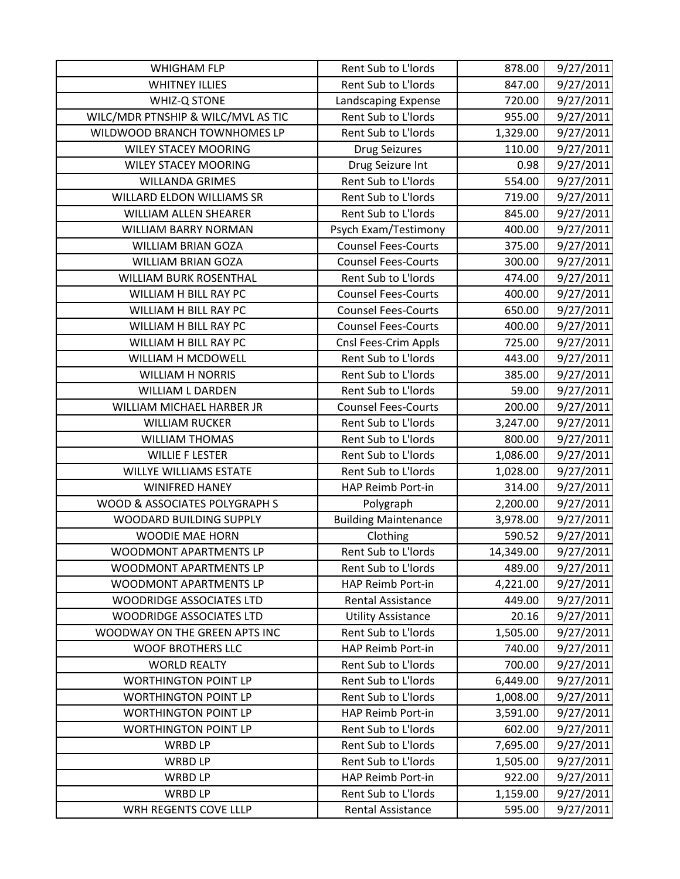| <b>WHIGHAM FLP</b>                 | Rent Sub to L'Iords         | 878.00    | 9/27/2011 |
|------------------------------------|-----------------------------|-----------|-----------|
| <b>WHITNEY ILLIES</b>              | Rent Sub to L'Iords         | 847.00    | 9/27/2011 |
| WHIZ-Q STONE                       | Landscaping Expense         | 720.00    | 9/27/2011 |
| WILC/MDR PTNSHIP & WILC/MVL AS TIC | Rent Sub to L'Iords         | 955.00    | 9/27/2011 |
| WILDWOOD BRANCH TOWNHOMES LP       | Rent Sub to L'Iords         | 1,329.00  | 9/27/2011 |
| <b>WILEY STACEY MOORING</b>        | <b>Drug Seizures</b>        | 110.00    | 9/27/2011 |
| <b>WILEY STACEY MOORING</b>        | Drug Seizure Int            | 0.98      | 9/27/2011 |
| <b>WILLANDA GRIMES</b>             | Rent Sub to L'Iords         | 554.00    | 9/27/2011 |
| WILLARD ELDON WILLIAMS SR          | Rent Sub to L'Iords         | 719.00    | 9/27/2011 |
| WILLIAM ALLEN SHEARER              | Rent Sub to L'Iords         | 845.00    | 9/27/2011 |
| WILLIAM BARRY NORMAN               | Psych Exam/Testimony        | 400.00    | 9/27/2011 |
| <b>WILLIAM BRIAN GOZA</b>          | <b>Counsel Fees-Courts</b>  | 375.00    | 9/27/2011 |
| <b>WILLIAM BRIAN GOZA</b>          | <b>Counsel Fees-Courts</b>  | 300.00    | 9/27/2011 |
| WILLIAM BURK ROSENTHAL             | Rent Sub to L'Iords         | 474.00    | 9/27/2011 |
| WILLIAM H BILL RAY PC              | <b>Counsel Fees-Courts</b>  | 400.00    | 9/27/2011 |
| WILLIAM H BILL RAY PC              | <b>Counsel Fees-Courts</b>  | 650.00    | 9/27/2011 |
| WILLIAM H BILL RAY PC              | <b>Counsel Fees-Courts</b>  | 400.00    | 9/27/2011 |
| WILLIAM H BILL RAY PC              | Cnsl Fees-Crim Appls        | 725.00    | 9/27/2011 |
| <b>WILLIAM H MCDOWELL</b>          | Rent Sub to L'Iords         | 443.00    | 9/27/2011 |
| <b>WILLIAM H NORRIS</b>            | Rent Sub to L'Iords         | 385.00    | 9/27/2011 |
| <b>WILLIAM L DARDEN</b>            | Rent Sub to L'Iords         | 59.00     | 9/27/2011 |
| WILLIAM MICHAEL HARBER JR          | <b>Counsel Fees-Courts</b>  | 200.00    | 9/27/2011 |
| <b>WILLIAM RUCKER</b>              | Rent Sub to L'Iords         | 3,247.00  | 9/27/2011 |
| <b>WILLIAM THOMAS</b>              | Rent Sub to L'Iords         | 800.00    | 9/27/2011 |
| <b>WILLIE F LESTER</b>             | Rent Sub to L'Iords         | 1,086.00  | 9/27/2011 |
| <b>WILLYE WILLIAMS ESTATE</b>      | Rent Sub to L'Iords         | 1,028.00  | 9/27/2011 |
| <b>WINIFRED HANEY</b>              | HAP Reimb Port-in           | 314.00    | 9/27/2011 |
| WOOD & ASSOCIATES POLYGRAPH S      | Polygraph                   | 2,200.00  | 9/27/2011 |
| WOODARD BUILDING SUPPLY            | <b>Building Maintenance</b> | 3,978.00  | 9/27/2011 |
| WOODIE MAE HORN                    | Clothing                    | 590.52    | 9/27/2011 |
| WOODMONT APARTMENTS LP             | Rent Sub to L'Iords         | 14,349.00 | 9/27/2011 |
| WOODMONT APARTMENTS LP             | Rent Sub to L'Iords         | 489.00    | 9/27/2011 |
| WOODMONT APARTMENTS LP             | HAP Reimb Port-in           | 4,221.00  | 9/27/2011 |
| <b>WOODRIDGE ASSOCIATES LTD</b>    | <b>Rental Assistance</b>    | 449.00    | 9/27/2011 |
| <b>WOODRIDGE ASSOCIATES LTD</b>    | <b>Utility Assistance</b>   | 20.16     | 9/27/2011 |
| WOODWAY ON THE GREEN APTS INC      | Rent Sub to L'Iords         | 1,505.00  | 9/27/2011 |
| <b>WOOF BROTHERS LLC</b>           | HAP Reimb Port-in           | 740.00    | 9/27/2011 |
| <b>WORLD REALTY</b>                | Rent Sub to L'Iords         | 700.00    | 9/27/2011 |
| <b>WORTHINGTON POINT LP</b>        | Rent Sub to L'Iords         | 6,449.00  | 9/27/2011 |
| <b>WORTHINGTON POINT LP</b>        | Rent Sub to L'Iords         | 1,008.00  | 9/27/2011 |
| <b>WORTHINGTON POINT LP</b>        | HAP Reimb Port-in           | 3,591.00  | 9/27/2011 |
| <b>WORTHINGTON POINT LP</b>        | Rent Sub to L'Iords         | 602.00    | 9/27/2011 |
| WRBD LP                            | Rent Sub to L'Iords         | 7,695.00  | 9/27/2011 |
| <b>WRBD LP</b>                     | Rent Sub to L'Iords         | 1,505.00  | 9/27/2011 |
| <b>WRBD LP</b>                     | HAP Reimb Port-in           | 922.00    | 9/27/2011 |
| <b>WRBD LP</b>                     | Rent Sub to L'Iords         | 1,159.00  | 9/27/2011 |
| WRH REGENTS COVE LLLP              | <b>Rental Assistance</b>    | 595.00    | 9/27/2011 |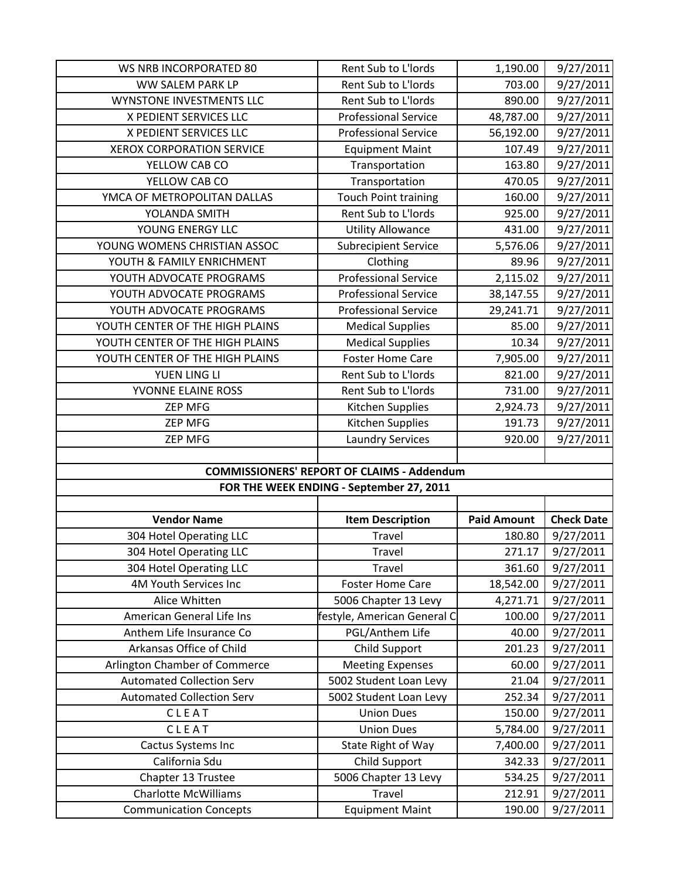| <b>WS NRB INCORPORATED 80</b>                                | Rent Sub to L'Iords                               | 1,190.00           | 9/27/2011              |
|--------------------------------------------------------------|---------------------------------------------------|--------------------|------------------------|
| WW SALEM PARK LP                                             | Rent Sub to L'Iords                               | 703.00             | 9/27/2011              |
| WYNSTONE INVESTMENTS LLC                                     | Rent Sub to L'Iords                               | 890.00             | 9/27/2011              |
| X PEDIENT SERVICES LLC                                       | <b>Professional Service</b>                       | 48,787.00          | 9/27/2011              |
| X PEDIENT SERVICES LLC                                       | <b>Professional Service</b>                       | 56,192.00          | 9/27/2011              |
| <b>XEROX CORPORATION SERVICE</b>                             | <b>Equipment Maint</b>                            | 107.49             | 9/27/2011              |
| YELLOW CAB CO                                                | Transportation                                    | 163.80             | 9/27/2011              |
| YELLOW CAB CO                                                | Transportation                                    | 470.05             | 9/27/2011              |
| YMCA OF METROPOLITAN DALLAS                                  | <b>Touch Point training</b>                       | 160.00             | 9/27/2011              |
| YOLANDA SMITH                                                | Rent Sub to L'Iords                               | 925.00             | 9/27/2011              |
| YOUNG ENERGY LLC                                             | <b>Utility Allowance</b>                          | 431.00             | 9/27/2011              |
| YOUNG WOMENS CHRISTIAN ASSOC                                 | <b>Subrecipient Service</b>                       | 5,576.06           | 9/27/2011              |
| YOUTH & FAMILY ENRICHMENT                                    | Clothing                                          | 89.96              | 9/27/2011              |
| YOUTH ADVOCATE PROGRAMS                                      | <b>Professional Service</b>                       | 2,115.02           | 9/27/2011              |
| YOUTH ADVOCATE PROGRAMS                                      | <b>Professional Service</b>                       | 38,147.55          | 9/27/2011              |
| YOUTH ADVOCATE PROGRAMS                                      | <b>Professional Service</b>                       | 29,241.71          | 9/27/2011              |
| YOUTH CENTER OF THE HIGH PLAINS                              | <b>Medical Supplies</b>                           | 85.00              | 9/27/2011              |
| YOUTH CENTER OF THE HIGH PLAINS                              | <b>Medical Supplies</b>                           | 10.34              | 9/27/2011              |
| YOUTH CENTER OF THE HIGH PLAINS                              | <b>Foster Home Care</b>                           | 7,905.00           | 9/27/2011              |
| YUEN LING LI                                                 | Rent Sub to L'Iords                               | 821.00             | 9/27/2011              |
| YVONNE ELAINE ROSS                                           | Rent Sub to L'Iords                               | 731.00             | 9/27/2011              |
| <b>ZEP MFG</b>                                               | Kitchen Supplies                                  | 2,924.73           | 9/27/2011              |
| <b>ZEP MFG</b>                                               | Kitchen Supplies                                  | 191.73             | 9/27/2011              |
| <b>ZEP MFG</b>                                               | <b>Laundry Services</b>                           | 920.00             | 9/27/2011              |
|                                                              |                                                   |                    |                        |
|                                                              |                                                   |                    |                        |
|                                                              | <b>COMMISSIONERS' REPORT OF CLAIMS - Addendum</b> |                    |                        |
|                                                              | FOR THE WEEK ENDING - September 27, 2011          |                    |                        |
|                                                              |                                                   |                    |                        |
| <b>Vendor Name</b>                                           | <b>Item Description</b>                           | <b>Paid Amount</b> | <b>Check Date</b>      |
| 304 Hotel Operating LLC                                      | Travel                                            | 180.80             | 9/27/2011              |
| 304 Hotel Operating LLC                                      | Travel                                            | 271.17             | 9/27/2011              |
| 304 Hotel Operating LLC                                      | Travel                                            | 361.60             | 9/27/2011              |
| 4M Youth Services Inc                                        | <b>Foster Home Care</b>                           | 18,542.00          | 9/27/2011              |
| Alice Whitten                                                | 5006 Chapter 13 Levy                              | 4,271.71           | 9/27/2011              |
| American General Life Ins                                    | festyle, American General C                       | 100.00             | 9/27/2011              |
| Anthem Life Insurance Co                                     | PGL/Anthem Life                                   | 40.00              | 9/27/2011              |
| Arkansas Office of Child                                     | Child Support                                     | 201.23             | 9/27/2011              |
| Arlington Chamber of Commerce                                | <b>Meeting Expenses</b>                           | 60.00              | 9/27/2011              |
| <b>Automated Collection Serv</b>                             | 5002 Student Loan Levy                            | 21.04              | 9/27/2011              |
| <b>Automated Collection Serv</b>                             | 5002 Student Loan Levy                            | 252.34             | 9/27/2011              |
| CLEAT                                                        | <b>Union Dues</b>                                 | 150.00             | 9/27/2011              |
| CLEAT                                                        | <b>Union Dues</b>                                 | 5,784.00           | 9/27/2011              |
| Cactus Systems Inc                                           | State Right of Way                                | 7,400.00           | 9/27/2011              |
| California Sdu                                               | Child Support                                     | 342.33             | 9/27/2011              |
| Chapter 13 Trustee                                           | 5006 Chapter 13 Levy                              | 534.25             | 9/27/2011              |
| <b>Charlotte McWilliams</b><br><b>Communication Concepts</b> | Travel<br><b>Equipment Maint</b>                  | 212.91<br>190.00   | 9/27/2011<br>9/27/2011 |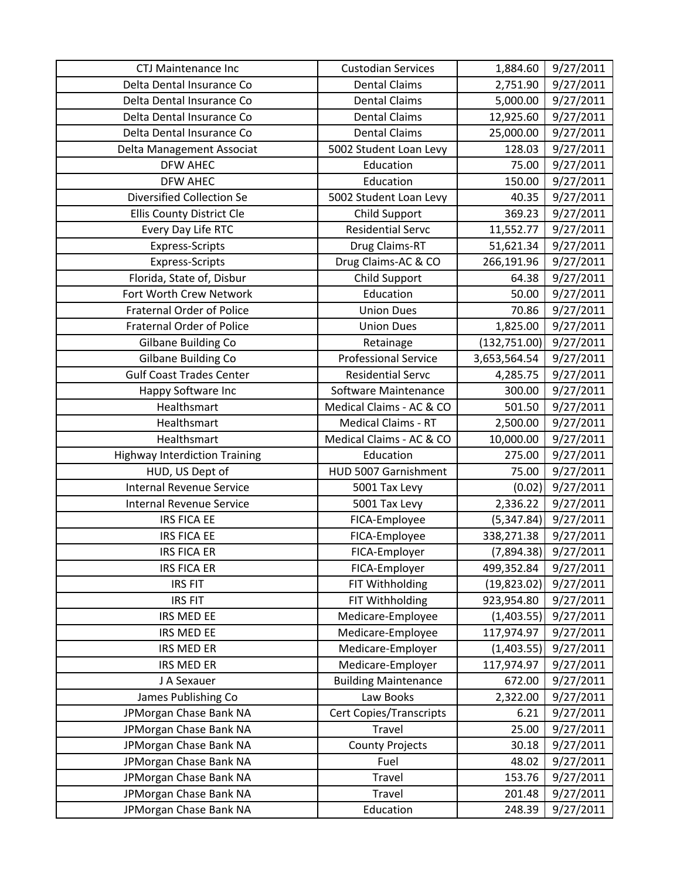| CTJ Maintenance Inc                  | <b>Custodian Services</b>   | 1,884.60      | 9/27/2011 |
|--------------------------------------|-----------------------------|---------------|-----------|
| Delta Dental Insurance Co            | <b>Dental Claims</b>        | 2,751.90      | 9/27/2011 |
| Delta Dental Insurance Co            | <b>Dental Claims</b>        | 5,000.00      | 9/27/2011 |
| Delta Dental Insurance Co            | <b>Dental Claims</b>        | 12,925.60     | 9/27/2011 |
| Delta Dental Insurance Co            | <b>Dental Claims</b>        | 25,000.00     | 9/27/2011 |
| Delta Management Associat            | 5002 Student Loan Levy      | 128.03        | 9/27/2011 |
| <b>DFW AHEC</b>                      | Education                   | 75.00         | 9/27/2011 |
| <b>DFW AHEC</b>                      | Education                   | 150.00        | 9/27/2011 |
| <b>Diversified Collection Se</b>     | 5002 Student Loan Levy      | 40.35         | 9/27/2011 |
| <b>Ellis County District Cle</b>     | Child Support               | 369.23        | 9/27/2011 |
| Every Day Life RTC                   | <b>Residential Servc</b>    | 11,552.77     | 9/27/2011 |
| <b>Express-Scripts</b>               | Drug Claims-RT              | 51,621.34     | 9/27/2011 |
| Express-Scripts                      | Drug Claims-AC & CO         | 266,191.96    | 9/27/2011 |
| Florida, State of, Disbur            | Child Support               | 64.38         | 9/27/2011 |
| Fort Worth Crew Network              | Education                   | 50.00         | 9/27/2011 |
| <b>Fraternal Order of Police</b>     | <b>Union Dues</b>           | 70.86         | 9/27/2011 |
| <b>Fraternal Order of Police</b>     | <b>Union Dues</b>           | 1,825.00      | 9/27/2011 |
| Gilbane Building Co                  | Retainage                   | (132, 751.00) | 9/27/2011 |
| Gilbane Building Co                  | <b>Professional Service</b> | 3,653,564.54  | 9/27/2011 |
| <b>Gulf Coast Trades Center</b>      | <b>Residential Servc</b>    | 4,285.75      | 9/27/2011 |
| Happy Software Inc                   | Software Maintenance        | 300.00        | 9/27/2011 |
| Healthsmart                          | Medical Claims - AC & CO    | 501.50        | 9/27/2011 |
| Healthsmart                          | <b>Medical Claims - RT</b>  | 2,500.00      | 9/27/2011 |
| Healthsmart                          | Medical Claims - AC & CO    | 10,000.00     | 9/27/2011 |
| <b>Highway Interdiction Training</b> | Education                   | 275.00        | 9/27/2011 |
| HUD, US Dept of                      | HUD 5007 Garnishment        | 75.00         | 9/27/2011 |
| <b>Internal Revenue Service</b>      | 5001 Tax Levy               | (0.02)        | 9/27/2011 |
| <b>Internal Revenue Service</b>      | 5001 Tax Levy               | 2,336.22      | 9/27/2011 |
| <b>IRS FICA EE</b>                   | FICA-Employee               | (5,347.84)    | 9/27/2011 |
| <b>IRS FICA EE</b>                   | FICA-Employee               | 338,271.38    | 9/27/2011 |
| <b>IRS FICA ER</b>                   | FICA-Employer               | (7,894.38)    | 9/27/2011 |
| <b>IRS FICA ER</b>                   | FICA-Employer               | 499,352.84    | 9/27/2011 |
| <b>IRS FIT</b>                       | FIT Withholding             | (19, 823.02)  | 9/27/2011 |
| <b>IRS FIT</b>                       | FIT Withholding             | 923,954.80    | 9/27/2011 |
| IRS MED EE                           | Medicare-Employee           | (1,403.55)    | 9/27/2011 |
| IRS MED EE                           | Medicare-Employee           | 117,974.97    | 9/27/2011 |
| IRS MED ER                           | Medicare-Employer           | (1,403.55)    | 9/27/2011 |
| IRS MED ER                           | Medicare-Employer           | 117,974.97    | 9/27/2011 |
| J A Sexauer                          | <b>Building Maintenance</b> | 672.00        | 9/27/2011 |
| James Publishing Co                  | Law Books                   | 2,322.00      | 9/27/2011 |
| JPMorgan Chase Bank NA               | Cert Copies/Transcripts     | 6.21          | 9/27/2011 |
| JPMorgan Chase Bank NA               | Travel                      | 25.00         | 9/27/2011 |
| JPMorgan Chase Bank NA               | <b>County Projects</b>      | 30.18         | 9/27/2011 |
| JPMorgan Chase Bank NA               | Fuel                        | 48.02         | 9/27/2011 |
| JPMorgan Chase Bank NA               | Travel                      | 153.76        | 9/27/2011 |
| JPMorgan Chase Bank NA               | Travel                      | 201.48        | 9/27/2011 |
| JPMorgan Chase Bank NA               | Education                   | 248.39        | 9/27/2011 |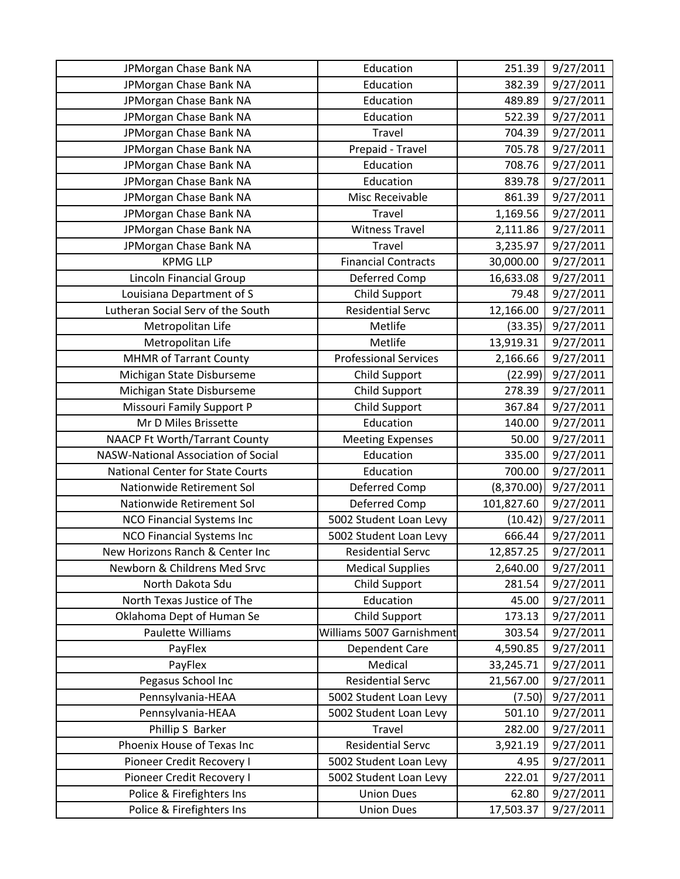| JPMorgan Chase Bank NA               | Education                    | 251.39     | 9/27/2011 |
|--------------------------------------|------------------------------|------------|-----------|
| JPMorgan Chase Bank NA               | Education                    | 382.39     | 9/27/2011 |
| JPMorgan Chase Bank NA               | Education                    | 489.89     | 9/27/2011 |
| JPMorgan Chase Bank NA               | Education                    | 522.39     | 9/27/2011 |
| JPMorgan Chase Bank NA               | Travel                       | 704.39     | 9/27/2011 |
| JPMorgan Chase Bank NA               | Prepaid - Travel             | 705.78     | 9/27/2011 |
| JPMorgan Chase Bank NA               | Education                    | 708.76     | 9/27/2011 |
| JPMorgan Chase Bank NA               | Education                    | 839.78     | 9/27/2011 |
| JPMorgan Chase Bank NA               | Misc Receivable              | 861.39     | 9/27/2011 |
| JPMorgan Chase Bank NA               | Travel                       | 1,169.56   | 9/27/2011 |
| JPMorgan Chase Bank NA               | <b>Witness Travel</b>        | 2,111.86   | 9/27/2011 |
| JPMorgan Chase Bank NA               | Travel                       | 3,235.97   | 9/27/2011 |
| <b>KPMG LLP</b>                      | <b>Financial Contracts</b>   | 30,000.00  | 9/27/2011 |
| Lincoln Financial Group              | Deferred Comp                | 16,633.08  | 9/27/2011 |
| Louisiana Department of S            | <b>Child Support</b>         | 79.48      | 9/27/2011 |
| Lutheran Social Serv of the South    | <b>Residential Servc</b>     | 12,166.00  | 9/27/2011 |
| Metropolitan Life                    | Metlife                      | (33.35)    | 9/27/2011 |
| Metropolitan Life                    | Metlife                      | 13,919.31  | 9/27/2011 |
| <b>MHMR of Tarrant County</b>        | <b>Professional Services</b> | 2,166.66   | 9/27/2011 |
| Michigan State Disburseme            | <b>Child Support</b>         | (22.99)    | 9/27/2011 |
| Michigan State Disburseme            | Child Support                | 278.39     | 9/27/2011 |
| <b>Missouri Family Support P</b>     | <b>Child Support</b>         | 367.84     | 9/27/2011 |
| Mr D Miles Brissette                 | Education                    | 140.00     | 9/27/2011 |
| <b>NAACP Ft Worth/Tarrant County</b> | <b>Meeting Expenses</b>      | 50.00      | 9/27/2011 |
| NASW-National Association of Social  | Education                    | 335.00     | 9/27/2011 |
| National Center for State Courts     | Education                    | 700.00     | 9/27/2011 |
| Nationwide Retirement Sol            | Deferred Comp                | (8,370.00) | 9/27/2011 |
| Nationwide Retirement Sol            | Deferred Comp                | 101,827.60 | 9/27/2011 |
| <b>NCO Financial Systems Inc</b>     | 5002 Student Loan Levy       | (10.42)    | 9/27/2011 |
| <b>NCO Financial Systems Inc</b>     | 5002 Student Loan Levy       | 666.44     | 9/27/2011 |
| New Horizons Ranch & Center Inc      | <b>Residential Servc</b>     | 12,857.25  | 9/27/2011 |
| Newborn & Childrens Med Srvc         | <b>Medical Supplies</b>      | 2,640.00   | 9/27/2011 |
| North Dakota Sdu                     | <b>Child Support</b>         | 281.54     | 9/27/2011 |
| North Texas Justice of The           | Education                    | 45.00      | 9/27/2011 |
| Oklahoma Dept of Human Se            | Child Support                | 173.13     | 9/27/2011 |
| Paulette Williams                    | Williams 5007 Garnishment    | 303.54     | 9/27/2011 |
| PayFlex                              | Dependent Care               | 4,590.85   | 9/27/2011 |
| PayFlex                              | Medical                      | 33,245.71  | 9/27/2011 |
| Pegasus School Inc                   | <b>Residential Servc</b>     | 21,567.00  | 9/27/2011 |
| Pennsylvania-HEAA                    | 5002 Student Loan Levy       | (7.50)     | 9/27/2011 |
| Pennsylvania-HEAA                    | 5002 Student Loan Levy       | 501.10     | 9/27/2011 |
| Phillip S Barker                     | Travel                       | 282.00     | 9/27/2011 |
| Phoenix House of Texas Inc           | <b>Residential Servc</b>     | 3,921.19   | 9/27/2011 |
| Pioneer Credit Recovery I            | 5002 Student Loan Levy       | 4.95       | 9/27/2011 |
| Pioneer Credit Recovery I            | 5002 Student Loan Levy       | 222.01     | 9/27/2011 |
| Police & Firefighters Ins            | <b>Union Dues</b>            | 62.80      | 9/27/2011 |
| Police & Firefighters Ins            | <b>Union Dues</b>            | 17,503.37  | 9/27/2011 |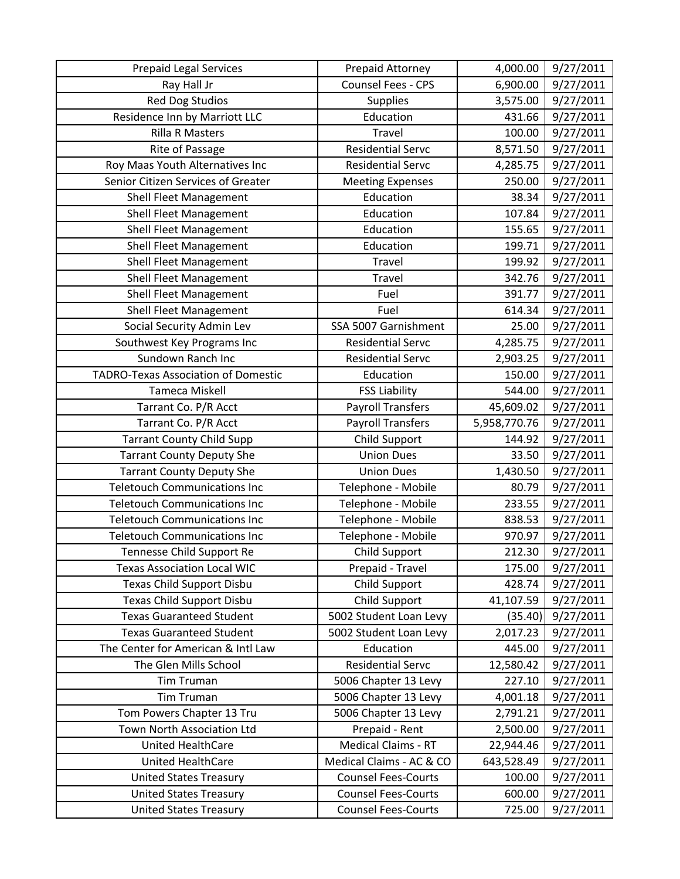| <b>Prepaid Legal Services</b>              | Prepaid Attorney           | 4,000.00     | 9/27/2011 |
|--------------------------------------------|----------------------------|--------------|-----------|
| Ray Hall Jr                                | Counsel Fees - CPS         | 6,900.00     | 9/27/2011 |
| <b>Red Dog Studios</b>                     | <b>Supplies</b>            | 3,575.00     | 9/27/2011 |
| Residence Inn by Marriott LLC              | Education                  | 431.66       | 9/27/2011 |
| <b>Rilla R Masters</b>                     | Travel                     | 100.00       | 9/27/2011 |
| Rite of Passage                            | <b>Residential Servc</b>   | 8,571.50     | 9/27/2011 |
| Roy Maas Youth Alternatives Inc            | <b>Residential Servc</b>   | 4,285.75     | 9/27/2011 |
| Senior Citizen Services of Greater         | <b>Meeting Expenses</b>    | 250.00       | 9/27/2011 |
| <b>Shell Fleet Management</b>              | Education                  | 38.34        | 9/27/2011 |
| <b>Shell Fleet Management</b>              | Education                  | 107.84       | 9/27/2011 |
| <b>Shell Fleet Management</b>              | Education                  | 155.65       | 9/27/2011 |
| <b>Shell Fleet Management</b>              | Education                  | 199.71       | 9/27/2011 |
| <b>Shell Fleet Management</b>              | Travel                     | 199.92       | 9/27/2011 |
| Shell Fleet Management                     | Travel                     | 342.76       | 9/27/2011 |
| Shell Fleet Management                     | Fuel                       | 391.77       | 9/27/2011 |
| <b>Shell Fleet Management</b>              | Fuel                       | 614.34       | 9/27/2011 |
| Social Security Admin Lev                  | SSA 5007 Garnishment       | 25.00        | 9/27/2011 |
| Southwest Key Programs Inc                 | <b>Residential Servc</b>   | 4,285.75     | 9/27/2011 |
| Sundown Ranch Inc                          | <b>Residential Servc</b>   | 2,903.25     | 9/27/2011 |
| <b>TADRO-Texas Association of Domestic</b> | Education                  | 150.00       | 9/27/2011 |
| Tameca Miskell                             | <b>FSS Liability</b>       | 544.00       | 9/27/2011 |
| Tarrant Co. P/R Acct                       | <b>Payroll Transfers</b>   | 45,609.02    | 9/27/2011 |
| Tarrant Co. P/R Acct                       | <b>Payroll Transfers</b>   | 5,958,770.76 | 9/27/2011 |
| <b>Tarrant County Child Supp</b>           | Child Support              | 144.92       | 9/27/2011 |
| <b>Tarrant County Deputy She</b>           | <b>Union Dues</b>          | 33.50        | 9/27/2011 |
| <b>Tarrant County Deputy She</b>           | <b>Union Dues</b>          | 1,430.50     | 9/27/2011 |
| <b>Teletouch Communications Inc</b>        | Telephone - Mobile         | 80.79        | 9/27/2011 |
| <b>Teletouch Communications Inc</b>        | Telephone - Mobile         | 233.55       | 9/27/2011 |
| <b>Teletouch Communications Inc</b>        | Telephone - Mobile         | 838.53       | 9/27/2011 |
| <b>Teletouch Communications Inc</b>        | Telephone - Mobile         | 970.97       | 9/27/2011 |
| Tennesse Child Support Re                  | Child Support              | 212.30       | 9/27/2011 |
| <b>Texas Association Local WIC</b>         | Prepaid - Travel           | 175.00       | 9/27/2011 |
| Texas Child Support Disbu                  | Child Support              | 428.74       | 9/27/2011 |
| Texas Child Support Disbu                  | <b>Child Support</b>       | 41,107.59    | 9/27/2011 |
| <b>Texas Guaranteed Student</b>            | 5002 Student Loan Levy     | (35.40)      | 9/27/2011 |
| <b>Texas Guaranteed Student</b>            | 5002 Student Loan Levy     | 2,017.23     | 9/27/2011 |
| The Center for American & Intl Law         | Education                  | 445.00       | 9/27/2011 |
| The Glen Mills School                      | <b>Residential Servc</b>   | 12,580.42    | 9/27/2011 |
| <b>Tim Truman</b>                          | 5006 Chapter 13 Levy       | 227.10       | 9/27/2011 |
| <b>Tim Truman</b>                          | 5006 Chapter 13 Levy       | 4,001.18     | 9/27/2011 |
| Tom Powers Chapter 13 Tru                  | 5006 Chapter 13 Levy       | 2,791.21     | 9/27/2011 |
| Town North Association Ltd                 | Prepaid - Rent             | 2,500.00     | 9/27/2011 |
| United HealthCare                          | <b>Medical Claims - RT</b> | 22,944.46    | 9/27/2011 |
| United HealthCare                          | Medical Claims - AC & CO   | 643,528.49   | 9/27/2011 |
| <b>United States Treasury</b>              | <b>Counsel Fees-Courts</b> | 100.00       | 9/27/2011 |
| <b>United States Treasury</b>              | <b>Counsel Fees-Courts</b> | 600.00       | 9/27/2011 |
| <b>United States Treasury</b>              | <b>Counsel Fees-Courts</b> | 725.00       | 9/27/2011 |